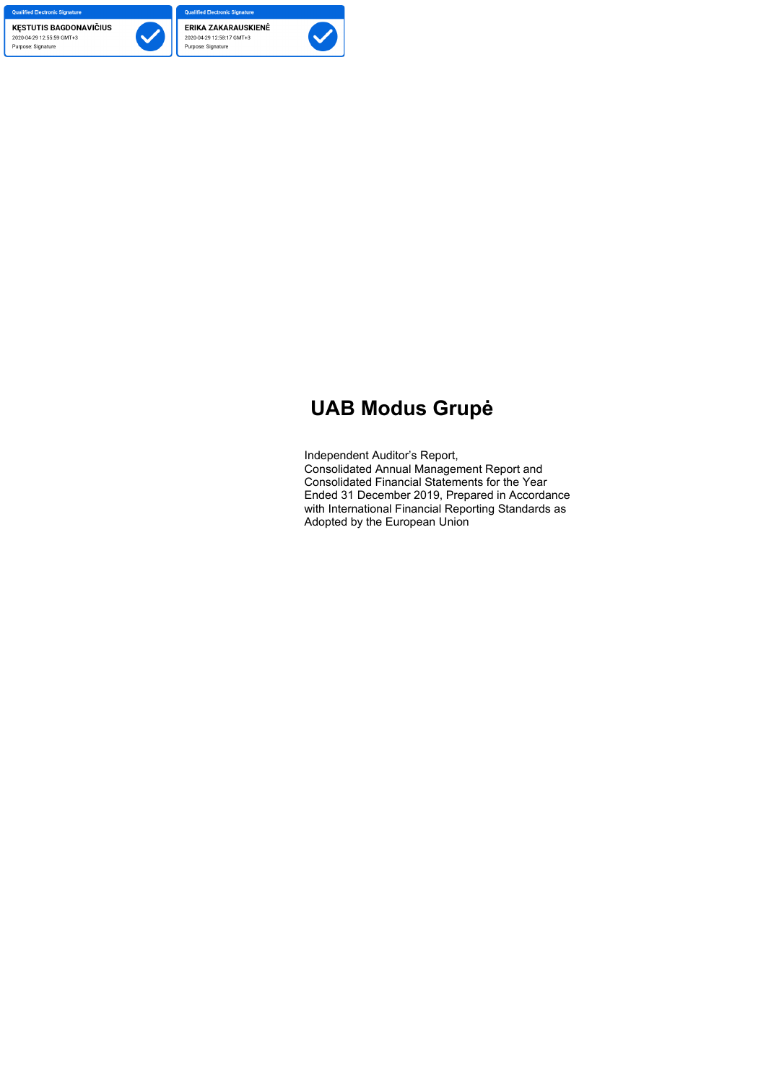

 $\overline{\phantom{a}}$ 



# **UAB Modus Grupė**

Independent Auditor's Report, Consolidated Annual Management Report and Consolidated Financial Statements for the Year Ended 31 December 2019, Prepared in Accordance with International Financial Reporting Standards as Adopted by the European Union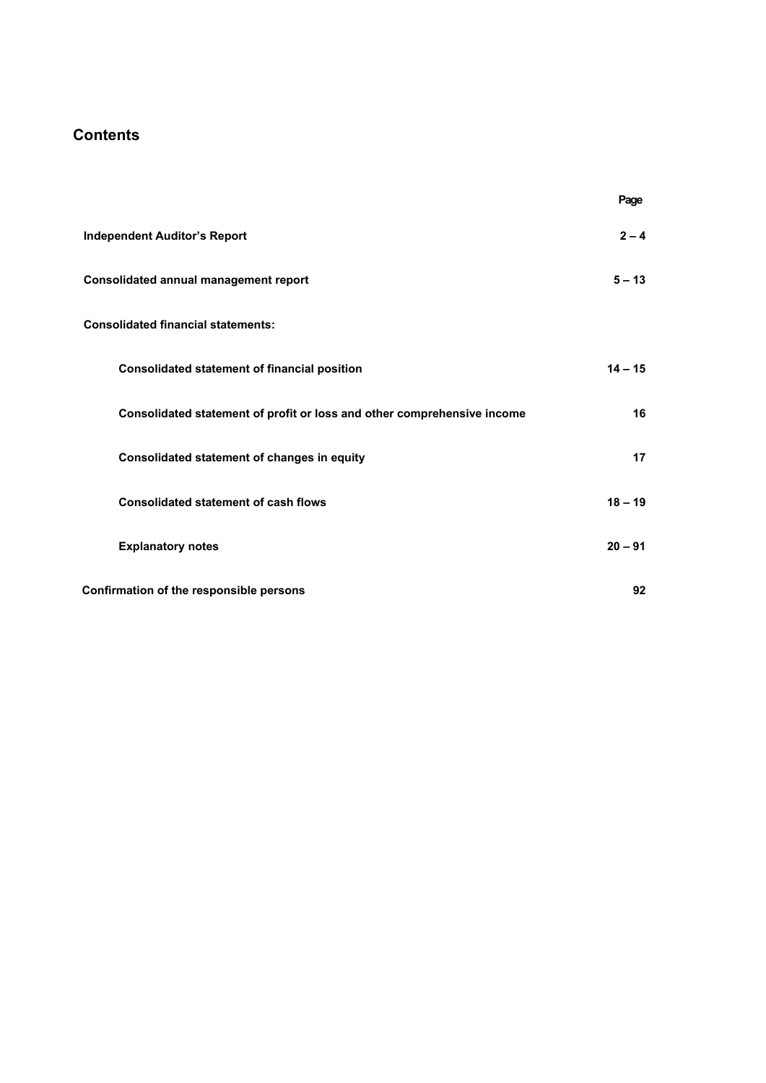# **Contents**

|                                                                         | Page      |
|-------------------------------------------------------------------------|-----------|
| <b>Independent Auditor's Report</b>                                     | $2 - 4$   |
| <b>Consolidated annual management report</b>                            | $5 - 13$  |
| <b>Consolidated financial statements:</b>                               |           |
| <b>Consolidated statement of financial position</b>                     | $14 - 15$ |
| Consolidated statement of profit or loss and other comprehensive income | 16        |
| Consolidated statement of changes in equity                             | 17        |
| <b>Consolidated statement of cash flows</b>                             | $18 - 19$ |
| <b>Explanatory notes</b>                                                | $20 - 91$ |
| Confirmation of the responsible persons                                 | 92        |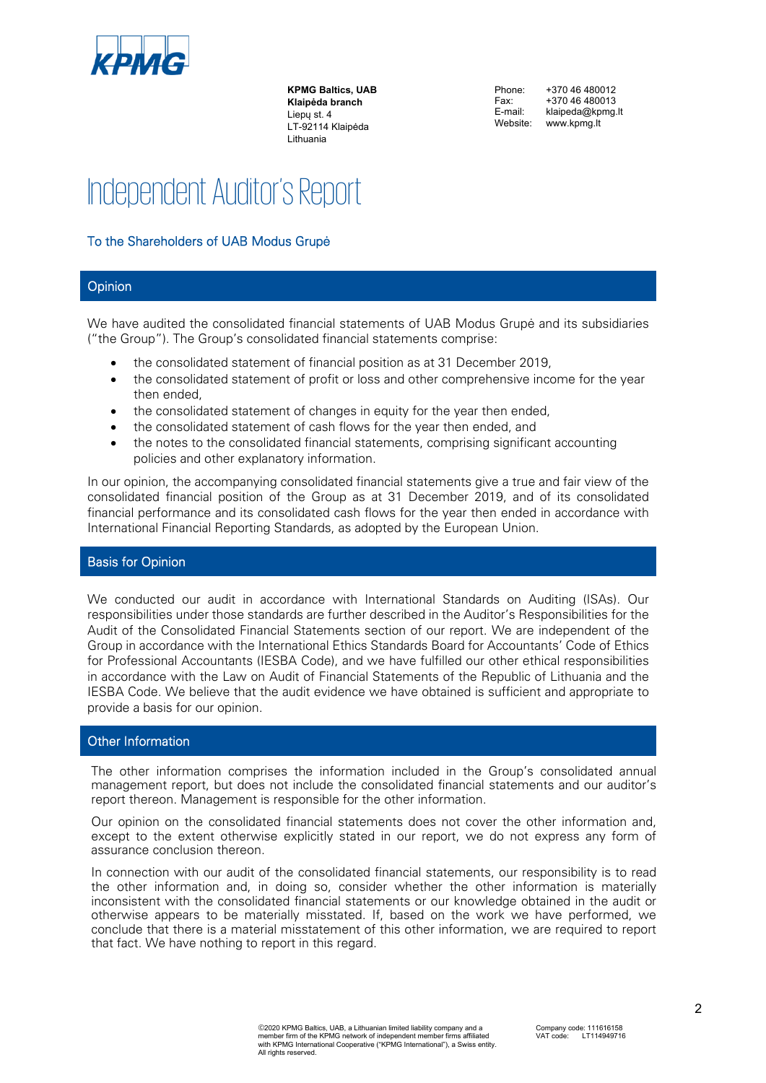

**KPMG Baltics, UAB Klaipėda branch**  Liepų st. 4 LT-92114 Klaipėda Lithuania

Phone: Fax: E-mail: Website:

+370 46 480012 +370 46 480013 klaipeda@kpmg.lt www.kpmg.lt

# Independent Auditor's Report

## To the Shareholders of UAB Modus Grupė

## **Opinion**

We have audited the consolidated financial statements of UAB Modus Grupė and its subsidiaries ("the Group"). The Group's consolidated financial statements comprise:

- the consolidated statement of financial position as at 31 December 2019,
- the consolidated statement of profit or loss and other comprehensive income for the year then ended,
- the consolidated statement of changes in equity for the year then ended,
- the consolidated statement of cash flows for the year then ended, and
- the notes to the consolidated financial statements, comprising significant accounting policies and other explanatory information.

In our opinion, the accompanying consolidated financial statements give a true and fair view of the consolidated financial position of the Group as at 31 December 2019, and of its consolidated financial performance and its consolidated cash flows for the year then ended in accordance with International Financial Reporting Standards, as adopted by the European Union.

## Basis for Opinion

We conducted our audit in accordance with International Standards on Auditing (ISAs). Our responsibilities under those standards are further described in the Auditor's Responsibilities for the Audit of the Consolidated Financial Statements section of our report. We are independent of the Group in accordance with the International Ethics Standards Board for Accountants' Code of Ethics for Professional Accountants (IESBA Code), and we have fulfilled our other ethical responsibilities in accordance with the Law on Audit of Financial Statements of the Republic of Lithuania and the IESBA Code. We believe that the audit evidence we have obtained is sufficient and appropriate to provide a basis for our opinion.

## Other Information

The other information comprises the information included in the Group's consolidated annual management report, but does not include the consolidated financial statements and our auditor's report thereon. Management is responsible for the other information.

Our opinion on the consolidated financial statements does not cover the other information and, except to the extent otherwise explicitly stated in our report, we do not express any form of assurance conclusion thereon.

In connection with our audit of the consolidated financial statements, our responsibility is to read the other information and, in doing so, consider whether the other information is materially inconsistent with the consolidated financial statements or our knowledge obtained in the audit or otherwise appears to be materially misstated. If, based on the work we have performed, we conclude that there is a material misstatement of this other information, we are required to report that fact. We have nothing to report in this regard.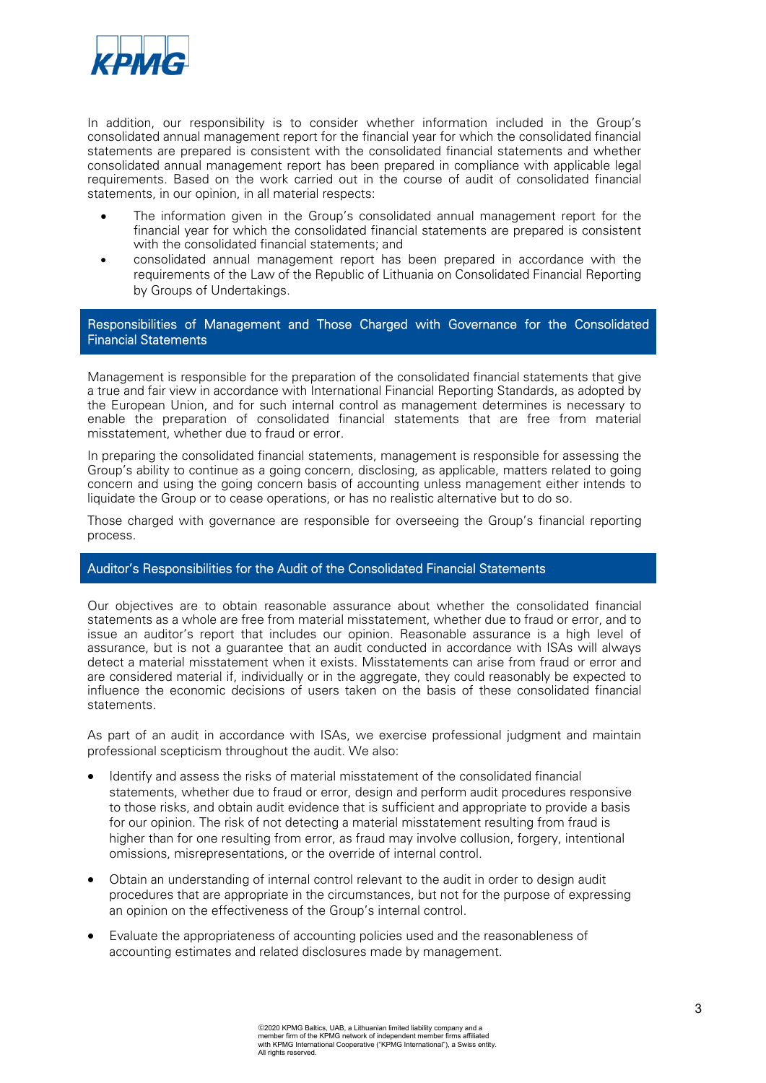

In addition, our responsibility is to consider whether information included in the Group's consolidated annual management report for the financial year for which the consolidated financial statements are prepared is consistent with the consolidated financial statements and whether consolidated annual management report has been prepared in compliance with applicable legal requirements. Based on the work carried out in the course of audit of consolidated financial statements, in our opinion, in all material respects:

- The information given in the Group's consolidated annual management report for the financial year for which the consolidated financial statements are prepared is consistent with the consolidated financial statements; and
- consolidated annual management report has been prepared in accordance with the requirements of the Law of the Republic of Lithuania on Consolidated Financial Reporting by Groups of Undertakings.

## Responsibilities of Management and Those Charged with Governance for the Consolidated Financial Statements

Management is responsible for the preparation of the consolidated financial statements that give a true and fair view in accordance with International Financial Reporting Standards, as adopted by the European Union, and for such internal control as management determines is necessary to enable the preparation of consolidated financial statements that are free from material misstatement, whether due to fraud or error.

In preparing the consolidated financial statements, management is responsible for assessing the Group's ability to continue as a going concern, disclosing, as applicable, matters related to going concern and using the going concern basis of accounting unless management either intends to liquidate the Group or to cease operations, or has no realistic alternative but to do so.

Those charged with governance are responsible for overseeing the Group's financial reporting process.

## Auditor's Responsibilities for the Audit of the Consolidated Financial Statements

Our objectives are to obtain reasonable assurance about whether the consolidated financial statements as a whole are free from material misstatement, whether due to fraud or error, and to issue an auditor's report that includes our opinion. Reasonable assurance is a high level of assurance, but is not a guarantee that an audit conducted in accordance with ISAs will always detect a material misstatement when it exists. Misstatements can arise from fraud or error and are considered material if, individually or in the aggregate, they could reasonably be expected to influence the economic decisions of users taken on the basis of these consolidated financial statements.

As part of an audit in accordance with ISAs, we exercise professional judgment and maintain professional scepticism throughout the audit. We also:

- Identify and assess the risks of material misstatement of the consolidated financial statements, whether due to fraud or error, design and perform audit procedures responsive to those risks, and obtain audit evidence that is sufficient and appropriate to provide a basis for our opinion. The risk of not detecting a material misstatement resulting from fraud is higher than for one resulting from error, as fraud may involve collusion, forgery, intentional omissions, misrepresentations, or the override of internal control.
- Obtain an understanding of internal control relevant to the audit in order to design audit procedures that are appropriate in the circumstances, but not for the purpose of expressing an opinion on the effectiveness of the Group's internal control.
- Evaluate the appropriateness of accounting policies used and the reasonableness of accounting estimates and related disclosures made by management.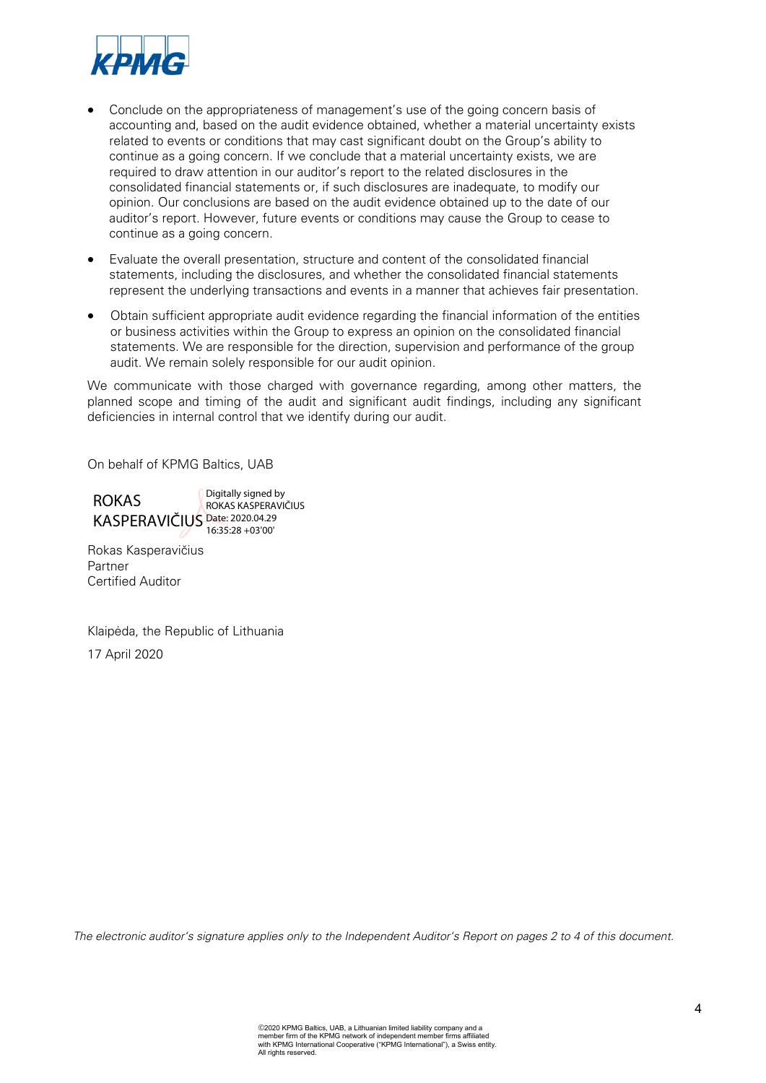

- Conclude on the appropriateness of management's use of the going concern basis of accounting and, based on the audit evidence obtained, whether a material uncertainty exists related to events or conditions that may cast significant doubt on the Group's ability to continue as a going concern. If we conclude that a material uncertainty exists, we are required to draw attention in our auditor's report to the related disclosures in the consolidated financial statements or, if such disclosures are inadequate, to modify our opinion. Our conclusions are based on the audit evidence obtained up to the date of our auditor's report. However, future events or conditions may cause the Group to cease to continue as a going concern.
- Evaluate the overall presentation, structure and content of the consolidated financial statements, including the disclosures, and whether the consolidated financial statements represent the underlying transactions and events in a manner that achieves fair presentation.
- Obtain sufficient appropriate audit evidence regarding the financial information of the entities or business activities within the Group to express an opinion on the consolidated financial statements. We are responsible for the direction, supervision and performance of the group audit. We remain solely responsible for our audit opinion.

We communicate with those charged with governance regarding, among other matters, the planned scope and timing of the audit and significant audit findings, including any significant deficiencies in internal control that we identify during our audit.

On behalf of KPMG Baltics, UAB

ROKAS KASPERAVIČIUS Date: 2020.04.29 Digitally signed by ROKAS KASPERAVIČIUS 16:35:28 +03'00'

Rokas Kasperavičius Partner Certified Auditor

Klaipėda, the Republic of Lithuania 17 April 2020

*The electronic auditor's signature applies only to the Independent Auditor's Report on pages 2 to 4 of this document.*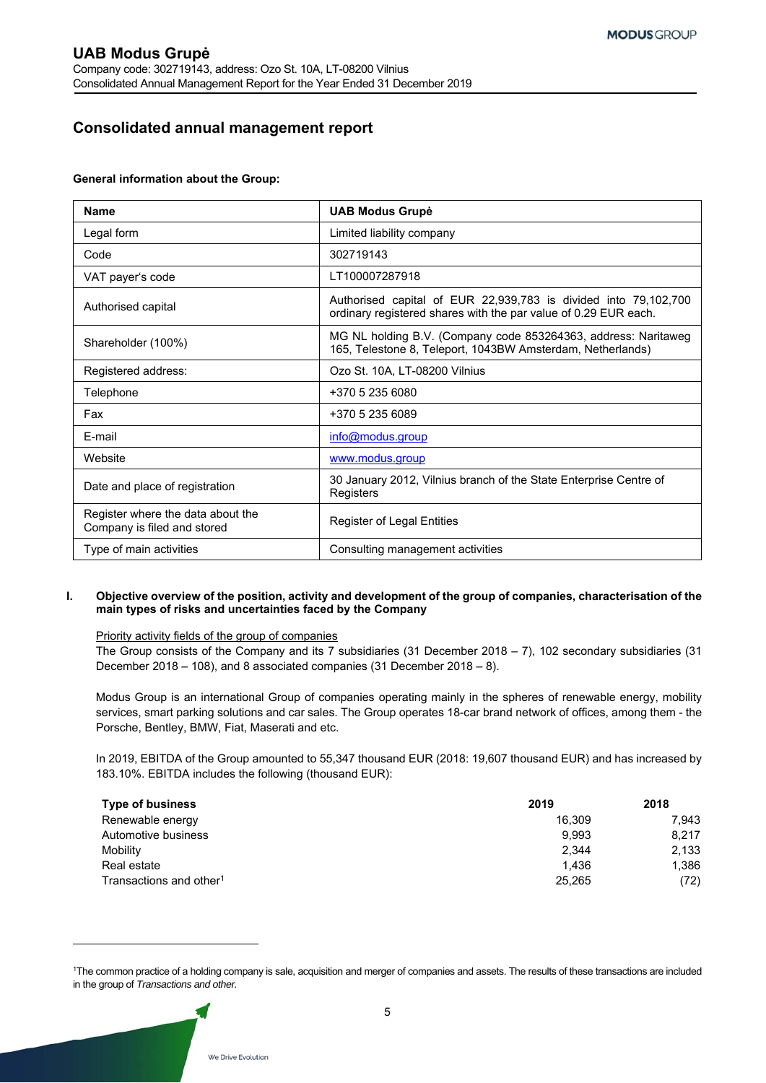# **Consolidated annual management report**

## **General information about the Group:**

| <b>Name</b>                                                      | <b>UAB Modus Grupė</b>                                                                                                             |
|------------------------------------------------------------------|------------------------------------------------------------------------------------------------------------------------------------|
| Legal form                                                       | Limited liability company                                                                                                          |
| Code                                                             | 302719143                                                                                                                          |
| VAT payer's code                                                 | LT100007287918                                                                                                                     |
| Authorised capital                                               | Authorised capital of EUR 22,939,783 is divided into 79,102,700<br>ordinary registered shares with the par value of 0.29 EUR each. |
| Shareholder (100%)                                               | MG NL holding B.V. (Company code 853264363, address: Naritaweg<br>165, Telestone 8, Teleport, 1043BW Amsterdam, Netherlands)       |
| Registered address:                                              | Ozo St. 10A, LT-08200 Vilnius                                                                                                      |
| Telephone                                                        | +370 5 235 6080                                                                                                                    |
| Fax                                                              | +370 5 235 6089                                                                                                                    |
| E-mail                                                           | info@modus.group                                                                                                                   |
| Website                                                          | www.modus.group                                                                                                                    |
| Date and place of registration                                   | 30 January 2012, Vilnius branch of the State Enterprise Centre of<br>Registers                                                     |
| Register where the data about the<br>Company is filed and stored | Register of Legal Entities                                                                                                         |
| Type of main activities                                          | Consulting management activities                                                                                                   |

#### **I. Objective overview of the position, activity and development of the group of companies, characterisation of the main types of risks and uncertainties faced by the Company**

#### Priority activity fields of the group of companies

The Group consists of the Company and its 7 subsidiaries (31 December 2018 – 7), 102 secondary subsidiaries (31 December 2018 – 108), and 8 associated companies (31 December 2018 – 8).

Modus Group is an international Group of companies operating mainly in the spheres of renewable energy, mobility services, smart parking solutions and car sales. The Group operates 18-car brand network of offices, among them - the Porsche, Bentley, BMW, Fiat, Maserati and etc.

In 2019, EBITDA of the Group amounted to 55,347 thousand EUR (2018: 19,607 thousand EUR) and has increased by 183.10%. EBITDA includes the following (thousand EUR):

| <b>Type of business</b>             | 2019   | 2018  |
|-------------------------------------|--------|-------|
| Renewable energy                    | 16.309 | 7.943 |
| Automotive business                 | 9.993  | 8.217 |
| Mobility                            | 2.344  | 2,133 |
| Real estate                         | 1.436  | 1,386 |
| Transactions and other <sup>1</sup> | 25.265 | (72)  |

1 The common practice of a holding company is sale, acquisition and merger of companies and assets. The results of these transactions are included in the group of *Transactions and other.*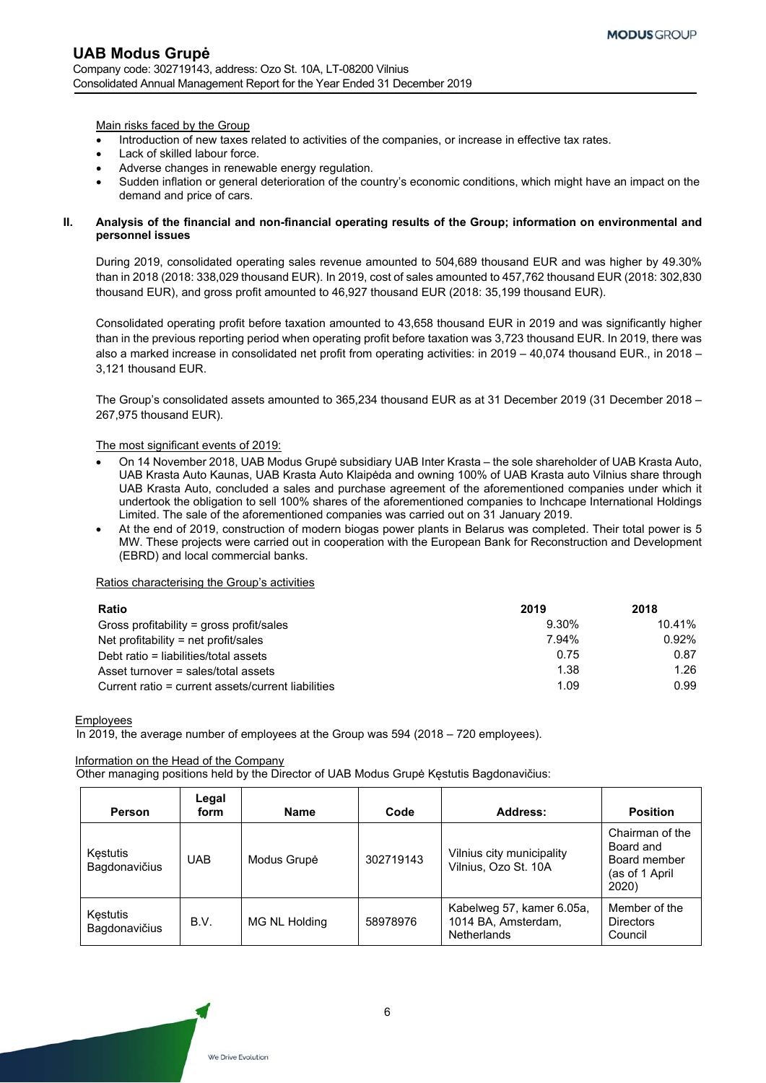Main risks faced by the Group

- Introduction of new taxes related to activities of the companies, or increase in effective tax rates.
- Lack of skilled labour force.
- Adverse changes in renewable energy regulation.
- Sudden inflation or general deterioration of the country's economic conditions, which might have an impact on the demand and price of cars.

## **II. Analysis of the financial and non-financial operating results of the Group; information on environmental and personnel issues**

During 2019, consolidated operating sales revenue amounted to 504,689 thousand EUR and was higher by 49.30% than in 2018 (2018: 338,029 thousand EUR). In 2019, cost of sales amounted to 457,762 thousand EUR (2018: 302,830 thousand EUR), and gross profit amounted to 46,927 thousand EUR (2018: 35,199 thousand EUR).

Consolidated operating profit before taxation amounted to 43,658 thousand EUR in 2019 and was significantly higher than in the previous reporting period when operating profit before taxation was 3,723 thousand EUR. In 2019, there was also a marked increase in consolidated net profit from operating activities: in 2019 – 40,074 thousand EUR., in 2018 – 3,121 thousand EUR.

The Group's consolidated assets amounted to 365,234 thousand EUR as at 31 December 2019 (31 December 2018 – 267,975 thousand EUR).

The most significant events of 2019:

- On 14 November 2018, UAB Modus Grupė subsidiary UAB Inter Krasta the sole shareholder of UAB Krasta Auto, UAB Krasta Auto Kaunas, UAB Krasta Auto Klaipėda and owning 100% of UAB Krasta auto Vilnius share through UAB Krasta Auto, concluded a sales and purchase agreement of the aforementioned companies under which it undertook the obligation to sell 100% shares of the aforementioned companies to Inchcape International Holdings Limited. The sale of the aforementioned companies was carried out on 31 January 2019.
- At the end of 2019, construction of modern biogas power plants in Belarus was completed. Their total power is 5 MW. These projects were carried out in cooperation with the European Bank for Reconstruction and Development (EBRD) and local commercial banks.

Ratios characterising the Group's activities

| Ratio                                              | 2019  | 2018      |
|----------------------------------------------------|-------|-----------|
| Gross profitability = gross profit/sales           | 9.30% | $10.41\%$ |
| Net profitability = net profit/sales               | 7.94% | 0.92%     |
| Debt ratio = liabilities/total assets              | 0.75  | 0.87      |
| Asset turnover = sales/total assets                | 1.38  | 1.26      |
| Current ratio = current assets/current liabilities | 1.09  | 0.99      |

Employees

In 2019, the average number of employees at the Group was 594 (2018 – 720 employees).

#### Information on the Head of the Company

Other managing positions held by the Director of UAB Modus Grupė Kęstutis Bagdonavičius:

| Person                    | Legal<br>form | <b>Name</b>   | Code      | <b>Address:</b>                                                        | <b>Position</b>                                                         |
|---------------------------|---------------|---------------|-----------|------------------------------------------------------------------------|-------------------------------------------------------------------------|
| Kestutis<br>Bagdonavičius | <b>UAB</b>    | Modus Grupė   | 302719143 | Vilnius city municipality<br>Vilnius, Ozo St. 10A                      | Chairman of the<br>Board and<br>Board member<br>(as of 1 April<br>2020) |
| Kestutis<br>Bagdonavičius | B.V.          | MG NL Holding | 58978976  | Kabelweg 57, kamer 6.05a,<br>1014 BA, Amsterdam,<br><b>Netherlands</b> | Member of the<br><b>Directors</b><br>Council                            |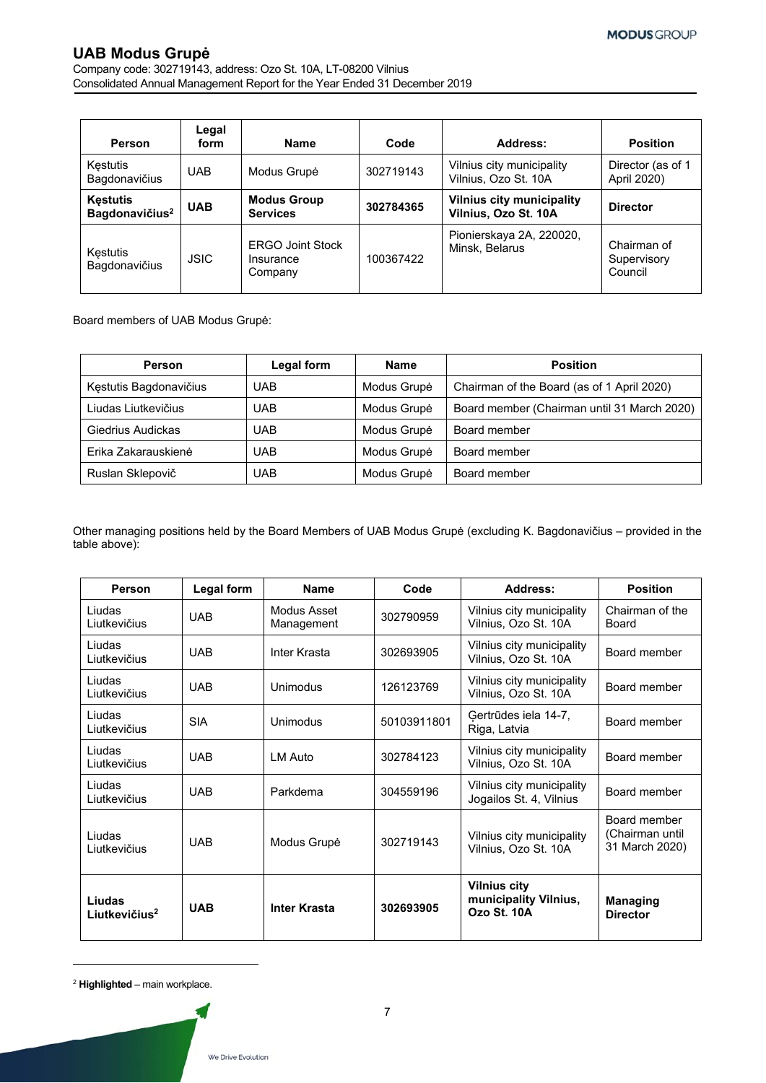Company code: 302719143, address: Ozo St. 10A, LT-08200 Vilnius Consolidated Annual Management Report for the Year Ended 31 December 2019

| <b>Person</b>                                 | Legal<br>form | <b>Name</b>                                     | Code      | Address:                                                 | <b>Position</b>                       |
|-----------------------------------------------|---------------|-------------------------------------------------|-----------|----------------------------------------------------------|---------------------------------------|
| Kestutis<br>Bagdonavičius                     | <b>UAB</b>    | Modus Grupė                                     | 302719143 | Vilnius city municipality<br>Vilnius, Ozo St. 10A        | Director (as of 1<br>April 2020)      |
| <b>Kestutis</b><br>Bagdonavičius <sup>2</sup> | <b>UAB</b>    | <b>Modus Group</b><br><b>Services</b>           | 302784365 | <b>Vilnius city municipality</b><br>Vilnius, Ozo St. 10A | <b>Director</b>                       |
| Kestutis<br><b>Bagdonavičius</b>              | <b>JSIC</b>   | <b>ERGO Joint Stock</b><br>Insurance<br>Company | 100367422 | Pionierskaya 2A, 220020,<br>Minsk, Belarus               | Chairman of<br>Supervisory<br>Council |

Board members of UAB Modus Grupė:

| Person                 | Legal form | <b>Name</b> | <b>Position</b>                             |
|------------------------|------------|-------------|---------------------------------------------|
| Kęstutis Bagdonavičius | UAB        | Modus Grupė | Chairman of the Board (as of 1 April 2020)  |
| Liudas Liutkevičius    | UAB        | Modus Grupė | Board member (Chairman until 31 March 2020) |
| Giedrius Audickas      | UAB        | Modus Grupė | Board member                                |
| Erika Zakarauskienė    | <b>UAB</b> | Modus Grupė | Board member                                |
| Ruslan Sklepovič       | UAB        | Modus Grupė | Board member                                |

Other managing positions held by the Board Members of UAB Modus Grupė (excluding K. Bagdonavičius – provided in the table above):

| Person                              | Legal form | <b>Name</b>               | Code        | Address:                                                    | <b>Position</b>                                   |
|-------------------------------------|------------|---------------------------|-------------|-------------------------------------------------------------|---------------------------------------------------|
| Liudas<br>Liutkevičius              | <b>UAB</b> | Modus Asset<br>Management | 302790959   | Vilnius city municipality<br>Vilnius, Ozo St. 10A           | Chairman of the<br>Board                          |
| Liudas<br>Liutkevičius              | <b>UAB</b> | Inter Krasta              | 302693905   | Vilnius city municipality<br>Vilnius, Ozo St. 10A           | Board member                                      |
| Liudas<br>Liutkevičius              | <b>UAB</b> | Unimodus                  | 126123769   | Vilnius city municipality<br>Vilnius, Ozo St. 10A           | Board member                                      |
| Liudas<br>Liutkevičius              | <b>SIA</b> | Unimodus                  | 50103911801 | Gertrūdes iela 14-7,<br>Riga, Latvia                        | Board member                                      |
| Liudas<br>Liutkevičius              | <b>UAB</b> | I M Auto                  | 302784123   | Vilnius city municipality<br>Vilnius, Ozo St. 10A           | Board member                                      |
| Liudas<br>Liutkevičius              | <b>UAB</b> | Parkdema                  | 304559196   | Vilnius city municipality<br>Jogailos St. 4, Vilnius        | Board member                                      |
| Liudas<br>Liutkevičius              | <b>UAB</b> | Modus Grupė               | 302719143   | Vilnius city municipality<br>Vilnius, Ozo St. 10A           | Board member<br>(Chairman until<br>31 March 2020) |
| Liudas<br>Liutkevičius <sup>2</sup> | <b>UAB</b> | <b>Inter Krasta</b>       | 302693905   | <b>Vilnius city</b><br>municipality Vilnius,<br>Ozo St. 10A | <b>Managing</b><br><b>Director</b>                |

<sup>2</sup> **Highlighted** – main workplace.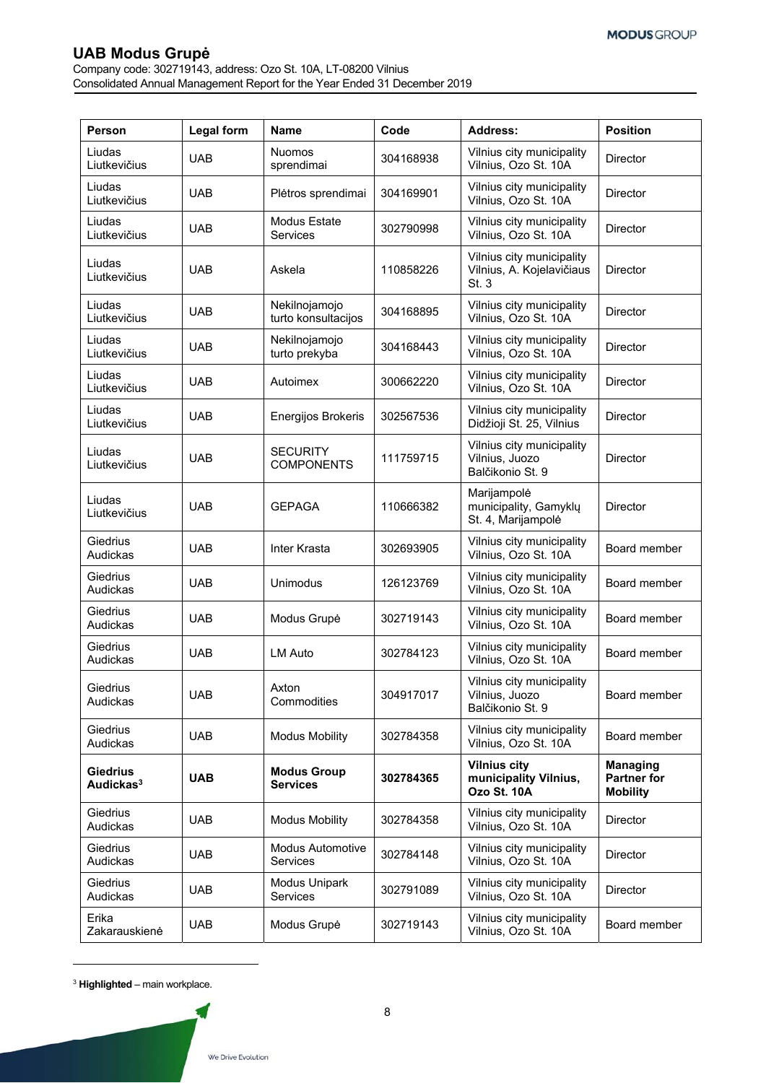Company code: 302719143, address: Ozo St. 10A, LT-08200 Vilnius Consolidated Annual Management Report for the Year Ended 31 December 2019

| Person                                   | Legal form | <b>Name</b>                                | Code      | <b>Address:</b>                                                 | <b>Position</b>                                          |
|------------------------------------------|------------|--------------------------------------------|-----------|-----------------------------------------------------------------|----------------------------------------------------------|
| Liudas<br>Liutkevičius                   | <b>UAB</b> | <b>Nuomos</b><br>sprendimai                | 304168938 | Vilnius city municipality<br>Vilnius, Ozo St. 10A               | <b>Director</b>                                          |
| Liudas<br>Liutkevičius                   | <b>UAB</b> | Plėtros sprendimai                         | 304169901 | Vilnius city municipality<br>Vilnius, Ozo St. 10A               | <b>Director</b>                                          |
| Liudas<br>Liutkevičius                   | <b>UAB</b> | <b>Modus Estate</b><br>Services            | 302790998 | Vilnius city municipality<br>Vilnius, Ozo St. 10A               | Director                                                 |
| Liudas<br>Liutkevičius                   | <b>UAB</b> | Askela                                     | 110858226 | Vilnius city municipality<br>Vilnius, A. Kojelavičiaus<br>St. 3 | <b>Director</b>                                          |
| Liudas<br>Liutkevičius                   | <b>UAB</b> | Nekilnojamojo<br>turto konsultacijos       | 304168895 | Vilnius city municipality<br>Vilnius, Ozo St. 10A               | <b>Director</b>                                          |
| Liudas<br>Liutkevičius                   | <b>UAB</b> | Nekilnojamojo<br>turto prekyba             | 304168443 | Vilnius city municipality<br>Vilnius, Ozo St. 10A               | <b>Director</b>                                          |
| Liudas<br>Liutkevičius                   | <b>UAB</b> | Autoimex                                   | 300662220 | Vilnius city municipality<br>Vilnius, Ozo St. 10A               | <b>Director</b>                                          |
| Liudas<br>Liutkevičius                   | <b>UAB</b> | Energijos Brokeris                         | 302567536 | Vilnius city municipality<br>Didžioji St. 25, Vilnius           | Director                                                 |
| Liudas<br>Liutkevičius                   | <b>UAB</b> | <b>SECURITY</b><br><b>COMPONENTS</b>       | 111759715 | Vilnius city municipality<br>Vilnius, Juozo<br>Balčikonio St. 9 | <b>Director</b>                                          |
| Liudas<br>Liutkevičius                   | <b>UAB</b> | <b>GEPAGA</b>                              | 110666382 | Marijampolė<br>municipality, Gamykly<br>St. 4, Marijampolė      | <b>Director</b>                                          |
| Giedrius<br>Audickas                     | <b>UAB</b> | Inter Krasta                               | 302693905 | Vilnius city municipality<br>Vilnius, Ozo St. 10A               | Board member                                             |
| Giedrius<br>Audickas                     | <b>UAB</b> | Unimodus                                   | 126123769 | Vilnius city municipality<br>Vilnius, Ozo St. 10A               | Board member                                             |
| Giedrius<br>Audickas                     | <b>UAB</b> | Modus Grupė                                | 302719143 | Vilnius city municipality<br>Vilnius, Ozo St. 10A               | Board member                                             |
| Giedrius<br>Audickas                     | <b>UAB</b> | <b>LM Auto</b>                             | 302784123 | Vilnius city municipality<br>Vilnius, Ozo St. 10A               | Board member                                             |
| Giedrius<br>Audickas                     | <b>UAB</b> | Axton<br>Commodities                       | 304917017 | Vilnius city municipality<br>Vilnius, Juozo<br>Balčikonio St. 9 | Board member                                             |
| Giedrius<br>Audickas                     | <b>UAB</b> | <b>Modus Mobility</b>                      | 302784358 | Vilnius city municipality<br>Vilnius, Ozo St. 10A               | Board member                                             |
| <b>Giedrius</b><br>Audickas <sup>3</sup> | <b>UAB</b> | <b>Modus Group</b><br><b>Services</b>      | 302784365 | <b>Vilnius city</b><br>municipality Vilnius,<br>Ozo St. 10A     | <b>Managing</b><br><b>Partner for</b><br><b>Mobility</b> |
| Giedrius<br>Audickas                     | <b>UAB</b> | <b>Modus Mobility</b>                      | 302784358 | Vilnius city municipality<br>Vilnius, Ozo St. 10A               | Director                                                 |
| Giedrius<br>Audickas                     | <b>UAB</b> | <b>Modus Automotive</b><br><b>Services</b> | 302784148 | Vilnius city municipality<br>Vilnius, Ozo St. 10A               | <b>Director</b>                                          |
| Giedrius<br>Audickas                     | <b>UAB</b> | Modus Unipark<br>Services                  | 302791089 | Vilnius city municipality<br>Vilnius, Ozo St. 10A               | Director                                                 |
| Erika<br>Zakarauskienė                   | <b>UAB</b> | Modus Grupė                                | 302719143 | Vilnius city municipality<br>Vilnius, Ozo St. 10A               | Board member                                             |

<sup>3</sup> **Highlighted** – main workplace.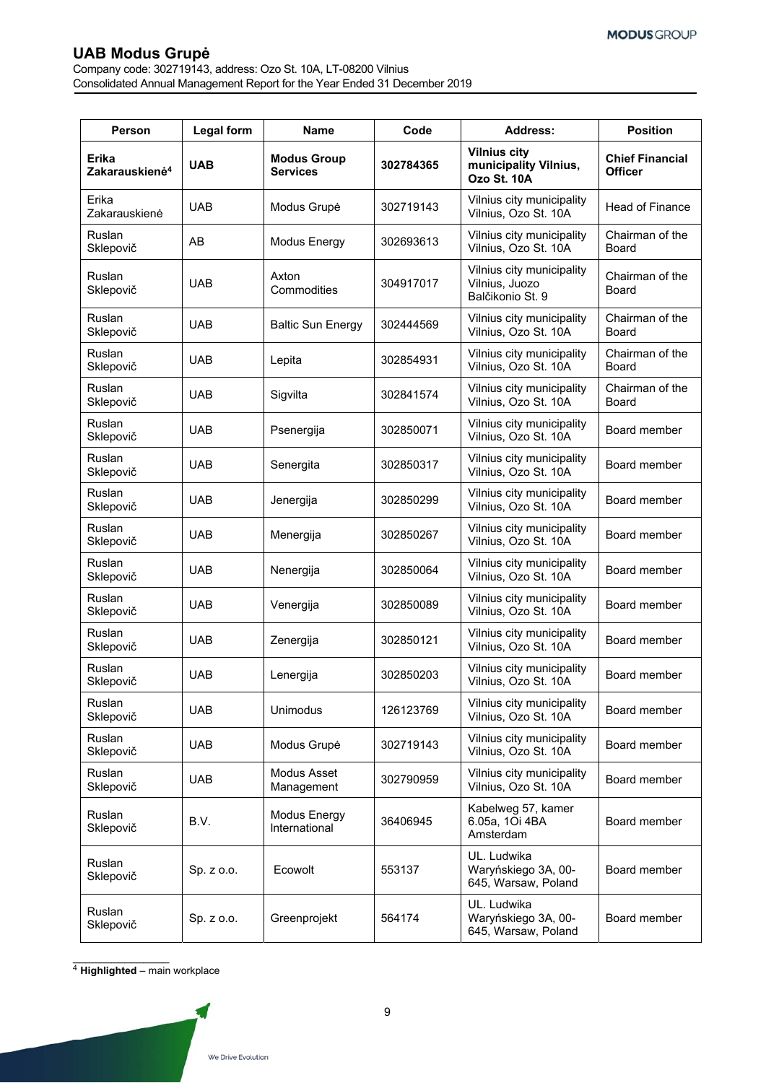Company code: 302719143, address: Ozo St. 10A, LT-08200 Vilnius Consolidated Annual Management Report for the Year Ended 31 December 2019

| Person                              | <b>Legal form</b> | <b>Name</b>                           | Code      | <b>Address:</b>                                                 | <b>Position</b>                          |
|-------------------------------------|-------------------|---------------------------------------|-----------|-----------------------------------------------------------------|------------------------------------------|
| Erika<br>Zakarauskienė <sup>4</sup> | <b>UAB</b>        | <b>Modus Group</b><br><b>Services</b> | 302784365 | <b>Vilnius city</b><br>municipality Vilnius,<br>Ozo St. 10A     | <b>Chief Financial</b><br><b>Officer</b> |
| Erika<br>Zakarauskienė              | <b>UAB</b>        | Modus Grupė                           | 302719143 | Vilnius city municipality<br>Vilnius, Ozo St. 10A               | <b>Head of Finance</b>                   |
| Ruslan<br>Sklepovič                 | AB                | Modus Energy                          | 302693613 | Vilnius city municipality<br>Vilnius, Ozo St. 10A               | Chairman of the<br><b>Board</b>          |
| Ruslan<br>Sklepovič                 | <b>UAB</b>        | Axton<br>Commodities                  | 304917017 | Vilnius city municipality<br>Vilnius, Juozo<br>Balčikonio St. 9 | Chairman of the<br>Board                 |
| Ruslan<br>Sklepovič                 | <b>UAB</b>        | <b>Baltic Sun Energy</b>              | 302444569 | Vilnius city municipality<br>Vilnius, Ozo St. 10A               | Chairman of the<br>Board                 |
| Ruslan<br>Sklepovič                 | <b>UAB</b>        | Lepita                                | 302854931 | Vilnius city municipality<br>Vilnius, Ozo St. 10A               | Chairman of the<br>Board                 |
| Ruslan<br>Sklepovič                 | <b>UAB</b>        | Sigvilta                              | 302841574 | Vilnius city municipality<br>Vilnius, Ozo St. 10A               | Chairman of the<br><b>Board</b>          |
| Ruslan<br>Sklepovič                 | <b>UAB</b>        | Psenergija                            | 302850071 | Vilnius city municipality<br>Vilnius, Ozo St. 10A               | Board member                             |
| Ruslan<br>Sklepovič                 | <b>UAB</b>        | Senergita                             | 302850317 | Vilnius city municipality<br>Vilnius, Ozo St. 10A               | Board member                             |
| Ruslan<br>Sklepovič                 | <b>UAB</b>        | Jenergija                             | 302850299 | Vilnius city municipality<br>Vilnius, Ozo St. 10A               | Board member                             |
| Ruslan<br>Sklepovič                 | <b>UAB</b>        | Menergija                             | 302850267 | Vilnius city municipality<br>Vilnius, Ozo St. 10A               | Board member                             |
| Ruslan<br>Sklepovič                 | <b>UAB</b>        | Nenergija                             | 302850064 | Vilnius city municipality<br>Vilnius, Ozo St. 10A               | Board member                             |
| Ruslan<br>Sklepovič                 | <b>UAB</b>        | Venergija                             | 302850089 | Vilnius city municipality<br>Vilnius, Ozo St. 10A               | Board member                             |
| Ruslan<br>Sklepovič                 | <b>UAB</b>        | Zenergija                             | 302850121 | Vilnius city municipality<br>Vilnius, Ozo St. 10A               | Board member                             |
| Ruslan<br>Sklepovič                 | <b>UAB</b>        | Lenergija                             | 302850203 | Vilnius city municipality<br>Vilnius, Ozo St. 10A               | Board member                             |
| Ruslan<br>Sklepovič                 | <b>UAB</b>        | Unimodus                              | 126123769 | Vilnius city municipality<br>Vilnius, Ozo St. 10A               | Board member                             |
| Ruslan<br>Sklepovič                 | <b>UAB</b>        | Modus Grupė                           | 302719143 | Vilnius city municipality<br>Vilnius, Ozo St. 10A               | Board member                             |
| Ruslan<br>Sklepovič                 | <b>UAB</b>        | Modus Asset<br>Management             | 302790959 | Vilnius city municipality<br>Vilnius, Ozo St. 10A               | Board member                             |
| Ruslan<br>Sklepovič                 | B.V.              | <b>Modus Energy</b><br>International  | 36406945  | Kabelweg 57, kamer<br>6.05a, 1Oi 4BA<br>Amsterdam               | Board member                             |
| Ruslan<br>Sklepovič                 | Sp. z o.o.        | Ecowolt                               | 553137    | UL. Ludwika<br>Waryńskiego 3A, 00-<br>645, Warsaw, Poland       | Board member                             |
| Ruslan<br>Sklepovič                 | Sp. z o.o.        | Greenprojekt                          | 564174    | UL. Ludwika<br>Waryńskiego 3A, 00-<br>645, Warsaw, Poland       | Board member                             |

 $\mathcal{L}=\mathcal{L}=\mathcal{L}=\mathcal{L}=\mathcal{L}=\mathcal{L}=\mathcal{L}=\mathcal{L}=\mathcal{L}=\mathcal{L}=\mathcal{L}=\mathcal{L}=\mathcal{L}=\mathcal{L}=\mathcal{L}=\mathcal{L}=\mathcal{L}=\mathcal{L}=\mathcal{L}=\mathcal{L}=\mathcal{L}=\mathcal{L}=\mathcal{L}=\mathcal{L}=\mathcal{L}=\mathcal{L}=\mathcal{L}=\mathcal{L}=\mathcal{L}=\mathcal{L}=\mathcal{L}=\mathcal{L}=\mathcal{L}=\mathcal{L}=\mathcal{L}=\mathcal{L}=\mathcal{$ <sup>4</sup> **Highlighted** – main workplace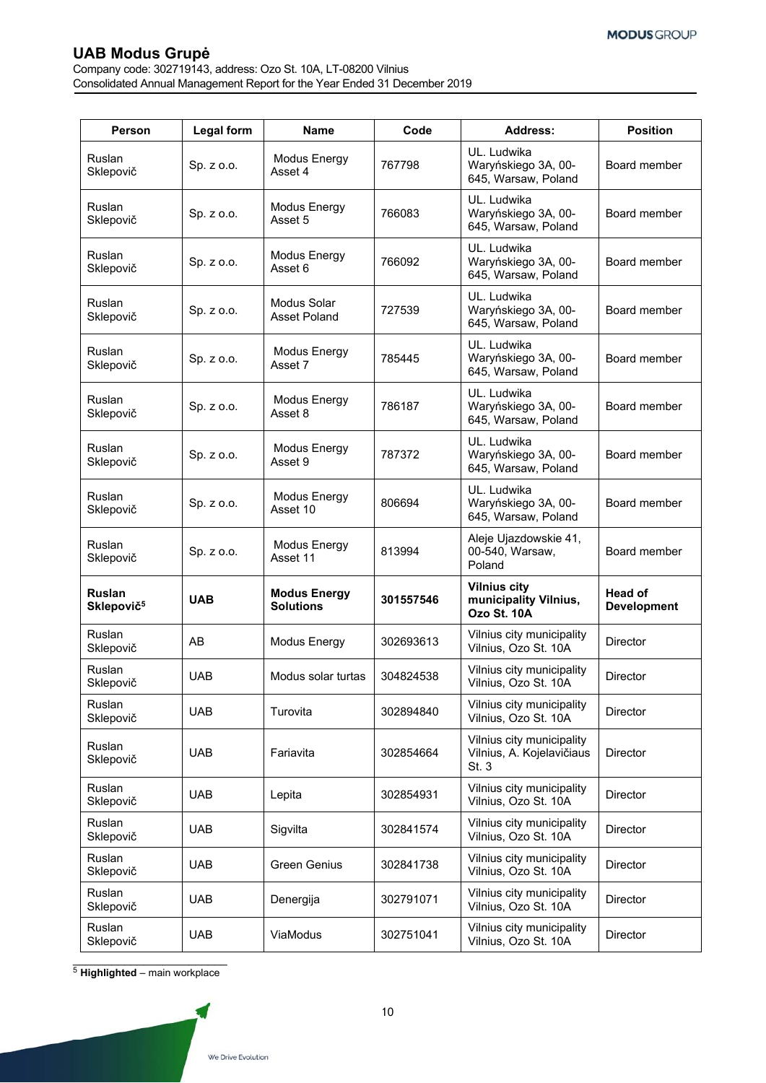Company code: 302719143, address: Ozo St. 10A, LT-08200 Vilnius Consolidated Annual Management Report for the Year Ended 31 December 2019

| <b>Person</b>                           | <b>Legal form</b> | <b>Name</b>                             | Code      | <b>Address:</b>                                                | <b>Position</b>                      |
|-----------------------------------------|-------------------|-----------------------------------------|-----------|----------------------------------------------------------------|--------------------------------------|
| Ruslan<br>Sklepovič                     | Sp. z o.o.        | <b>Modus Energy</b><br>Asset 4          | 767798    | UL. Ludwika<br>Waryńskiego 3A, 00-<br>645, Warsaw, Poland      | Board member                         |
| Ruslan<br>Sklepovič                     | Sp. z o.o.        | Modus Energy<br>Asset 5                 | 766083    | UL. Ludwika<br>Waryńskiego 3A, 00-<br>645, Warsaw, Poland      | Board member                         |
| Ruslan<br>Sklepovič                     | Sp. z o.o.        | Modus Energy<br>Asset 6                 | 766092    | UL. Ludwika<br>Waryńskiego 3A, 00-<br>645, Warsaw, Poland      | Board member                         |
| Ruslan<br>Sklepovič                     | Sp. z o.o.        | Modus Solar<br><b>Asset Poland</b>      | 727539    | UL. Ludwika<br>Waryńskiego 3A, 00-<br>645, Warsaw, Poland      | Board member                         |
| Ruslan<br>Sklepovič                     | Sp. z o.o.        | <b>Modus Energy</b><br>Asset 7          | 785445    | UL. Ludwika<br>Waryńskiego 3A, 00-<br>645, Warsaw, Poland      | Board member                         |
| Ruslan<br>Sklepovič                     | Sp. z o.o.        | <b>Modus Energy</b><br>Asset 8          | 786187    | UL. Ludwika<br>Waryńskiego 3A, 00-<br>645, Warsaw, Poland      | Board member                         |
| Ruslan<br>Sklepovič                     | Sp. z o.o.        | Modus Energy<br>Asset 9                 | 787372    | UL. Ludwika<br>Waryńskiego 3A, 00-<br>645, Warsaw, Poland      | Board member                         |
| Ruslan<br>Sklepovič                     | Sp. z o.o.        | <b>Modus Energy</b><br>Asset 10         | 806694    | UL. Ludwika<br>Waryńskiego 3A, 00-<br>645, Warsaw, Poland      | Board member                         |
| Ruslan<br>Sklepovič                     | Sp. z o.o.        | <b>Modus Energy</b><br>Asset 11         | 813994    | Aleje Ujazdowskie 41,<br>00-540, Warsaw,<br>Poland             | Board member                         |
| <b>Ruslan</b><br>Sklepovič <sup>5</sup> | <b>UAB</b>        | <b>Modus Energy</b><br><b>Solutions</b> | 301557546 | <b>Vilnius city</b><br>municipality Vilnius,<br>Ozo St. 10A    | <b>Head of</b><br><b>Development</b> |
| Ruslan<br>Sklepovič                     | AB                | <b>Modus Energy</b>                     | 302693613 | Vilnius city municipality<br>Vilnius, Ozo St. 10A              | <b>Director</b>                      |
| Ruslan<br>Sklepovič                     | <b>UAB</b>        | Modus solar turtas                      | 304824538 | Vilnius city municipality<br>Vilnius, Ozo St. 10A              | <b>Director</b>                      |
| Ruslan<br>Sklepovič                     | <b>UAB</b>        | Turovita                                | 302894840 | Vilnius city municipality<br>Vilnius, Ozo St. 10A              | Director                             |
| Ruslan<br>Sklepovič                     | <b>UAB</b>        | Fariavita                               | 302854664 | Vilnius city municipality<br>Vilnius, A. Kojelavičiaus<br>St.3 | Director                             |
| Ruslan<br>Sklepovič                     | <b>UAB</b>        | Lepita                                  | 302854931 | Vilnius city municipality<br>Vilnius, Ozo St. 10A              | <b>Director</b>                      |
| Ruslan<br>Sklepovič                     | <b>UAB</b>        | Sigvilta                                | 302841574 | Vilnius city municipality<br>Vilnius, Ozo St. 10A              | <b>Director</b>                      |
| Ruslan<br>Sklepovič                     | <b>UAB</b>        | Green Genius                            | 302841738 | Vilnius city municipality<br>Vilnius, Ozo St. 10A              | Director                             |
| Ruslan<br>Sklepovič                     | <b>UAB</b>        | Denergija                               | 302791071 | Vilnius city municipality<br>Vilnius, Ozo St. 10A              | <b>Director</b>                      |
| Ruslan<br>Sklepovič                     | <b>UAB</b>        | ViaModus                                | 302751041 | Vilnius city municipality<br>Vilnius, Ozo St. 10A              | <b>Director</b>                      |

 $\mathcal{L}_\text{max}$  , where  $\mathcal{L}_\text{max}$  and  $\mathcal{L}_\text{max}$ <sup>5</sup> **Highlighted** – main workplace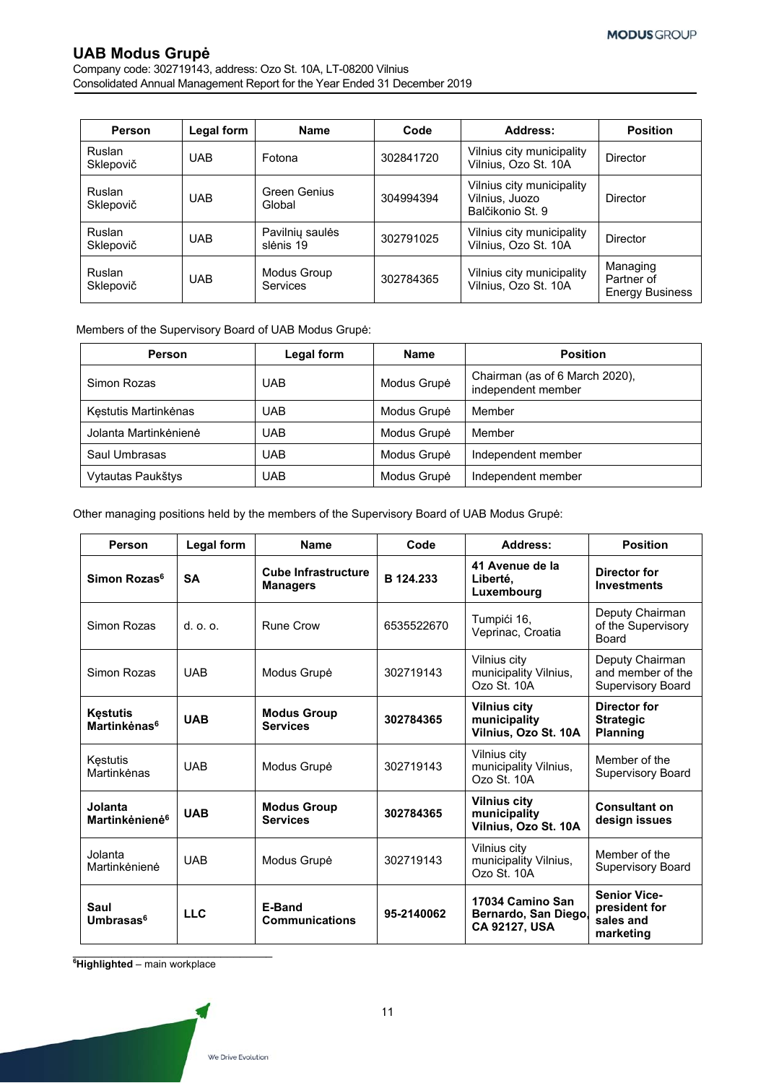Company code: 302719143, address: Ozo St. 10A, LT-08200 Vilnius Consolidated Annual Management Report for the Year Ended 31 December 2019

| Person              | Legal form | <b>Name</b>                    | Code      | Address:                                                        | <b>Position</b>                                  |
|---------------------|------------|--------------------------------|-----------|-----------------------------------------------------------------|--------------------------------------------------|
| Ruslan<br>Sklepovič | <b>UAB</b> | Fotona                         | 302841720 | Vilnius city municipality<br>Vilnius, Ozo St. 10A               | <b>Director</b>                                  |
| Ruslan<br>Sklepovič | <b>UAB</b> | Green Genius<br>Global         | 304994394 | Vilnius city municipality<br>Vilnius, Juozo<br>Balčikonio St. 9 | Director                                         |
| Ruslan<br>Sklepovič | <b>UAB</b> | Pavilnių saulės<br>slėnis 19   | 302791025 | Vilnius city municipality<br>Vilnius, Ozo St. 10A               | Director                                         |
| Ruslan<br>Sklepovič | <b>UAB</b> | Modus Group<br><b>Services</b> | 302784365 | Vilnius city municipality<br>Vilnius, Ozo St. 10A               | Managing<br>Partner of<br><b>Energy Business</b> |

Members of the Supervisory Board of UAB Modus Grupė:

| <b>Person</b>         | Legal form |             | <b>Position</b>                                      |  |  |  |
|-----------------------|------------|-------------|------------------------------------------------------|--|--|--|
| Simon Rozas           | UAB        | Modus Grupė | Chairman (as of 6 March 2020),<br>independent member |  |  |  |
| Kestutis Martinkėnas  | UAB        | Modus Grupė | Member                                               |  |  |  |
| Jolanta Martinkėnienė | UAB        | Modus Grupė | Member                                               |  |  |  |
| Saul Umbrasas         | UAB        | Modus Grupė | Independent member                                   |  |  |  |
| Vytautas Paukštys     | UAB        | Modus Grupė | Independent member                                   |  |  |  |

Other managing positions held by the members of the Supervisory Board of UAB Modus Grupė:

| <b>Person</b>                               | <b>Legal form</b> | <b>Name</b>                                   | Code       | Address:                                                        | <b>Position</b>                                                  |
|---------------------------------------------|-------------------|-----------------------------------------------|------------|-----------------------------------------------------------------|------------------------------------------------------------------|
| Simon Rozas <sup>6</sup>                    | <b>SA</b>         | <b>Cube Infrastructure</b><br><b>Managers</b> | B 124.233  | 41 Avenue de la<br>Liberté,<br>Luxembourg                       | <b>Director for</b><br><b>Investments</b>                        |
| Simon Rozas                                 | $d.$ $o.$ $o.$    | <b>Rune Crow</b>                              | 6535522670 | Tumpići 16,<br>Veprinac, Croatia                                | Deputy Chairman<br>of the Supervisory<br><b>Board</b>            |
| Simon Rozas                                 | <b>UAB</b>        | Modus Grupė                                   | 302719143  | Vilnius city<br>municipality Vilnius,<br>Ozo St. 10A            | Deputy Chairman<br>and member of the<br><b>Supervisory Board</b> |
| <b>Kestutis</b><br>Martinkėnas <sup>6</sup> | <b>UAB</b>        | <b>Modus Group</b><br><b>Services</b>         | 302784365  | <b>Vilnius city</b><br>municipality<br>Vilnius, Ozo St. 10A     | Director for<br><b>Strategic</b><br><b>Planning</b>              |
| Kestutis<br>Martinkėnas                     | UAB               | Modus Grupė                                   | 302719143  | Vilnius city<br>municipality Vilnius,<br>Ozo St. 10A            | Member of the<br><b>Supervisory Board</b>                        |
| Jolanta<br>Martinkėnienė <sup>6</sup>       | <b>UAB</b>        | <b>Modus Group</b><br><b>Services</b>         | 302784365  | <b>Vilnius city</b><br>municipality<br>Vilnius, Ozo St. 10A     | <b>Consultant on</b><br>design issues                            |
| Jolanta<br>Martinkėnienė                    | <b>UAB</b>        | Modus Grupė                                   | 302719143  | Vilnius city<br>municipality Vilnius,<br>Ozo St. 10A            | Member of the<br><b>Supervisory Board</b>                        |
| Saul<br>Umbrasas <sup>6</sup>               | <b>LLC</b>        | E-Band<br><b>Communications</b>               | 95-2140062 | 17034 Camino San<br>Bernardo, San Diego<br><b>CA 92127, USA</b> | <b>Senior Vice-</b><br>president for<br>sales and<br>marketing   |

\_\_\_\_\_\_\_\_\_\_\_\_\_\_\_\_\_\_\_\_\_\_\_\_\_\_\_\_\_\_\_ **6 Highlighted** – main workplace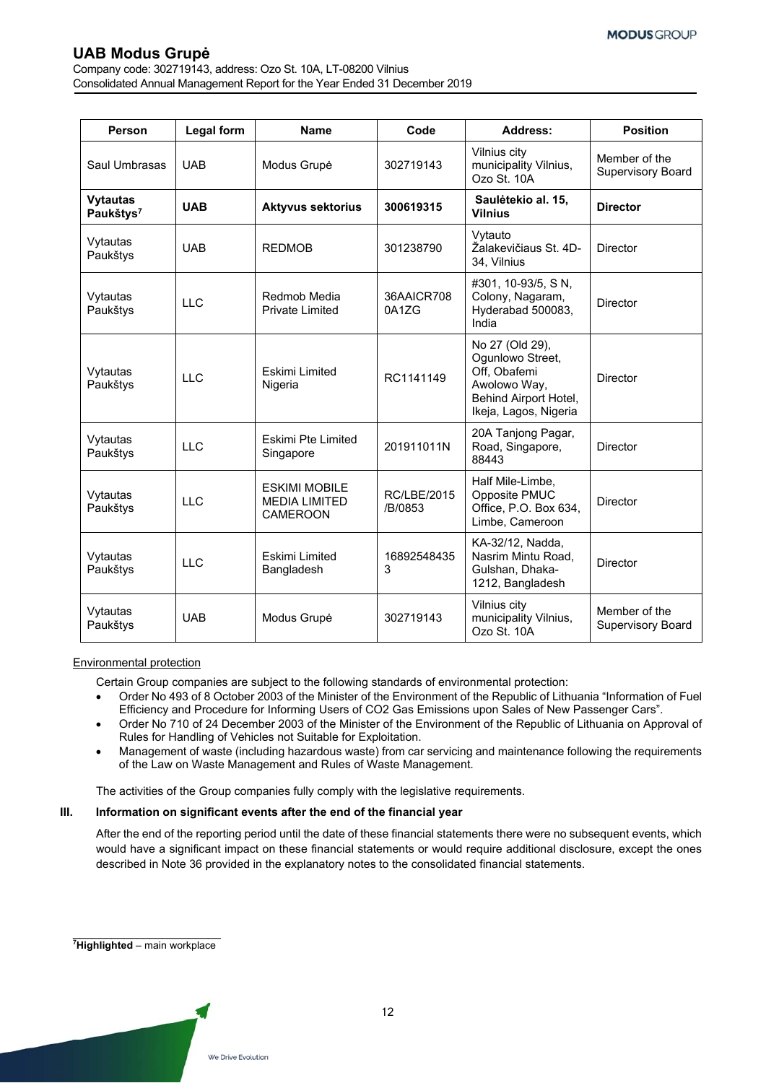Company code: 302719143, address: Ozo St. 10A, LT-08200 Vilnius Consolidated Annual Management Report for the Year Ended 31 December 2019

| <b>Person</b>                            | <b>Legal form</b> | <b>Name</b>                                                     | Code                          | <b>Address:</b>                                                                                                       | <b>Position</b>                    |  |
|------------------------------------------|-------------------|-----------------------------------------------------------------|-------------------------------|-----------------------------------------------------------------------------------------------------------------------|------------------------------------|--|
| Saul Umbrasas                            | <b>UAB</b>        | Modus Grupė                                                     | 302719143                     | Vilnius city<br>municipality Vilnius,<br>Ozo St. 10A                                                                  | Member of the<br>Supervisory Board |  |
| <b>Vytautas</b><br>Paukštys <sup>7</sup> | <b>UAB</b>        | <b>Aktyvus sektorius</b>                                        | 300619315                     | Saulėtekio al. 15,<br><b>Vilnius</b>                                                                                  | <b>Director</b>                    |  |
| Vytautas<br>Paukštys                     | <b>UAB</b>        | <b>REDMOB</b>                                                   | 301238790                     | Vytauto<br>Žalakevičiaus St. 4D-<br>34, Vilnius                                                                       | <b>Director</b>                    |  |
| Vytautas<br>Paukštys                     | LLC               | Redmob Media<br><b>Private Limited</b>                          | 36AAICR708<br>0A1ZG           | #301, 10-93/5, SN,<br>Colony, Nagaram,<br>Hyderabad 500083,<br>India                                                  | <b>Director</b>                    |  |
| Vytautas<br>Paukštys                     | LLC               | Eskimi Limited<br>Nigeria                                       | RC1141149                     | No 27 (Old 29),<br>Ogunlowo Street,<br>Off, Obafemi<br>Awolowo Way,<br>Behind Airport Hotel,<br>Ikeja, Lagos, Nigeria | <b>Director</b>                    |  |
| Vytautas<br>Paukštys                     | <b>LLC</b>        | Eskimi Pte Limited<br>Singapore                                 | 201911011N                    | 20A Tanjong Pagar,<br>Road, Singapore,<br>88443                                                                       | <b>Director</b>                    |  |
| Vytautas<br>Paukštys                     | <b>LLC</b>        | <b>ESKIMI MOBILE</b><br><b>MEDIA LIMITED</b><br><b>CAMEROON</b> | <b>RC/LBE/2015</b><br>/B/0853 | Half Mile-Limbe,<br>Opposite PMUC<br>Office, P.O. Box 634,<br>Limbe, Cameroon                                         | <b>Director</b>                    |  |
| Vytautas<br>Paukštys                     | LLC               | <b>Eskimi Limited</b><br>Bangladesh                             | 16892548435<br>3              | KA-32/12, Nadda,<br>Nasrim Mintu Road,<br>Gulshan, Dhaka-<br>1212, Bangladesh                                         | <b>Director</b>                    |  |
| Vytautas<br>Paukštys                     | <b>UAB</b>        | Modus Grupė                                                     | 302719143                     | Vilnius city<br>municipality Vilnius,<br>Ozo St. 10A                                                                  | Member of the<br>Supervisory Board |  |

## Environmental protection

Certain Group companies are subject to the following standards of environmental protection:

- Order No 493 of 8 October 2003 of the Minister of the Environment of the Republic of Lithuania "Information of Fuel Efficiency and Procedure for Informing Users of CO2 Gas Emissions upon Sales of New Passenger Cars".
- Order No 710 of 24 December 2003 of the Minister of the Environment of the Republic of Lithuania on Approval of Rules for Handling of Vehicles not Suitable for Exploitation.
- Management of waste (including hazardous waste) from car servicing and maintenance following the requirements of the Law on Waste Management and Rules of Waste Management.

The activities of the Group companies fully comply with the legislative requirements.

## **III. Information on significant events after the end of the financial year**

After the end of the reporting period until the date of these financial statements there were no subsequent events, which would have a significant impact on these financial statements or would require additional disclosure, except the ones described in Note 36 provided in the explanatory notes to the consolidated financial statements.

 $\overline{\phantom{a}}$  , and the set of the set of the set of the set of the set of the set of the set of the set of the set of the set of the set of the set of the set of the set of the set of the set of the set of the set of the s **7 Highlighted** – main workplace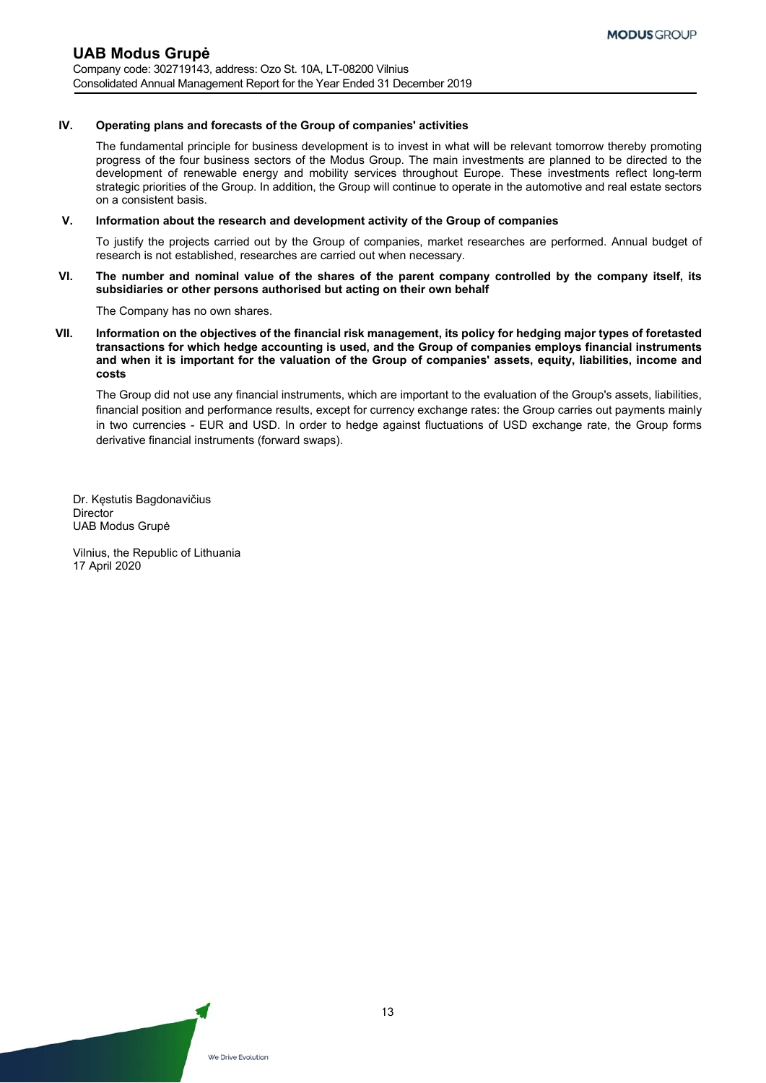#### **IV. Operating plans and forecasts of the Group of companies' activities**

The fundamental principle for business development is to invest in what will be relevant tomorrow thereby promoting progress of the four business sectors of the Modus Group. The main investments are planned to be directed to the development of renewable energy and mobility services throughout Europe. These investments reflect long-term strategic priorities of the Group. In addition, the Group will continue to operate in the automotive and real estate sectors on a consistent basis.

#### **V. Information about the research and development activity of the Group of companies**

To justify the projects carried out by the Group of companies, market researches are performed. Annual budget of research is not established, researches are carried out when necessary.

**VI. The number and nominal value of the shares of the parent company controlled by the company itself, its subsidiaries or other persons authorised but acting on their own behalf** 

The Company has no own shares.

**VII. Information on the objectives of the financial risk management, its policy for hedging major types of foretasted transactions for which hedge accounting is used, and the Group of companies employs financial instruments and when it is important for the valuation of the Group of companies' assets, equity, liabilities, income and costs** 

The Group did not use any financial instruments, which are important to the evaluation of the Group's assets, liabilities, financial position and performance results, except for currency exchange rates: the Group carries out payments mainly in two currencies - EUR and USD. In order to hedge against fluctuations of USD exchange rate, the Group forms derivative financial instruments (forward swaps).

Dr. Kęstutis Bagdonavičius **Director** UAB Modus Grupė

Vilnius, the Republic of Lithuania 17 April 2020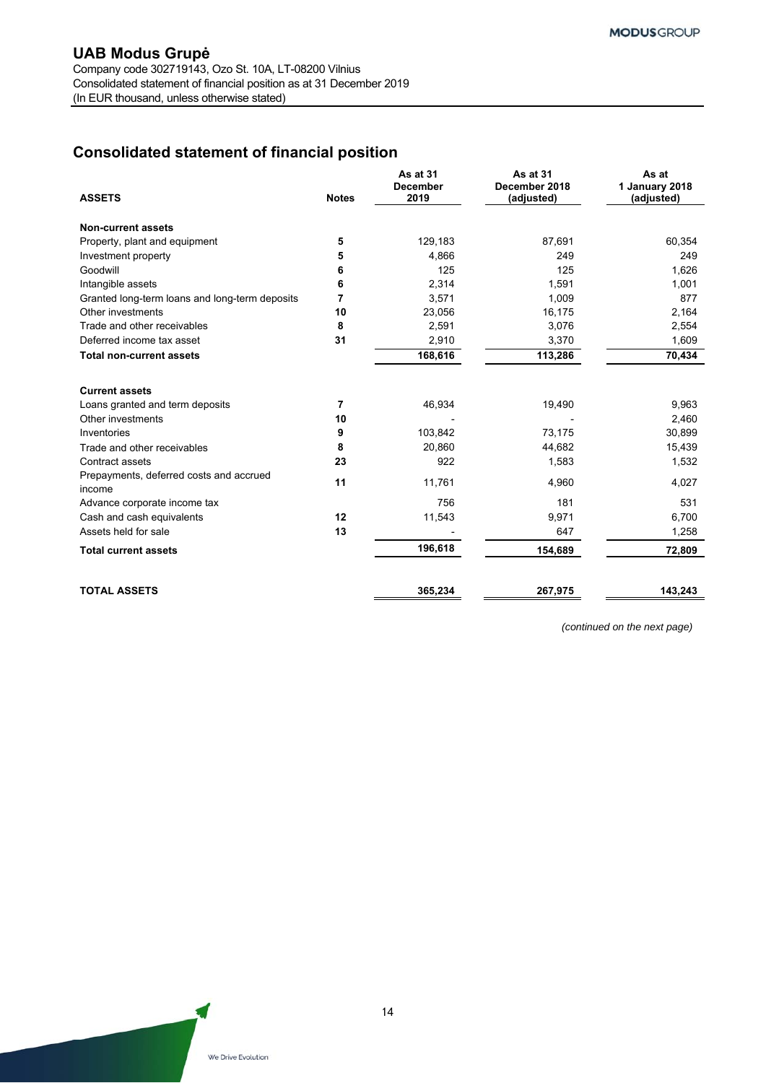## **UAB Modus Grupė** Company code 302719143, Ozo St. 10A, LT-08200 Vilnius Consolidated statement of financial position as at 31 December 2019

(In EUR thousand, unless otherwise stated)

# **Consolidated statement of financial position**

|                                                   |                | As at 31<br><b>December</b> | As at 31<br>December 2018 | As at<br>1 January 2018 |  |
|---------------------------------------------------|----------------|-----------------------------|---------------------------|-------------------------|--|
| <b>ASSETS</b>                                     | <b>Notes</b>   | 2019                        | (adjusted)                | (adjusted)              |  |
| Non-current assets                                |                |                             |                           |                         |  |
| Property, plant and equipment                     | 5              | 129,183                     | 87,691                    | 60,354                  |  |
| Investment property                               | 5              | 4,866                       | 249                       | 249                     |  |
| Goodwill                                          | 6              | 125                         | 125                       | 1,626                   |  |
| Intangible assets                                 | 6              | 2,314                       | 1,591                     | 1,001                   |  |
| Granted long-term loans and long-term deposits    | 7              | 3,571                       | 1,009                     | 877                     |  |
| Other investments                                 | 10             | 23,056                      | 16,175                    | 2,164                   |  |
| Trade and other receivables                       | 8              | 2,591                       | 3,076                     | 2,554                   |  |
| Deferred income tax asset                         | 31             | 2,910                       | 3,370                     | 1,609                   |  |
| <b>Total non-current assets</b>                   |                | 168,616                     | 113,286                   | 70,434                  |  |
| <b>Current assets</b>                             |                |                             |                           |                         |  |
| Loans granted and term deposits                   | $\overline{7}$ | 46,934                      | 19,490                    | 9,963                   |  |
| Other investments                                 | 10             |                             |                           | 2,460                   |  |
| Inventories                                       | 9              | 103,842                     | 73,175                    | 30,899                  |  |
| Trade and other receivables                       | 8              | 20,860                      | 44,682                    | 15,439                  |  |
| Contract assets                                   | 23             | 922                         | 1,583                     | 1,532                   |  |
| Prepayments, deferred costs and accrued<br>income | 11             | 11,761                      | 4,960                     | 4,027                   |  |
| Advance corporate income tax                      |                | 756                         | 181                       | 531                     |  |
| Cash and cash equivalents                         | 12             | 11,543                      | 9,971                     | 6,700                   |  |
| Assets held for sale                              | 13             |                             | 647                       | 1,258                   |  |
| <b>Total current assets</b>                       |                | 196,618                     | 154,689                   | 72,809                  |  |
| <b>TOTAL ASSETS</b>                               |                | 365,234                     | 267,975                   | 143,243                 |  |

*(continued on the next page)*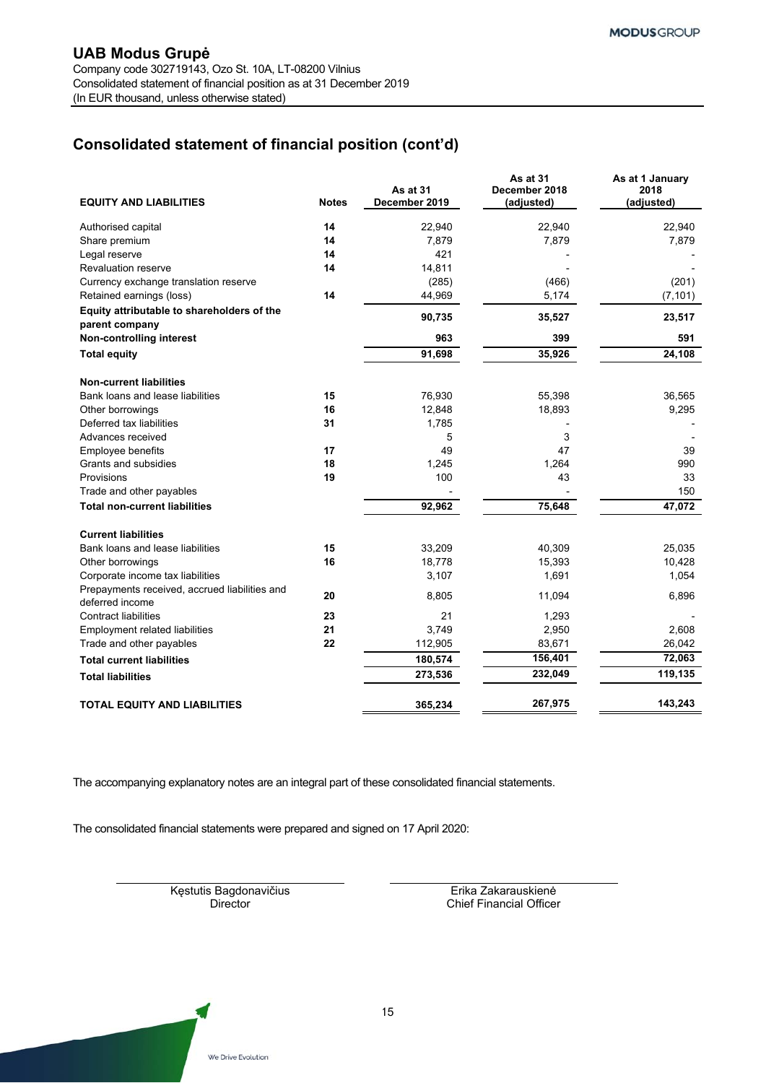## **UAB Modus Grupė** Company code 302719143, Ozo St. 10A, LT-08200 Vilnius Consolidated statement of financial position as at 31 December 2019 (In EUR thousand, unless otherwise stated)

# **Consolidated statement of financial position (cont'd)**

| <b>EQUITY AND LIABILITIES</b>                                    | <b>Notes</b> | As at 31<br>December 2019 | As at 31<br>December 2018<br>(adjusted) | As at 1 January<br>2018<br>(adjusted) |
|------------------------------------------------------------------|--------------|---------------------------|-----------------------------------------|---------------------------------------|
| Authorised capital                                               | 14           | 22,940                    | 22,940                                  | 22,940                                |
| Share premium                                                    | 14           | 7,879                     | 7,879                                   | 7,879                                 |
| Legal reserve                                                    | 14           | 421                       |                                         |                                       |
| <b>Revaluation reserve</b>                                       | 14           | 14,811                    |                                         |                                       |
| Currency exchange translation reserve                            |              | (285)                     | (466)                                   | (201)                                 |
| Retained earnings (loss)                                         | 14           | 44,969                    | 5,174                                   | (7, 101)                              |
| Equity attributable to shareholders of the<br>parent company     |              | 90,735                    | 35,527                                  | 23,517                                |
| Non-controlling interest                                         |              | 963                       | 399                                     | 591                                   |
| <b>Total equity</b>                                              |              | 91,698                    | 35,926                                  | 24,108                                |
| <b>Non-current liabilities</b>                                   |              |                           |                                         |                                       |
| Bank loans and lease liabilities                                 | 15           | 76,930                    | 55,398                                  | 36,565                                |
| Other borrowings                                                 | 16           | 12,848                    | 18,893                                  | 9,295                                 |
| Deferred tax liabilities                                         | 31           | 1,785                     |                                         |                                       |
| Advances received                                                |              | 5                         | 3                                       |                                       |
| Employee benefits                                                | 17           | 49                        | 47                                      | 39                                    |
| Grants and subsidies                                             | 18           | 1,245                     | 1,264                                   | 990                                   |
| Provisions                                                       | 19           | 100                       | 43                                      | 33                                    |
| Trade and other payables                                         |              |                           |                                         | 150                                   |
| <b>Total non-current liabilities</b>                             |              | 92,962                    | 75,648                                  | 47,072                                |
| <b>Current liabilities</b>                                       |              |                           |                                         |                                       |
| Bank loans and lease liabilities                                 | 15           | 33,209                    | 40,309                                  | 25,035                                |
| Other borrowings                                                 | 16           | 18,778                    | 15,393                                  | 10,428                                |
| Corporate income tax liabilities                                 |              | 3,107                     | 1,691                                   | 1,054                                 |
| Prepayments received, accrued liabilities and<br>deferred income | 20           | 8,805                     | 11,094                                  | 6,896                                 |
| <b>Contract liabilities</b>                                      | 23           | 21                        | 1,293                                   |                                       |
| <b>Employment related liabilities</b>                            | 21           | 3,749                     | 2,950                                   | 2,608                                 |
| Trade and other payables                                         | 22           | 112,905                   | 83,671                                  | 26,042                                |
| <b>Total current liabilities</b>                                 |              | 180,574                   | 156,401                                 | 72,063                                |
| <b>Total liabilities</b>                                         |              | 273,536                   | 232,049                                 | 119,135                               |
| <b>TOTAL EQUITY AND LIABILITIES</b>                              |              | 365,234                   | 267,975                                 | 143,243                               |

The accompanying explanatory notes are an integral part of these consolidated financial statements.

The consolidated financial statements were prepared and signed on 17 April 2020:

 Kęstutis Bagdonavičius Erika Zakarauskienė Director Chief Financial Officer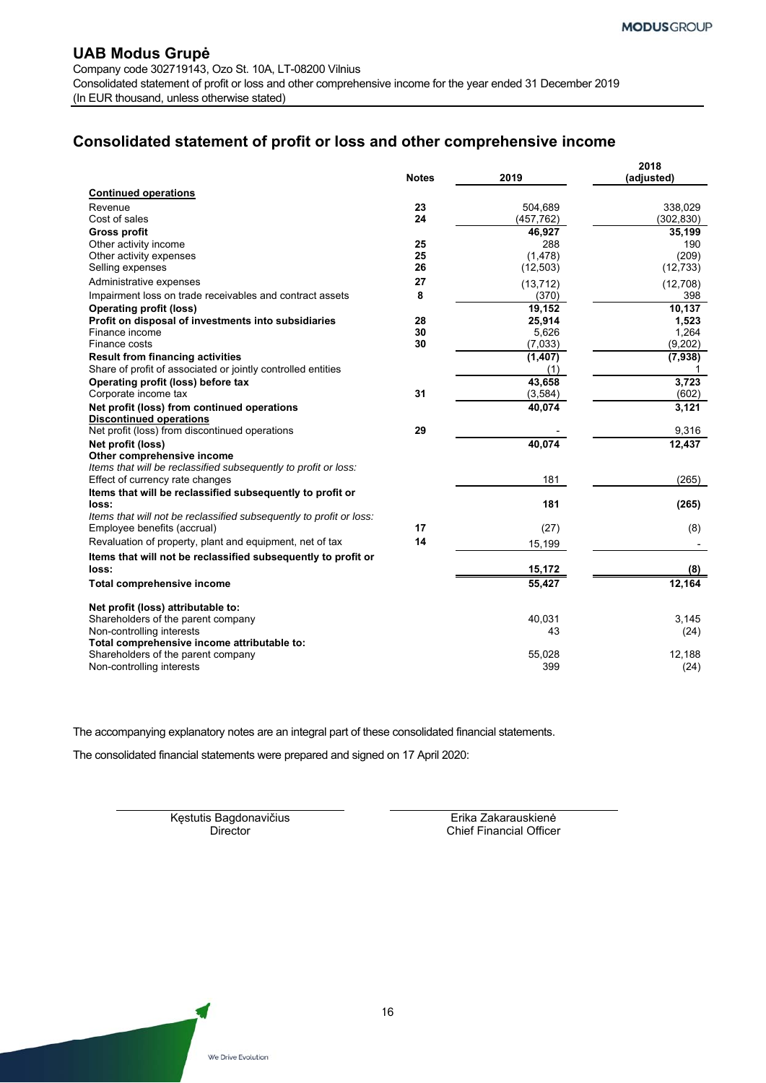Company code 302719143, Ozo St. 10A, LT-08200 Vilnius Consolidated statement of profit or loss and other comprehensive income for the year ended 31 December 2019 (In EUR thousand, unless otherwise stated)

# **Consolidated statement of profit or loss and other comprehensive income**

|                                                                                                    | <b>Notes</b> | 2019       | 2018<br>(adjusted) |
|----------------------------------------------------------------------------------------------------|--------------|------------|--------------------|
| <b>Continued operations</b>                                                                        |              |            |                    |
| Revenue                                                                                            | 23           | 504,689    | 338.029            |
| Cost of sales                                                                                      | 24           | (457, 762) | (302, 830)         |
| <b>Gross profit</b>                                                                                |              | 46,927     | 35,199             |
| Other activity income                                                                              | 25           | 288        | 190                |
| Other activity expenses                                                                            | 25           | (1, 478)   | (209)              |
| Selling expenses                                                                                   | 26           | (12, 503)  | (12, 733)          |
| Administrative expenses                                                                            | 27           | (13, 712)  | (12,708)           |
| Impairment loss on trade receivables and contract assets                                           | 8            | (370)      | 398                |
| <b>Operating profit (loss)</b>                                                                     |              | 19,152     | 10,137             |
| Profit on disposal of investments into subsidiaries                                                | 28           | 25,914     | 1,523              |
| Finance income                                                                                     | 30           | 5,626      | 1,264              |
| Finance costs                                                                                      | 30           | (7,033)    | (9,202)            |
| <b>Result from financing activities</b>                                                            |              | (1, 407)   | (7,938)            |
| Share of profit of associated or jointly controlled entities                                       |              | (1)        | 1                  |
| Operating profit (loss) before tax                                                                 |              | 43,658     | 3,723              |
| Corporate income tax                                                                               | 31           | (3,584)    | (602)              |
| Net profit (loss) from continued operations                                                        |              | 40,074     | 3,121              |
| <b>Discontinued operations</b>                                                                     |              |            |                    |
| Net profit (loss) from discontinued operations                                                     | 29           |            | 9,316              |
| Net profit (loss)                                                                                  |              | 40,074     | 12,437             |
| Other comprehensive income                                                                         |              |            |                    |
| Items that will be reclassified subsequently to profit or loss:                                    |              |            |                    |
| Effect of currency rate changes                                                                    |              | 181        | (265)              |
| Items that will be reclassified subsequently to profit or                                          |              |            |                    |
| loss:                                                                                              |              | 181        | (265)              |
| Items that will not be reclassified subsequently to profit or loss:<br>Employee benefits (accrual) | 17           | (27)       |                    |
|                                                                                                    |              |            | (8)                |
| Revaluation of property, plant and equipment, net of tax                                           | 14           | 15,199     |                    |
| Items that will not be reclassified subsequently to profit or<br>loss:                             |              | 15,172     | (8)                |
| <b>Total comprehensive income</b>                                                                  |              | 55,427     | 12,164             |
| Net profit (loss) attributable to:                                                                 |              |            |                    |
| Shareholders of the parent company                                                                 |              | 40,031     | 3,145              |
| Non-controlling interests                                                                          |              | 43         | (24)               |
| Total comprehensive income attributable to:                                                        |              |            |                    |
| Shareholders of the parent company                                                                 |              | 55,028     | 12.188             |
| Non-controlling interests                                                                          |              | 399        | (24)               |

The accompanying explanatory notes are an integral part of these consolidated financial statements.

The consolidated financial statements were prepared and signed on 17 April 2020:

Kęstutis Bagdonavičius **Erika Zakarauskienė**<br>Director Erika Zakarauskienė<br>Chief Financial Officer

**Chief Financial Officer**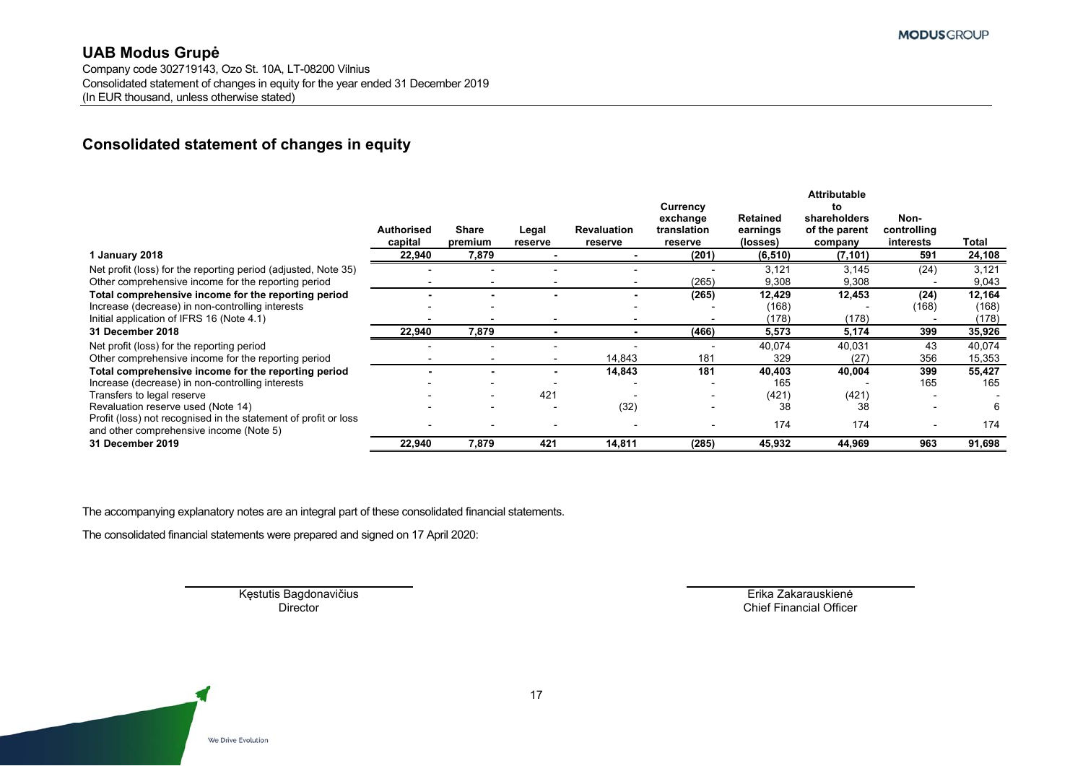Company code 302719143, Ozo St. 10A, LT-08200 Vilnius Consolidated statement of changes in equity for the year ended 31 December 2019 (In EUR thousand, unless otherwise stated)

# **Consolidated statement of changes in equity**

|                                                                                                            |                       |                  |                  |                               | Currency                           |                                  | <b>Attributable</b><br>to                |                                  |        |
|------------------------------------------------------------------------------------------------------------|-----------------------|------------------|------------------|-------------------------------|------------------------------------|----------------------------------|------------------------------------------|----------------------------------|--------|
|                                                                                                            | Authorised<br>capital | Share<br>premium | Legal<br>reserve | <b>Revaluation</b><br>reserve | exchange<br>translation<br>reserve | Retained<br>earnings<br>(losses) | shareholders<br>of the parent<br>company | Non-<br>controlling<br>interests | Total  |
| 1 January 2018                                                                                             | 22,940                | 7,879            |                  |                               | (201)                              | (6, 510)                         | (7, 101)                                 | 591                              | 24,108 |
| Net profit (loss) for the reporting period (adjusted, Note 35)                                             |                       |                  |                  |                               |                                    | 3,121                            | 3,145                                    | (24)                             | 3,121  |
| Other comprehensive income for the reporting period                                                        |                       |                  |                  |                               | (265)                              | 9,308                            | 9,308                                    |                                  | 9,043  |
| Total comprehensive income for the reporting period                                                        |                       |                  |                  |                               | (265)                              | 12,429                           | 12,453                                   | (24)                             | 12,164 |
| Increase (decrease) in non-controlling interests                                                           |                       |                  |                  |                               |                                    | (168)                            |                                          | (168)                            | (168)  |
| Initial application of IFRS 16 (Note 4.1)                                                                  |                       |                  |                  |                               |                                    | (178)                            | (178)                                    |                                  | (178)  |
| 31 December 2018                                                                                           | 22,940                | 7,879            |                  |                               | (466)                              | 5,573                            | 5,174                                    | 399                              | 35,926 |
| Net profit (loss) for the reporting period                                                                 |                       |                  |                  |                               |                                    | 40,074                           | 40,031                                   | 43                               | 40,074 |
| Other comprehensive income for the reporting period                                                        |                       |                  |                  | 14,843                        | 181                                | 329                              | (27)                                     | 356                              | 15,353 |
| Total comprehensive income for the reporting period                                                        |                       |                  |                  | 14,843                        | 181                                | 40,403                           | 40,004                                   | 399                              | 55,427 |
| Increase (decrease) in non-controlling interests                                                           |                       |                  |                  |                               |                                    | 165                              |                                          | 165                              | 165    |
| Transfers to legal reserve                                                                                 |                       |                  | 421              |                               |                                    | (421)                            | (421)                                    |                                  |        |
| Revaluation reserve used (Note 14)                                                                         |                       |                  |                  | (32)                          |                                    | 38                               | 38                                       |                                  | 6      |
| Profit (loss) not recognised in the statement of profit or loss<br>and other comprehensive income (Note 5) |                       |                  |                  |                               |                                    | 174                              | 174                                      |                                  | 174    |
| 31 December 2019                                                                                           | 22,940                | 7,879            | 421              | 14,811                        | (285)                              | 45,932                           | 44,969                                   | 963                              | 91,698 |

The accompanying explanatory notes are an integral part of these consolidated financial statements.

The consolidated financial statements were prepared and signed on 17 April 2020:

Kęstutis Bagdonavičius Erika Zakarauskienė

Chief Financial Officer

17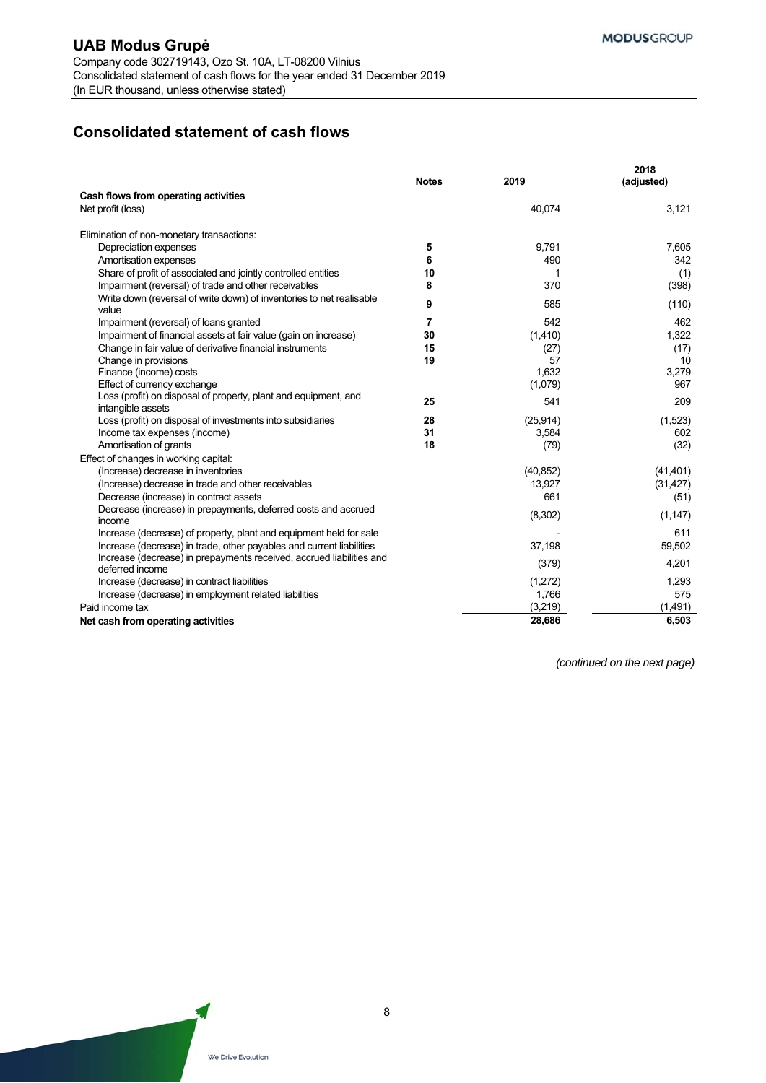# **Consolidated statement of cash flows**

|                                                                                      | <b>Notes</b> | 2019      | 2018<br>(adjusted) |
|--------------------------------------------------------------------------------------|--------------|-----------|--------------------|
| Cash flows from operating activities                                                 |              |           |                    |
| Net profit (loss)                                                                    |              | 40,074    | 3,121              |
| Elimination of non-monetary transactions:                                            |              |           |                    |
| Depreciation expenses                                                                | 5            | 9,791     | 7,605              |
| Amortisation expenses                                                                | 6            | 490       | 342                |
| Share of profit of associated and jointly controlled entities                        | 10           |           | (1)                |
| Impairment (reversal) of trade and other receivables                                 | 8            | 370       | (398)              |
| Write down (reversal of write down) of inventories to net realisable<br>value        | 9            | 585       | (110)              |
| Impairment (reversal) of loans granted                                               | 7            | 542       | 462                |
| Impairment of financial assets at fair value (gain on increase)                      | 30           | (1, 410)  | 1,322              |
| Change in fair value of derivative financial instruments                             | 15           | (27)      | (17)               |
| Change in provisions                                                                 | 19           | 57        | 10                 |
| Finance (income) costs                                                               |              | 1,632     | 3,279              |
| Effect of currency exchange                                                          |              | (1,079)   | 967                |
| Loss (profit) on disposal of property, plant and equipment, and<br>intangible assets | 25           | 541       | 209                |
| Loss (profit) on disposal of investments into subsidiaries                           | 28           | (25, 914) | (1,523)            |
| Income tax expenses (income)                                                         | 31           | 3,584     | 602                |
| Amortisation of grants                                                               | 18           | (79)      | (32)               |
| Effect of changes in working capital:                                                |              |           |                    |
| (Increase) decrease in inventories                                                   |              | (40, 852) | (41, 401)          |
| (Increase) decrease in trade and other receivables                                   |              | 13,927    | (31, 427)          |
| Decrease (increase) in contract assets                                               |              | 661       | (51)               |
| Decrease (increase) in prepayments, deferred costs and accrued                       |              | (8, 302)  | (1, 147)           |
| income                                                                               |              |           |                    |
| Increase (decrease) of property, plant and equipment held for sale                   |              |           | 611                |
| Increase (decrease) in trade, other payables and current liabilities                 |              | 37,198    | 59,502             |
| Increase (decrease) in prepayments received, accrued liabilities and                 |              | (379)     | 4,201              |
| deferred income                                                                      |              |           |                    |
| Increase (decrease) in contract liabilities                                          |              | (1,272)   | 1.293              |
| Increase (decrease) in employment related liabilities                                |              | 1,766     | 575                |
| Paid income tax                                                                      |              | (3,219)   | (1,491)            |
| Net cash from operating activities                                                   |              | 28,686    | 6,503              |

*(continued on the next page)*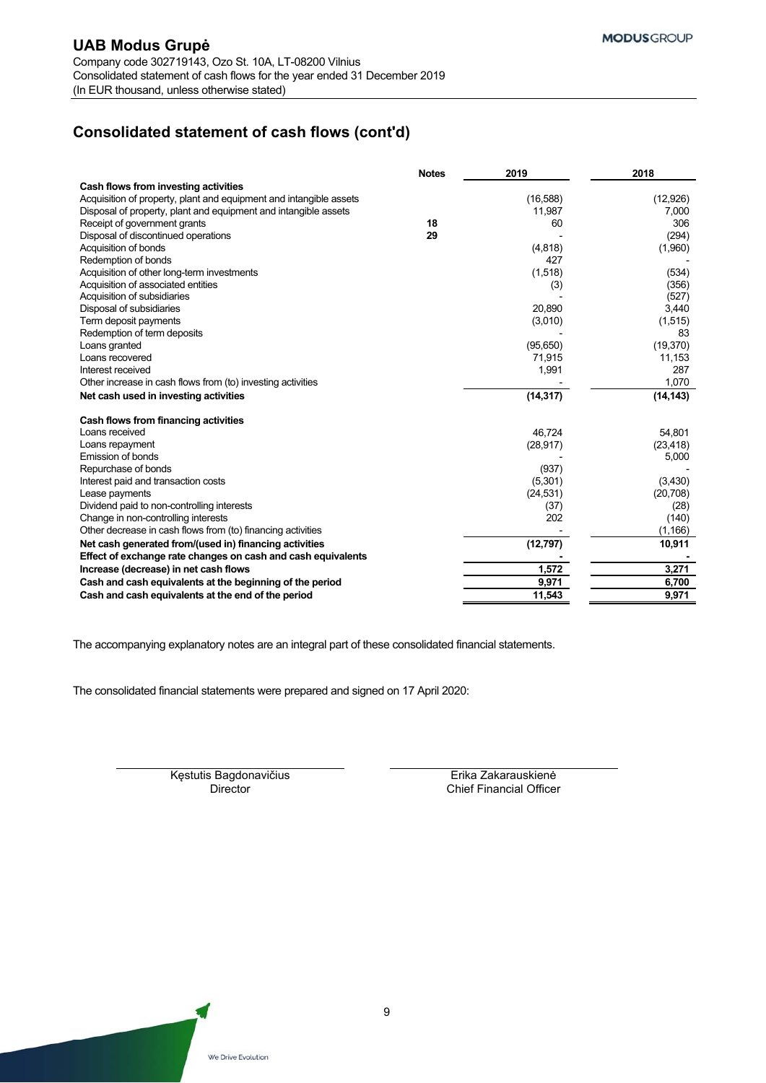# **Consolidated statement of cash flows (cont'd)**

|                                                                    | <b>Notes</b> | 2019      | 2018      |
|--------------------------------------------------------------------|--------------|-----------|-----------|
| Cash flows from investing activities                               |              |           |           |
| Acquisition of property, plant and equipment and intangible assets |              | (16, 588) | (12,926)  |
| Disposal of property, plant and equipment and intangible assets    |              | 11,987    | 7,000     |
| Receipt of government grants                                       | 18           | 60        | 306       |
| Disposal of discontinued operations                                | 29           |           | (294)     |
| Acquisition of bonds                                               |              | (4,818)   | (1,960)   |
| Redemption of bonds                                                |              | 427       |           |
| Acquisition of other long-term investments                         |              | (1, 518)  | (534)     |
| Acquisition of associated entities                                 |              | (3)       | (356)     |
| Acquisition of subsidiaries                                        |              |           | (527)     |
| Disposal of subsidiaries                                           |              | 20,890    | 3,440     |
| Term deposit payments                                              |              | (3,010)   | (1, 515)  |
| Redemption of term deposits                                        |              |           | 83        |
| Loans granted                                                      |              | (95,650)  | (19, 370) |
| Loans recovered                                                    |              | 71,915    | 11,153    |
| Interest received                                                  |              | 1,991     | 287       |
| Other increase in cash flows from (to) investing activities        |              |           | 1,070     |
| Net cash used in investing activities                              |              | (14, 317) | (14, 143) |
| Cash flows from financing activities                               |              |           |           |
| Loans received                                                     |              | 46.724    | 54,801    |
| Loans repayment                                                    |              | (28, 917) | (23, 418) |
| <b>Emission of bonds</b>                                           |              |           | 5,000     |
| Repurchase of bonds                                                |              | (937)     |           |
| Interest paid and transaction costs                                |              | (5,301)   | (3,430)   |
| Lease payments                                                     |              | (24, 531) | (20, 708) |
| Dividend paid to non-controlling interests                         |              | (37)      | (28)      |
| Change in non-controlling interests                                |              | 202       | (140)     |
| Other decrease in cash flows from (to) financing activities        |              |           | (1, 166)  |
| Net cash generated from/(used in) financing activities             |              | (12, 797) | 10,911    |
| Effect of exchange rate changes on cash and cash equivalents       |              |           |           |
| Increase (decrease) in net cash flows                              |              | 1,572     | 3,271     |
| Cash and cash equivalents at the beginning of the period           |              | 9,971     | 6,700     |
| Cash and cash equivalents at the end of the period                 |              | 11,543    | 9,971     |

The accompanying explanatory notes are an integral part of these consolidated financial statements.

The consolidated financial statements were prepared and signed on 17 April 2020:

 Kęstutis Bagdonavičius Erika Zakarauskienė Director Chief Financial Officer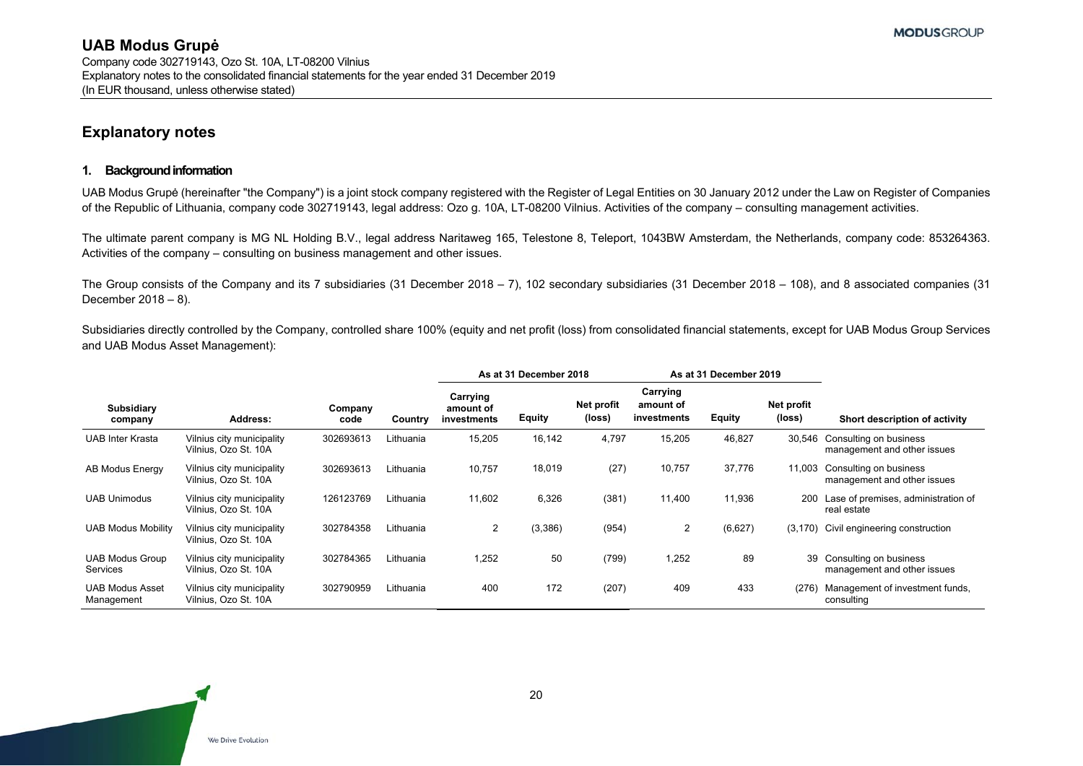## **Explanatory notes**

#### **1. Background information**

UAB Modus Grupė (hereinafter "the Company") is a joint stock company registered with the Register of Legal Entities on 30 January 2012 under the Law on Register of Companies of the Republic of Lithuania, company code 302719143, legal address: Ozo g. 10A, LT-08200 Vilnius. Activities of the company – consulting management activities.

The ultimate parent company is MG NL Holding B.V., legal address Naritaweg 165, Telestone 8, Teleport, 1043BW Amsterdam, the Netherlands, company code: 853264363. Activities of the company – consulting on business management and other issues.

The Group consists of the Company and its 7 subsidiaries (31 December 2018 – 7), 102 secondary subsidiaries (31 December 2018 – 108), and 8 associated companies (31 December 2018 – 8).

Subsidiaries directly controlled by the Company, controlled share 100% (equity and net profit (loss) from consolidated financial statements, except for UAB Modus Group Services and UAB Modus Asset Management):

|                                      |                                                   |                 |           | As at 31 December 2018               |               |                      | As at 31 December 2019               |               |                      |                                                       |
|--------------------------------------|---------------------------------------------------|-----------------|-----------|--------------------------------------|---------------|----------------------|--------------------------------------|---------------|----------------------|-------------------------------------------------------|
| Subsidiary<br>company                | Address:                                          | Company<br>code | Country   | Carrying<br>amount of<br>investments | <b>Equity</b> | Net profit<br>(loss) | Carrying<br>amount of<br>investments | <b>Equity</b> | Net profit<br>(loss) | Short description of activity                         |
| <b>UAB Inter Krasta</b>              | Vilnius city municipality<br>Vilnius, Ozo St. 10A | 302693613       | Lithuania | 15,205                               | 16,142        | 4,797                | 15,205                               | 46,827        | 30,546               | Consulting on business<br>management and other issues |
| AB Modus Energy                      | Vilnius city municipality<br>Vilnius, Ozo St. 10A | 302693613       | Lithuania | 10,757                               | 18,019        | (27)                 | 10,757                               | 37,776        | 11,003               | Consulting on business<br>management and other issues |
| <b>UAB Unimodus</b>                  | Vilnius city municipality<br>Vilnius, Ozo St. 10A | 126123769       | Lithuania | 11,602                               | 6,326         | (381)                | 11,400                               | 11,936        | 200                  | Lase of premises, administration of<br>real estate    |
| <b>UAB Modus Mobility</b>            | Vilnius city municipality<br>Vilnius, Ozo St. 10A | 302784358       | Lithuania | $\overline{2}$                       | (3,386)       | (954)                | 2                                    | (6,627)       | (3, 170)             | Civil engineering construction                        |
| <b>UAB Modus Group</b><br>Services   | Vilnius city municipality<br>Vilnius, Ozo St. 10A | 302784365       | Lithuania | 1,252                                | 50            | (799)                | 1,252                                | 89            | 39                   | Consulting on business<br>management and other issues |
| <b>UAB Modus Asset</b><br>Management | Vilnius city municipality<br>Vilnius, Ozo St. 10A | 302790959       | Lithuania | 400                                  | 172           | (207)                | 409                                  | 433           | (276)                | Management of investment funds,<br>consulting         |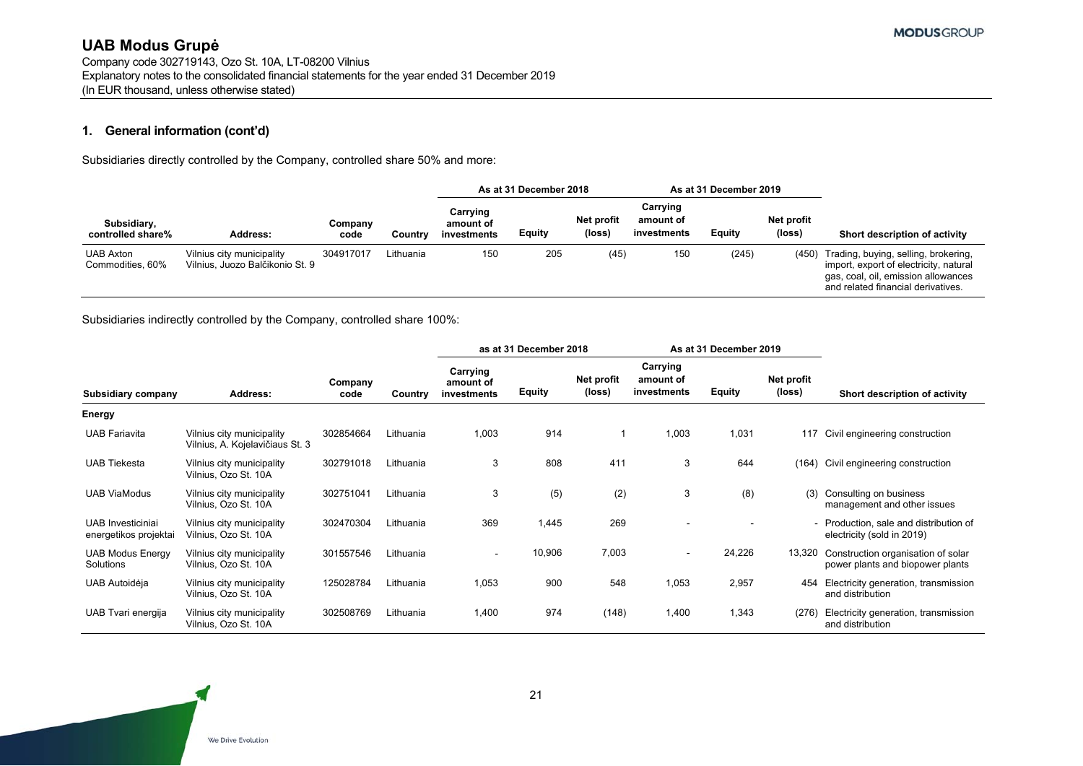Explanatory notes to the consolidated financial statements for the year ended 31 December 2019 (In EUR thousand, unless otherwise stated)

## **1. General information (cont'd)**

Subsidiaries directly controlled by the Company, controlled share 50% and more:

|                                      |                                                              |                 |           | As at 31 December 2018               |               | As at 31 December 2019 |                                      |        |                      |                                                                                                                                                             |
|--------------------------------------|--------------------------------------------------------------|-----------------|-----------|--------------------------------------|---------------|------------------------|--------------------------------------|--------|----------------------|-------------------------------------------------------------------------------------------------------------------------------------------------------------|
| Subsidiary,<br>controlled share%     | Address:                                                     | Company<br>code | Country   | Carrying<br>amount of<br>investments | <b>Equity</b> | Net profit<br>(loss)   | Carrying<br>amount of<br>investments | Equity | Net profit<br>(loss) | Short description of activity                                                                                                                               |
| <b>UAB Axton</b><br>Commodities, 60% | Vilnius city municipality<br>Vilnius, Juozo Balčikonio St. 9 | 304917017       | Lithuania | 150                                  | 205           | (45)                   | 150                                  | (245)  | (450)                | Trading, buying, selling, brokering,<br>import, export of electricity, natural<br>gas, coal, oil, emission allowances<br>and related financial derivatives. |

|                                                   |                                                              |                 | as at 31 December 2018 |                                      |        | As at 31 December 2019 |                                      |               |                      |                                                                        |
|---------------------------------------------------|--------------------------------------------------------------|-----------------|------------------------|--------------------------------------|--------|------------------------|--------------------------------------|---------------|----------------------|------------------------------------------------------------------------|
| Subsidiary company                                | Address:                                                     | Company<br>code | Country                | Carrying<br>amount of<br>investments | Equity | Net profit<br>(loss)   | Carrying<br>amount of<br>investments | <b>Equity</b> | Net profit<br>(loss) | Short description of activity                                          |
| Energy                                            |                                                              |                 |                        |                                      |        |                        |                                      |               |                      |                                                                        |
| <b>UAB Fariavita</b>                              | Vilnius city municipality<br>Vilnius, A. Kojelavičiaus St. 3 | 302854664       | Lithuania              | 1,003                                | 914    |                        | 1,003                                | 1,031         | 117                  | Civil engineering construction                                         |
| <b>UAB Tiekesta</b>                               | Vilnius city municipality<br>Vilnius, Ozo St. 10A            | 302791018       | Lithuania              | 3                                    | 808    | 411                    | 3                                    | 644           | (164)                | Civil engineering construction                                         |
| <b>UAB ViaModus</b>                               | Vilnius city municipality<br>Vilnius, Ozo St. 10A            | 302751041       | Lithuania              | 3                                    | (5)    | (2)                    | 3                                    | (8)           | (3)                  | Consulting on business<br>management and other issues                  |
| <b>UAB</b> Investiciniai<br>energetikos projektai | Vilnius city municipality<br>Vilnius, Ozo St. 10A            | 302470304       | Lithuania              | 369                                  | 1,445  | 269                    | $\blacksquare$                       |               |                      | - Production, sale and distribution of<br>electricity (sold in 2019)   |
| <b>UAB Modus Energy</b><br>Solutions              | Vilnius city municipality<br>Vilnius, Ozo St. 10A            | 301557546       | Lithuania              | $\blacksquare$                       | 10,906 | 7,003                  | $\blacksquare$                       | 24,226        | 13,320               | Construction organisation of solar<br>power plants and biopower plants |
| UAB Autoidėja                                     | Vilnius city municipality<br>Vilnius, Ozo St. 10A            | 125028784       | Lithuania              | 1,053                                | 900    | 548                    | 1,053                                | 2,957         | 454                  | Electricity generation, transmission<br>and distribution               |
| UAB Tvari energija                                | Vilnius city municipality<br>Vilnius, Ozo St. 10A            | 302508769       | Lithuania              | 1,400                                | 974    | (148)                  | 1,400                                | 1,343         | (276)                | Electricity generation, transmission<br>and distribution               |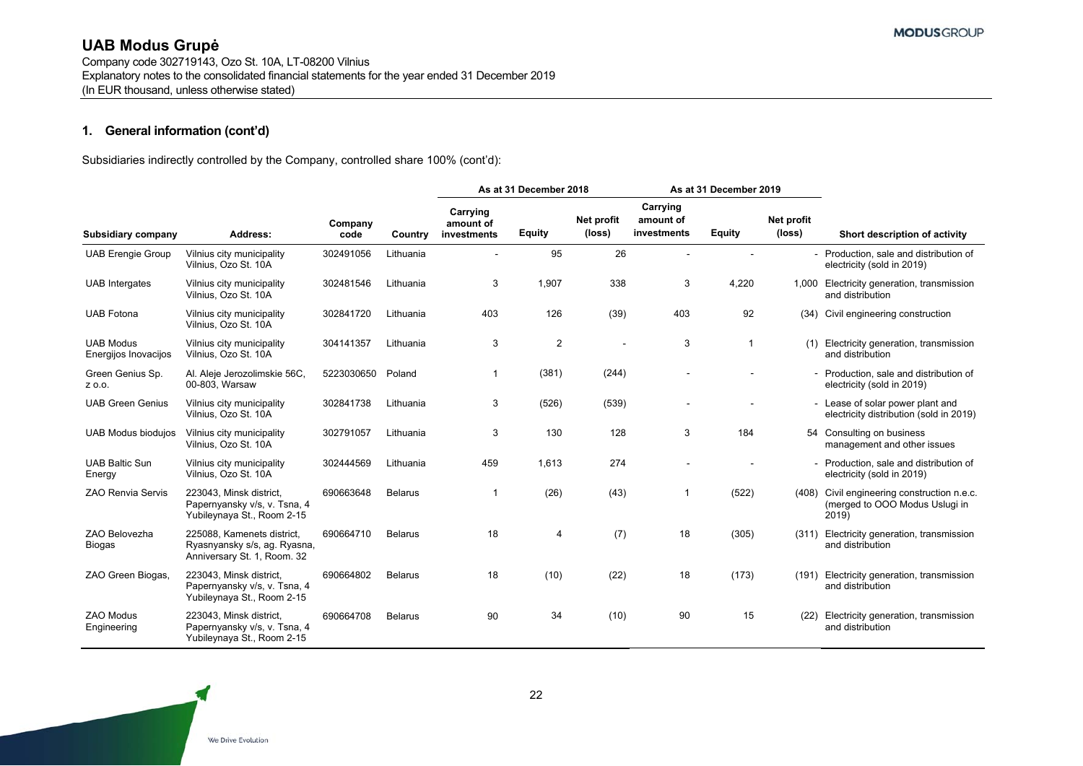Company code 302719143, Ozo St. 10A, LT-08200 Vilnius Explanatory notes to the consolidated financial statements for the year ended 31 December 2019 (In EUR thousand, unless otherwise stated)

## **1. General information (cont'd)**

|                                          |                                                                                           |                 |                | As at 31 December 2018               |                |                      |                                      | As at 31 December 2019 |                      |                                                                                  |
|------------------------------------------|-------------------------------------------------------------------------------------------|-----------------|----------------|--------------------------------------|----------------|----------------------|--------------------------------------|------------------------|----------------------|----------------------------------------------------------------------------------|
| <b>Subsidiary company</b>                | Address:                                                                                  | Company<br>code | Country        | Carrying<br>amount of<br>investments | <b>Equity</b>  | Net profit<br>(loss) | Carrying<br>amount of<br>investments | Equity                 | Net profit<br>(loss) | Short description of activity                                                    |
| <b>UAB Erengie Group</b>                 | Vilnius city municipality<br>Vilnius, Ozo St. 10A                                         | 302491056       | Lithuania      |                                      | 95             | 26                   |                                      |                        |                      | - Production, sale and distribution of<br>electricity (sold in 2019)             |
| <b>UAB</b> Intergates                    | Vilnius city municipality<br>Vilnius, Ozo St. 10A                                         | 302481546       | Lithuania      | 3                                    | 1,907          | 338                  | 3                                    | 4,220                  |                      | 1,000 Electricity generation, transmission<br>and distribution                   |
| <b>UAB Fotona</b>                        | Vilnius city municipality<br>Vilnius, Ozo St. 10A                                         | 302841720       | Lithuania      | 403                                  | 126            | (39)                 | 403                                  | 92                     | (34)                 | Civil engineering construction                                                   |
| <b>UAB Modus</b><br>Energijos Inovacijos | Vilnius city municipality<br>Vilnius, Ozo St. 10A                                         | 304141357       | Lithuania      | 3                                    | $\overline{2}$ |                      | 3                                    | $\mathbf 1$            | (1)                  | Electricity generation, transmission<br>and distribution                         |
| Green Genius Sp.<br>Z 0.0.               | Al. Aleje Jerozolimskie 56C,<br>00-803, Warsaw                                            | 5223030650      | Poland         | 1                                    | (381)          | (244)                |                                      |                        |                      | - Production, sale and distribution of<br>electricity (sold in 2019)             |
| <b>UAB Green Genius</b>                  | Vilnius city municipality<br>Vilnius, Ozo St. 10A                                         | 302841738       | Lithuania      | 3                                    | (526)          | (539)                |                                      |                        |                      | - Lease of solar power plant and<br>electricity distribution (sold in 2019)      |
| <b>UAB Modus biodujos</b>                | Vilnius city municipality<br>Vilnius, Ozo St. 10A                                         | 302791057       | Lithuania      | 3                                    | 130            | 128                  | 3                                    | 184                    |                      | 54 Consulting on business<br>management and other issues                         |
| <b>UAB Baltic Sun</b><br>Energy          | Vilnius city municipality<br>Vilnius, Ozo St. 10A                                         | 302444569       | Lithuania      | 459                                  | 1,613          | 274                  |                                      |                        |                      | - Production, sale and distribution of<br>electricity (sold in 2019)             |
| <b>ZAO Renvia Servis</b>                 | 223043, Minsk district,<br>Papernyansky v/s, v. Tsna, 4<br>Yubileynaya St., Room 2-15     | 690663648       | <b>Belarus</b> | -1                                   | (26)           | (43)                 | 1                                    | (522)                  | (408)                | Civil engineering construction n.e.c.<br>(merged to OOO Modus Uslugi in<br>2019) |
| ZAO Belovezha<br>Biogas                  | 225088. Kamenets district.<br>Ryasnyansky s/s, ag. Ryasna,<br>Anniversary St. 1, Room. 32 | 690664710       | <b>Belarus</b> | 18                                   | $\overline{4}$ | (7)                  | 18                                   | (305)                  | (311)                | Electricity generation, transmission<br>and distribution                         |
| ZAO Green Biogas,                        | 223043, Minsk district,<br>Papernyansky v/s, v. Tsna, 4<br>Yubileynaya St., Room 2-15     | 690664802       | <b>Belarus</b> | 18                                   | (10)           | (22)                 | 18                                   | (173)                  | (191)                | Electricity generation, transmission<br>and distribution                         |
| ZAO Modus<br>Engineering                 | 223043, Minsk district,<br>Papernyansky v/s, v. Tsna, 4<br>Yubileynaya St., Room 2-15     | 690664708       | <b>Belarus</b> | 90                                   | 34             | (10)                 | 90                                   | 15                     | (22)                 | Electricity generation, transmission<br>and distribution                         |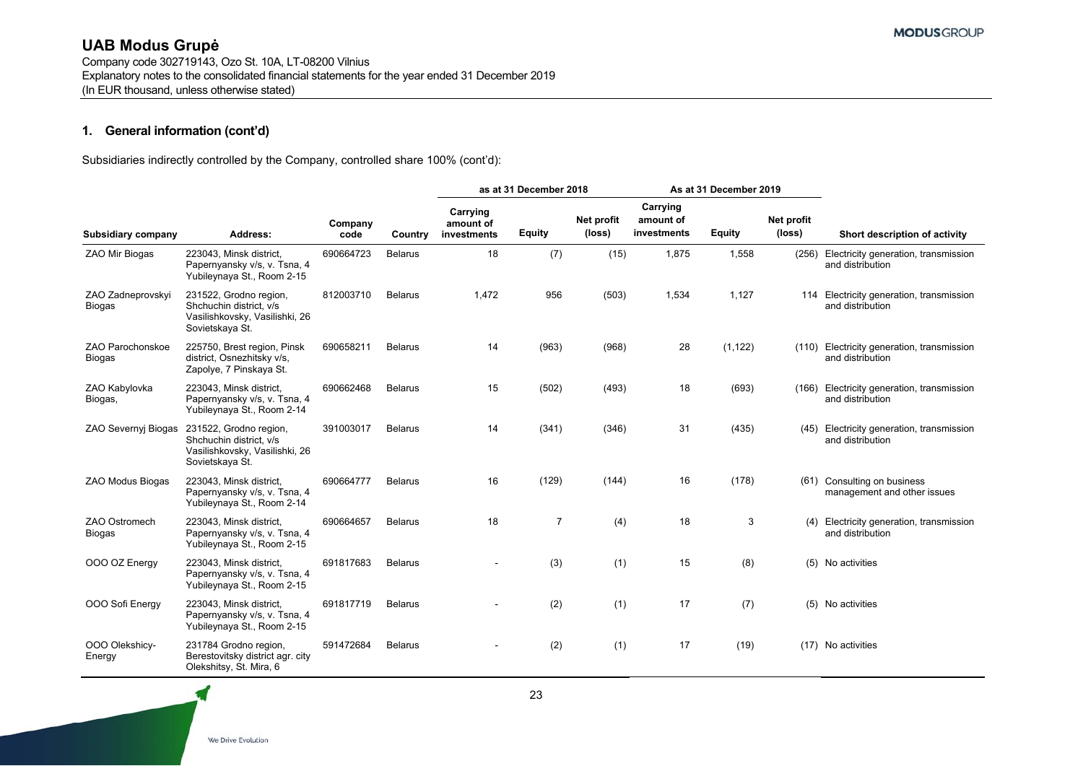Company code 302719143, Ozo St. 10A, LT-08200 Vilnius Explanatory notes to the consolidated financial statements for the year ended 31 December 2019 (In EUR thousand, unless otherwise stated)

## **1. General information (cont'd)**

|                                          |                                                                                                        |                 |                | as at 31 December 2018               |                |                      |                                      | As at 31 December 2019 |                      |                                                              |
|------------------------------------------|--------------------------------------------------------------------------------------------------------|-----------------|----------------|--------------------------------------|----------------|----------------------|--------------------------------------|------------------------|----------------------|--------------------------------------------------------------|
| <b>Subsidiary company</b>                | Address:                                                                                               | Company<br>code | Country        | Carrying<br>amount of<br>investments | Equity         | Net profit<br>(loss) | Carrying<br>amount of<br>investments | Equity                 | Net profit<br>(loss) | Short description of activity                                |
| ZAO Mir Biogas                           | 223043. Minsk district.<br>Papernyansky v/s, v. Tsna, 4<br>Yubileynaya St., Room 2-15                  | 690664723       | <b>Belarus</b> | 18                                   | (7)            | (15)                 | 1,875                                | 1,558                  | (256)                | Electricity generation, transmission<br>and distribution     |
| ZAO Zadneprovskyi<br><b>Biogas</b>       | 231522, Grodno region,<br>Shchuchin district. v/s<br>Vasilishkovsky, Vasilishki, 26<br>Sovietskaya St. | 812003710       | <b>Belarus</b> | 1.472                                | 956            | (503)                | 1,534                                | 1,127                  |                      | 114 Electricity generation, transmission<br>and distribution |
| <b>ZAO Parochonskoe</b><br><b>Biogas</b> | 225750, Brest region, Pinsk<br>district, Osnezhitsky v/s,<br>Zapolye, 7 Pinskaya St.                   | 690658211       | <b>Belarus</b> | 14                                   | (963)          | (968)                | 28                                   | (1, 122)               | (110)                | Electricity generation, transmission<br>and distribution     |
| ZAO Kabylovka<br>Biogas,                 | 223043, Minsk district,<br>Papernyansky v/s, v. Tsna, 4<br>Yubileynaya St., Room 2-14                  | 690662468       | <b>Belarus</b> | 15                                   | (502)          | (493)                | 18                                   | (693)                  | (166)                | Electricity generation, transmission<br>and distribution     |
| ZAO Severnyj Biogas                      | 231522, Grodno region,<br>Shchuchin district, v/s<br>Vasilishkovsky, Vasilishki, 26<br>Sovietskaya St. | 391003017       | <b>Belarus</b> | 14                                   | (341)          | (346)                | 31                                   | (435)                  | (45)                 | Electricity generation, transmission<br>and distribution     |
| ZAO Modus Biogas                         | 223043, Minsk district,<br>Papernyansky v/s, v. Tsna, 4<br>Yubileynaya St., Room 2-14                  | 690664777       | <b>Belarus</b> | 16                                   | (129)          | (144)                | 16                                   | (178)                  | (61)                 | Consulting on business<br>management and other issues        |
| ZAO Ostromech<br><b>Biogas</b>           | 223043, Minsk district,<br>Papernyansky v/s, v. Tsna, 4<br>Yubileynaya St., Room 2-15                  | 690664657       | <b>Belarus</b> | 18                                   | $\overline{7}$ | (4)                  | 18                                   | 3                      | (4)                  | Electricity generation, transmission<br>and distribution     |
| OOO OZ Energy                            | 223043. Minsk district.<br>Papernyansky v/s, v. Tsna, 4<br>Yubileynaya St., Room 2-15                  | 691817683       | <b>Belarus</b> |                                      | (3)            | (1)                  | 15                                   | (8)                    |                      | (5) No activities                                            |
| OOO Sofi Energy                          | 223043, Minsk district,<br>Papernyansky v/s, v. Tsna, 4<br>Yubileynaya St., Room 2-15                  | 691817719       | <b>Belarus</b> |                                      | (2)            | (1)                  | 17                                   | (7)                    | (5)                  | No activities                                                |
| OOO Olekshicy-<br>Energy                 | 231784 Grodno region,<br>Berestovitsky district agr. city<br>Olekshitsy, St. Mira, 6                   | 591472684       | <b>Belarus</b> |                                      | (2)            | (1)                  | 17                                   | (19)                   |                      | (17) No activities                                           |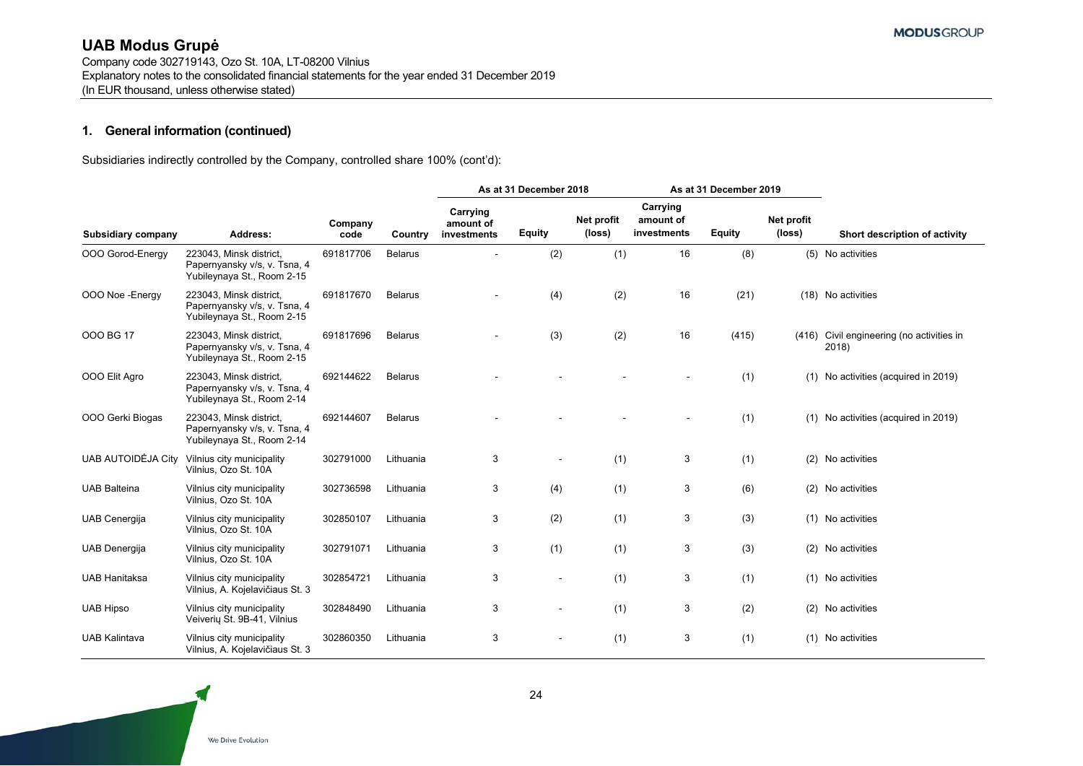Company code 302719143, Ozo St. 10A, LT-08200 Vilnius Explanatory notes to the consolidated financial statements for the year ended 31 December 2019 (In EUR thousand, unless otherwise stated)

## **1. General information (continued)**

|                           |                                                                                       |                 |                | As at 31 December 2018               |               |                      |                                      | As at 31 December 2019 |                      |                                                    |
|---------------------------|---------------------------------------------------------------------------------------|-----------------|----------------|--------------------------------------|---------------|----------------------|--------------------------------------|------------------------|----------------------|----------------------------------------------------|
| Subsidiary company        | Address:                                                                              | Company<br>code | Country        | Carrying<br>amount of<br>investments | <b>Equity</b> | Net profit<br>(loss) | Carrying<br>amount of<br>investments | Equity                 | Net profit<br>(loss) | Short description of activity                      |
| OOO Gorod-Energy          | 223043. Minsk district.<br>Papernyansky v/s, v. Tsna, 4<br>Yubileynaya St., Room 2-15 | 691817706       | <b>Belarus</b> |                                      | (2)           | (1)                  | 16                                   | (8)                    |                      | (5) No activities                                  |
| OOO Noe - Energy          | 223043, Minsk district,<br>Papernyansky v/s, v. Tsna, 4<br>Yubileynaya St., Room 2-15 | 691817670       | <b>Belarus</b> |                                      | (4)           | (2)                  | 16                                   | (21)                   |                      | (18) No activities                                 |
| <b>OOO BG 17</b>          | 223043. Minsk district.<br>Papernyansky v/s, v. Tsna, 4<br>Yubileynaya St., Room 2-15 | 691817696       | <b>Belarus</b> |                                      | (3)           | (2)                  | 16                                   | (415)                  |                      | (416) Civil engineering (no activities in<br>2018) |
| OOO Elit Agro             | 223043, Minsk district,<br>Papernyansky v/s, v. Tsna, 4<br>Yubileynaya St., Room 2-14 | 692144622       | <b>Belarus</b> |                                      |               |                      |                                      | (1)                    | (1)                  | No activities (acquired in 2019)                   |
| OOO Gerki Biogas          | 223043, Minsk district,<br>Papernyansky v/s, v. Tsna, 4<br>Yubileynaya St., Room 2-14 | 692144607       | <b>Belarus</b> |                                      |               |                      | $\blacksquare$                       | (1)                    | (1)                  | No activities (acquired in 2019)                   |
| <b>UAB AUTOIDĖJA City</b> | Vilnius city municipality<br>Vilnius, Ozo St. 10A                                     | 302791000       | Lithuania      | 3                                    |               | (1)                  | 3                                    | (1)                    |                      | (2) No activities                                  |
| <b>UAB Balteina</b>       | Vilnius city municipality<br>Vilnius, Ozo St. 10A                                     | 302736598       | Lithuania      | 3                                    | (4)           | (1)                  | 3                                    | (6)                    |                      | (2) No activities                                  |
| <b>UAB Cenergija</b>      | Vilnius city municipality<br>Vilnius, Ozo St. 10A                                     | 302850107       | Lithuania      | 3                                    | (2)           | (1)                  | 3                                    | (3)                    |                      | (1) No activities                                  |
| <b>UAB Denergija</b>      | Vilnius city municipality<br>Vilnius, Ozo St. 10A                                     | 302791071       | Lithuania      | 3                                    | (1)           | (1)                  | 3                                    | (3)                    |                      | (2) No activities                                  |
| <b>UAB Hanitaksa</b>      | Vilnius city municipality<br>Vilnius, A. Kojelavičiaus St. 3                          | 302854721       | Lithuania      | 3                                    |               | (1)                  | 3                                    | (1)                    | (1)                  | No activities                                      |
| <b>UAB Hipso</b>          | Vilnius city municipality<br>Veiveriu St. 9B-41, Vilnius                              | 302848490       | Lithuania      | 3                                    |               | (1)                  | 3                                    | (2)                    |                      | (2) No activities                                  |
| <b>UAB Kalintava</b>      | Vilnius city municipality<br>Vilnius, A. Kojelavičiaus St. 3                          | 302860350       | Lithuania      | 3                                    |               | (1)                  | 3                                    | (1)                    | (1)                  | No activities                                      |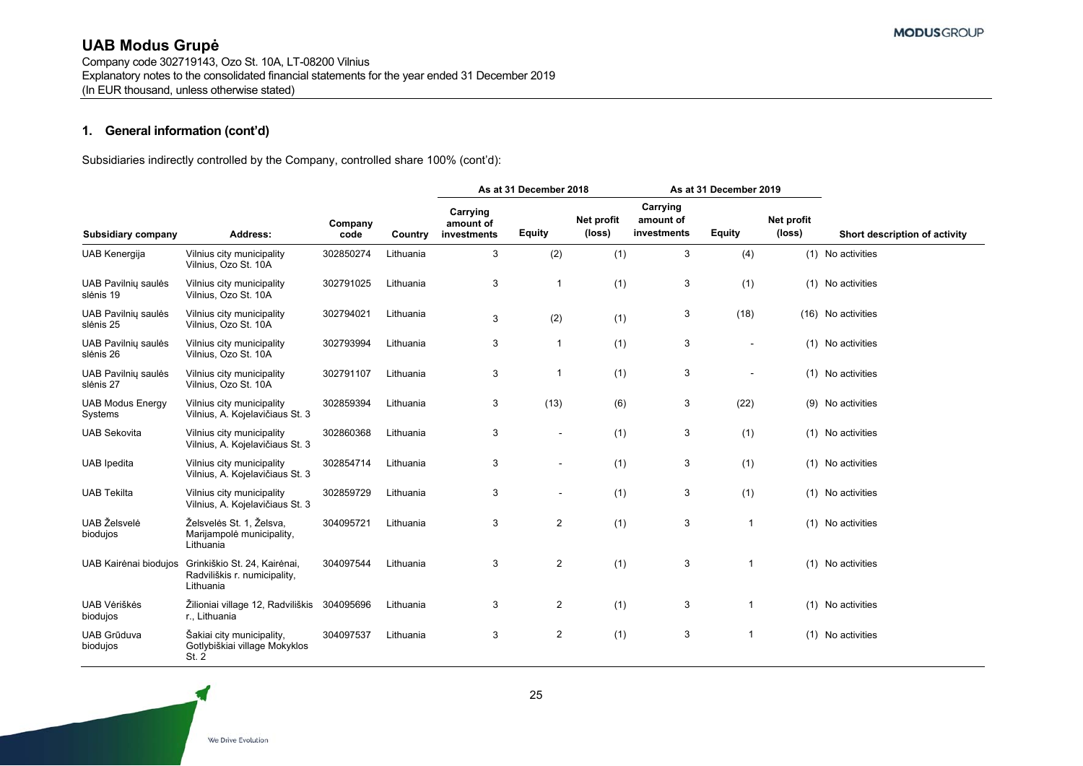Company code 302719143, Ozo St. 10A, LT-08200 Vilnius Explanatory notes to the consolidated financial statements for the year ended 31 December 2019 (In EUR thousand, unless otherwise stated)

## **1. General information (cont'd)**

|                                         |                                                                           |                 |           | As at 31 December 2018               |                |                      |                                      | As at 31 December 2019  |                      |                               |
|-----------------------------------------|---------------------------------------------------------------------------|-----------------|-----------|--------------------------------------|----------------|----------------------|--------------------------------------|-------------------------|----------------------|-------------------------------|
| Subsidiary company                      | Address:                                                                  | Company<br>code | Country   | Carrying<br>amount of<br>investments | <b>Equity</b>  | Net profit<br>(loss) | Carrying<br>amount of<br>investments | Equity                  | Net profit<br>(loss) | Short description of activity |
| <b>UAB Kenergija</b>                    | Vilnius city municipality<br>Vilnius, Ozo St. 10A                         | 302850274       | Lithuania | 3                                    | (2)            | (1)                  | 3                                    | (4)                     |                      | (1) No activities             |
| <b>UAB Pavilniu saulės</b><br>slėnis 19 | Vilnius city municipality<br>Vilnius, Ozo St. 10A                         | 302791025       | Lithuania | 3                                    | 1              | (1)                  | 3                                    | (1)                     |                      | (1) No activities             |
| <b>UAB Pavilnių saulės</b><br>slėnis 25 | Vilnius city municipality<br>Vilnius, Ozo St. 10A                         | 302794021       | Lithuania | 3                                    | (2)            | (1)                  | 3                                    | (18)                    |                      | (16) No activities            |
| UAB Pavilnių saulės<br>slėnis 26        | Vilnius city municipality<br>Vilnius, Ozo St. 10A                         | 302793994       | Lithuania | 3                                    | 1              | (1)                  | 3                                    |                         |                      | (1) No activities             |
| <b>UAB Pavilniu saulės</b><br>slėnis 27 | Vilnius city municipality<br>Vilnius, Ozo St. 10A                         | 302791107       | Lithuania | 3                                    | 1              | (1)                  | 3                                    |                         |                      | (1) No activities             |
| <b>UAB Modus Energy</b><br>Systems      | Vilnius city municipality<br>Vilnius, A. Kojelavičiaus St. 3              | 302859394       | Lithuania | 3                                    | (13)           | (6)                  | 3                                    | (22)                    |                      | (9) No activities             |
| <b>UAB Sekovita</b>                     | Vilnius city municipality<br>Vilnius, A. Kojelavičiaus St. 3              | 302860368       | Lithuania | 3                                    |                | (1)                  | 3                                    | (1)                     |                      | (1) No activities             |
| <b>UAB</b> Ipedita                      | Vilnius city municipality<br>Vilnius, A. Kojelavičiaus St. 3              | 302854714       | Lithuania | 3                                    | $\blacksquare$ | (1)                  | 3                                    | (1)                     |                      | (1) No activities             |
| <b>UAB Tekilta</b>                      | Vilnius city municipality<br>Vilnius, A. Kojelavičiaus St. 3              | 302859729       | Lithuania | 3                                    |                | (1)                  | 3                                    | (1)                     |                      | (1) No activities             |
| UAB Želsvelė<br>biodujos                | Želsvelės St. 1, Želsva,<br>Marijampolė municipality,<br>Lithuania        | 304095721       | Lithuania | 3                                    | 2              | (1)                  | 3                                    | $\overline{\mathbf{1}}$ |                      | (1) No activities             |
| UAB Kairėnai biodujos                   | Grinkiškio St. 24, Kairėnai,<br>Radviliškis r. numicipality,<br>Lithuania | 304097544       | Lithuania | 3                                    | $\overline{2}$ | (1)                  | 3                                    | $\overline{\mathbf{1}}$ |                      | (1) No activities             |
| <b>UAB Vėriškės</b><br>biodujos         | Žilioniai village 12, Radviliškis<br>r., Lithuania                        | 304095696       | Lithuania | 3                                    | $\overline{2}$ | (1)                  | 3                                    | -1                      |                      | (1) No activities             |
| <b>UAB Grūduva</b><br>biodujos          | Šakiai city municipality,<br>Gotlybiškiai village Mokyklos<br>St. 2       | 304097537       | Lithuania | 3                                    | $\overline{2}$ | (1)                  | 3                                    | $\overline{\mathbf{1}}$ |                      | (1) No activities             |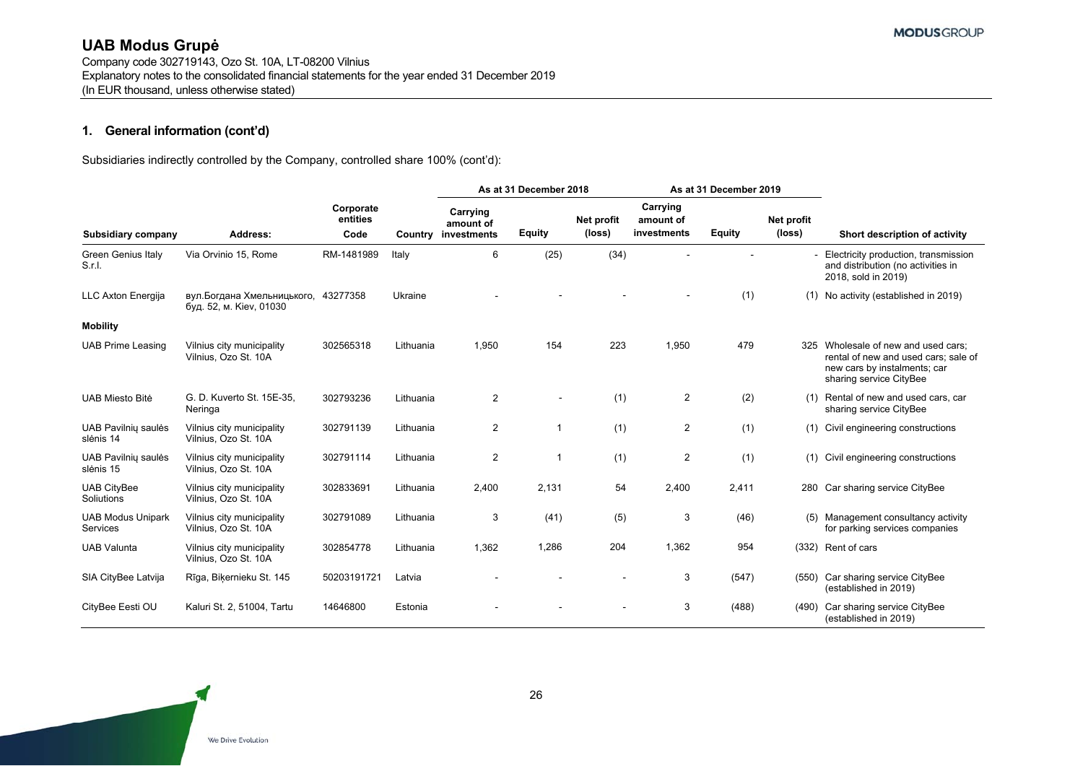Company code 302719143, Ozo St. 10A, LT-08200 Vilnius Explanatory notes to the consolidated financial statements for the year ended 31 December 2019 (In EUR thousand, unless otherwise stated)

## **1. General information (cont'd)**

Subsidiaries indirectly controlled by the Company, controlled share 100% (cont'd):

|                                      |                                                       |                               |           | As at 31 December 2018               |               |                      |                                      | As at 31 December 2019 |                      |                                                                                                                                    |
|--------------------------------------|-------------------------------------------------------|-------------------------------|-----------|--------------------------------------|---------------|----------------------|--------------------------------------|------------------------|----------------------|------------------------------------------------------------------------------------------------------------------------------------|
| Subsidiary company                   | Address:                                              | Corporate<br>entities<br>Code | Country   | Carrying<br>amount of<br>investments | <b>Equity</b> | Net profit<br>(loss) | Carrying<br>amount of<br>investments | <b>Equity</b>          | Net profit<br>(loss) | Short description of activity                                                                                                      |
| Green Genius Italy<br>S.r.I.         | Via Orvinio 15, Rome                                  | RM-1481989                    | Italy     | 6                                    | (25)          | (34)                 |                                      |                        |                      | Electricity production, transmission<br>and distribution (no activities in<br>2018, sold in 2019)                                  |
| LLC Axton Energija                   | вул.Богдана Хмельницького,<br>буд. 52, м. Кіеу, 01030 | 43277358                      | Ukraine   |                                      |               |                      |                                      | (1)                    | (1)                  | No activity (established in 2019)                                                                                                  |
| <b>Mobility</b>                      |                                                       |                               |           |                                      |               |                      |                                      |                        |                      |                                                                                                                                    |
| <b>UAB Prime Leasing</b>             | Vilnius city municipality<br>Vilnius, Ozo St. 10A     | 302565318                     | Lithuania | 1,950                                | 154           | 223                  | 1,950                                | 479                    | 325                  | Wholesale of new and used cars;<br>rental of new and used cars; sale of<br>new cars by instalments; car<br>sharing service CityBee |
| <b>UAB Miesto Bité</b>               | G. D. Kuverto St. 15E-35,<br>Neringa                  | 302793236                     | Lithuania | $\overline{2}$                       |               | (1)                  | $\overline{2}$                       | (2)                    | (1)                  | Rental of new and used cars, car<br>sharing service CityBee                                                                        |
| UAB Pavilnių saulės<br>slėnis 14     | Vilnius city municipality<br>Vilnius, Ozo St. 10A     | 302791139                     | Lithuania | $\overline{2}$                       | -1            | (1)                  | $\overline{2}$                       | (1)                    | (1)                  | Civil engineering constructions                                                                                                    |
| UAB Pavilnių saulės<br>slėnis 15     | Vilnius city municipality<br>Vilnius, Ozo St. 10A     | 302791114                     | Lithuania | $\overline{2}$                       | -1            | (1)                  | 2                                    | (1)                    | (1)                  | Civil engineering constructions                                                                                                    |
| <b>UAB CityBee</b><br>Soliutions     | Vilnius city municipality<br>Vilnius, Ozo St. 10A     | 302833691                     | Lithuania | 2.400                                | 2.131         | 54                   | 2,400                                | 2,411                  |                      | 280 Car sharing service CityBee                                                                                                    |
| <b>UAB Modus Unipark</b><br>Services | Vilnius city municipality<br>Vilnius, Ozo St. 10A     | 302791089                     | Lithuania | 3                                    | (41)          | (5)                  | 3                                    | (46)                   | (5)                  | Management consultancy activity<br>for parking services companies                                                                  |
| <b>UAB Valunta</b>                   | Vilnius city municipality<br>Vilnius, Ozo St. 10A     | 302854778                     | Lithuania | 1,362                                | 1,286         | 204                  | 1,362                                | 954                    |                      | (332) Rent of cars                                                                                                                 |
| SIA CityBee Latvija                  | Rīga, Biķernieku St. 145                              | 50203191721                   | Latvia    |                                      |               | $\blacksquare$       | 3                                    | (547)                  | (550)                | Car sharing service CityBee<br>(established in 2019)                                                                               |
| CityBee Eesti OU                     | Kaluri St. 2, 51004, Tartu                            | 14646800                      | Estonia   |                                      |               |                      | 3                                    | (488)                  | (490)                | Car sharing service CityBee<br>(established in 2019)                                                                               |

We Drive Evolution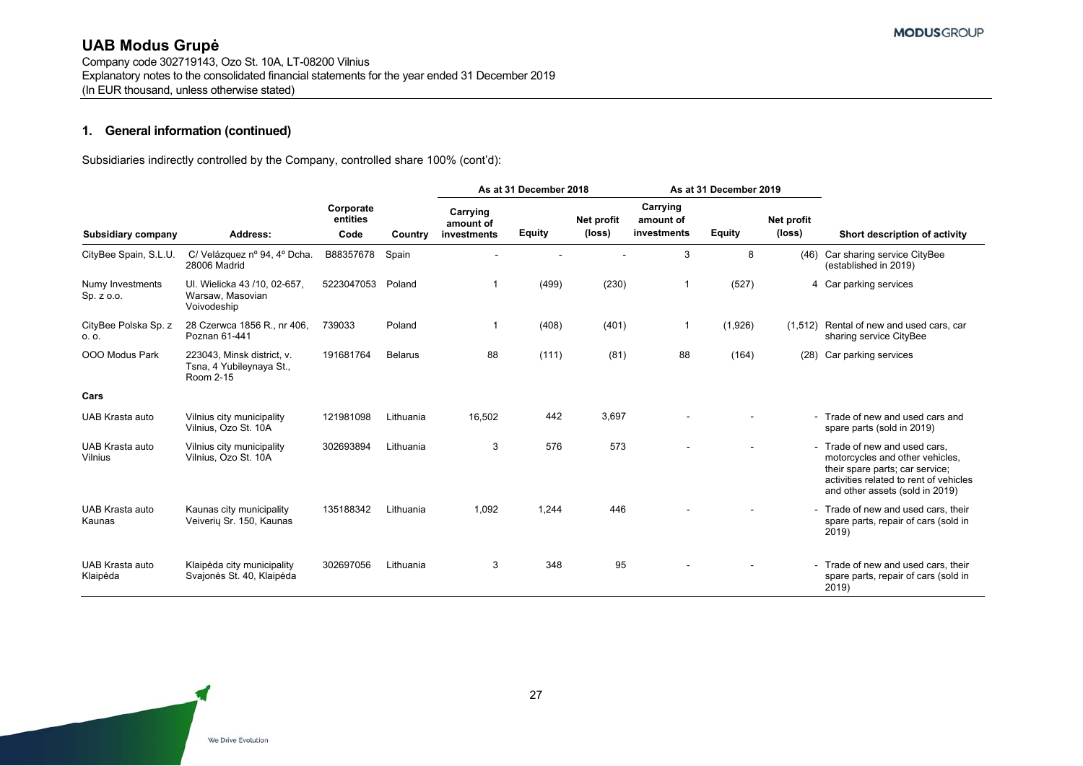Company code 302719143, Ozo St. 10A, LT-08200 Vilnius Explanatory notes to the consolidated financial statements for the year ended 31 December 2019 (In EUR thousand, unless otherwise stated)

## **1. General information (continued)**

Subsidiaries indirectly controlled by the Company, controlled share 100% (cont'd):

|                                   |                                                                     |                               |                | As at 31 December 2018               |               |                      |                                      | As at 31 December 2019 |                      |                                                                                                                                                                                  |
|-----------------------------------|---------------------------------------------------------------------|-------------------------------|----------------|--------------------------------------|---------------|----------------------|--------------------------------------|------------------------|----------------------|----------------------------------------------------------------------------------------------------------------------------------------------------------------------------------|
| Subsidiary company                | Address:                                                            | Corporate<br>entities<br>Code | Country        | Carrying<br>amount of<br>investments | <b>Equity</b> | Net profit<br>(loss) | Carrying<br>amount of<br>investments | <b>Equity</b>          | Net profit<br>(loss) | Short description of activity                                                                                                                                                    |
| CityBee Spain, S.L.U.             | C/ Velázquez nº 94, 4º Dcha.<br>28006 Madrid                        | B88357678                     | Spain          |                                      |               |                      | 3                                    | 8                      | (46)                 | Car sharing service CityBee<br>(established in 2019)                                                                                                                             |
| Numy Investments<br>Sp. z o.o.    | UI. Wielicka 43 /10, 02-657,<br>Warsaw, Masovian<br>Voivodeship     | 5223047053                    | Poland         | 1                                    | (499)         | (230)                | -1                                   | (527)                  |                      | 4 Car parking services                                                                                                                                                           |
| CityBee Polska Sp. z<br>O. O.     | 28 Czerwca 1856 R., nr 406,<br>Poznan 61-441                        | 739033                        | Poland         | 1                                    | (408)         | (401)                | -1                                   | (1,926)                |                      | (1,512) Rental of new and used cars, car<br>sharing service CityBee                                                                                                              |
| OOO Modus Park                    | 223043, Minsk district, v.<br>Tsna, 4 Yubileynaya St.,<br>Room 2-15 | 191681764                     | <b>Belarus</b> | 88                                   | (111)         | (81)                 | 88                                   | (164)                  | (28)                 | Car parking services                                                                                                                                                             |
| Cars                              |                                                                     |                               |                |                                      |               |                      |                                      |                        |                      |                                                                                                                                                                                  |
| UAB Krasta auto                   | Vilnius city municipality<br>Vilnius, Ozo St. 10A                   | 121981098                     | Lithuania      | 16,502                               | 442           | 3,697                |                                      |                        |                      | - Trade of new and used cars and<br>spare parts (sold in 2019)                                                                                                                   |
| UAB Krasta auto<br><b>Vilnius</b> | Vilnius city municipality<br>Vilnius, Ozo St. 10A                   | 302693894                     | Lithuania      | 3                                    | 576           | 573                  |                                      |                        |                      | - Trade of new and used cars.<br>motorcycles and other vehicles,<br>their spare parts; car service;<br>activities related to rent of vehicles<br>and other assets (sold in 2019) |
| UAB Krasta auto<br>Kaunas         | Kaunas city municipality<br>Veiveriu Sr. 150, Kaunas                | 135188342                     | Lithuania      | 1.092                                | 1,244         | 446                  |                                      |                        |                      | - Trade of new and used cars, their<br>spare parts, repair of cars (sold in<br>2019)                                                                                             |
| UAB Krasta auto<br>Klaipėda       | Klaipėda city municipality<br>Svajonės St. 40, Klaipėda             | 302697056                     | Lithuania      | 3                                    | 348           | 95                   |                                      |                        |                      | - Trade of new and used cars, their<br>spare parts, repair of cars (sold in<br>2019)                                                                                             |

We Drive Evolution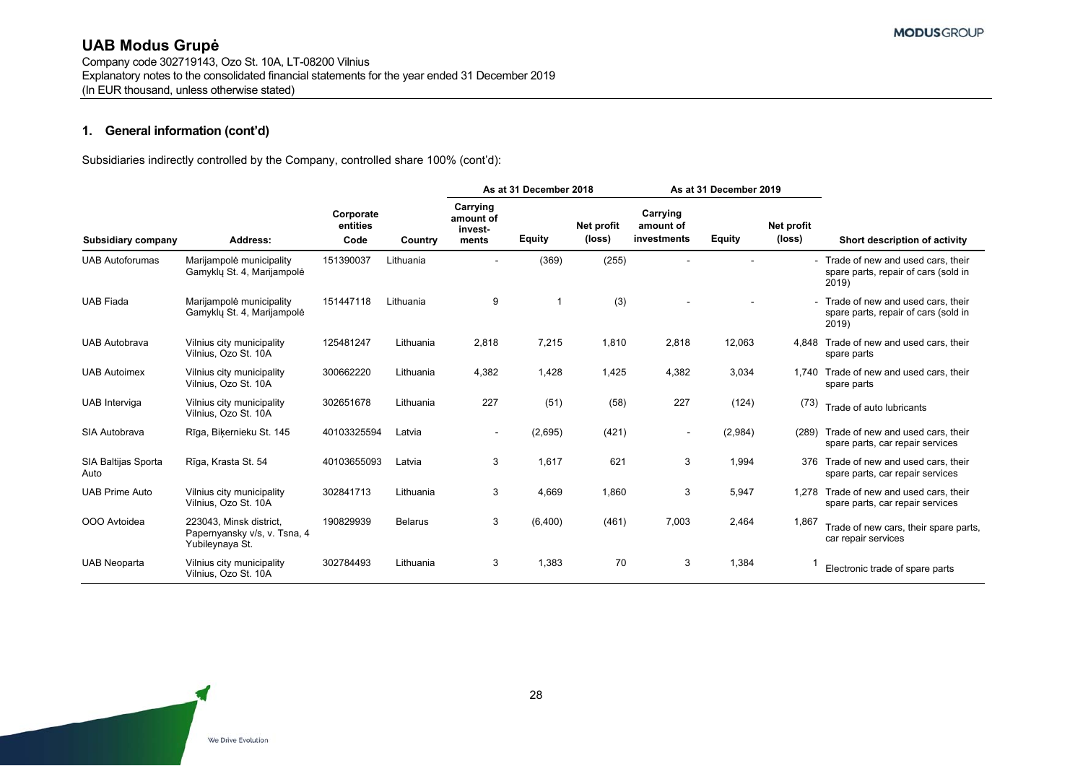Company code 302719143, Ozo St. 10A, LT-08200 Vilnius Explanatory notes to the consolidated financial statements for the year ended 31 December 2019 (In EUR thousand, unless otherwise stated)

## **1. General information (cont'd)**

|                             |                                                                            |                               |                |                                           | As at 31 December 2018   |                      |                                      | As at 31 December 2019 |                      |                                                                                      |
|-----------------------------|----------------------------------------------------------------------------|-------------------------------|----------------|-------------------------------------------|--------------------------|----------------------|--------------------------------------|------------------------|----------------------|--------------------------------------------------------------------------------------|
| Subsidiary company          | Address:                                                                   | Corporate<br>entities<br>Code | Country        | Carrying<br>amount of<br>invest-<br>ments | <b>Equity</b>            | Net profit<br>(loss) | Carrying<br>amount of<br>investments | Equity                 | Net profit<br>(loss) | Short description of activity                                                        |
| <b>UAB Autoforumas</b>      | Marijampolė municipality<br>Gamyklu St. 4, Marijampolė                     | 151390037                     | Lithuania      |                                           | (369)                    | (255)                |                                      |                        |                      | - Trade of new and used cars, their<br>spare parts, repair of cars (sold in<br>2019) |
| <b>UAB Fiada</b>            | Marijampolė municipality<br>Gamyklų St. 4, Marijampolė                     | 151447118                     | Lithuania      | 9                                         | $\overline{\phantom{a}}$ | (3)                  |                                      |                        |                      | - Trade of new and used cars, their<br>spare parts, repair of cars (sold in<br>2019) |
| <b>UAB Autobrava</b>        | Vilnius city municipality<br>Vilnius, Ozo St. 10A                          | 125481247                     | Lithuania      | 2,818                                     | 7,215                    | 1,810                | 2,818                                | 12,063                 |                      | 4,848 Trade of new and used cars, their<br>spare parts                               |
| <b>UAB Autoimex</b>         | Vilnius city municipality<br>Vilnius, Ozo St. 10A                          | 300662220                     | Lithuania      | 4,382                                     | 1,428                    | 1,425                | 4,382                                | 3,034                  |                      | 1,740 Trade of new and used cars, their<br>spare parts                               |
| <b>UAB</b> Interviga        | Vilnius city municipality<br>Vilnius, Ozo St. 10A                          | 302651678                     | Lithuania      | 227                                       | (51)                     | (58)                 | 227                                  | (124)                  | (73)                 | Trade of auto lubricants                                                             |
| SIA Autobrava               | Rīga, Bikernieku St. 145                                                   | 40103325594                   | Latvia         | $\overline{\phantom{a}}$                  | (2,695)                  | (421)                | $\overline{\phantom{a}}$             | (2,984)                | (289)                | Trade of new and used cars, their<br>spare parts, car repair services                |
| SIA Baltijas Sporta<br>Auto | Rīga, Krasta St. 54                                                        | 40103655093                   | Latvia         | 3                                         | 1,617                    | 621                  | 3                                    | 1,994                  | 376                  | Trade of new and used cars, their<br>spare parts, car repair services                |
| <b>UAB Prime Auto</b>       | Vilnius city municipality<br>Vilnius, Ozo St. 10A                          | 302841713                     | Lithuania      | 3                                         | 4,669                    | 1,860                | 3                                    | 5,947                  |                      | 1,278 Trade of new and used cars, their<br>spare parts, car repair services          |
| OOO Avtoidea                | 223043, Minsk district,<br>Papernyansky v/s, v. Tsna, 4<br>Yubileynaya St. | 190829939                     | <b>Belarus</b> | 3                                         | (6,400)                  | (461)                | 7,003                                | 2,464                  | 1,867                | Trade of new cars, their spare parts,<br>car repair services                         |
| <b>UAB Neoparta</b>         | Vilnius city municipality<br>Vilnius, Ozo St. 10A                          | 302784493                     | Lithuania      | 3                                         | 1,383                    | 70                   | 3                                    | 1,384                  |                      | Electronic trade of spare parts                                                      |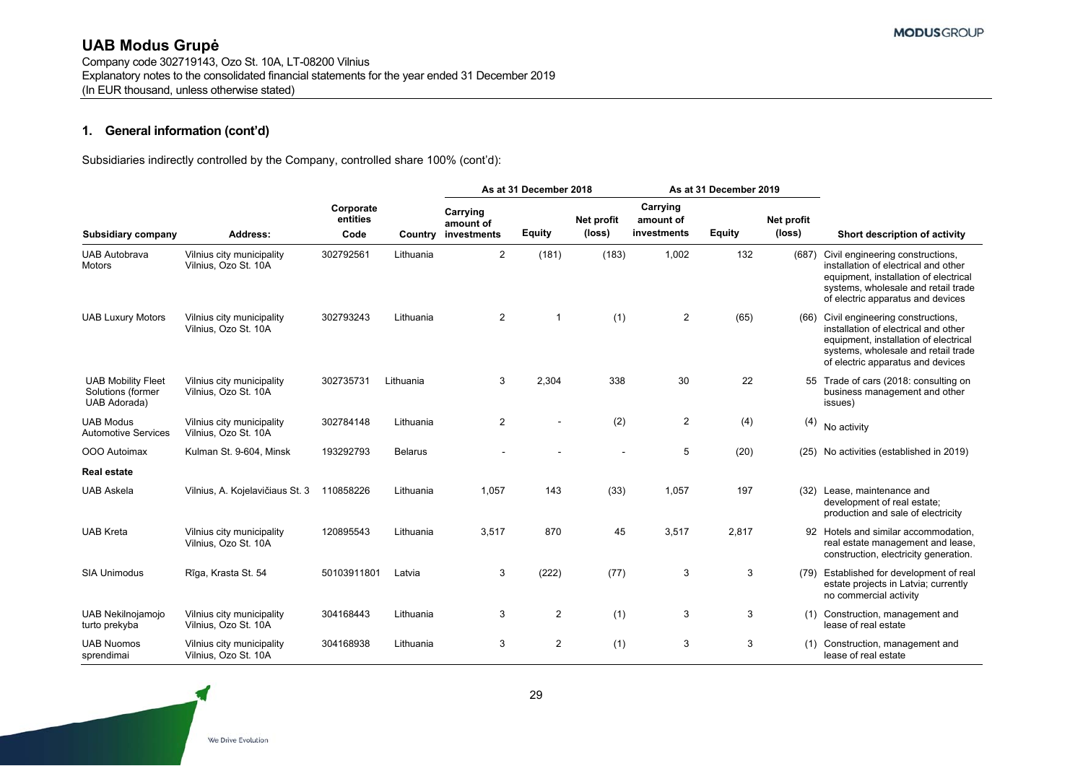Company code 302719143, Ozo St. 10A, LT-08200 Vilnius Explanatory notes to the consolidated financial statements for the year ended 31 December 2019 (In EUR thousand, unless otherwise stated)

## **1. General information (cont'd)**

|                                                                | Address:                                          |                               |                |                                      | As at 31 December 2018 |                      |                                      | As at 31 December 2019 |                      |                                                                                                                                                                                                     |
|----------------------------------------------------------------|---------------------------------------------------|-------------------------------|----------------|--------------------------------------|------------------------|----------------------|--------------------------------------|------------------------|----------------------|-----------------------------------------------------------------------------------------------------------------------------------------------------------------------------------------------------|
| <b>Subsidiary company</b>                                      |                                                   | Corporate<br>entities<br>Code | Country        | Carrying<br>amount of<br>investments | <b>Equity</b>          | Net profit<br>(loss) | Carrying<br>amount of<br>investments | <b>Equity</b>          | Net profit<br>(loss) | Short description of activity                                                                                                                                                                       |
| <b>UAB Autobrava</b><br>Motors                                 | Vilnius city municipality<br>Vilnius, Ozo St. 10A | 302792561                     | Lithuania      | 2                                    | (181)                  | (183)                | 1,002                                | 132                    |                      | (687) Civil engineering constructions,<br>installation of electrical and other<br>equipment, installation of electrical<br>systems, wholesale and retail trade<br>of electric apparatus and devices |
| <b>UAB Luxury Motors</b>                                       | Vilnius city municipality<br>Vilnius, Ozo St. 10A | 302793243                     | Lithuania      | $\overline{2}$                       | -1                     | (1)                  | $\overline{2}$                       | (65)                   | (66)                 | Civil engineering constructions,<br>installation of electrical and other<br>equipment, installation of electrical<br>systems, wholesale and retail trade<br>of electric apparatus and devices       |
| <b>UAB Mobility Fleet</b><br>Solutions (former<br>UAB Adorada) | Vilnius city municipality<br>Vilnius, Ozo St. 10A | 302735731                     | Lithuania      | 3                                    | 2,304                  | 338                  | 30                                   | 22                     |                      | 55 Trade of cars (2018: consulting on<br>business management and other<br>issues)                                                                                                                   |
| <b>UAB Modus</b><br><b>Automotive Services</b>                 | Vilnius city municipality<br>Vilnius, Ozo St. 10A | 302784148                     | Lithuania      | 2                                    |                        | (2)                  | $\overline{2}$                       | (4)                    | (4)                  | No activity                                                                                                                                                                                         |
| OOO Autoimax                                                   | Kulman St. 9-604, Minsk                           | 193292793                     | <b>Belarus</b> |                                      |                        |                      | 5                                    | (20)                   |                      | (25) No activities (established in 2019)                                                                                                                                                            |
| <b>Real estate</b>                                             |                                                   |                               |                |                                      |                        |                      |                                      |                        |                      |                                                                                                                                                                                                     |
| <b>UAB Askela</b>                                              | Vilnius, A. Kojelavičiaus St. 3                   | 110858226                     | Lithuania      | 1,057                                | 143                    | (33)                 | 1,057                                | 197                    |                      | (32) Lease, maintenance and<br>development of real estate;<br>production and sale of electricity                                                                                                    |
| <b>UAB Kreta</b>                                               | Vilnius city municipality<br>Vilnius, Ozo St. 10A | 120895543                     | Lithuania      | 3,517                                | 870                    | 45                   | 3,517                                | 2,817                  |                      | 92 Hotels and similar accommodation,<br>real estate management and lease,<br>construction, electricity generation.                                                                                  |
| <b>SIA Unimodus</b>                                            | Rīga, Krasta St. 54                               | 50103911801                   | Latvia         | 3                                    | (222)                  | (77)                 | 3                                    | 3                      | (79)                 | Established for development of real<br>estate projects in Latvia; currently<br>no commercial activity                                                                                               |
| UAB Nekilnojamojo<br>turto prekyba                             | Vilnius city municipality<br>Vilnius, Ozo St. 10A | 304168443                     | Lithuania      | 3                                    | 2                      | (1)                  | 3                                    | 3                      |                      | (1) Construction, management and<br>lease of real estate                                                                                                                                            |
| <b>UAB Nuomos</b><br>sprendimai                                | Vilnius city municipality<br>Vilnius, Ozo St. 10A | 304168938                     | Lithuania      | 3                                    | $\overline{2}$         | (1)                  | $\mathbf{3}$                         | 3                      |                      | Construction, management and<br>lease of real estate                                                                                                                                                |

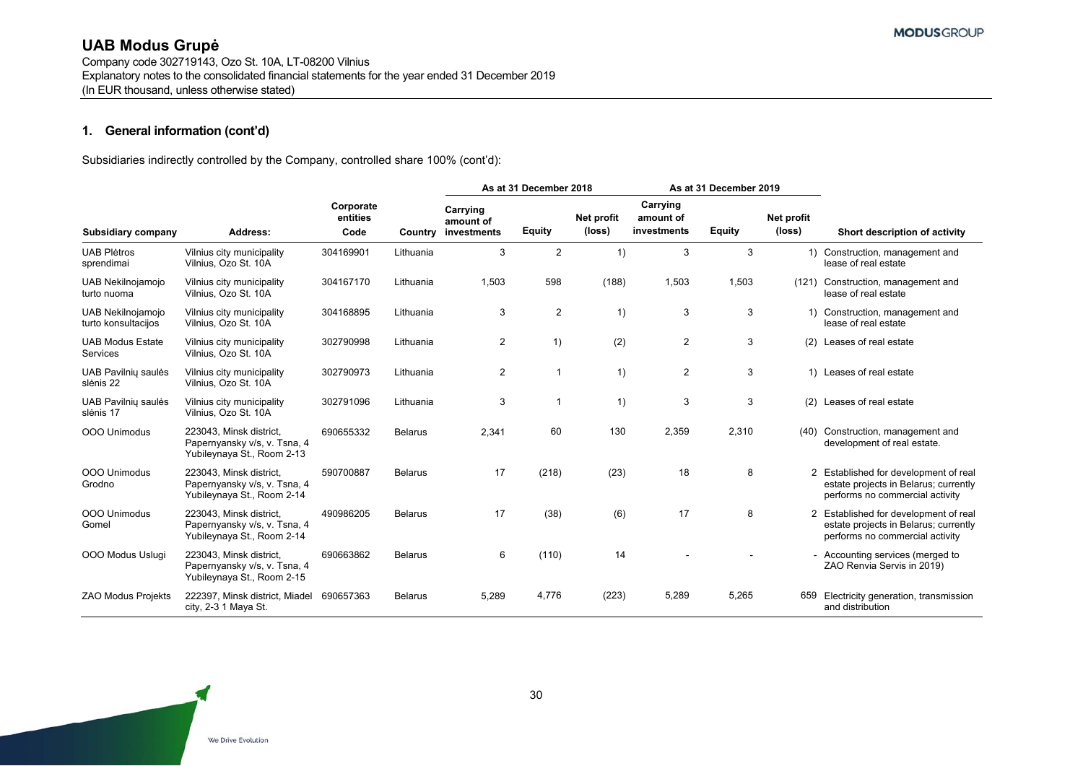Company code 302719143, Ozo St. 10A, LT-08200 Vilnius Explanatory notes to the consolidated financial statements for the year ended 31 December 2019 (In EUR thousand, unless otherwise stated)

## **1. General information (cont'd)**

|                                          |                                                                                       |                               |                |                                      | As at 31 December 2018   |                      |                                      | As at 31 December 2019 |                      |                                                                                                                   |
|------------------------------------------|---------------------------------------------------------------------------------------|-------------------------------|----------------|--------------------------------------|--------------------------|----------------------|--------------------------------------|------------------------|----------------------|-------------------------------------------------------------------------------------------------------------------|
| Subsidiary company                       | Address:                                                                              | Corporate<br>entities<br>Code | Country        | Carrying<br>amount of<br>investments | <b>Equity</b>            | Net profit<br>(loss) | Carrying<br>amount of<br>investments | Equity                 | Net profit<br>(loss) | Short description of activity                                                                                     |
| <b>UAB Plėtros</b><br>sprendimai         | Vilnius city municipality<br>Vilnius, Ozo St. 10A                                     | 304169901                     | Lithuania      | 3                                    | $\overline{2}$           | 1)                   | 3                                    | 3                      |                      | 1) Construction, management and<br>lease of real estate                                                           |
| UAB Nekilnojamojo<br>turto nuoma         | Vilnius city municipality<br>Vilnius, Ozo St. 10A                                     | 304167170                     | Lithuania      | 1,503                                | 598                      | (188)                | 1,503                                | 1,503                  | (121)                | Construction, management and<br>lease of real estate                                                              |
| UAB Nekilnojamojo<br>turto konsultacijos | Vilnius city municipality<br>Vilnius, Ozo St. 10A                                     | 304168895                     | Lithuania      | 3                                    | 2                        | 1)                   | 3                                    | 3                      |                      | Construction, management and<br>lease of real estate                                                              |
| <b>UAB Modus Estate</b><br>Services      | Vilnius city municipality<br>Vilnius, Ozo St. 10A                                     | 302790998                     | Lithuania      | $\overline{2}$                       | 1)                       | (2)                  | 2                                    | 3                      | (2)                  | Leases of real estate                                                                                             |
| UAB Pavilnių saulės<br>slėnis 22         | Vilnius city municipality<br>Vilnius, Ozo St. 10A                                     | 302790973                     | Lithuania      | $\overline{2}$                       | $\overline{\phantom{a}}$ | 1)                   | $\overline{2}$                       | 3                      |                      | 1) Leases of real estate                                                                                          |
| <b>UAB Pavilnių saulės</b><br>slėnis 17  | Vilnius city municipality<br>Vilnius, Ozo St. 10A                                     | 302791096                     | Lithuania      | 3                                    | $\overline{1}$           | 1)                   | 3                                    | 3                      | (2)                  | Leases of real estate                                                                                             |
| OOO Unimodus                             | 223043, Minsk district,<br>Papernyansky v/s, v. Tsna, 4<br>Yubileynaya St., Room 2-13 | 690655332                     | <b>Belarus</b> | 2,341                                | 60                       | 130                  | 2,359                                | 2,310                  | (40)                 | Construction, management and<br>development of real estate.                                                       |
| OOO Unimodus<br>Grodno                   | 223043, Minsk district,<br>Papernyansky v/s, v. Tsna, 4<br>Yubileynaya St., Room 2-14 | 590700887                     | <b>Belarus</b> | 17                                   | (218)                    | (23)                 | 18                                   | 8                      |                      | 2 Established for development of real<br>estate projects in Belarus; currently<br>performs no commercial activity |
| OOO Unimodus<br>Gomel                    | 223043, Minsk district,<br>Papernyansky v/s, v. Tsna, 4<br>Yubileynaya St., Room 2-14 | 490986205                     | <b>Belarus</b> | 17                                   | (38)                     | (6)                  | 17                                   | 8                      |                      | 2 Established for development of real<br>estate projects in Belarus; currently<br>performs no commercial activity |
| OOO Modus Uslugi                         | 223043, Minsk district,<br>Papernyansky v/s, v. Tsna, 4<br>Yubileynaya St., Room 2-15 | 690663862                     | <b>Belarus</b> | 6                                    | (110)                    | 14                   |                                      |                        |                      | - Accounting services (merged to<br>ZAO Renvia Servis in 2019)                                                    |
| <b>ZAO Modus Projekts</b>                | 222397, Minsk district, Miadel<br>city, 2-3 1 Maya St.                                | 690657363                     | <b>Belarus</b> | 5,289                                | 4,776                    | (223)                | 5,289                                | 5,265                  | 659                  | Electricity generation, transmission<br>and distribution                                                          |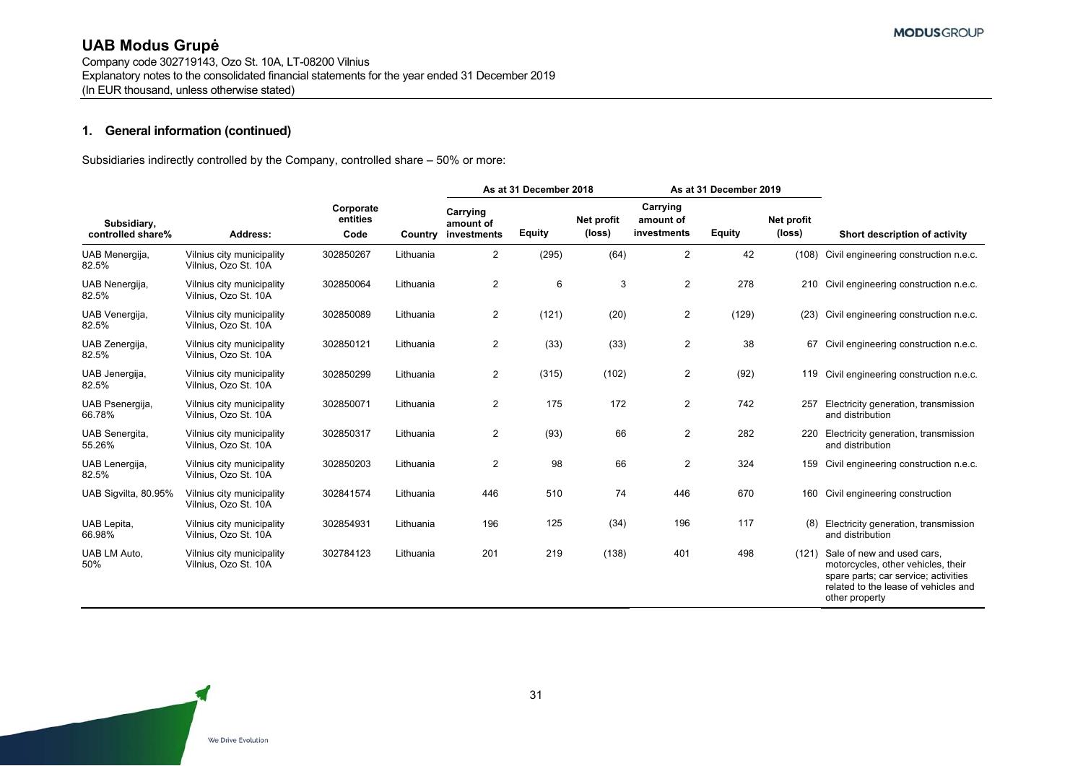Company code 302719143, Ozo St. 10A, LT-08200 Vilnius Explanatory notes to the consolidated financial statements for the year ended 31 December 2019 (In EUR thousand, unless otherwise stated)

## **1. General information (continued)**

Subsidiaries indirectly controlled by the Company, controlled share – 50% or more:

|                                  |                                                   |                               |           | As at 31 December 2018               |        |                      |                                      | As at 31 December 2019 |                      |                                                                                                                                                                    |
|----------------------------------|---------------------------------------------------|-------------------------------|-----------|--------------------------------------|--------|----------------------|--------------------------------------|------------------------|----------------------|--------------------------------------------------------------------------------------------------------------------------------------------------------------------|
| Subsidiary,<br>controlled share% | Address:                                          | Corporate<br>entities<br>Code | Country   | Carrying<br>amount of<br>investments | Equity | Net profit<br>(loss) | Carrying<br>amount of<br>investments | Equity                 | Net profit<br>(loss) | Short description of activity                                                                                                                                      |
| UAB Menergija,<br>82.5%          | Vilnius city municipality<br>Vilnius, Ozo St. 10A | 302850267                     | Lithuania | $\overline{2}$                       | (295)  | (64)                 | 2                                    | 42                     | (108)                | Civil engineering construction n.e.c.                                                                                                                              |
| UAB Nenergija,<br>82.5%          | Vilnius city municipality<br>Vilnius, Ozo St. 10A | 302850064                     | Lithuania | $\overline{2}$                       | 6      | 3                    | $\overline{2}$                       | 278                    |                      | 210 Civil engineering construction n.e.c.                                                                                                                          |
| UAB Venergija,<br>82.5%          | Vilnius city municipality<br>Vilnius, Ozo St. 10A | 302850089                     | Lithuania | $\overline{2}$                       | (121)  | (20)                 | $\overline{c}$                       | (129)                  | (23)                 | Civil engineering construction n.e.c.                                                                                                                              |
| UAB Zenergija,<br>82.5%          | Vilnius city municipality<br>Vilnius, Ozo St. 10A | 302850121                     | Lithuania | $\overline{2}$                       | (33)   | (33)                 | 2                                    | 38                     | 67                   | Civil engineering construction n.e.c.                                                                                                                              |
| UAB Jenergija,<br>82.5%          | Vilnius city municipality<br>Vilnius, Ozo St. 10A | 302850299                     | Lithuania | $\overline{2}$                       | (315)  | (102)                | 2                                    | (92)                   |                      | 119 Civil engineering construction n.e.c.                                                                                                                          |
| UAB Psenergija,<br>66.78%        | Vilnius city municipality<br>Vilnius, Ozo St. 10A | 302850071                     | Lithuania | $\overline{2}$                       | 175    | 172                  | $\overline{c}$                       | 742                    | 257                  | Electricity generation, transmission<br>and distribution                                                                                                           |
| UAB Senergita,<br>55.26%         | Vilnius city municipality<br>Vilnius, Ozo St. 10A | 302850317                     | Lithuania | $\overline{2}$                       | (93)   | 66                   | 2                                    | 282                    | 220                  | Electricity generation, transmission<br>and distribution                                                                                                           |
| UAB Lenergija,<br>82.5%          | Vilnius city municipality<br>Vilnius, Ozo St. 10A | 302850203                     | Lithuania | $\overline{2}$                       | 98     | 66                   | 2                                    | 324                    |                      | 159 Civil engineering construction n.e.c.                                                                                                                          |
| UAB Sigvilta, 80.95%             | Vilnius city municipality<br>Vilnius, Ozo St. 10A | 302841574                     | Lithuania | 446                                  | 510    | 74                   | 446                                  | 670                    | 160                  | Civil engineering construction                                                                                                                                     |
| UAB Lepita,<br>66.98%            | Vilnius city municipality<br>Vilnius, Ozo St. 10A | 302854931                     | Lithuania | 196                                  | 125    | (34)                 | 196                                  | 117                    | (8)                  | Electricity generation, transmission<br>and distribution                                                                                                           |
| <b>UAB LM Auto,</b><br>50%       | Vilnius city municipality<br>Vilnius, Ozo St. 10A | 302784123                     | Lithuania | 201                                  | 219    | (138)                | 401                                  | 498                    | (121)                | Sale of new and used cars.<br>motorcycles, other vehicles, their<br>spare parts; car service; activities<br>related to the lease of vehicles and<br>other property |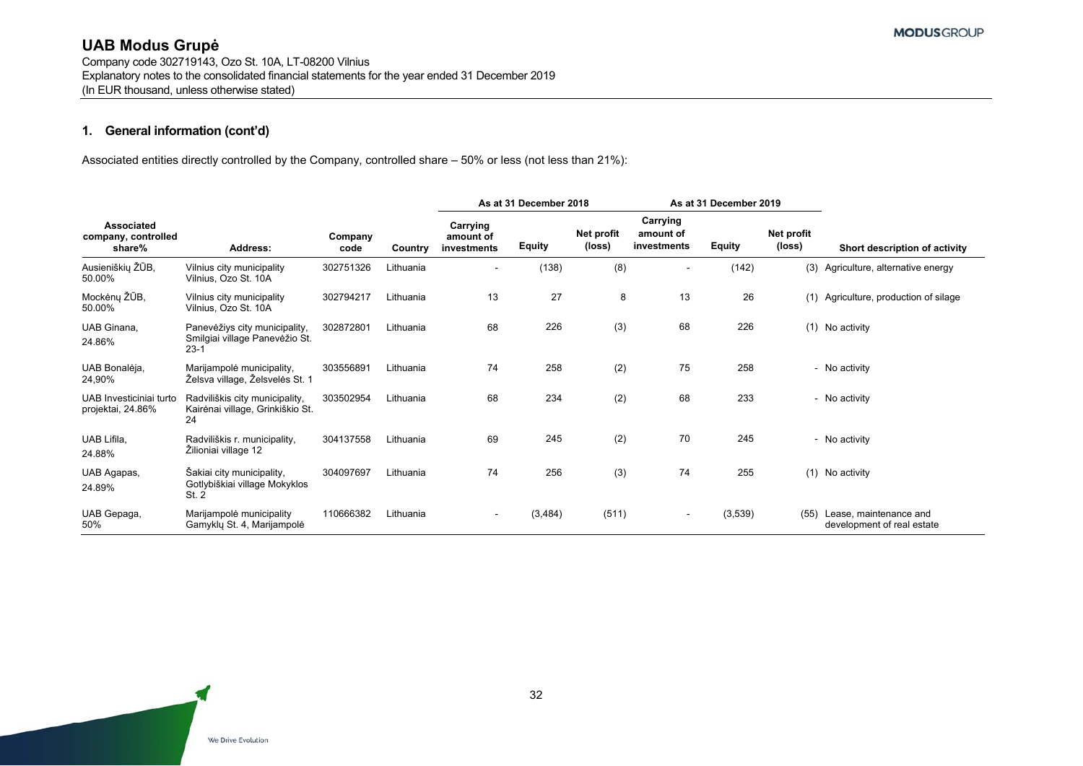## **1. General information (cont'd)**

Associated entities directly controlled by the Company, controlled share – 50% or less (not less than 21%):

|                                                    |                                                                           |                 |           | As at 31 December 2018               |               |                      | As at 31 December 2019               |               |                      |                                                      |
|----------------------------------------------------|---------------------------------------------------------------------------|-----------------|-----------|--------------------------------------|---------------|----------------------|--------------------------------------|---------------|----------------------|------------------------------------------------------|
| <b>Associated</b><br>company, controlled<br>share% | Address:                                                                  | Company<br>code | Country   | Carrying<br>amount of<br>investments | <b>Equity</b> | Net profit<br>(loss) | Carrying<br>amount of<br>investments | <b>Equity</b> | Net profit<br>(loss) | Short description of activity                        |
| Ausieniškių ŽŪB,<br>50.00%                         | Vilnius city municipality<br>Vilnius, Ozo St. 10A                         | 302751326       | Lithuania | $\sim$                               | (138)         | (8)                  | $\overline{\phantom{a}}$             | (142)         | (3)                  | Agriculture, alternative energy                      |
| Mockėnų ŽŪB,<br>50.00%                             | Vilnius city municipality<br>Vilnius, Ozo St. 10A                         | 302794217       | Lithuania | 13                                   | 27            | 8                    | 13                                   | 26            |                      | (1) Agriculture, production of silage                |
| UAB Ginana,<br>24.86%                              | Panevėžiys city municipality,<br>Smilgiai village Panevėžio St.<br>$23-1$ | 302872801       | Lithuania | 68                                   | 226           | (3)                  | 68                                   | 226           |                      | (1) No activity                                      |
| UAB Bonalėja,<br>24,90%                            | Marijampolė municipality,<br>Želsva village, Želsvelės St. 1              | 303556891       | Lithuania | 74                                   | 258           | (2)                  | 75                                   | 258           |                      | - No activity                                        |
| UAB Investiciniai turto<br>projektai, 24.86%       | Radviliškis city municipality,<br>Kairėnai village, Grinkiškio St.<br>24  | 303502954       | Lithuania | 68                                   | 234           | (2)                  | 68                                   | 233           |                      | - No activity                                        |
| UAB Lifila,<br>24.88%                              | Radviliškis r. municipality,<br>Žilioniai village 12                      | 304137558       | Lithuania | 69                                   | 245           | (2)                  | 70                                   | 245           |                      | - No activity                                        |
| UAB Agapas,<br>24.89%                              | Šakiai city municipality,<br>Gotlybiškiai village Mokyklos<br>St. 2       | 304097697       | Lithuania | 74                                   | 256           | (3)                  | 74                                   | 255           |                      | (1) No activity                                      |
| UAB Gepaga,<br>50%                                 | Marijampolė municipality<br>Gamykly St. 4, Marijampolė                    | 110666382       | Lithuania | $\overline{\phantom{a}}$             | (3, 484)      | (511)                | $\sim$                               | (3,539)       | (55)                 | Lease, maintenance and<br>development of real estate |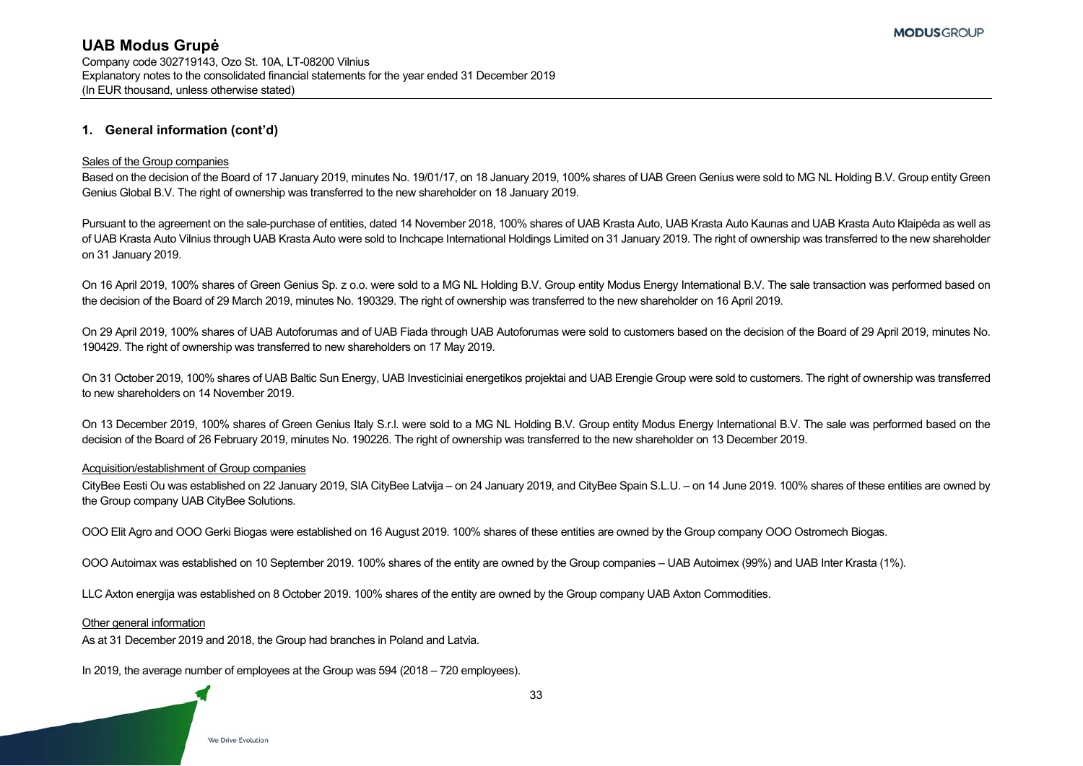## **1. General information (cont'd)**

#### Sales of the Group companies

Based on the decision of the Board of 17 January 2019, minutes No. 19/01/17, on 18 January 2019, 100% shares of UAB Green Genius were sold to MG NL Holding B.V. Group entity Green Genius Global B.V. The right of ownership was transferred to the new shareholder on 18 January 2019.

Pursuant to the agreement on the sale-purchase of entities, dated 14 November 2018, 100% shares of UAB Krasta Auto, UAB Krasta Auto Kaunas and UAB Krasta Auto Klaipėda as well as of UAB Krasta Auto Vilnius through UAB Krasta Auto were sold to Inchcape International Holdings Limited on 31 January 2019. The right of ownership was transferred to the new shareholder on 31 January 2019.

On 16 April 2019, 100% shares of Green Genius Sp. z o.o. were sold to a MG NL Holding B.V. Group entity Modus Energy International B.V. The sale transaction was performed based on the decision of the Board of 29 March 2019, minutes No. 190329. The right of ownership was transferred to the new shareholder on 16 April 2019.

On 29 April 2019, 100% shares of UAB Autoforumas and of UAB Fiada through UAB Autoforumas were sold to customers based on the decision of the Board of 29 April 2019, minutes No. 190429. The right of ownership was transferred to new shareholders on 17 May 2019.

On 31 October 2019, 100% shares of UAB Baltic Sun Energy, UAB Investiciniai energetikos projektai and UAB Erengie Group were sold to customers. The right of ownership was transferred to new shareholders on 14 November 2019.

On 13 December 2019, 100% shares of Green Genius Italy S.r.l. were sold to a MG NL Holding B.V. Group entity Modus Energy International B.V. The sale was performed based on the decision of the Board of 26 February 2019, minutes No. 190226. The right of ownership was transferred to the new shareholder on 13 December 2019.

#### Acquisition/establishment of Group companies

CityBee Eesti Ou was established on 22 January 2019, SIA CityBee Latvija – on 24 January 2019, and CityBee Spain S.L.U. – on 14 June 2019. 100% shares of these entities are owned by the Group company UAB CityBee Solutions.

OOO Elit Agro and OOO Gerki Biogas were established on 16 August 2019. 100% shares of these entities are owned by the Group company OOO Ostromech Biogas.

OOO Autoimax was established on 10 September 2019. 100% shares of the entity are owned by the Group companies – UAB Autoimex (99%) and UAB Inter Krasta (1%).

LLC Axton energija was established on 8 October 2019. 100% shares of the entity are owned by the Group company UAB Axton Commodities.

#### Other general information

As at 31 December 2019 and 2018, the Group had branches in Poland and Latvia.

In 2019, the average number of employees at the Group was 594 (2018 – 720 employees).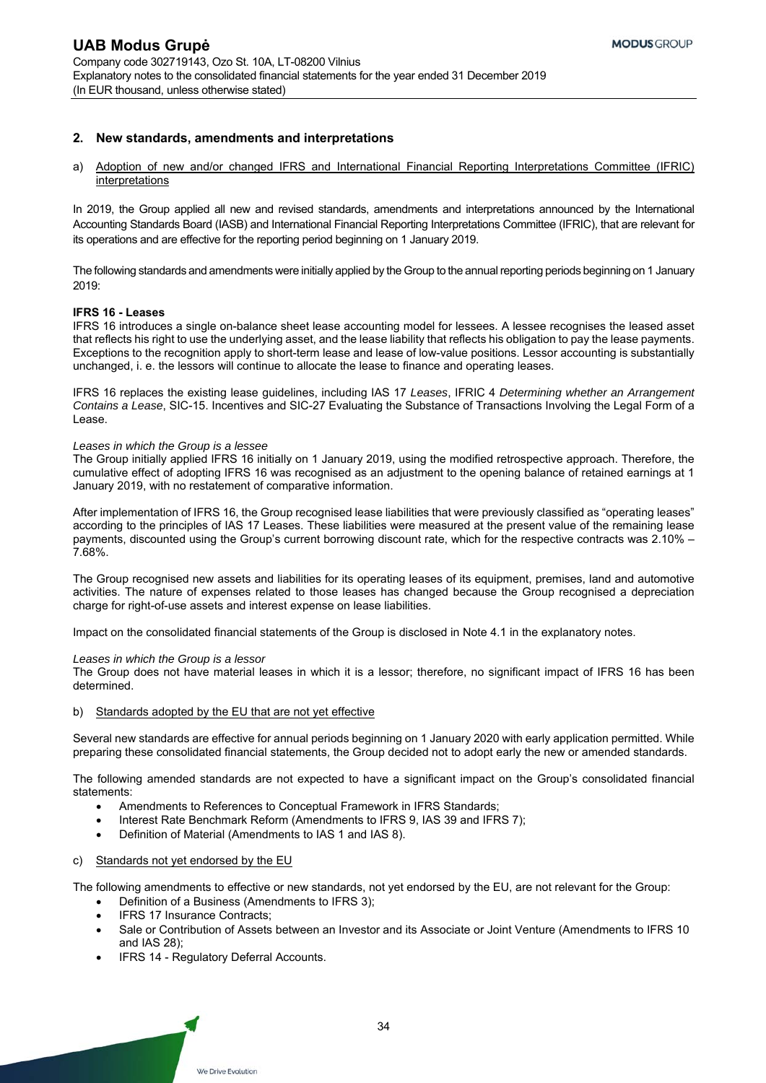#### **2. New standards, amendments and interpretations**

a) Adoption of new and/or changed IFRS and International Financial Reporting Interpretations Committee (IFRIC) interpretations

In 2019, the Group applied all new and revised standards, amendments and interpretations announced by the International Accounting Standards Board (IASB) and International Financial Reporting Interpretations Committee (IFRIC), that are relevant for its operations and are effective for the reporting period beginning on 1 January 2019.

The following standards and amendments were initially applied by the Group to the annual reporting periods beginning on 1 January 2019:

#### **IFRS 16 - Leases**

IFRS 16 introduces a single on-balance sheet lease accounting model for lessees. A lessee recognises the leased asset that reflects his right to use the underlying asset, and the lease liability that reflects his obligation to pay the lease payments. Exceptions to the recognition apply to short-term lease and lease of low-value positions. Lessor accounting is substantially unchanged, i. e. the lessors will continue to allocate the lease to finance and operating leases.

IFRS 16 replaces the existing lease guidelines, including IAS 17 *Leases*, IFRIC 4 *Determining whether an Arrangement Contains a Lease*, SIC-15. Incentives and SIC-27 Evaluating the Substance of Transactions Involving the Legal Form of a Lease.

#### *Leases in which the Group is a lessee*

The Group initially applied IFRS 16 initially on 1 January 2019, using the modified retrospective approach. Therefore, the cumulative effect of adopting IFRS 16 was recognised as an adjustment to the opening balance of retained earnings at 1 January 2019, with no restatement of comparative information.

After implementation of IFRS 16, the Group recognised lease liabilities that were previously classified as "operating leases" according to the principles of IAS 17 Leases. These liabilities were measured at the present value of the remaining lease payments, discounted using the Group's current borrowing discount rate, which for the respective contracts was 2.10% – 7.68%.

The Group recognised new assets and liabilities for its operating leases of its equipment, premises, land and automotive activities. The nature of expenses related to those leases has changed because the Group recognised a depreciation charge for right-of-use assets and interest expense on lease liabilities.

Impact on the consolidated financial statements of the Group is disclosed in Note 4.1 in the explanatory notes.

#### *Leases in which the Group is a lessor*

The Group does not have material leases in which it is a lessor; therefore, no significant impact of IFRS 16 has been determined.

#### b) Standards adopted by the EU that are not yet effective

Several new standards are effective for annual periods beginning on 1 January 2020 with early application permitted. While preparing these consolidated financial statements, the Group decided not to adopt early the new or amended standards.

The following amended standards are not expected to have a significant impact on the Group's consolidated financial statements:

- Amendments to References to Conceptual Framework in IFRS Standards;
- Interest Rate Benchmark Reform (Amendments to IFRS 9, IAS 39 and IFRS 7);
- Definition of Material (Amendments to IAS 1 and IAS 8).

#### c) Standards not yet endorsed by the EU

The following amendments to effective or new standards, not yet endorsed by the EU, are not relevant for the Group:

- Definition of a Business (Amendments to IFRS 3);
- IFRS 17 Insurance Contracts;
- Sale or Contribution of Assets between an Investor and its Associate or Joint Venture (Amendments to IFRS 10 and IAS 28);
- IFRS 14 Regulatory Deferral Accounts.

We Drive Evolution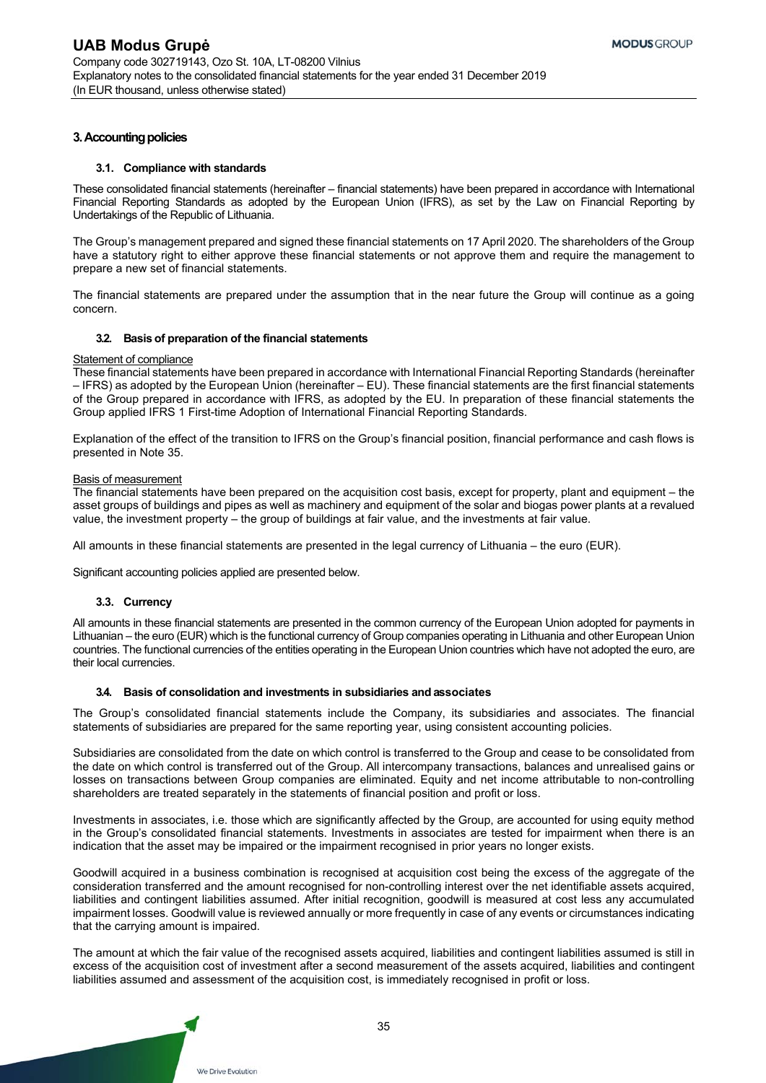#### **3. Accounting policies**

#### **3.1. Compliance with standards**

These consolidated financial statements (hereinafter – financial statements) have been prepared in accordance with International Financial Reporting Standards as adopted by the European Union (IFRS), as set by the Law on Financial Reporting by Undertakings of the Republic of Lithuania.

The Group's management prepared and signed these financial statements on 17 April 2020. The shareholders of the Group have a statutory right to either approve these financial statements or not approve them and require the management to prepare a new set of financial statements.

The financial statements are prepared under the assumption that in the near future the Group will continue as a going concern.

#### **3.2. Basis of preparation of the financial statements**

#### Statement of compliance

These financial statements have been prepared in accordance with International Financial Reporting Standards (hereinafter – IFRS) as adopted by the European Union (hereinafter – EU). These financial statements are the first financial statements of the Group prepared in accordance with IFRS, as adopted by the EU. In preparation of these financial statements the Group applied IFRS 1 First-time Adoption of International Financial Reporting Standards.

Explanation of the effect of the transition to IFRS on the Group's financial position, financial performance and cash flows is presented in Note 35.

#### Basis of measurement

The financial statements have been prepared on the acquisition cost basis, except for property, plant and equipment – the asset groups of buildings and pipes as well as machinery and equipment of the solar and biogas power plants at a revalued value, the investment property – the group of buildings at fair value, and the investments at fair value.

All amounts in these financial statements are presented in the legal currency of Lithuania – the euro (EUR).

Significant accounting policies applied are presented below.

#### **3.3. Currency**

All amounts in these financial statements are presented in the common currency of the European Union adopted for payments in Lithuanian – the euro (EUR) which is the functional currency of Group companies operating in Lithuania and other European Union countries. The functional currencies of the entities operating in the European Union countries which have not adopted the euro, are their local currencies.

#### **3.4. Basis of consolidation and investments in subsidiaries and associates**

The Group's consolidated financial statements include the Company, its subsidiaries and associates. The financial statements of subsidiaries are prepared for the same reporting year, using consistent accounting policies.

Subsidiaries are consolidated from the date on which control is transferred to the Group and cease to be consolidated from the date on which control is transferred out of the Group. All intercompany transactions, balances and unrealised gains or losses on transactions between Group companies are eliminated. Equity and net income attributable to non-controlling shareholders are treated separately in the statements of financial position and profit or loss.

Investments in associates, i.e. those which are significantly affected by the Group, are accounted for using equity method in the Group's consolidated financial statements. Investments in associates are tested for impairment when there is an indication that the asset may be impaired or the impairment recognised in prior years no longer exists.

Goodwill acquired in a business combination is recognised at acquisition cost being the excess of the aggregate of the consideration transferred and the amount recognised for non-controlling interest over the net identifiable assets acquired, liabilities and contingent liabilities assumed. After initial recognition, goodwill is measured at cost less any accumulated impairment losses. Goodwill value is reviewed annually or more frequently in case of any events or circumstances indicating that the carrying amount is impaired.

The amount at which the fair value of the recognised assets acquired, liabilities and contingent liabilities assumed is still in excess of the acquisition cost of investment after a second measurement of the assets acquired, liabilities and contingent liabilities assumed and assessment of the acquisition cost, is immediately recognised in profit or loss.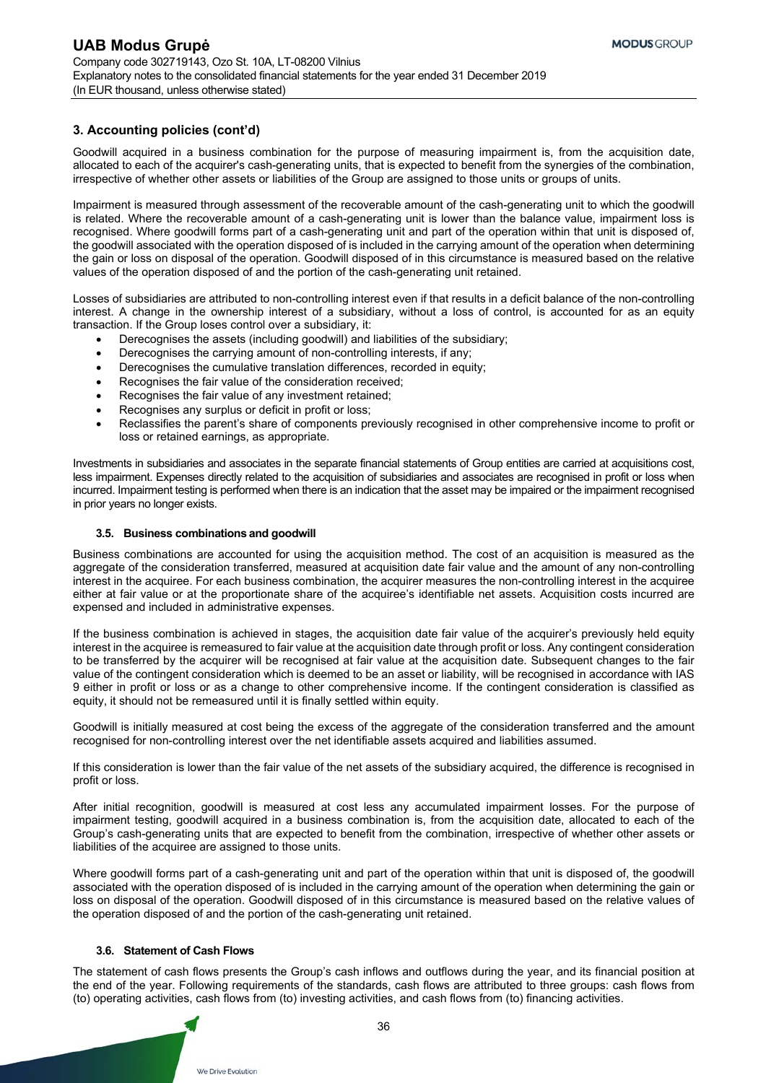Goodwill acquired in a business combination for the purpose of measuring impairment is, from the acquisition date, allocated to each of the acquirer's cash-generating units, that is expected to benefit from the synergies of the combination, irrespective of whether other assets or liabilities of the Group are assigned to those units or groups of units.

Impairment is measured through assessment of the recoverable amount of the cash-generating unit to which the goodwill is related. Where the recoverable amount of a cash-generating unit is lower than the balance value, impairment loss is recognised. Where goodwill forms part of a cash-generating unit and part of the operation within that unit is disposed of, the goodwill associated with the operation disposed of is included in the carrying amount of the operation when determining the gain or loss on disposal of the operation. Goodwill disposed of in this circumstance is measured based on the relative values of the operation disposed of and the portion of the cash-generating unit retained.

Losses of subsidiaries are attributed to non-controlling interest even if that results in a deficit balance of the non-controlling interest. A change in the ownership interest of a subsidiary, without a loss of control, is accounted for as an equity transaction. If the Group loses control over a subsidiary, it:

- Derecognises the assets (including goodwill) and liabilities of the subsidiary;
- Derecognises the carrying amount of non-controlling interests, if any;
- Derecognises the cumulative translation differences, recorded in equity;
- Recognises the fair value of the consideration received;
- Recognises the fair value of any investment retained;
- Recognises any surplus or deficit in profit or loss;
- Reclassifies the parent's share of components previously recognised in other comprehensive income to profit or loss or retained earnings, as appropriate.

Investments in subsidiaries and associates in the separate financial statements of Group entities are carried at acquisitions cost, less impairment. Expenses directly related to the acquisition of subsidiaries and associates are recognised in profit or loss when incurred. Impairment testing is performed when there is an indication that the asset may be impaired or the impairment recognised in prior years no longer exists.

### **3.5. Business combinations and goodwill**

Business combinations are accounted for using the acquisition method. The cost of an acquisition is measured as the aggregate of the consideration transferred, measured at acquisition date fair value and the amount of any non-controlling interest in the acquiree. For each business combination, the acquirer measures the non-controlling interest in the acquiree either at fair value or at the proportionate share of the acquiree's identifiable net assets. Acquisition costs incurred are expensed and included in administrative expenses.

If the business combination is achieved in stages, the acquisition date fair value of the acquirer's previously held equity interest in the acquiree is remeasured to fair value at the acquisition date through profit or loss. Any contingent consideration to be transferred by the acquirer will be recognised at fair value at the acquisition date. Subsequent changes to the fair value of the contingent consideration which is deemed to be an asset or liability, will be recognised in accordance with IAS 9 either in profit or loss or as a change to other comprehensive income. If the contingent consideration is classified as equity, it should not be remeasured until it is finally settled within equity.

Goodwill is initially measured at cost being the excess of the aggregate of the consideration transferred and the amount recognised for non-controlling interest over the net identifiable assets acquired and liabilities assumed.

If this consideration is lower than the fair value of the net assets of the subsidiary acquired, the difference is recognised in profit or loss.

After initial recognition, goodwill is measured at cost less any accumulated impairment losses. For the purpose of impairment testing, goodwill acquired in a business combination is, from the acquisition date, allocated to each of the Group's cash-generating units that are expected to benefit from the combination, irrespective of whether other assets or liabilities of the acquiree are assigned to those units.

Where goodwill forms part of a cash-generating unit and part of the operation within that unit is disposed of, the goodwill associated with the operation disposed of is included in the carrying amount of the operation when determining the gain or loss on disposal of the operation. Goodwill disposed of in this circumstance is measured based on the relative values of the operation disposed of and the portion of the cash-generating unit retained.

## **3.6. Statement of Cash Flows**

The statement of cash flows presents the Group's cash inflows and outflows during the year, and its financial position at the end of the year. Following requirements of the standards, cash flows are attributed to three groups: cash flows from (to) operating activities, cash flows from (to) investing activities, and cash flows from (to) financing activities.



We Drive Evolution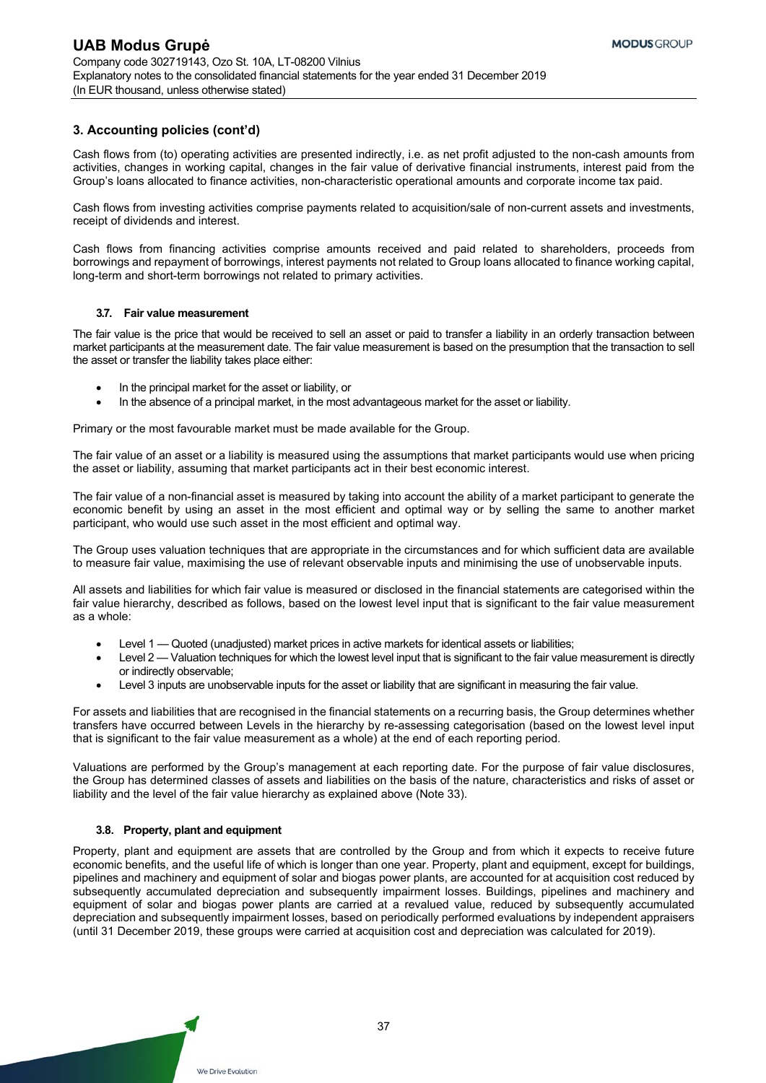Cash flows from (to) operating activities are presented indirectly, i.e. as net profit adjusted to the non-cash amounts from activities, changes in working capital, changes in the fair value of derivative financial instruments, interest paid from the Group's loans allocated to finance activities, non-characteristic operational amounts and corporate income tax paid.

Cash flows from investing activities comprise payments related to acquisition/sale of non-current assets and investments, receipt of dividends and interest.

Cash flows from financing activities comprise amounts received and paid related to shareholders, proceeds from borrowings and repayment of borrowings, interest payments not related to Group loans allocated to finance working capital, long-term and short-term borrowings not related to primary activities.

## **3.7. Fair value measurement**

The fair value is the price that would be received to sell an asset or paid to transfer a liability in an orderly transaction between market participants at the measurement date. The fair value measurement is based on the presumption that the transaction to sell the asset or transfer the liability takes place either:

- In the principal market for the asset or liability, or
- In the absence of a principal market, in the most advantageous market for the asset or liability.

Primary or the most favourable market must be made available for the Group.

The fair value of an asset or a liability is measured using the assumptions that market participants would use when pricing the asset or liability, assuming that market participants act in their best economic interest.

The fair value of a non-financial asset is measured by taking into account the ability of a market participant to generate the economic benefit by using an asset in the most efficient and optimal way or by selling the same to another market participant, who would use such asset in the most efficient and optimal way.

The Group uses valuation techniques that are appropriate in the circumstances and for which sufficient data are available to measure fair value, maximising the use of relevant observable inputs and minimising the use of unobservable inputs.

All assets and liabilities for which fair value is measured or disclosed in the financial statements are categorised within the fair value hierarchy, described as follows, based on the lowest level input that is significant to the fair value measurement as a whole:

- Level 1 Quoted (unadjusted) market prices in active markets for identical assets or liabilities;
- Level 2 Valuation techniques for which the lowest level input that is significant to the fair value measurement is directly or indirectly observable;
- Level 3 inputs are unobservable inputs for the asset or liability that are significant in measuring the fair value.

For assets and liabilities that are recognised in the financial statements on a recurring basis, the Group determines whether transfers have occurred between Levels in the hierarchy by re-assessing categorisation (based on the lowest level input that is significant to the fair value measurement as a whole) at the end of each reporting period.

Valuations are performed by the Group's management at each reporting date. For the purpose of fair value disclosures, the Group has determined classes of assets and liabilities on the basis of the nature, characteristics and risks of asset or liability and the level of the fair value hierarchy as explained above (Note 33).

## **3.8. Property, plant and equipment**

Property, plant and equipment are assets that are controlled by the Group and from which it expects to receive future economic benefits, and the useful life of which is longer than one year. Property, plant and equipment, except for buildings, pipelines and machinery and equipment of solar and biogas power plants, are accounted for at acquisition cost reduced by subsequently accumulated depreciation and subsequently impairment losses. Buildings, pipelines and machinery and equipment of solar and biogas power plants are carried at a revalued value, reduced by subsequently accumulated depreciation and subsequently impairment losses, based on periodically performed evaluations by independent appraisers (until 31 December 2019, these groups were carried at acquisition cost and depreciation was calculated for 2019).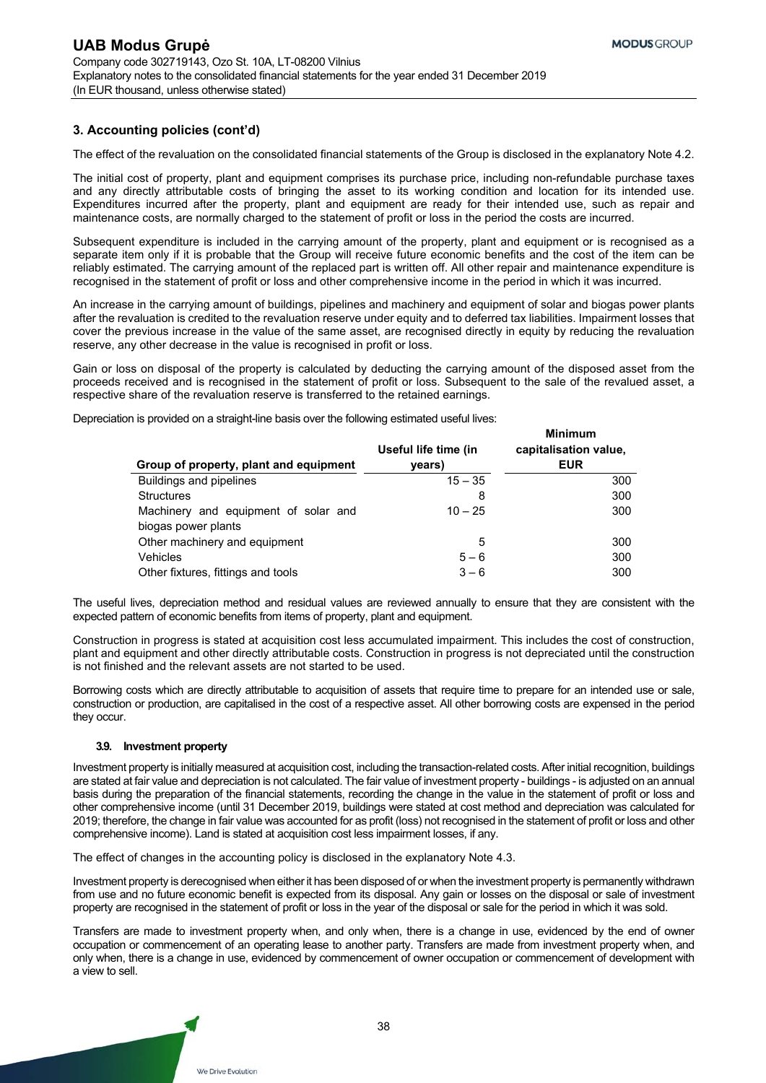**Minimum** 

## **3. Accounting policies (cont'd)**

The effect of the revaluation on the consolidated financial statements of the Group is disclosed in the explanatory Note 4.2.

The initial cost of property, plant and equipment comprises its purchase price, including non-refundable purchase taxes and any directly attributable costs of bringing the asset to its working condition and location for its intended use. Expenditures incurred after the property, plant and equipment are ready for their intended use, such as repair and maintenance costs, are normally charged to the statement of profit or loss in the period the costs are incurred.

Subsequent expenditure is included in the carrying amount of the property, plant and equipment or is recognised as a separate item only if it is probable that the Group will receive future economic benefits and the cost of the item can be reliably estimated. The carrying amount of the replaced part is written off. All other repair and maintenance expenditure is recognised in the statement of profit or loss and other comprehensive income in the period in which it was incurred.

An increase in the carrying amount of buildings, pipelines and machinery and equipment of solar and biogas power plants after the revaluation is credited to the revaluation reserve under equity and to deferred tax liabilities. Impairment losses that cover the previous increase in the value of the same asset, are recognised directly in equity by reducing the revaluation reserve, any other decrease in the value is recognised in profit or loss.

Gain or loss on disposal of the property is calculated by deducting the carrying amount of the disposed asset from the proceeds received and is recognised in the statement of profit or loss. Subsequent to the sale of the revalued asset, a respective share of the revaluation reserve is transferred to the retained earnings.

Depreciation is provided on a straight-line basis over the following estimated useful lives:

|                                        | Useful life time (in | ,,,,,,,,,,,,,,<br>capitalisation value, |
|----------------------------------------|----------------------|-----------------------------------------|
| Group of property, plant and equipment | years)               | <b>EUR</b>                              |
| Buildings and pipelines                | $15 - 35$            | 300                                     |
| <b>Structures</b>                      | 8                    | 300                                     |
| Machinery and equipment of solar and   | $10 - 25$            | 300                                     |
| biogas power plants                    |                      |                                         |
| Other machinery and equipment          | 5                    | 300                                     |
| Vehicles                               | $5 - 6$              | 300                                     |
| Other fixtures, fittings and tools     | $3 - 6$              | 300                                     |

The useful lives, depreciation method and residual values are reviewed annually to ensure that they are consistent with the expected pattern of economic benefits from items of property, plant and equipment.

Construction in progress is stated at acquisition cost less accumulated impairment. This includes the cost of construction, plant and equipment and other directly attributable costs. Construction in progress is not depreciated until the construction is not finished and the relevant assets are not started to be used.

Borrowing costs which are directly attributable to acquisition of assets that require time to prepare for an intended use or sale, construction or production, are capitalised in the cost of a respective asset. All other borrowing costs are expensed in the period they occur.

#### **3.9. Investment property**

Investment property is initially measured at acquisition cost, including the transaction-related costs. After initial recognition, buildings are stated at fair value and depreciation is not calculated. The fair value of investment property - buildings - is adjusted on an annual basis during the preparation of the financial statements, recording the change in the value in the statement of profit or loss and other comprehensive income (until 31 December 2019, buildings were stated at cost method and depreciation was calculated for 2019; therefore, the change in fair value was accounted for as profit (loss) not recognised in the statement of profit or loss and other comprehensive income). Land is stated at acquisition cost less impairment losses, if any.

The effect of changes in the accounting policy is disclosed in the explanatory Note 4.3.

Investment property is derecognised when either it has been disposed of or when the investment property is permanently withdrawn from use and no future economic benefit is expected from its disposal. Any gain or losses on the disposal or sale of investment property are recognised in the statement of profit or loss in the year of the disposal or sale for the period in which it was sold.

Transfers are made to investment property when, and only when, there is a change in use, evidenced by the end of owner occupation or commencement of an operating lease to another party. Transfers are made from investment property when, and only when, there is a change in use, evidenced by commencement of owner occupation or commencement of development with a view to sell.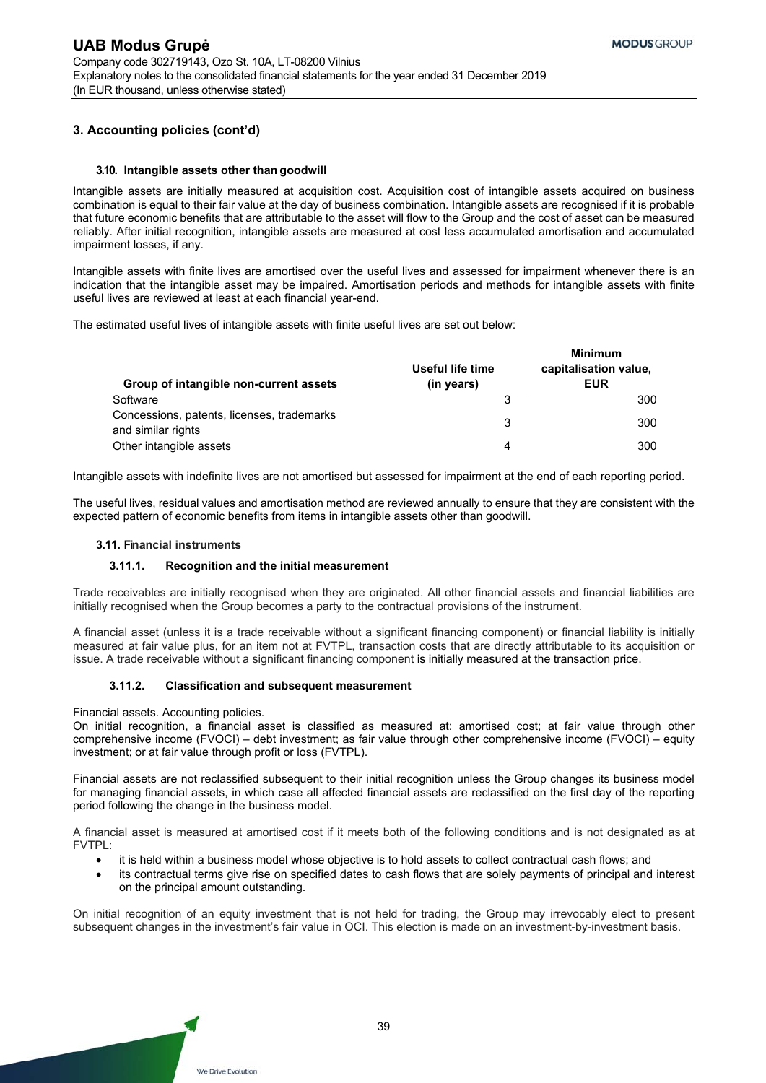## **3.10. Intangible assets other than goodwill**

Intangible assets are initially measured at acquisition cost. Acquisition cost of intangible assets acquired on business combination is equal to their fair value at the day of business combination. Intangible assets are recognised if it is probable that future economic benefits that are attributable to the asset will flow to the Group and the cost of asset can be measured reliably. After initial recognition, intangible assets are measured at cost less accumulated amortisation and accumulated impairment losses, if any.

Intangible assets with finite lives are amortised over the useful lives and assessed for impairment whenever there is an indication that the intangible asset may be impaired. Amortisation periods and methods for intangible assets with finite useful lives are reviewed at least at each financial year-end.

The estimated useful lives of intangible assets with finite useful lives are set out below:

| Group of intangible non-current assets                           | Useful life time<br>(in years) | <b>Minimum</b><br>capitalisation value,<br><b>EUR</b> |
|------------------------------------------------------------------|--------------------------------|-------------------------------------------------------|
| Software                                                         |                                | 300                                                   |
| Concessions, patents, licenses, trademarks<br>and similar rights | 3                              | 300                                                   |
| Other intangible assets                                          |                                | 300                                                   |

Intangible assets with indefinite lives are not amortised but assessed for impairment at the end of each reporting period.

The useful lives, residual values and amortisation method are reviewed annually to ensure that they are consistent with the expected pattern of economic benefits from items in intangible assets other than goodwill.

#### **3.11. Financial instruments**

#### **3.11.1. Recognition and the initial measurement**

Trade receivables are initially recognised when they are originated. All other financial assets and financial liabilities are initially recognised when the Group becomes a party to the contractual provisions of the instrument.

A financial asset (unless it is a trade receivable without a significant financing component) or financial liability is initially measured at fair value plus, for an item not at FVTPL, transaction costs that are directly attributable to its acquisition or issue. A trade receivable without a significant financing component is initially measured at the transaction price.

### **3.11.2. Classification and subsequent measurement**

Financial assets. Accounting policies.

On initial recognition, a financial asset is classified as measured at: amortised cost; at fair value through other comprehensive income (FVOCI) – debt investment; as fair value through other comprehensive income (FVOCI) – equity investment; or at fair value through profit or loss (FVTPL).

Financial assets are not reclassified subsequent to their initial recognition unless the Group changes its business model for managing financial assets, in which case all affected financial assets are reclassified on the first day of the reporting period following the change in the business model.

A financial asset is measured at amortised cost if it meets both of the following conditions and is not designated as at FVTPL:

- it is held within a business model whose objective is to hold assets to collect contractual cash flows; and
- its contractual terms give rise on specified dates to cash flows that are solely payments of principal and interest on the principal amount outstanding.

On initial recognition of an equity investment that is not held for trading, the Group may irrevocably elect to present subsequent changes in the investment's fair value in OCI. This election is made on an investment-by-investment basis.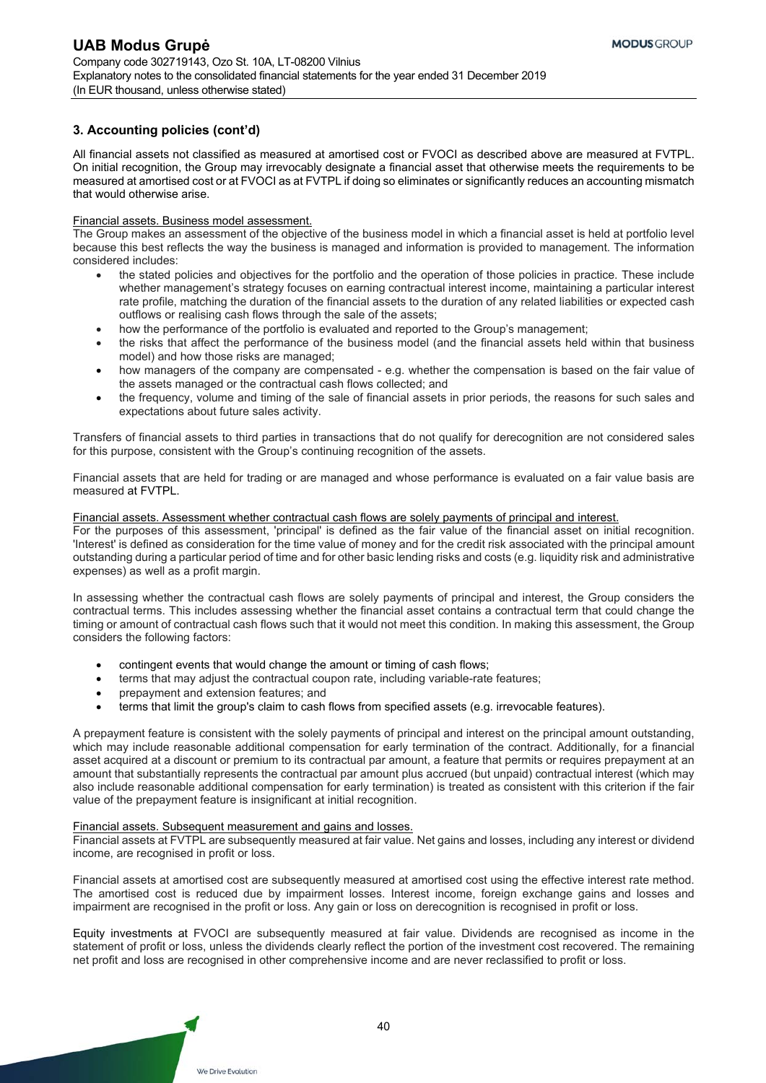All financial assets not classified as measured at amortised cost or FVOCI as described above are measured at FVTPL. On initial recognition, the Group may irrevocably designate a financial asset that otherwise meets the requirements to be measured at amortised cost or at FVOCI as at FVTPL if doing so eliminates or significantly reduces an accounting mismatch that would otherwise arise.

## Financial assets. Business model assessment.

The Group makes an assessment of the objective of the business model in which a financial asset is held at portfolio level because this best reflects the way the business is managed and information is provided to management. The information considered includes:

- the stated policies and objectives for the portfolio and the operation of those policies in practice. These include whether management's strategy focuses on earning contractual interest income, maintaining a particular interest rate profile, matching the duration of the financial assets to the duration of any related liabilities or expected cash outflows or realising cash flows through the sale of the assets;
- how the performance of the portfolio is evaluated and reported to the Group's management;
- the risks that affect the performance of the business model (and the financial assets held within that business model) and how those risks are managed;
- how managers of the company are compensated e.g. whether the compensation is based on the fair value of the assets managed or the contractual cash flows collected; and
- the frequency, volume and timing of the sale of financial assets in prior periods, the reasons for such sales and expectations about future sales activity.

Transfers of financial assets to third parties in transactions that do not qualify for derecognition are not considered sales for this purpose, consistent with the Group's continuing recognition of the assets.

Financial assets that are held for trading or are managed and whose performance is evaluated on a fair value basis are measured at FVTPL.

### Financial assets. Assessment whether contractual cash flows are solely payments of principal and interest.

For the purposes of this assessment, 'principal' is defined as the fair value of the financial asset on initial recognition. 'Interest' is defined as consideration for the time value of money and for the credit risk associated with the principal amount outstanding during a particular period of time and for other basic lending risks and costs (e.g. liquidity risk and administrative expenses) as well as a profit margin.

In assessing whether the contractual cash flows are solely payments of principal and interest, the Group considers the contractual terms. This includes assessing whether the financial asset contains a contractual term that could change the timing or amount of contractual cash flows such that it would not meet this condition. In making this assessment, the Group considers the following factors:

- contingent events that would change the amount or timing of cash flows;
- terms that may adjust the contractual coupon rate, including variable-rate features;
- prepayment and extension features; and
- terms that limit the group's claim to cash flows from specified assets (e.g. irrevocable features).

A prepayment feature is consistent with the solely payments of principal and interest on the principal amount outstanding, which may include reasonable additional compensation for early termination of the contract. Additionally, for a financial asset acquired at a discount or premium to its contractual par amount, a feature that permits or requires prepayment at an amount that substantially represents the contractual par amount plus accrued (but unpaid) contractual interest (which may also include reasonable additional compensation for early termination) is treated as consistent with this criterion if the fair value of the prepayment feature is insignificant at initial recognition.

#### Financial assets. Subsequent measurement and gains and losses.

Financial assets at FVTPL are subsequently measured at fair value. Net gains and losses, including any interest or dividend income, are recognised in profit or loss.

Financial assets at amortised cost are subsequently measured at amortised cost using the effective interest rate method. The amortised cost is reduced due by impairment losses. Interest income, foreign exchange gains and losses and impairment are recognised in the profit or loss. Any gain or loss on derecognition is recognised in profit or loss.

Equity investments at FVOCI are subsequently measured at fair value. Dividends are recognised as income in the statement of profit or loss, unless the dividends clearly reflect the portion of the investment cost recovered. The remaining net profit and loss are recognised in other comprehensive income and are never reclassified to profit or loss.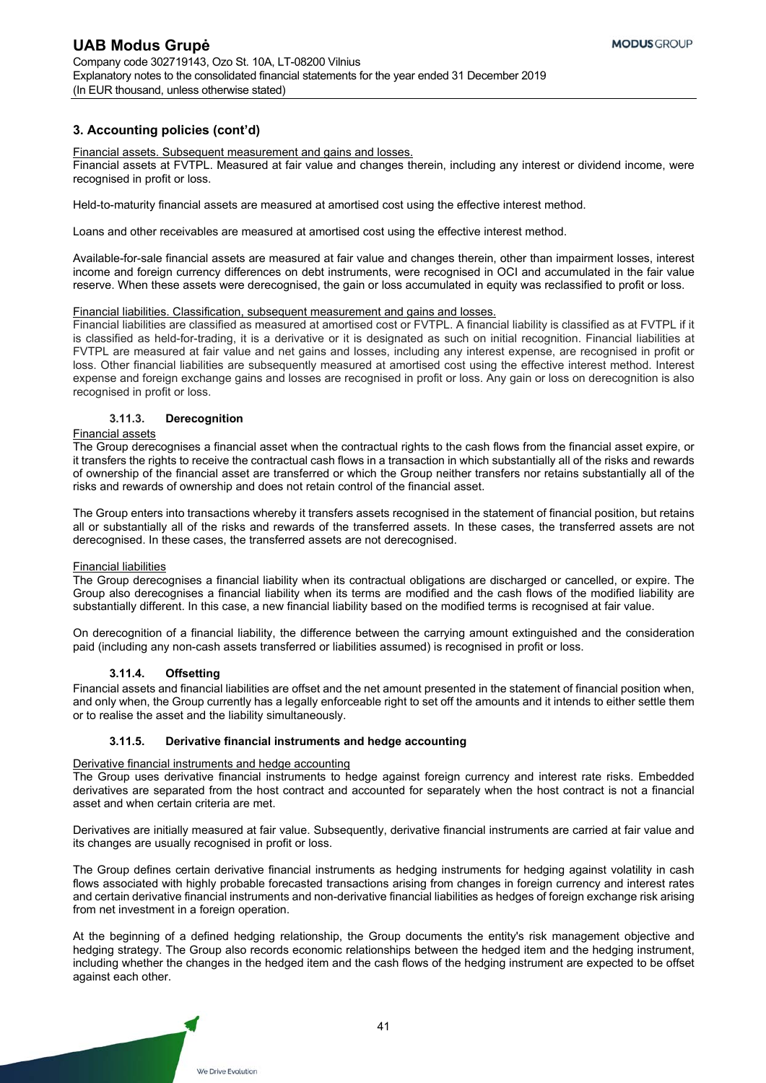## Financial assets. Subsequent measurement and gains and losses.

Financial assets at FVTPL. Measured at fair value and changes therein, including any interest or dividend income, were recognised in profit or loss.

Held-to-maturity financial assets are measured at amortised cost using the effective interest method.

Loans and other receivables are measured at amortised cost using the effective interest method.

Available-for-sale financial assets are measured at fair value and changes therein, other than impairment losses, interest income and foreign currency differences on debt instruments, were recognised in OCI and accumulated in the fair value reserve. When these assets were derecognised, the gain or loss accumulated in equity was reclassified to profit or loss.

## Financial liabilities. Classification, subsequent measurement and gains and losses.

Financial liabilities are classified as measured at amortised cost or FVTPL. A financial liability is classified as at FVTPL if it is classified as held-for-trading, it is a derivative or it is designated as such on initial recognition. Financial liabilities at FVTPL are measured at fair value and net gains and losses, including any interest expense, are recognised in profit or loss. Other financial liabilities are subsequently measured at amortised cost using the effective interest method. Interest expense and foreign exchange gains and losses are recognised in profit or loss. Any gain or loss on derecognition is also recognised in profit or loss.

## **3.11.3. Derecognition**

### Financial assets

The Group derecognises a financial asset when the contractual rights to the cash flows from the financial asset expire, or it transfers the rights to receive the contractual cash flows in a transaction in which substantially all of the risks and rewards of ownership of the financial asset are transferred or which the Group neither transfers nor retains substantially all of the risks and rewards of ownership and does not retain control of the financial asset.

The Group enters into transactions whereby it transfers assets recognised in the statement of financial position, but retains all or substantially all of the risks and rewards of the transferred assets. In these cases, the transferred assets are not derecognised. In these cases, the transferred assets are not derecognised.

## Financial liabilities

The Group derecognises a financial liability when its contractual obligations are discharged or cancelled, or expire. The Group also derecognises a financial liability when its terms are modified and the cash flows of the modified liability are substantially different. In this case, a new financial liability based on the modified terms is recognised at fair value.

On derecognition of a financial liability, the difference between the carrying amount extinguished and the consideration paid (including any non-cash assets transferred or liabilities assumed) is recognised in profit or loss.

## **3.11.4. Offsetting**

Financial assets and financial liabilities are offset and the net amount presented in the statement of financial position when, and only when, the Group currently has a legally enforceable right to set off the amounts and it intends to either settle them or to realise the asset and the liability simultaneously.

## **3.11.5. Derivative financial instruments and hedge accounting**

#### Derivative financial instruments and hedge accounting

The Group uses derivative financial instruments to hedge against foreign currency and interest rate risks. Embedded derivatives are separated from the host contract and accounted for separately when the host contract is not a financial asset and when certain criteria are met.

Derivatives are initially measured at fair value. Subsequently, derivative financial instruments are carried at fair value and its changes are usually recognised in profit or loss.

The Group defines certain derivative financial instruments as hedging instruments for hedging against volatility in cash flows associated with highly probable forecasted transactions arising from changes in foreign currency and interest rates and certain derivative financial instruments and non-derivative financial liabilities as hedges of foreign exchange risk arising from net investment in a foreign operation.

At the beginning of a defined hedging relationship, the Group documents the entity's risk management objective and hedging strategy. The Group also records economic relationships between the hedged item and the hedging instrument, including whether the changes in the hedged item and the cash flows of the hedging instrument are expected to be offset against each other.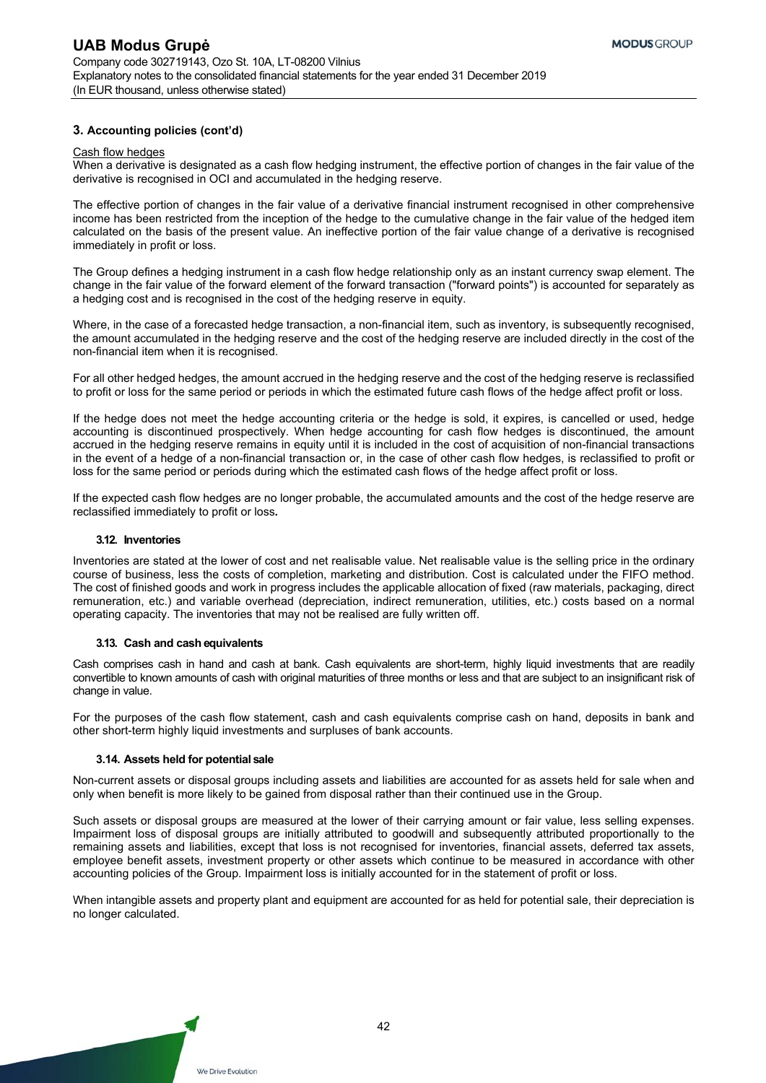#### Cash flow hedges

When a derivative is designated as a cash flow hedging instrument, the effective portion of changes in the fair value of the derivative is recognised in OCI and accumulated in the hedging reserve.

The effective portion of changes in the fair value of a derivative financial instrument recognised in other comprehensive income has been restricted from the inception of the hedge to the cumulative change in the fair value of the hedged item calculated on the basis of the present value. An ineffective portion of the fair value change of a derivative is recognised immediately in profit or loss.

The Group defines a hedging instrument in a cash flow hedge relationship only as an instant currency swap element. The change in the fair value of the forward element of the forward transaction ("forward points") is accounted for separately as a hedging cost and is recognised in the cost of the hedging reserve in equity.

Where, in the case of a forecasted hedge transaction, a non-financial item, such as inventory, is subsequently recognised, the amount accumulated in the hedging reserve and the cost of the hedging reserve are included directly in the cost of the non-financial item when it is recognised.

For all other hedged hedges, the amount accrued in the hedging reserve and the cost of the hedging reserve is reclassified to profit or loss for the same period or periods in which the estimated future cash flows of the hedge affect profit or loss.

If the hedge does not meet the hedge accounting criteria or the hedge is sold, it expires, is cancelled or used, hedge accounting is discontinued prospectively. When hedge accounting for cash flow hedges is discontinued, the amount accrued in the hedging reserve remains in equity until it is included in the cost of acquisition of non-financial transactions in the event of a hedge of a non-financial transaction or, in the case of other cash flow hedges, is reclassified to profit or loss for the same period or periods during which the estimated cash flows of the hedge affect profit or loss.

If the expected cash flow hedges are no longer probable, the accumulated amounts and the cost of the hedge reserve are reclassified immediately to profit or loss**.** 

#### **3.12. Inventories**

Inventories are stated at the lower of cost and net realisable value. Net realisable value is the selling price in the ordinary course of business, less the costs of completion, marketing and distribution. Cost is calculated under the FIFO method. The cost of finished goods and work in progress includes the applicable allocation of fixed (raw materials, packaging, direct remuneration, etc.) and variable overhead (depreciation, indirect remuneration, utilities, etc.) costs based on a normal operating capacity. The inventories that may not be realised are fully written off.

#### **3.13. Cash and cash equivalents**

Cash comprises cash in hand and cash at bank. Cash equivalents are short-term, highly liquid investments that are readily convertible to known amounts of cash with original maturities of three months or less and that are subject to an insignificant risk of change in value.

For the purposes of the cash flow statement, cash and cash equivalents comprise cash on hand, deposits in bank and other short-term highly liquid investments and surpluses of bank accounts.

#### **3.14. Assets held for potential sale**

Non-current assets or disposal groups including assets and liabilities are accounted for as assets held for sale when and only when benefit is more likely to be gained from disposal rather than their continued use in the Group.

Such assets or disposal groups are measured at the lower of their carrying amount or fair value, less selling expenses. Impairment loss of disposal groups are initially attributed to goodwill and subsequently attributed proportionally to the remaining assets and liabilities, except that loss is not recognised for inventories, financial assets, deferred tax assets, employee benefit assets, investment property or other assets which continue to be measured in accordance with other accounting policies of the Group. Impairment loss is initially accounted for in the statement of profit or loss.

When intangible assets and property plant and equipment are accounted for as held for potential sale, their depreciation is no longer calculated.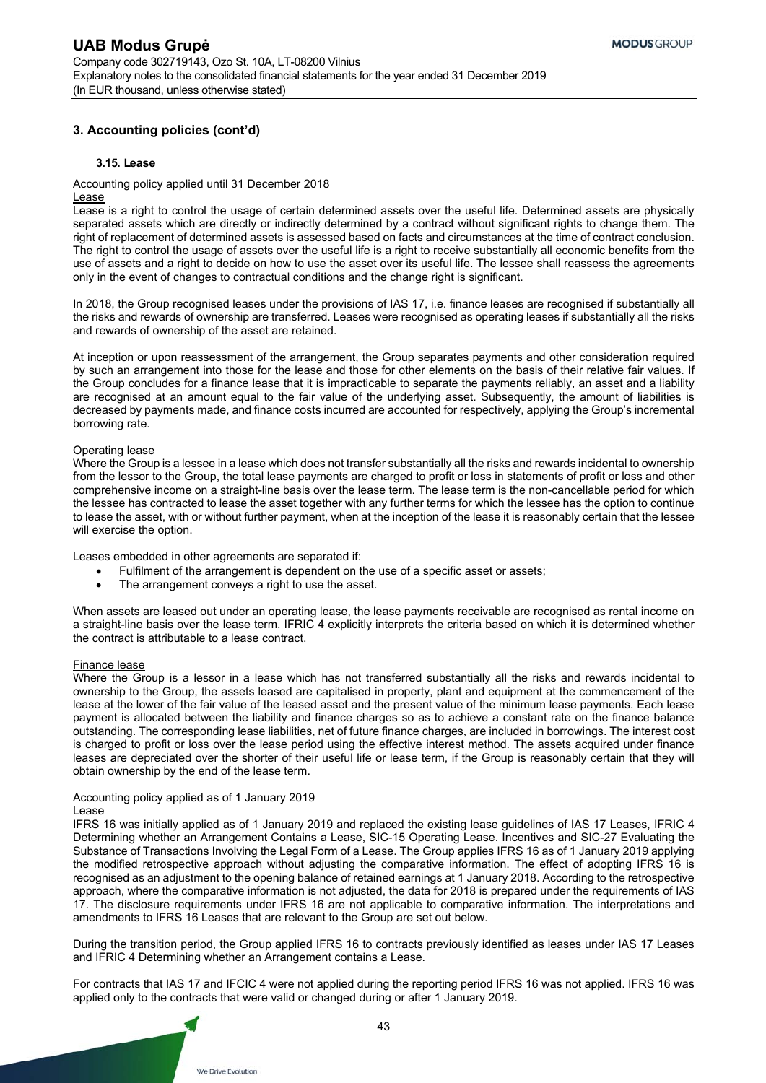## **3.15. Lease**

Accounting policy applied until 31 December 2018

#### Lease

Lease is a right to control the usage of certain determined assets over the useful life. Determined assets are physically separated assets which are directly or indirectly determined by a contract without significant rights to change them. The right of replacement of determined assets is assessed based on facts and circumstances at the time of contract conclusion. The right to control the usage of assets over the useful life is a right to receive substantially all economic benefits from the use of assets and a right to decide on how to use the asset over its useful life. The lessee shall reassess the agreements only in the event of changes to contractual conditions and the change right is significant.

In 2018, the Group recognised leases under the provisions of IAS 17, i.e. finance leases are recognised if substantially all the risks and rewards of ownership are transferred. Leases were recognised as operating leases if substantially all the risks and rewards of ownership of the asset are retained.

At inception or upon reassessment of the arrangement, the Group separates payments and other consideration required by such an arrangement into those for the lease and those for other elements on the basis of their relative fair values. If the Group concludes for a finance lease that it is impracticable to separate the payments reliably, an asset and a liability are recognised at an amount equal to the fair value of the underlying asset. Subsequently, the amount of liabilities is decreased by payments made, and finance costs incurred are accounted for respectively, applying the Group's incremental borrowing rate.

### Operating lease

Where the Group is a lessee in a lease which does not transfer substantially all the risks and rewards incidental to ownership from the lessor to the Group, the total lease payments are charged to profit or loss in statements of profit or loss and other comprehensive income on a straight-line basis over the lease term. The lease term is the non-cancellable period for which the lessee has contracted to lease the asset together with any further terms for which the lessee has the option to continue to lease the asset, with or without further payment, when at the inception of the lease it is reasonably certain that the lessee will exercise the option.

Leases embedded in other agreements are separated if:

- Fulfilment of the arrangement is dependent on the use of a specific asset or assets;
- The arrangement conveys a right to use the asset.

When assets are leased out under an operating lease, the lease payments receivable are recognised as rental income on a straight-line basis over the lease term. IFRIC 4 explicitly interprets the criteria based on which it is determined whether the contract is attributable to a lease contract.

#### Finance lease

Where the Group is a lessor in a lease which has not transferred substantially all the risks and rewards incidental to ownership to the Group, the assets leased are capitalised in property, plant and equipment at the commencement of the lease at the lower of the fair value of the leased asset and the present value of the minimum lease payments. Each lease payment is allocated between the liability and finance charges so as to achieve a constant rate on the finance balance outstanding. The corresponding lease liabilities, net of future finance charges, are included in borrowings. The interest cost is charged to profit or loss over the lease period using the effective interest method. The assets acquired under finance leases are depreciated over the shorter of their useful life or lease term, if the Group is reasonably certain that they will obtain ownership by the end of the lease term.

# Accounting policy applied as of 1 January 2019

# Lease

IFRS 16 was initially applied as of 1 January 2019 and replaced the existing lease guidelines of IAS 17 Leases, IFRIC 4 Determining whether an Arrangement Contains a Lease, SIC-15 Operating Lease. Incentives and SIC-27 Evaluating the Substance of Transactions Involving the Legal Form of a Lease. The Group applies IFRS 16 as of 1 January 2019 applying the modified retrospective approach without adjusting the comparative information. The effect of adopting IFRS 16 is recognised as an adjustment to the opening balance of retained earnings at 1 January 2018. According to the retrospective approach, where the comparative information is not adjusted, the data for 2018 is prepared under the requirements of IAS 17. The disclosure requirements under IFRS 16 are not applicable to comparative information. The interpretations and amendments to IFRS 16 Leases that are relevant to the Group are set out below.

During the transition period, the Group applied IFRS 16 to contracts previously identified as leases under IAS 17 Leases and IFRIC 4 Determining whether an Arrangement contains a Lease.

For contracts that IAS 17 and IFCIC 4 were not applied during the reporting period IFRS 16 was not applied. IFRS 16 was applied only to the contracts that were valid or changed during or after 1 January 2019.

43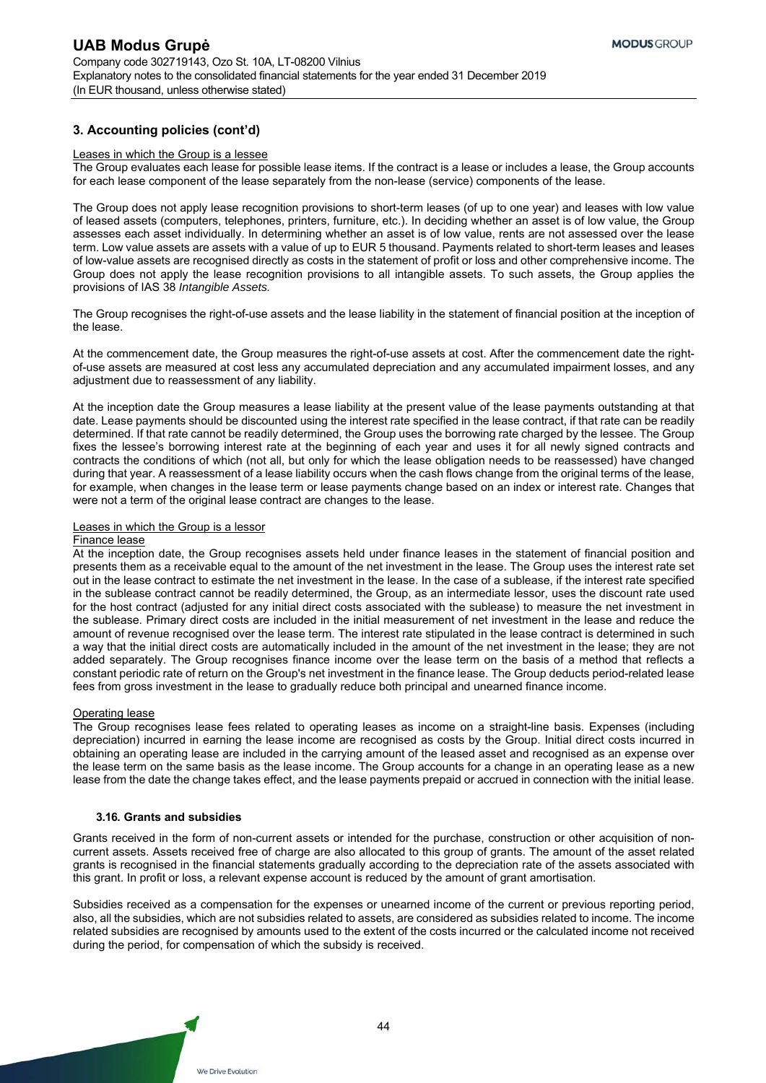#### Leases in which the Group is a lessee

The Group evaluates each lease for possible lease items. If the contract is a lease or includes a lease, the Group accounts for each lease component of the lease separately from the non-lease (service) components of the lease.

The Group does not apply lease recognition provisions to short-term leases (of up to one year) and leases with low value of leased assets (computers, telephones, printers, furniture, etc.). In deciding whether an asset is of low value, the Group assesses each asset individually. In determining whether an asset is of low value, rents are not assessed over the lease term. Low value assets are assets with a value of up to EUR 5 thousand. Payments related to short-term leases and leases of low-value assets are recognised directly as costs in the statement of profit or loss and other comprehensive income. The Group does not apply the lease recognition provisions to all intangible assets. To such assets, the Group applies the provisions of IAS 38 *Intangible Assets.*

The Group recognises the right-of-use assets and the lease liability in the statement of financial position at the inception of the lease.

At the commencement date, the Group measures the right-of-use assets at cost. After the commencement date the rightof-use assets are measured at cost less any accumulated depreciation and any accumulated impairment losses, and any adjustment due to reassessment of any liability.

At the inception date the Group measures a lease liability at the present value of the lease payments outstanding at that date. Lease payments should be discounted using the interest rate specified in the lease contract, if that rate can be readily determined. If that rate cannot be readily determined, the Group uses the borrowing rate charged by the lessee. The Group fixes the lessee's borrowing interest rate at the beginning of each year and uses it for all newly signed contracts and contracts the conditions of which (not all, but only for which the lease obligation needs to be reassessed) have changed during that year. A reassessment of a lease liability occurs when the cash flows change from the original terms of the lease, for example, when changes in the lease term or lease payments change based on an index or interest rate. Changes that were not a term of the original lease contract are changes to the lease.

# Leases in which the Group is a lessor

#### Finance lease

At the inception date, the Group recognises assets held under finance leases in the statement of financial position and presents them as a receivable equal to the amount of the net investment in the lease. The Group uses the interest rate set out in the lease contract to estimate the net investment in the lease. In the case of a sublease, if the interest rate specified in the sublease contract cannot be readily determined, the Group, as an intermediate lessor, uses the discount rate used for the host contract (adjusted for any initial direct costs associated with the sublease) to measure the net investment in the sublease. Primary direct costs are included in the initial measurement of net investment in the lease and reduce the amount of revenue recognised over the lease term. The interest rate stipulated in the lease contract is determined in such a way that the initial direct costs are automatically included in the amount of the net investment in the lease; they are not added separately. The Group recognises finance income over the lease term on the basis of a method that reflects a constant periodic rate of return on the Group's net investment in the finance lease. The Group deducts period-related lease fees from gross investment in the lease to gradually reduce both principal and unearned finance income.

#### Operating lease

The Group recognises lease fees related to operating leases as income on a straight-line basis. Expenses (including depreciation) incurred in earning the lease income are recognised as costs by the Group. Initial direct costs incurred in obtaining an operating lease are included in the carrying amount of the leased asset and recognised as an expense over the lease term on the same basis as the lease income. The Group accounts for a change in an operating lease as a new lease from the date the change takes effect, and the lease payments prepaid or accrued in connection with the initial lease.

#### **3.16. Grants and subsidies**

Grants received in the form of non-current assets or intended for the purchase, construction or other acquisition of noncurrent assets. Assets received free of charge are also allocated to this group of grants. The amount of the asset related grants is recognised in the financial statements gradually according to the depreciation rate of the assets associated with this grant. In profit or loss, a relevant expense account is reduced by the amount of grant amortisation.

Subsidies received as a compensation for the expenses or unearned income of the current or previous reporting period, also, all the subsidies, which are not subsidies related to assets, are considered as subsidies related to income. The income related subsidies are recognised by amounts used to the extent of the costs incurred or the calculated income not received during the period, for compensation of which the subsidy is received.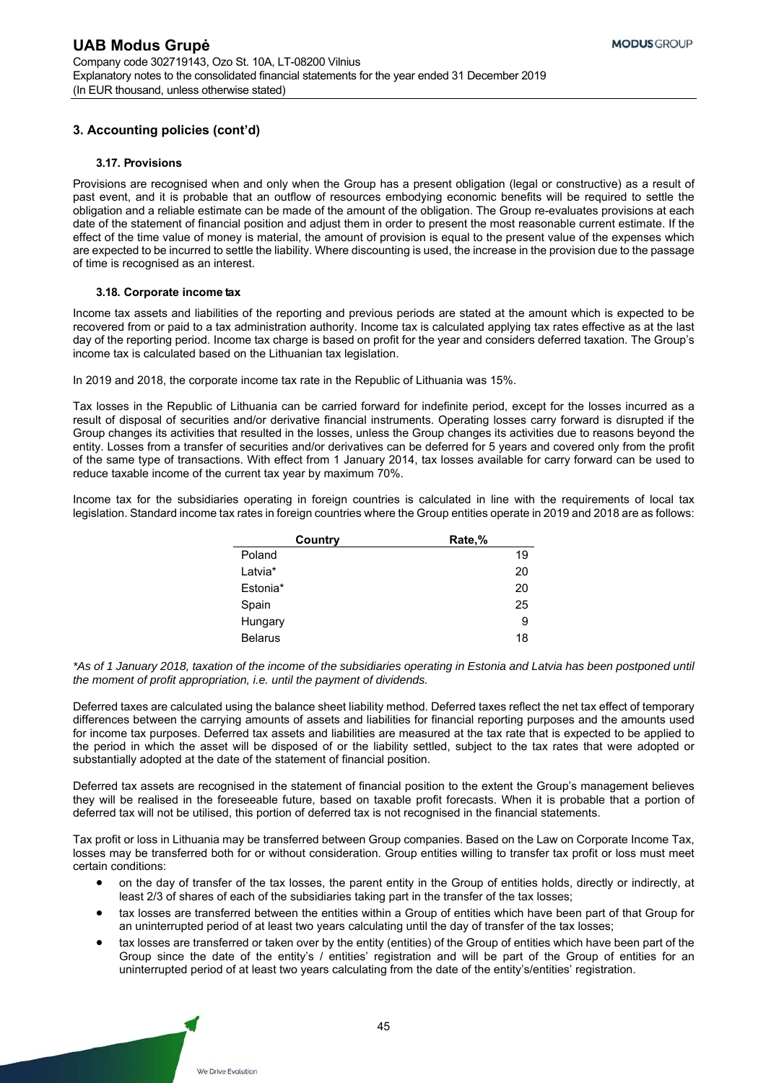#### **3.17. Provisions**

Provisions are recognised when and only when the Group has a present obligation (legal or constructive) as a result of past event, and it is probable that an outflow of resources embodying economic benefits will be required to settle the obligation and a reliable estimate can be made of the amount of the obligation. The Group re-evaluates provisions at each date of the statement of financial position and adjust them in order to present the most reasonable current estimate. If the effect of the time value of money is material, the amount of provision is equal to the present value of the expenses which are expected to be incurred to settle the liability. Where discounting is used, the increase in the provision due to the passage of time is recognised as an interest.

#### **3.18. Corporate income tax**

Income tax assets and liabilities of the reporting and previous periods are stated at the amount which is expected to be recovered from or paid to a tax administration authority. Income tax is calculated applying tax rates effective as at the last day of the reporting period. Income tax charge is based on profit for the year and considers deferred taxation. The Group's income tax is calculated based on the Lithuanian tax legislation.

In 2019 and 2018, the corporate income tax rate in the Republic of Lithuania was 15%.

Tax losses in the Republic of Lithuania can be carried forward for indefinite period, except for the losses incurred as a result of disposal of securities and/or derivative financial instruments. Operating losses carry forward is disrupted if the Group changes its activities that resulted in the losses, unless the Group changes its activities due to reasons beyond the entity. Losses from a transfer of securities and/or derivatives can be deferred for 5 years and covered only from the profit of the same type of transactions. With effect from 1 January 2014, tax losses available for carry forward can be used to reduce taxable income of the current tax year by maximum 70%.

Income tax for the subsidiaries operating in foreign countries is calculated in line with the requirements of local tax legislation. Standard income tax rates in foreign countries where the Group entities operate in 2019 and 2018 are as follows:

| Rate,%<br>Country |    |
|-------------------|----|
| Poland            | 19 |
| Latvia*           | 20 |
| Estonia*          | 20 |
| Spain             | 25 |
| Hungary           | 9  |
| <b>Belarus</b>    | 18 |

*\*As of 1 January 2018, taxation of the income of the subsidiaries operating in Estonia and Latvia has been postponed until the moment of profit appropriation, i.e. until the payment of dividends.* 

Deferred taxes are calculated using the balance sheet liability method. Deferred taxes reflect the net tax effect of temporary differences between the carrying amounts of assets and liabilities for financial reporting purposes and the amounts used for income tax purposes. Deferred tax assets and liabilities are measured at the tax rate that is expected to be applied to the period in which the asset will be disposed of or the liability settled, subject to the tax rates that were adopted or substantially adopted at the date of the statement of financial position.

Deferred tax assets are recognised in the statement of financial position to the extent the Group's management believes they will be realised in the foreseeable future, based on taxable profit forecasts. When it is probable that a portion of deferred tax will not be utilised, this portion of deferred tax is not recognised in the financial statements.

Tax profit or loss in Lithuania may be transferred between Group companies. Based on the Law on Corporate Income Tax, losses may be transferred both for or without consideration. Group entities willing to transfer tax profit or loss must meet certain conditions:

- on the day of transfer of the tax losses, the parent entity in the Group of entities holds, directly or indirectly, at least 2/3 of shares of each of the subsidiaries taking part in the transfer of the tax losses;
- tax losses are transferred between the entities within a Group of entities which have been part of that Group for an uninterrupted period of at least two years calculating until the day of transfer of the tax losses;
- tax losses are transferred or taken over by the entity (entities) of the Group of entities which have been part of the Group since the date of the entity's / entities' registration and will be part of the Group of entities for an uninterrupted period of at least two years calculating from the date of the entity's/entities' registration.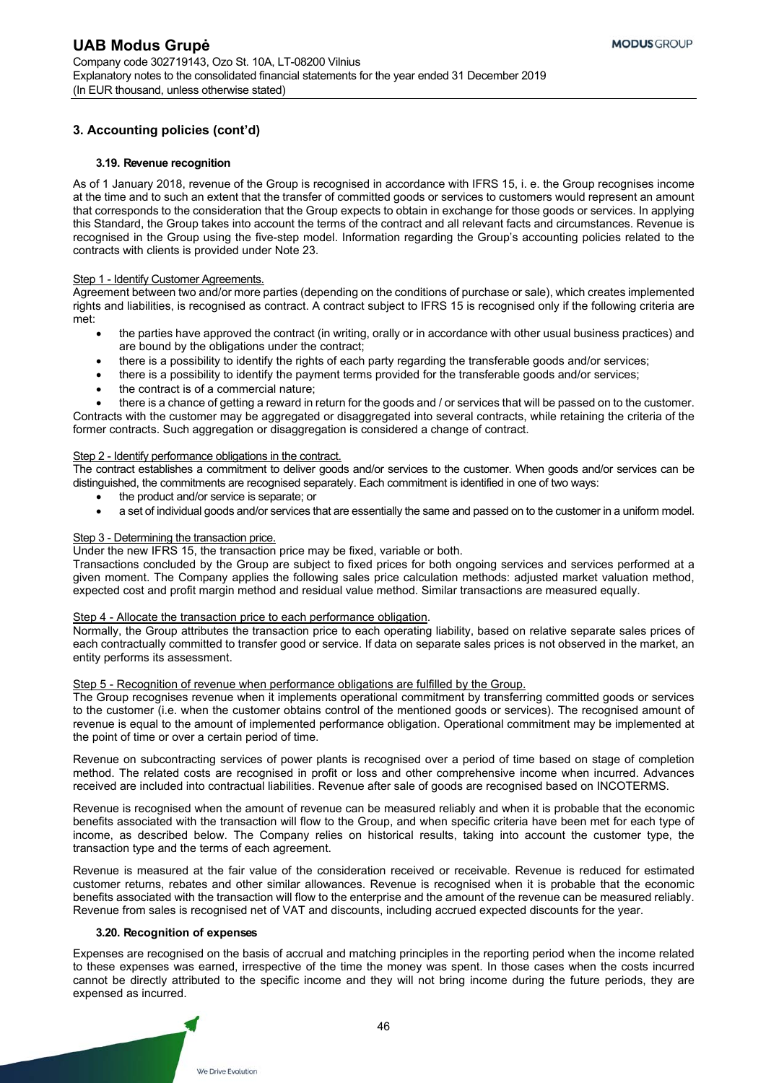#### **3.19. Revenue recognition**

As of 1 January 2018, revenue of the Group is recognised in accordance with IFRS 15, i. e. the Group recognises income at the time and to such an extent that the transfer of committed goods or services to customers would represent an amount that corresponds to the consideration that the Group expects to obtain in exchange for those goods or services. In applying this Standard, the Group takes into account the terms of the contract and all relevant facts and circumstances. Revenue is recognised in the Group using the five-step model. Information regarding the Group's accounting policies related to the contracts with clients is provided under Note 23.

### Step 1 - Identify Customer Agreements.

Agreement between two and/or more parties (depending on the conditions of purchase or sale), which creates implemented rights and liabilities, is recognised as contract. A contract subject to IFRS 15 is recognised only if the following criteria are met:

- the parties have approved the contract (in writing, orally or in accordance with other usual business practices) and are bound by the obligations under the contract;
- there is a possibility to identify the rights of each party regarding the transferable goods and/or services;
- there is a possibility to identify the payment terms provided for the transferable goods and/or services;
- the contract is of a commercial nature:

 there is a chance of getting a reward in return for the goods and / or services that will be passed on to the customer. Contracts with the customer may be aggregated or disaggregated into several contracts, while retaining the criteria of the former contracts. Such aggregation or disaggregation is considered a change of contract.

# Step 2 - Identify performance obligations in the contract.

The contract establishes a commitment to deliver goods and/or services to the customer. When goods and/or services can be distinguished, the commitments are recognised separately. Each commitment is identified in one of two ways:

- the product and/or service is separate; or
- a set of individual goods and/or services that are essentially the same and passed on to the customer in a uniform model.

## Step 3 - Determining the transaction price.

#### Under the new IFRS 15, the transaction price may be fixed, variable or both.

Transactions concluded by the Group are subject to fixed prices for both ongoing services and services performed at a given moment. The Company applies the following sales price calculation methods: adjusted market valuation method, expected cost and profit margin method and residual value method. Similar transactions are measured equally.

#### Step 4 - Allocate the transaction price to each performance obligation.

Normally, the Group attributes the transaction price to each operating liability, based on relative separate sales prices of each contractually committed to transfer good or service. If data on separate sales prices is not observed in the market, an entity performs its assessment.

Step 5 - Recognition of revenue when performance obligations are fulfilled by the Group.

The Group recognises revenue when it implements operational commitment by transferring committed goods or services to the customer (i.e. when the customer obtains control of the mentioned goods or services). The recognised amount of revenue is equal to the amount of implemented performance obligation. Operational commitment may be implemented at the point of time or over a certain period of time.

Revenue on subcontracting services of power plants is recognised over a period of time based on stage of completion method. The related costs are recognised in profit or loss and other comprehensive income when incurred. Advances received are included into contractual liabilities. Revenue after sale of goods are recognised based on INCOTERMS.

Revenue is recognised when the amount of revenue can be measured reliably and when it is probable that the economic benefits associated with the transaction will flow to the Group, and when specific criteria have been met for each type of income, as described below. The Company relies on historical results, taking into account the customer type, the transaction type and the terms of each agreement.

Revenue is measured at the fair value of the consideration received or receivable. Revenue is reduced for estimated customer returns, rebates and other similar allowances. Revenue is recognised when it is probable that the economic benefits associated with the transaction will flow to the enterprise and the amount of the revenue can be measured reliably. Revenue from sales is recognised net of VAT and discounts, including accrued expected discounts for the year.

## **3.20. Recognition of expenses**

Expenses are recognised on the basis of accrual and matching principles in the reporting period when the income related to these expenses was earned, irrespective of the time the money was spent. In those cases when the costs incurred cannot be directly attributed to the specific income and they will not bring income during the future periods, they are expensed as incurred.

We Drive Evolution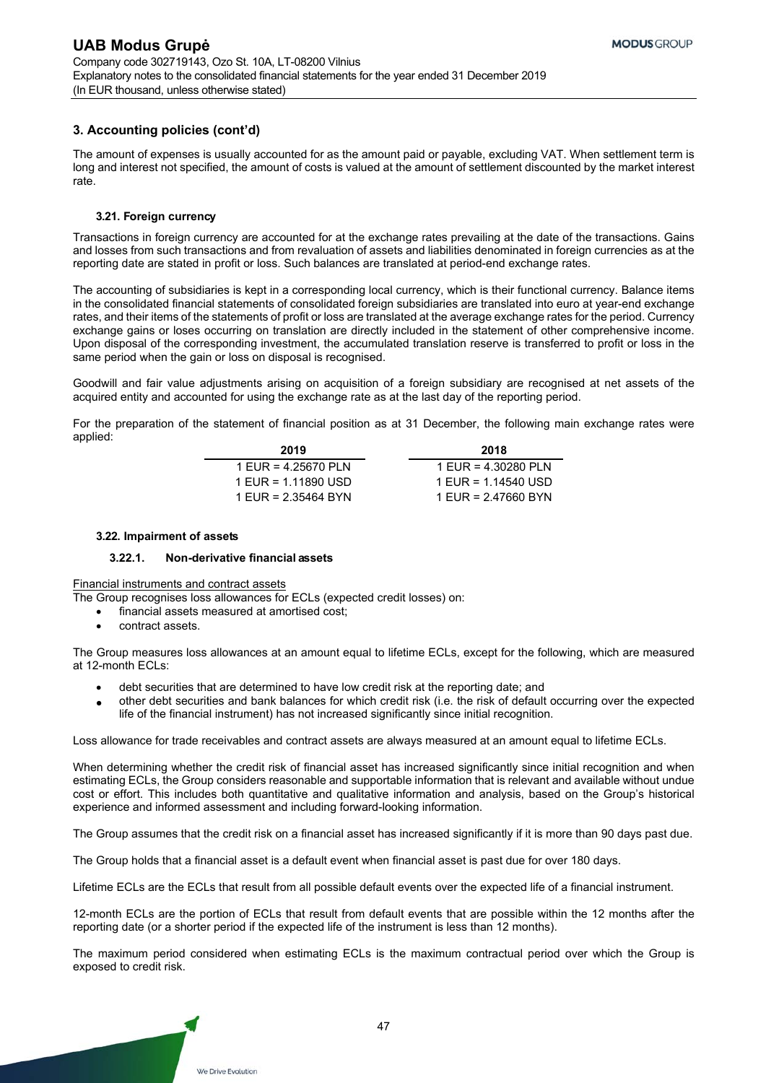The amount of expenses is usually accounted for as the amount paid or payable, excluding VAT. When settlement term is long and interest not specified, the amount of costs is valued at the amount of settlement discounted by the market interest rate.

## **3.21. Foreign currency**

Transactions in foreign currency are accounted for at the exchange rates prevailing at the date of the transactions. Gains and losses from such transactions and from revaluation of assets and liabilities denominated in foreign currencies as at the reporting date are stated in profit or loss. Such balances are translated at period-end exchange rates.

The accounting of subsidiaries is kept in a corresponding local currency, which is their functional currency. Balance items in the consolidated financial statements of consolidated foreign subsidiaries are translated into euro at year-end exchange rates, and their items of the statements of profit or loss are translated at the average exchange rates for the period. Currency exchange gains or loses occurring on translation are directly included in the statement of other comprehensive income. Upon disposal of the corresponding investment, the accumulated translation reserve is transferred to profit or loss in the same period when the gain or loss on disposal is recognised.

Goodwill and fair value adjustments arising on acquisition of a foreign subsidiary are recognised at net assets of the acquired entity and accounted for using the exchange rate as at the last day of the reporting period.

For the preparation of the statement of financial position as at 31 December, the following main exchange rates were applied:

| 2019                  | 2018                  |
|-----------------------|-----------------------|
| 1 EUR = $4.25670$ PLN | 1 EUR = $4.30280$ PLN |
| $1$ EUR = 1.11890 USD | 1 EUR = $1.14540$ USD |
| 1 EUR = 2.35464 BYN   | 1 EUR = $2.47660$ BYN |
|                       |                       |

## **3.22. Impairment of assets**

#### **3.22.1. Non-derivative financial assets**

Financial instruments and contract assets

The Group recognises loss allowances for ECLs (expected credit losses) on:

- financial assets measured at amortised cost;
- contract assets.

The Group measures loss allowances at an amount equal to lifetime ECLs, except for the following, which are measured at 12-month ECLs:

- debt securities that are determined to have low credit risk at the reporting date; and
- other debt securities and bank balances for which credit risk (i.e. the risk of default occurring over the expected life of the financial instrument) has not increased significantly since initial recognition.

Loss allowance for trade receivables and contract assets are always measured at an amount equal to lifetime ECLs.

When determining whether the credit risk of financial asset has increased significantly since initial recognition and when estimating ECLs, the Group considers reasonable and supportable information that is relevant and available without undue cost or effort. This includes both quantitative and qualitative information and analysis, based on the Group's historical experience and informed assessment and including forward-looking information.

The Group assumes that the credit risk on a financial asset has increased significantly if it is more than 90 days past due.

The Group holds that a financial asset is a default event when financial asset is past due for over 180 days.

Lifetime ECLs are the ECLs that result from all possible default events over the expected life of a financial instrument.

12-month ECLs are the portion of ECLs that result from default events that are possible within the 12 months after the reporting date (or a shorter period if the expected life of the instrument is less than 12 months).

The maximum period considered when estimating ECLs is the maximum contractual period over which the Group is exposed to credit risk.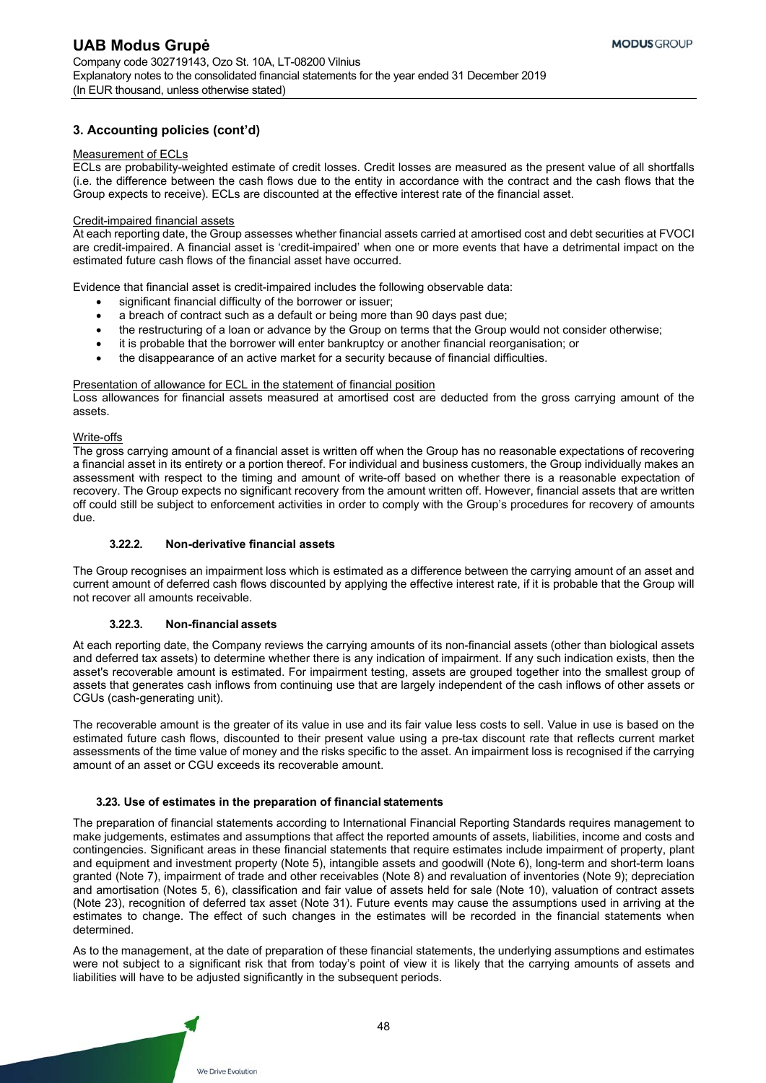#### Measurement of ECLs

ECLs are probability-weighted estimate of credit losses. Credit losses are measured as the present value of all shortfalls (i.e. the difference between the cash flows due to the entity in accordance with the contract and the cash flows that the Group expects to receive). ECLs are discounted at the effective interest rate of the financial asset.

#### Credit-impaired financial assets

At each reporting date, the Group assesses whether financial assets carried at amortised cost and debt securities at FVOCI are credit-impaired. A financial asset is 'credit-impaired' when one or more events that have a detrimental impact on the estimated future cash flows of the financial asset have occurred.

Evidence that financial asset is credit-impaired includes the following observable data:

- significant financial difficulty of the borrower or issuer;
- a breach of contract such as a default or being more than 90 days past due;
- the restructuring of a loan or advance by the Group on terms that the Group would not consider otherwise;
- it is probable that the borrower will enter bankruptcy or another financial reorganisation; or
- the disappearance of an active market for a security because of financial difficulties.

#### Presentation of allowance for ECL in the statement of financial position

Loss allowances for financial assets measured at amortised cost are deducted from the gross carrying amount of the assets.

#### Write-offs

The gross carrying amount of a financial asset is written off when the Group has no reasonable expectations of recovering a financial asset in its entirety or a portion thereof. For individual and business customers, the Group individually makes an assessment with respect to the timing and amount of write-off based on whether there is a reasonable expectation of recovery. The Group expects no significant recovery from the amount written off. However, financial assets that are written off could still be subject to enforcement activities in order to comply with the Group's procedures for recovery of amounts due.

## **3.22.2. Non-derivative financial assets**

The Group recognises an impairment loss which is estimated as a difference between the carrying amount of an asset and current amount of deferred cash flows discounted by applying the effective interest rate, if it is probable that the Group will not recover all amounts receivable.

#### **3.22.3. Non-financial assets**

At each reporting date, the Company reviews the carrying amounts of its non-financial assets (other than biological assets and deferred tax assets) to determine whether there is any indication of impairment. If any such indication exists, then the asset's recoverable amount is estimated. For impairment testing, assets are grouped together into the smallest group of assets that generates cash inflows from continuing use that are largely independent of the cash inflows of other assets or CGUs (cash-generating unit).

The recoverable amount is the greater of its value in use and its fair value less costs to sell. Value in use is based on the estimated future cash flows, discounted to their present value using a pre-tax discount rate that reflects current market assessments of the time value of money and the risks specific to the asset. An impairment loss is recognised if the carrying amount of an asset or CGU exceeds its recoverable amount.

#### **3.23. Use of estimates in the preparation of financial statements**

The preparation of financial statements according to International Financial Reporting Standards requires management to make judgements, estimates and assumptions that affect the reported amounts of assets, liabilities, income and costs and contingencies. Significant areas in these financial statements that require estimates include impairment of property, plant and equipment and investment property (Note 5), intangible assets and goodwill (Note 6), long-term and short-term loans granted (Note 7), impairment of trade and other receivables (Note 8) and revaluation of inventories (Note 9); depreciation and amortisation (Notes 5, 6), classification and fair value of assets held for sale (Note 10), valuation of contract assets (Note 23), recognition of deferred tax asset (Note 31). Future events may cause the assumptions used in arriving at the estimates to change. The effect of such changes in the estimates will be recorded in the financial statements when determined.

As to the management, at the date of preparation of these financial statements, the underlying assumptions and estimates were not subject to a significant risk that from today's point of view it is likely that the carrying amounts of assets and liabilities will have to be adjusted significantly in the subsequent periods.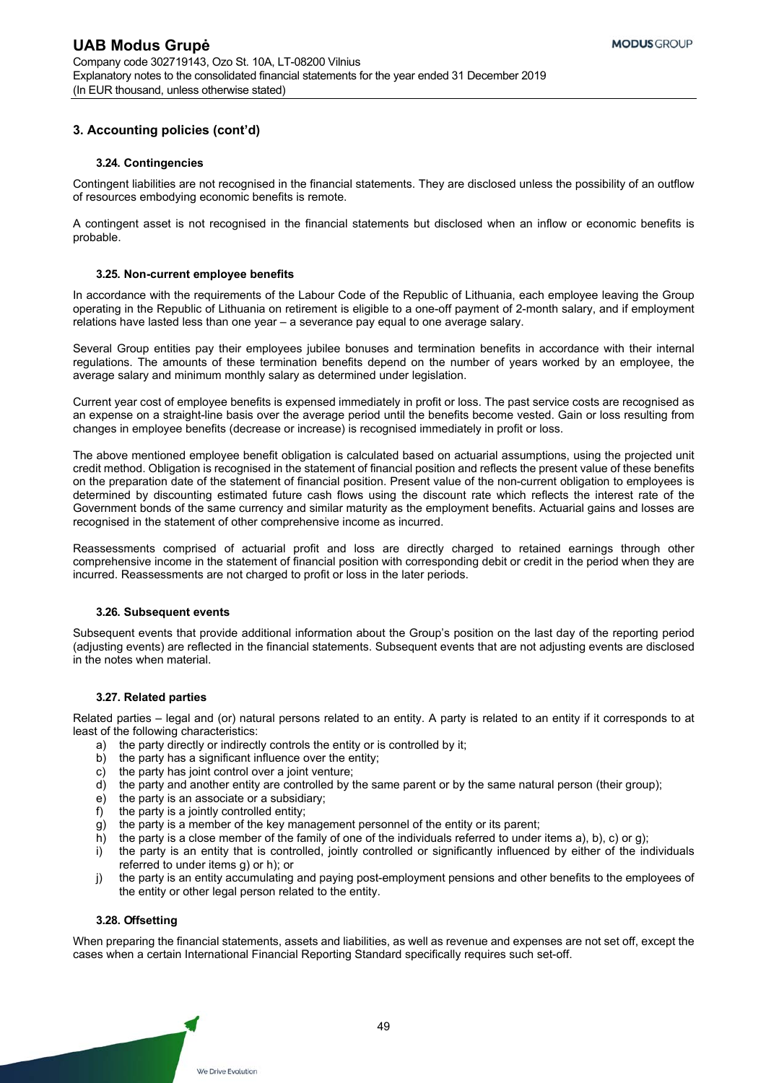## **3.24. Contingencies**

Contingent liabilities are not recognised in the financial statements. They are disclosed unless the possibility of an outflow of resources embodying economic benefits is remote.

A contingent asset is not recognised in the financial statements but disclosed when an inflow or economic benefits is probable.

## **3.25. Non-current employee benefits**

In accordance with the requirements of the Labour Code of the Republic of Lithuania, each employee leaving the Group operating in the Republic of Lithuania on retirement is eligible to a one-off payment of 2-month salary, and if employment relations have lasted less than one year – a severance pay equal to one average salary.

Several Group entities pay their employees jubilee bonuses and termination benefits in accordance with their internal regulations. The amounts of these termination benefits depend on the number of years worked by an employee, the average salary and minimum monthly salary as determined under legislation.

Current year cost of employee benefits is expensed immediately in profit or loss. The past service costs are recognised as an expense on a straight-line basis over the average period until the benefits become vested. Gain or loss resulting from changes in employee benefits (decrease or increase) is recognised immediately in profit or loss.

The above mentioned employee benefit obligation is calculated based on actuarial assumptions, using the projected unit credit method. Obligation is recognised in the statement of financial position and reflects the present value of these benefits on the preparation date of the statement of financial position. Present value of the non-current obligation to employees is determined by discounting estimated future cash flows using the discount rate which reflects the interest rate of the Government bonds of the same currency and similar maturity as the employment benefits. Actuarial gains and losses are recognised in the statement of other comprehensive income as incurred.

Reassessments comprised of actuarial profit and loss are directly charged to retained earnings through other comprehensive income in the statement of financial position with corresponding debit or credit in the period when they are incurred. Reassessments are not charged to profit or loss in the later periods.

#### **3.26. Subsequent events**

Subsequent events that provide additional information about the Group's position on the last day of the reporting period (adjusting events) are reflected in the financial statements. Subsequent events that are not adjusting events are disclosed in the notes when material.

## **3.27. Related parties**

Related parties – legal and (or) natural persons related to an entity. A party is related to an entity if it corresponds to at least of the following characteristics:

- a) the party directly or indirectly controls the entity or is controlled by it;
- b) the party has a significant influence over the entity;
- c) the party has joint control over a joint venture;

We Drive Evolution

- d) the party and another entity are controlled by the same parent or by the same natural person (their group);
- e) the party is an associate or a subsidiary;
- f) the party is a jointly controlled entity;
- g) the party is a member of the key management personnel of the entity or its parent;
- h) the party is a close member of the family of one of the individuals referred to under items a), b), c) or g);
- i) the party is an entity that is controlled, jointly controlled or significantly influenced by either of the individuals referred to under items g) or h); or
- j) the party is an entity accumulating and paying post-employment pensions and other benefits to the employees of the entity or other legal person related to the entity.

#### **3.28. Offsetting**

When preparing the financial statements, assets and liabilities, as well as revenue and expenses are not set off, except the cases when a certain International Financial Reporting Standard specifically requires such set-off.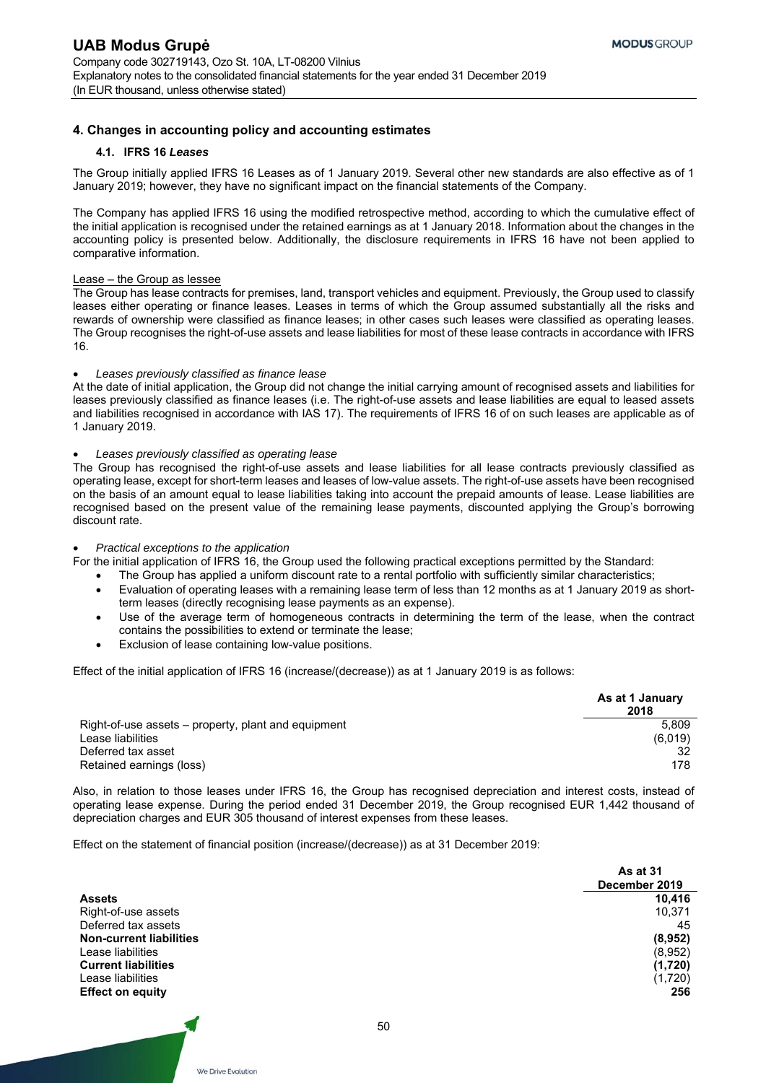# **4.1. IFRS 16** *Leases*

The Group initially applied IFRS 16 Leases as of 1 January 2019. Several other new standards are also effective as of 1 January 2019; however, they have no significant impact on the financial statements of the Company.

The Company has applied IFRS 16 using the modified retrospective method, according to which the cumulative effect of the initial application is recognised under the retained earnings as at 1 January 2018. Information about the changes in the accounting policy is presented below. Additionally, the disclosure requirements in IFRS 16 have not been applied to comparative information.

#### Lease – the Group as lessee

The Group has lease contracts for premises, land, transport vehicles and equipment. Previously, the Group used to classify leases either operating or finance leases. Leases in terms of which the Group assumed substantially all the risks and rewards of ownership were classified as finance leases; in other cases such leases were classified as operating leases. The Group recognises the right-of-use assets and lease liabilities for most of these lease contracts in accordance with IFRS 16.

## *Leases previously classified as finance lease*

At the date of initial application, the Group did not change the initial carrying amount of recognised assets and liabilities for leases previously classified as finance leases (i.e. The right-of-use assets and lease liabilities are equal to leased assets and liabilities recognised in accordance with IAS 17). The requirements of IFRS 16 of on such leases are applicable as of 1 January 2019.

#### *Leases previously classified as operating lease*

The Group has recognised the right-of-use assets and lease liabilities for all lease contracts previously classified as operating lease, except for short-term leases and leases of low-value assets. The right-of-use assets have been recognised on the basis of an amount equal to lease liabilities taking into account the prepaid amounts of lease. Lease liabilities are recognised based on the present value of the remaining lease payments, discounted applying the Group's borrowing discount rate.

#### *Practical exceptions to the application*

For the initial application of IFRS 16, the Group used the following practical exceptions permitted by the Standard:

- The Group has applied a uniform discount rate to a rental portfolio with sufficiently similar characteristics;
- Evaluation of operating leases with a remaining lease term of less than 12 months as at 1 January 2019 as shortterm leases (directly recognising lease payments as an expense).
- Use of the average term of homogeneous contracts in determining the term of the lease, when the contract contains the possibilities to extend or terminate the lease;
- Exclusion of lease containing low-value positions.

Effect of the initial application of IFRS 16 (increase/(decrease)) as at 1 January 2019 is as follows:

|                                                     | As at 1 January<br>2018 |
|-----------------------------------------------------|-------------------------|
| Right-of-use assets – property, plant and equipment | 5.809                   |
| Lease liabilities<br>Deferred tax asset             | (6.019)<br>32           |
| Retained earnings (loss)                            | 178                     |

Also, in relation to those leases under IFRS 16, the Group has recognised depreciation and interest costs, instead of operating lease expense. During the period ended 31 December 2019, the Group recognised EUR 1,442 thousand of depreciation charges and EUR 305 thousand of interest expenses from these leases.

Effect on the statement of financial position (increase/(decrease)) as at 31 December 2019:

|                                | <b>As at 31</b><br>December 2019 |  |  |  |
|--------------------------------|----------------------------------|--|--|--|
| <b>Assets</b>                  | 10,416                           |  |  |  |
| Right-of-use assets            | 10,371                           |  |  |  |
| Deferred tax assets            | 45                               |  |  |  |
| <b>Non-current liabilities</b> | (8,952)                          |  |  |  |
| Lease liabilities              | (8,952)                          |  |  |  |
| <b>Current liabilities</b>     | (1,720)                          |  |  |  |
| Lease liabilities              | (1,720)                          |  |  |  |
| <b>Effect on equity</b>        | 256                              |  |  |  |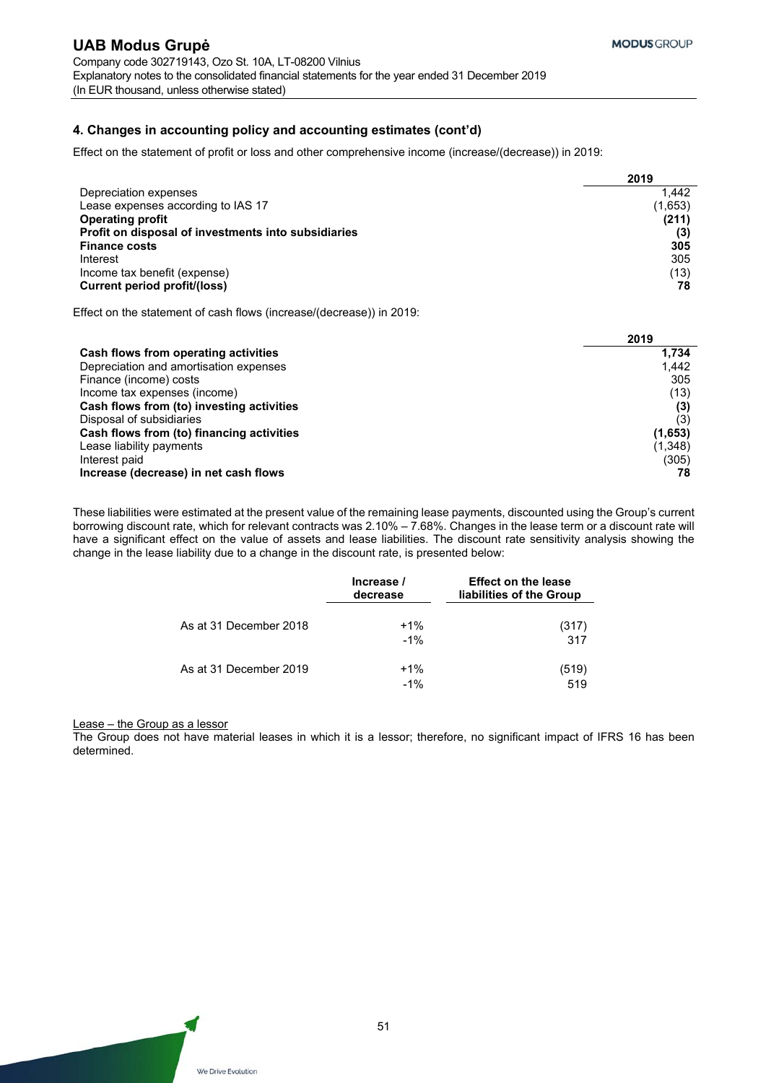Effect on the statement of profit or loss and other comprehensive income (increase/(decrease)) in 2019:

|                                                     | 2019    |
|-----------------------------------------------------|---------|
| Depreciation expenses                               | 1.442   |
| Lease expenses according to IAS 17                  | (1,653) |
| <b>Operating profit</b>                             | (211)   |
| Profit on disposal of investments into subsidiaries | (3)     |
| <b>Finance costs</b>                                | 305     |
| Interest                                            | 305     |
| Income tax benefit (expense)                        | (13)    |
| Current period profit/(loss)                        | 78      |

Effect on the statement of cash flows (increase/(decrease)) in 2019:

|                                           | 2019    |
|-------------------------------------------|---------|
| Cash flows from operating activities      | 1.734   |
| Depreciation and amortisation expenses    | 1,442   |
| Finance (income) costs                    | 305     |
| Income tax expenses (income)              | (13)    |
| Cash flows from (to) investing activities | (3)     |
| Disposal of subsidiaries                  | (3)     |
| Cash flows from (to) financing activities | (1,653) |
| Lease liability payments                  | (1,348) |
| Interest paid                             | (305)   |
| Increase (decrease) in net cash flows     | 78      |

These liabilities were estimated at the present value of the remaining lease payments, discounted using the Group's current borrowing discount rate, which for relevant contracts was  $2.10\% - 7.68\%$ . Changes in the lease term or a discount rate will have a significant effect on the value of assets and lease liabilities. The discount rate sensitivity analysis showing the change in the lease liability due to a change in the discount rate, is presented below:

|                        | Increase /<br>decrease | <b>Effect on the lease</b><br>liabilities of the Group |
|------------------------|------------------------|--------------------------------------------------------|
| As at 31 December 2018 | $+1%$<br>$-1%$         | (317)<br>317                                           |
| As at 31 December 2019 | $+1%$<br>$-1%$         | (519)<br>519                                           |

## Lease – the Group as a lessor

The Group does not have material leases in which it is a lessor; therefore, no significant impact of IFRS 16 has been determined.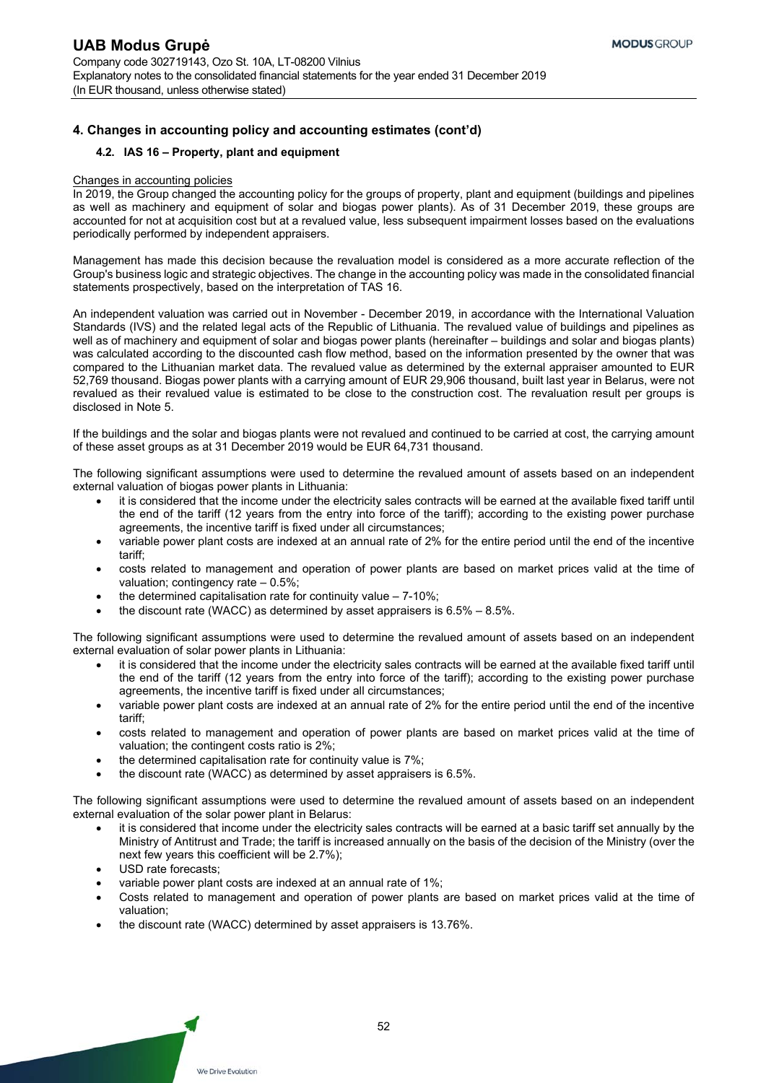## **4.2. IAS 16 – Property, plant and equipment**

## Changes in accounting policies

In 2019, the Group changed the accounting policy for the groups of property, plant and equipment (buildings and pipelines as well as machinery and equipment of solar and biogas power plants). As of 31 December 2019, these groups are accounted for not at acquisition cost but at a revalued value, less subsequent impairment losses based on the evaluations periodically performed by independent appraisers.

Management has made this decision because the revaluation model is considered as a more accurate reflection of the Group's business logic and strategic objectives. The change in the accounting policy was made in the consolidated financial statements prospectively, based on the interpretation of TAS 16.

An independent valuation was carried out in November - December 2019, in accordance with the International Valuation Standards (IVS) and the related legal acts of the Republic of Lithuania. The revalued value of buildings and pipelines as well as of machinery and equipment of solar and biogas power plants (hereinafter – buildings and solar and biogas plants) was calculated according to the discounted cash flow method, based on the information presented by the owner that was compared to the Lithuanian market data. The revalued value as determined by the external appraiser amounted to EUR 52,769 thousand. Biogas power plants with a carrying amount of EUR 29,906 thousand, built last year in Belarus, were not revalued as their revalued value is estimated to be close to the construction cost. The revaluation result per groups is disclosed in Note 5.

If the buildings and the solar and biogas plants were not revalued and continued to be carried at cost, the carrying amount of these asset groups as at 31 December 2019 would be EUR 64,731 thousand.

The following significant assumptions were used to determine the revalued amount of assets based on an independent external valuation of biogas power plants in Lithuania:

- it is considered that the income under the electricity sales contracts will be earned at the available fixed tariff until the end of the tariff (12 years from the entry into force of the tariff); according to the existing power purchase agreements, the incentive tariff is fixed under all circumstances;
- variable power plant costs are indexed at an annual rate of 2% for the entire period until the end of the incentive tariff;
- costs related to management and operation of power plants are based on market prices valid at the time of valuation; contingency rate – 0.5%;
- the determined capitalisation rate for continuity value 7-10%;
- the discount rate (WACC) as determined by asset appraisers is 6.5% 8.5%.

The following significant assumptions were used to determine the revalued amount of assets based on an independent external evaluation of solar power plants in Lithuania:

- it is considered that the income under the electricity sales contracts will be earned at the available fixed tariff until the end of the tariff (12 years from the entry into force of the tariff); according to the existing power purchase agreements, the incentive tariff is fixed under all circumstances;
- variable power plant costs are indexed at an annual rate of 2% for the entire period until the end of the incentive tariff;
- costs related to management and operation of power plants are based on market prices valid at the time of valuation; the contingent costs ratio is 2%;
- the determined capitalisation rate for continuity value is 7%;
- the discount rate (WACC) as determined by asset appraisers is 6.5%.

The following significant assumptions were used to determine the revalued amount of assets based on an independent external evaluation of the solar power plant in Belarus:

- it is considered that income under the electricity sales contracts will be earned at a basic tariff set annually by the Ministry of Antitrust and Trade; the tariff is increased annually on the basis of the decision of the Ministry (over the next few years this coefficient will be 2.7%);
- USD rate forecasts;
- variable power plant costs are indexed at an annual rate of 1%;

We Drive Evolution

- Costs related to management and operation of power plants are based on market prices valid at the time of valuation;
- the discount rate (WACC) determined by asset appraisers is 13.76%.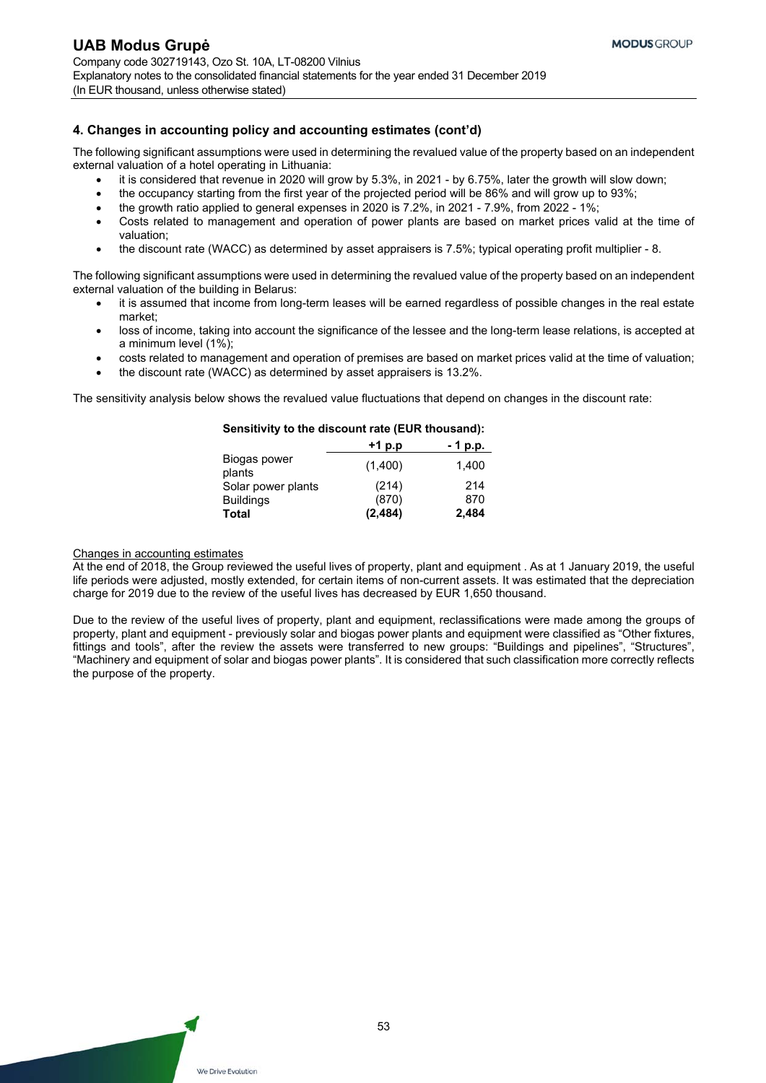The following significant assumptions were used in determining the revalued value of the property based on an independent external valuation of a hotel operating in Lithuania:

- it is considered that revenue in 2020 will grow by 5.3%, in 2021 by 6.75%, later the growth will slow down;
- the occupancy starting from the first year of the projected period will be 86% and will grow up to 93%;
- $\bullet$  the growth ratio applied to general expenses in 2020 is 7.2%, in 2021 7.9%, from 2022 1%;
- Costs related to management and operation of power plants are based on market prices valid at the time of valuation;
- the discount rate (WACC) as determined by asset appraisers is 7.5%; typical operating profit multiplier 8.

The following significant assumptions were used in determining the revalued value of the property based on an independent external valuation of the building in Belarus:

- it is assumed that income from long-term leases will be earned regardless of possible changes in the real estate market;
- loss of income, taking into account the significance of the lessee and the long-term lease relations, is accepted at a minimum level (1%);
- costs related to management and operation of premises are based on market prices valid at the time of valuation;
- the discount rate (WACC) as determined by asset appraisers is 13.2%.

The sensitivity analysis below shows the revalued value fluctuations that depend on changes in the discount rate:

# **Sensitivity to the discount rate (EUR thousand):**

|                        | $+1$ p.p | - 1 p.p. |
|------------------------|----------|----------|
| Biogas power<br>plants | (1,400)  | 1,400    |
| Solar power plants     | (214)    | 214      |
| <b>Buildings</b>       | (870)    | 870      |
| Total                  | (2, 484) | 2,484    |

### Changes in accounting estimates

At the end of 2018, the Group reviewed the useful lives of property, plant and equipment . As at 1 January 2019, the useful life periods were adjusted, mostly extended, for certain items of non-current assets. It was estimated that the depreciation charge for 2019 due to the review of the useful lives has decreased by EUR 1,650 thousand.

Due to the review of the useful lives of property, plant and equipment, reclassifications were made among the groups of property, plant and equipment - previously solar and biogas power plants and equipment were classified as "Other fixtures, fittings and tools", after the review the assets were transferred to new groups: "Buildings and pipelines", "Structures", "Machinery and equipment of solar and biogas power plants". It is considered that such classification more correctly reflects the purpose of the property.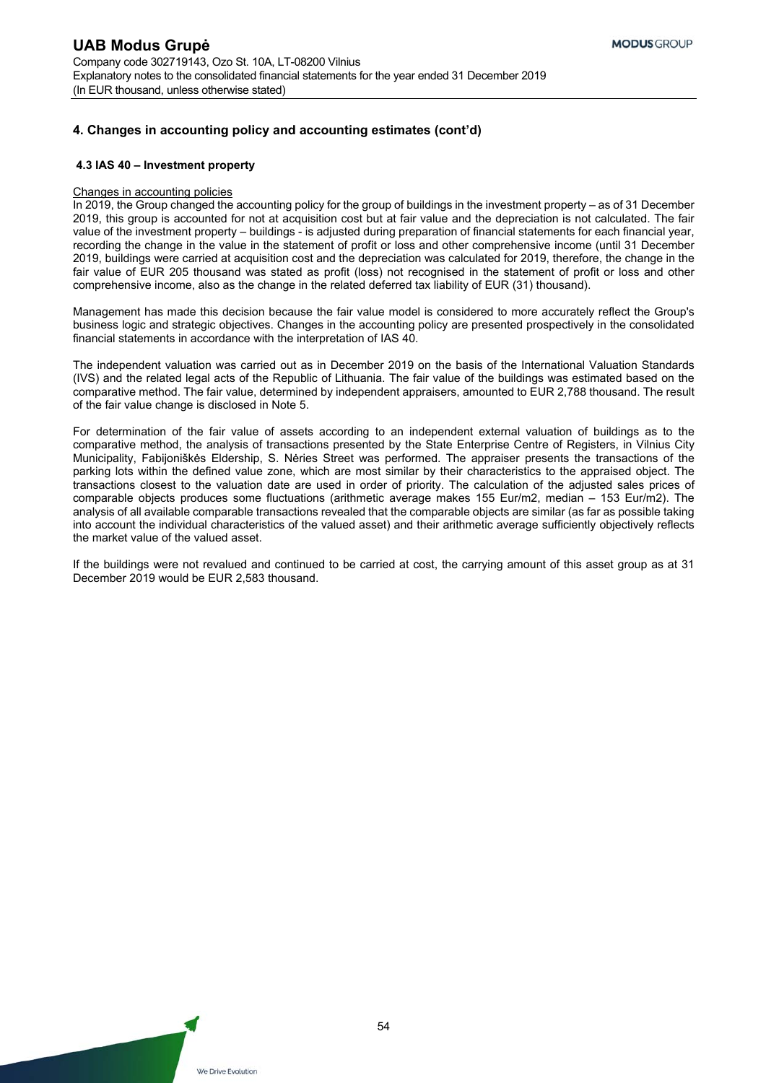## **4.3 IAS 40 – Investment property**

### Changes in accounting policies

In 2019, the Group changed the accounting policy for the group of buildings in the investment property – as of 31 December 2019, this group is accounted for not at acquisition cost but at fair value and the depreciation is not calculated. The fair value of the investment property – buildings - is adjusted during preparation of financial statements for each financial year, recording the change in the value in the statement of profit or loss and other comprehensive income (until 31 December 2019, buildings were carried at acquisition cost and the depreciation was calculated for 2019, therefore, the change in the fair value of EUR 205 thousand was stated as profit (loss) not recognised in the statement of profit or loss and other comprehensive income, also as the change in the related deferred tax liability of EUR (31) thousand).

Management has made this decision because the fair value model is considered to more accurately reflect the Group's business logic and strategic objectives. Changes in the accounting policy are presented prospectively in the consolidated financial statements in accordance with the interpretation of IAS 40.

The independent valuation was carried out as in December 2019 on the basis of the International Valuation Standards (IVS) and the related legal acts of the Republic of Lithuania. The fair value of the buildings was estimated based on the comparative method. The fair value, determined by independent appraisers, amounted to EUR 2,788 thousand. The result of the fair value change is disclosed in Note 5.

For determination of the fair value of assets according to an independent external valuation of buildings as to the comparative method, the analysis of transactions presented by the State Enterprise Centre of Registers, in Vilnius City Municipality, Fabijoniškės Eldership, S. Nėries Street was performed. The appraiser presents the transactions of the parking lots within the defined value zone, which are most similar by their characteristics to the appraised object. The transactions closest to the valuation date are used in order of priority. The calculation of the adjusted sales prices of comparable objects produces some fluctuations (arithmetic average makes 155 Eur/m2, median – 153 Eur/m2). The analysis of all available comparable transactions revealed that the comparable objects are similar (as far as possible taking into account the individual characteristics of the valued asset) and their arithmetic average sufficiently objectively reflects the market value of the valued asset.

If the buildings were not revalued and continued to be carried at cost, the carrying amount of this asset group as at 31 December 2019 would be EUR 2,583 thousand.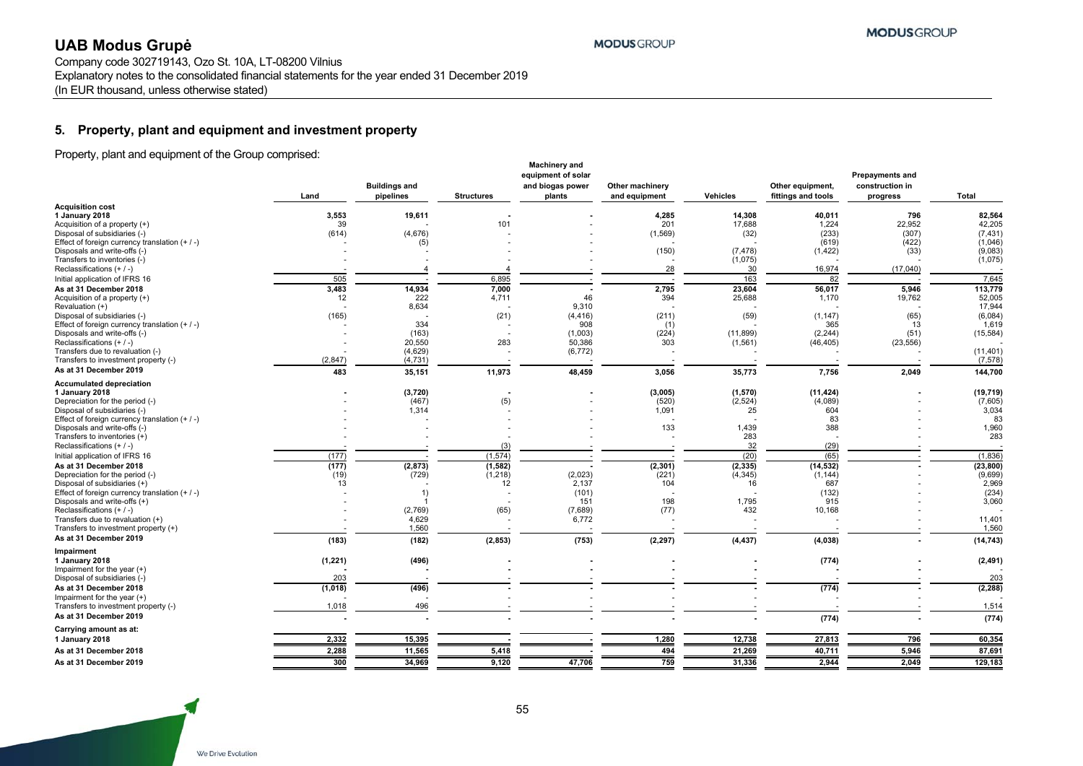#### **MODUSGROUP**

# **UAB Modus Grupė**

Company code 302719143, Ozo St. 10A, LT-08200 Vilnius Explanatory notes to the consolidated financial statements for the year ended 31 December 2019 (In EUR thousand, unless otherwise stated)

# **5. Property, plant and equipment and investment property**

Property, plant and equipment of the Group comprised:

|                                                                                | Land     | <b>Buildings and</b><br>pipelines | <b>Structures</b> | <b>Machinery and</b><br>equipment of solar<br>and biogas power<br>plants | Other machinery<br>and equipment | Vehicles      | Other equipment,<br>fittings and tools | <b>Prepayments and</b><br>construction in<br>progress | Total              |
|--------------------------------------------------------------------------------|----------|-----------------------------------|-------------------|--------------------------------------------------------------------------|----------------------------------|---------------|----------------------------------------|-------------------------------------------------------|--------------------|
| <b>Acquisition cost</b>                                                        |          |                                   |                   |                                                                          |                                  |               |                                        |                                                       |                    |
| 1 January 2018                                                                 | 3,553    | 19,611                            |                   |                                                                          | 4,285                            | 14,308        | 40,011                                 | 796                                                   | 82,564             |
| Acquisition of a property (+)                                                  | 39       |                                   | 101               |                                                                          | 201                              | 17,688        | 1,224                                  | 22,952                                                | 42,205             |
| Disposal of subsidiaries (-)                                                   | (614)    | (4,676)                           |                   |                                                                          | (1, 569)                         | (32)          | (233)                                  | (307)                                                 | (7, 431)           |
| Effect of foreign currency translation $(+ / -)$                               |          | (5)                               |                   |                                                                          |                                  |               | (619)                                  | (422)                                                 | (1,046)            |
| Disposals and write-offs (-)                                                   |          |                                   |                   |                                                                          | (150)                            | (7, 478)      | (1, 422)                               | (33)                                                  | (9,083)<br>(1,075) |
| Transfers to inventories (-)<br>Reclassifications (+ / -)                      |          |                                   |                   |                                                                          | 28                               | (1,075)<br>30 | 16,974                                 | (17,040)                                              |                    |
|                                                                                |          |                                   |                   |                                                                          |                                  |               |                                        |                                                       | 7,645              |
| Initial application of IFRS 16                                                 | 505      |                                   | 6,895             |                                                                          |                                  | 163           | 82                                     |                                                       |                    |
| As at 31 December 2018                                                         | 3,483    | 14,934                            | 7,000             |                                                                          | 2,795                            | 23,604        | 56,017                                 | 5,946                                                 | 113,779            |
| Acquisition of a property (+)                                                  | 12       | 222                               | 4,711             | 46                                                                       | 394                              | 25,688        | 1,170                                  | 19,762                                                | 52,005<br>17,944   |
| Revaluation (+)                                                                |          | 8,634                             |                   | 9,310                                                                    |                                  |               |                                        |                                                       | (6,084)            |
| Disposal of subsidiaries (-)<br>Effect of foreign currency translation (+ / -) | (165)    | 334                               | (21)              | (4, 416)<br>908                                                          | (211)<br>(1)                     | (59)          | (1, 147)<br>365                        | (65)<br>13                                            | 1,619              |
| Disposals and write-offs (-)                                                   |          | (163)                             |                   | (1,003)                                                                  | (224)                            | (11, 899)     | (2, 244)                               | (51)                                                  | (15, 584)          |
| Reclassifications (+ / -)                                                      |          | 20,550                            | 283               | 50,386                                                                   | 303                              | (1, 561)      | (46, 405)                              | (23, 556)                                             |                    |
| Transfers due to revaluation (-)                                               |          | (4,629)                           |                   | (6, 772)                                                                 |                                  |               |                                        |                                                       | (11, 401)          |
| Transfers to investment property (-)                                           | (2, 847) | (4,731)                           |                   |                                                                          |                                  |               |                                        |                                                       | (7, 578)           |
| As at 31 December 2019                                                         | 483      | 35,151                            | 11,973            | 48,459                                                                   | 3.056                            | 35,773        | 7,756                                  | 2,049                                                 | 144,700            |
| <b>Accumulated depreciation</b>                                                |          |                                   |                   |                                                                          |                                  |               |                                        |                                                       |                    |
| 1 January 2018                                                                 |          | (3,720)                           |                   |                                                                          | (3,005)                          | (1,570)       | (11, 424)                              |                                                       | (19, 719)          |
| Depreciation for the period (-)                                                |          | (467)                             | (5)               |                                                                          | (520)                            | (2, 524)      | (4,089)                                |                                                       | (7,605)            |
| Disposal of subsidiaries (-)                                                   |          | 1,314                             |                   |                                                                          | 1,091                            | 25            | 604                                    |                                                       | 3,034              |
| Effect of foreign currency translation $(+ / -)$                               |          |                                   |                   |                                                                          |                                  |               | 83                                     |                                                       | 83                 |
| Disposals and write-offs (-)                                                   |          |                                   |                   |                                                                          | 133                              | 1,439         | 388                                    |                                                       | 1,960              |
| Transfers to inventories (+)                                                   |          |                                   |                   |                                                                          |                                  | 283           |                                        |                                                       | 283                |
| Reclassifications $(+ / -)$                                                    |          |                                   | (3)               |                                                                          |                                  | 32            | (29)                                   |                                                       |                    |
| Initial application of IFRS 16                                                 | (177)    |                                   | (1, 574)          |                                                                          |                                  | (20)          | (65)                                   |                                                       | (1,836)            |
| As at 31 December 2018                                                         | (177)    | (2, 873)                          | (1, 582)          |                                                                          | (2, 301)                         | (2, 335)      | (14, 532)                              |                                                       | (23, 800)          |
| Depreciation for the period (-)                                                | (19)     | (729)                             | (1,218)           | (2,023)                                                                  | (221)                            | (4, 345)      | (1, 144)                               |                                                       | (9,699)            |
| Disposal of subsidiaries (+)                                                   | 13       |                                   | 12                | 2,137                                                                    | 104                              | 16            | 687                                    |                                                       | 2,969              |
| Effect of foreign currency translation $(+ / -)$                               |          | 1)                                |                   | (101)                                                                    |                                  |               | (132)                                  |                                                       | (234)              |
| Disposals and write-offs (+)                                                   |          |                                   |                   | 151                                                                      | 198                              | 1,795         | 915                                    |                                                       | 3,060              |
| Reclassifications $(+ / -)$                                                    |          | (2,769)<br>4,629                  | (65)              | (7,689)<br>6,772                                                         | (77)                             | 432           | 10,168                                 |                                                       | 11,401             |
| Transfers due to revaluation (+)<br>Transfers to investment property (+)       |          | 1,560                             |                   |                                                                          |                                  |               |                                        |                                                       | 1,560              |
| As at 31 December 2019                                                         |          |                                   |                   |                                                                          |                                  |               |                                        |                                                       |                    |
|                                                                                | (183)    | (182)                             | (2, 853)          | (753)                                                                    | (2, 297)                         | (4, 437)      | (4,038)                                |                                                       | (14, 743)          |
| Impairment                                                                     |          |                                   |                   |                                                                          |                                  |               | (774)                                  |                                                       |                    |
| 1 January 2018                                                                 | (1, 221) | (496)                             |                   |                                                                          |                                  |               |                                        |                                                       | (2, 491)           |
| Impairment for the year $(+)$<br>Disposal of subsidiaries (-)                  | 203      |                                   |                   |                                                                          |                                  |               |                                        |                                                       | 203                |
|                                                                                |          |                                   |                   |                                                                          |                                  |               |                                        |                                                       |                    |
| As at 31 December 2018                                                         | (1,018)  | (496)                             |                   |                                                                          |                                  |               | (774)                                  |                                                       | (2, 288)           |
| Impairment for the year $(+)$                                                  |          | 496                               |                   |                                                                          |                                  |               |                                        |                                                       |                    |
| Transfers to investment property (-)                                           | 1,018    |                                   |                   |                                                                          |                                  |               |                                        |                                                       | 1,514              |
| As at 31 December 2019                                                         |          |                                   |                   |                                                                          |                                  |               | (774)                                  |                                                       | (774)              |
| Carrying amount as at:                                                         |          |                                   |                   |                                                                          |                                  |               |                                        |                                                       |                    |
| 1 January 2018                                                                 | 2,332    | 15,395                            |                   |                                                                          | 1,280                            | 12,738        | 27,813                                 | 796                                                   | 60,354             |
| As at 31 December 2018                                                         | 2.288    | 11.565                            | 5.418             |                                                                          | 494                              | 21.269        | 40.711                                 | 5.946                                                 | 87,691             |
| As at 31 December 2019                                                         | 300      | 34,969                            | 9.120             | 47,706                                                                   | 759                              | 31,336        | 2.944                                  | 2.049                                                 | 129,183            |

We Drive Evolution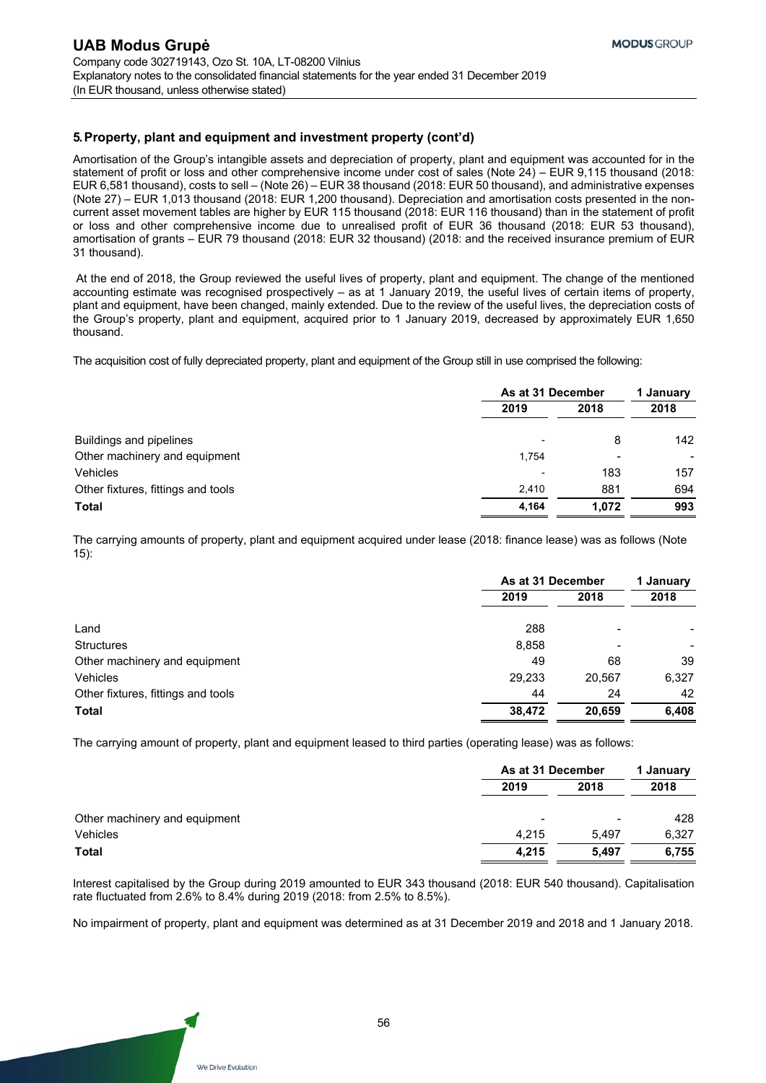# **5. Property, plant and equipment and investment property (cont'd)**

Amortisation of the Group's intangible assets and depreciation of property, plant and equipment was accounted for in the statement of profit or loss and other comprehensive income under cost of sales (Note 24) – EUR 9,115 thousand (2018: EUR 6,581 thousand), costs to sell – (Note 26) – EUR 38 thousand (2018: EUR 50 thousand), and administrative expenses (Note 27) – EUR 1,013 thousand (2018: EUR 1,200 thousand). Depreciation and amortisation costs presented in the noncurrent asset movement tables are higher by EUR 115 thousand (2018: EUR 116 thousand) than in the statement of profit or loss and other comprehensive income due to unrealised profit of EUR 36 thousand (2018: EUR 53 thousand), amortisation of grants – EUR 79 thousand (2018: EUR 32 thousand) (2018: and the received insurance premium of EUR 31 thousand).

 At the end of 2018, the Group reviewed the useful lives of property, plant and equipment. The change of the mentioned accounting estimate was recognised prospectively – as at 1 January 2019, the useful lives of certain items of property, plant and equipment, have been changed, mainly extended. Due to the review of the useful lives, the depreciation costs of the Group's property, plant and equipment, acquired prior to 1 January 2019, decreased by approximately EUR 1,650 thousand.

The acquisition cost of fully depreciated property, plant and equipment of the Group still in use comprised the following:

|                                    | As at 31 December        |                          | 1 January |  |
|------------------------------------|--------------------------|--------------------------|-----------|--|
|                                    | 2019                     | 2018                     | 2018      |  |
| Buildings and pipelines            |                          | 8                        | 142       |  |
| Other machinery and equipment      | 1.754                    | $\overline{\phantom{0}}$ |           |  |
| <b>Vehicles</b>                    | $\overline{\phantom{0}}$ | 183                      | 157       |  |
| Other fixtures, fittings and tools | 2.410                    | 881                      | 694       |  |
| <b>Total</b>                       | 4,164                    | 1.072                    | 993       |  |

The carrying amounts of property, plant and equipment acquired under lease (2018: finance lease) was as follows (Note 15):

|                                    | As at 31 December |        | 1 January |  |
|------------------------------------|-------------------|--------|-----------|--|
|                                    | 2019              | 2018   | 2018      |  |
| Land                               | 288               | -      |           |  |
| <b>Structures</b>                  | 8,858             | -      |           |  |
| Other machinery and equipment      | 49                | 68     | 39        |  |
| Vehicles                           | 29,233            | 20,567 | 6,327     |  |
| Other fixtures, fittings and tools | 44                | 24     | 42        |  |
| <b>Total</b>                       | 38,472            | 20,659 | 6,408     |  |

The carrying amount of property, plant and equipment leased to third parties (operating lease) was as follows:

|                               | As at 31 December |       | 1 January |  |
|-------------------------------|-------------------|-------|-----------|--|
|                               | 2019              | 2018  | 2018      |  |
| Other machinery and equipment | $\blacksquare$    | $\,$  | 428       |  |
| Vehicles                      | 4.215             | 5.497 | 6.327     |  |
| <b>Total</b>                  | 4,215             | 5.497 | 6,755     |  |

Interest capitalised by the Group during 2019 amounted to EUR 343 thousand (2018: EUR 540 thousand). Capitalisation rate fluctuated from 2.6% to 8.4% during 2019 (2018: from 2.5% to 8.5%).

No impairment of property, plant and equipment was determined as at 31 December 2019 and 2018 and 1 January 2018.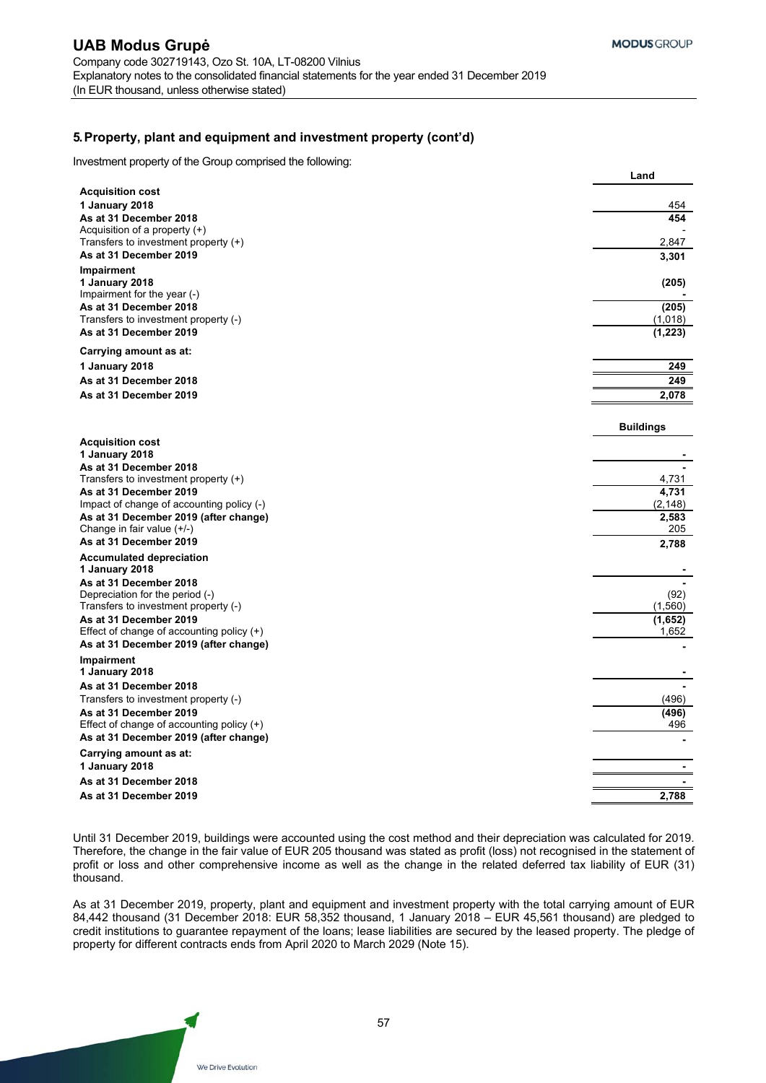## **5. Property, plant and equipment and investment property (cont'd)**

Investment property of the Group comprised the following:

|                                                                     | Land              |
|---------------------------------------------------------------------|-------------------|
| <b>Acquisition cost</b>                                             |                   |
| 1 January 2018                                                      | 454               |
| As at 31 December 2018                                              | 454               |
| Acquisition of a property $(+)$                                     |                   |
| Transfers to investment property (+)                                | 2,847             |
| As at 31 December 2019                                              | 3,301             |
| <b>Impairment</b>                                                   |                   |
| 1 January 2018<br>Impairment for the year (-)                       | (205)             |
| As at 31 December 2018                                              | (205)             |
| Transfers to investment property (-)                                | (1,018)           |
| As at 31 December 2019                                              | (1, 223)          |
| Carrying amount as at:                                              |                   |
| 1 January 2018                                                      | 249               |
| As at 31 December 2018                                              | 249               |
| As at 31 December 2019                                              | 2,078             |
|                                                                     |                   |
|                                                                     | <b>Buildings</b>  |
| <b>Acquisition cost</b>                                             |                   |
| 1 January 2018                                                      |                   |
| As at 31 December 2018                                              |                   |
| Transfers to investment property $(+)$                              | 4,731             |
| As at 31 December 2019<br>Impact of change of accounting policy (-) | 4,731<br>(2, 148) |
| As at 31 December 2019 (after change)                               | 2,583             |
| Change in fair value (+/-)                                          | 205               |
| As at 31 December 2019                                              | 2,788             |
| <b>Accumulated depreciation</b>                                     |                   |
| 1 January 2018                                                      |                   |
| As at 31 December 2018                                              |                   |
| Depreciation for the period (-)                                     | (92)              |
| Transfers to investment property (-)<br>As at 31 December 2019      | (1,560)           |
| Effect of change of accounting policy $(+)$                         | (1,652)<br>1,652  |
| As at 31 December 2019 (after change)                               |                   |
| Impairment                                                          |                   |
| 1 January 2018                                                      |                   |
| As at 31 December 2018                                              |                   |
| Transfers to investment property (-)                                | (496)             |
| As at 31 December 2019                                              | (496)             |
| Effect of change of accounting policy $(+)$                         | 496               |
| As at 31 December 2019 (after change)                               |                   |
| Carrying amount as at:                                              |                   |
| 1 January 2018                                                      | $\blacksquare$    |
| As at 31 December 2018                                              |                   |
| As at 31 December 2019                                              | 2,788             |

Until 31 December 2019, buildings were accounted using the cost method and their depreciation was calculated for 2019. Therefore, the change in the fair value of EUR 205 thousand was stated as profit (loss) not recognised in the statement of profit or loss and other comprehensive income as well as the change in the related deferred tax liability of EUR (31) thousand.

As at 31 December 2019, property, plant and equipment and investment property with the total carrying amount of EUR 84,442 thousand (31 December 2018: EUR 58,352 thousand, 1 January 2018 – EUR 45,561 thousand) are pledged to credit institutions to guarantee repayment of the loans; lease liabilities are secured by the leased property. The pledge of property for different contracts ends from April 2020 to March 2029 (Note 15).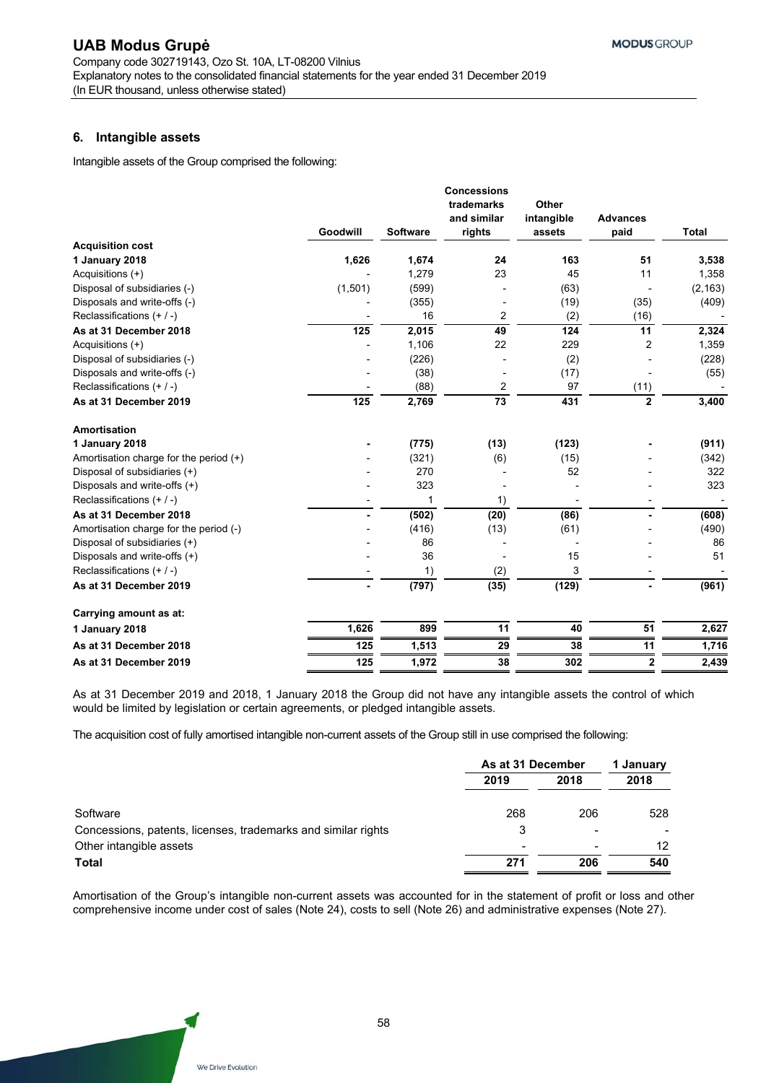# **6. Intangible assets**

Intangible assets of the Group comprised the following:

|                                        | Goodwill | <b>Software</b> | <b>Concessions</b><br>trademarks<br>and similar<br>rights | Other<br>intangible<br>assets | <b>Advances</b><br>paid | <b>Total</b> |
|----------------------------------------|----------|-----------------|-----------------------------------------------------------|-------------------------------|-------------------------|--------------|
| <b>Acquisition cost</b>                |          |                 |                                                           |                               |                         |              |
| 1 January 2018                         | 1,626    | 1,674           | 24                                                        | 163                           | 51                      | 3,538        |
| Acquisitions (+)                       |          | 1,279           | 23                                                        | 45                            | 11                      | 1,358        |
| Disposal of subsidiaries (-)           | (1,501)  | (599)           |                                                           | (63)                          |                         | (2, 163)     |
| Disposals and write-offs (-)           |          | (355)           |                                                           | (19)                          | (35)                    | (409)        |
| Reclassifications $(+ / -)$            |          | 16              | 2                                                         | (2)                           | (16)                    |              |
| As at 31 December 2018                 | 125      | 2,015           | 49                                                        | 124                           | 11                      | 2,324        |
| Acquisitions (+)                       |          | 1,106           | 22                                                        | 229                           | $\overline{2}$          | 1,359        |
| Disposal of subsidiaries (-)           |          | (226)           |                                                           | (2)                           |                         | (228)        |
| Disposals and write-offs (-)           |          | (38)            |                                                           | (17)                          |                         | (55)         |
| Reclassifications $(+ / -)$            |          | (88)            | 2                                                         | 97                            | (11)                    |              |
| As at 31 December 2019                 | 125      | 2,769           | 73                                                        | 431                           | $\overline{2}$          | 3,400        |
| Amortisation                           |          |                 |                                                           |                               |                         |              |
| 1 January 2018                         |          | (775)           | (13)                                                      | (123)                         |                         | (911)        |
| Amortisation charge for the period (+) |          | (321)           | (6)                                                       | (15)                          |                         | (342)        |
| Disposal of subsidiaries (+)           |          | 270             |                                                           | 52                            |                         | 322          |
| Disposals and write-offs (+)           |          | 323             |                                                           |                               |                         | 323          |
| Reclassifications (+ / -)              |          |                 | 1)                                                        |                               |                         |              |
| As at 31 December 2018                 |          | (502)           | (20)                                                      | (86)                          |                         | (608)        |
| Amortisation charge for the period (-) |          | (416)           | (13)                                                      | (61)                          |                         | (490)        |
| Disposal of subsidiaries (+)           |          | 86              |                                                           |                               |                         | 86           |
| Disposals and write-offs (+)           |          | 36              |                                                           | 15                            |                         | 51           |
| Reclassifications $(+ / -)$            |          | 1)              | (2)                                                       | 3                             |                         |              |
| As at 31 December 2019                 |          | (797)           | (35)                                                      | (129)                         |                         | (961)        |
| Carrying amount as at:                 |          |                 |                                                           |                               |                         |              |
| 1 January 2018                         | 1,626    | 899             | 11                                                        | 40                            | 51                      | 2,627        |
| As at 31 December 2018                 | 125      | 1,513           | 29                                                        | 38                            | 11                      | 1,716        |
| As at 31 December 2019                 | 125      | 1,972           | 38                                                        | 302                           | $\overline{2}$          | 2,439        |

As at 31 December 2019 and 2018, 1 January 2018 the Group did not have any intangible assets the control of which would be limited by legislation or certain agreements, or pledged intangible assets.

The acquisition cost of fully amortised intangible non-current assets of the Group still in use comprised the following:

|                                                               | As at 31 December |                          | 1 January |  |
|---------------------------------------------------------------|-------------------|--------------------------|-----------|--|
|                                                               | 2019              | 2018                     | 2018      |  |
| Software                                                      | 268               | 206                      | 528       |  |
| Concessions, patents, licenses, trademarks and similar rights | 3                 | $\overline{\phantom{a}}$ |           |  |
| Other intangible assets                                       |                   |                          | 12        |  |
| Total                                                         | 271               | 206                      | 540       |  |

Amortisation of the Group's intangible non-current assets was accounted for in the statement of profit or loss and other comprehensive income under cost of sales (Note 24), costs to sell (Note 26) and administrative expenses (Note 27).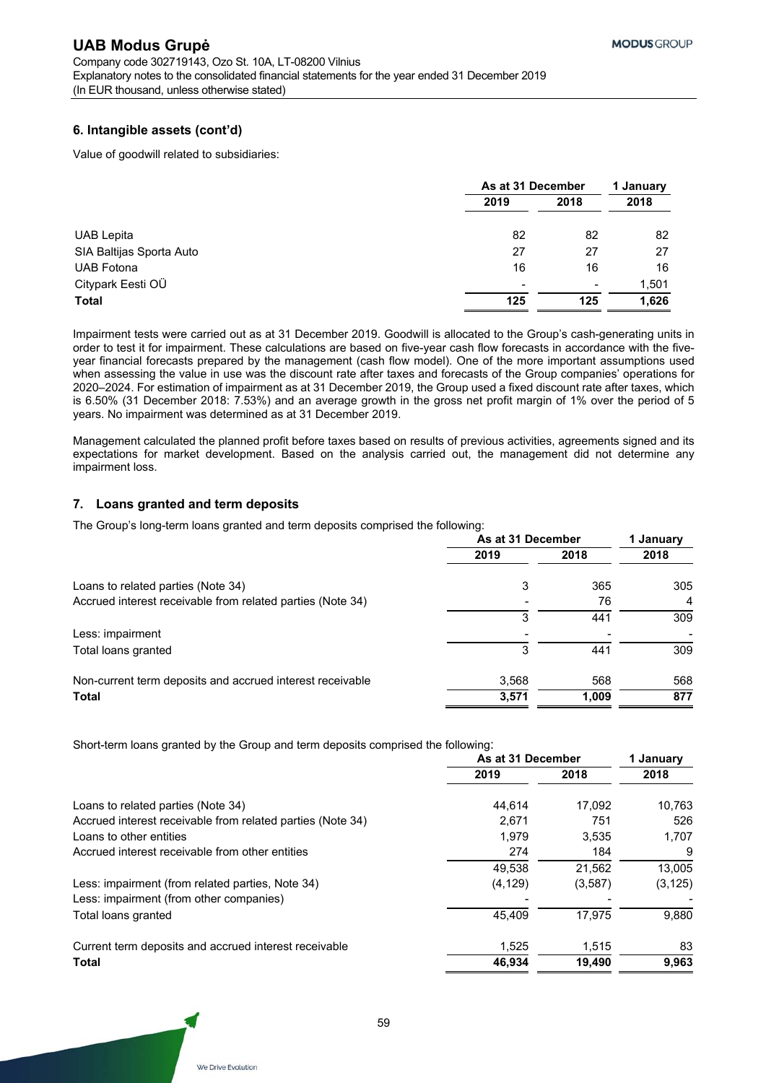# **6. Intangible assets (cont'd)**

Value of goodwill related to subsidiaries:

|                          | As at 31 December |                          | 1 January |  |
|--------------------------|-------------------|--------------------------|-----------|--|
|                          | 2019              | 2018                     | 2018      |  |
| <b>UAB Lepita</b>        | 82                | 82                       | 82        |  |
| SIA Baltijas Sporta Auto | 27                | 27                       | 27        |  |
| <b>UAB Fotona</b>        | 16                | 16                       | 16        |  |
| Citypark Eesti OÜ        | $\,$              | $\overline{\phantom{a}}$ | 1,501     |  |
| <b>Total</b>             | 125               | 125                      | 1,626     |  |

Impairment tests were carried out as at 31 December 2019. Goodwill is allocated to the Group's cash-generating units in order to test it for impairment. These calculations are based on five-year cash flow forecasts in accordance with the fiveyear financial forecasts prepared by the management (cash flow model). One of the more important assumptions used when assessing the value in use was the discount rate after taxes and forecasts of the Group companies' operations for 2020–2024. For estimation of impairment as at 31 December 2019, the Group used a fixed discount rate after taxes, which is 6.50% (31 December 2018: 7.53%) and an average growth in the gross net profit margin of 1% over the period of 5 years. No impairment was determined as at 31 December 2019.

Management calculated the planned profit before taxes based on results of previous activities, agreements signed and its expectations for market development. Based on the analysis carried out, the management did not determine any impairment loss.

# **7. Loans granted and term deposits**

The Group's long-term loans granted and term deposits comprised the following:

|                                                            | As at 31 December |       | 1 January |  |
|------------------------------------------------------------|-------------------|-------|-----------|--|
|                                                            | 2019              | 2018  | 2018      |  |
| Loans to related parties (Note 34)                         | 3                 | 365   | 305       |  |
| Accrued interest receivable from related parties (Note 34) |                   | 76    | 4         |  |
|                                                            | 3                 | 441   | 309       |  |
| Less: impairment                                           |                   |       |           |  |
| Total loans granted                                        |                   | 441   | 309       |  |
| Non-current term deposits and accrued interest receivable  | 3,568             | 568   | 568       |  |
| <b>Total</b>                                               | 3,571             | 1,009 | 877       |  |

Short-term loans granted by the Group and term deposits comprised the following:

|                                                            | As at 31 December |         | 1 January |  |
|------------------------------------------------------------|-------------------|---------|-----------|--|
|                                                            | 2019              | 2018    | 2018      |  |
| Loans to related parties (Note 34)                         | 44.614            | 17.092  | 10.763    |  |
| Accrued interest receivable from related parties (Note 34) | 2.671             | 751     | 526       |  |
| Loans to other entities                                    | 1,979             | 3,535   | 1,707     |  |
| Accrued interest receivable from other entities            | 274               | 184     | 9         |  |
|                                                            | 49.538            | 21.562  | 13.005    |  |
| Less: impairment (from related parties, Note 34)           | (4, 129)          | (3,587) | (3, 125)  |  |
| Less: impairment (from other companies)                    |                   |         |           |  |
| Total loans granted                                        | 45,409            | 17.975  | 9,880     |  |
| Current term deposits and accrued interest receivable      | 1,525             | 1,515   | 83        |  |
| <b>Total</b>                                               | 46.934            | 19.490  | 9,963     |  |
|                                                            |                   |         |           |  |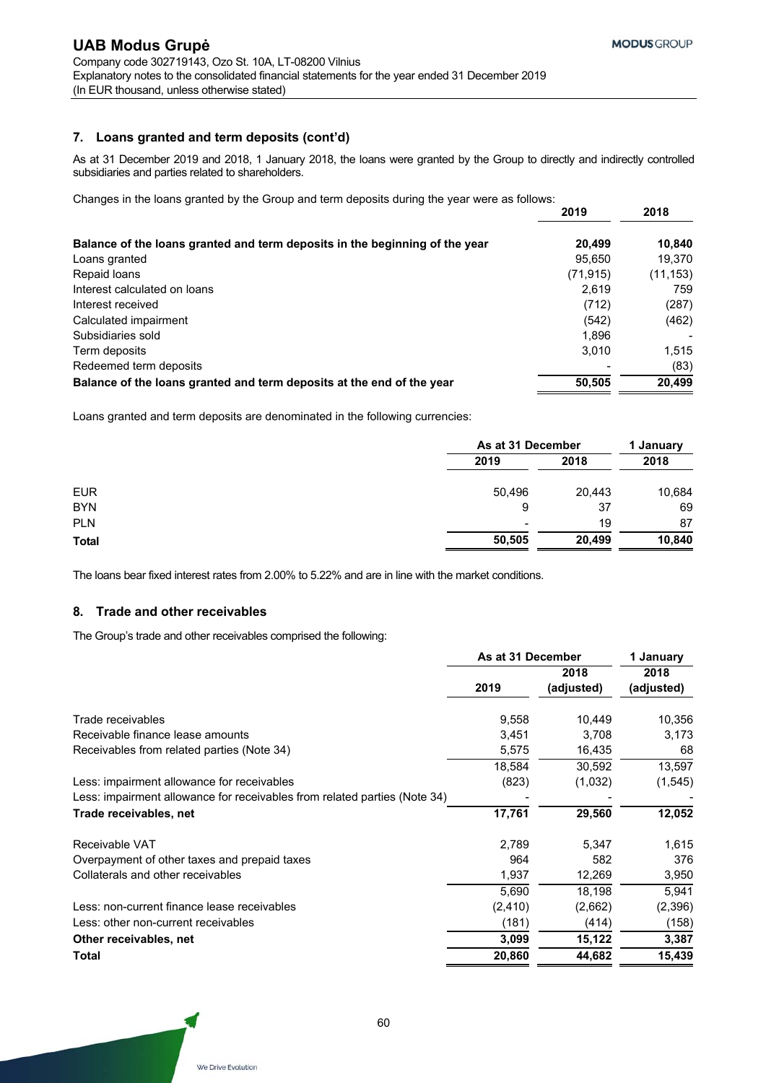# **7. Loans granted and term deposits (cont'd)**

As at 31 December 2019 and 2018, 1 January 2018, the loans were granted by the Group to directly and indirectly controlled subsidiaries and parties related to shareholders.

Changes in the loans granted by the Group and term deposits during the year were as follows:

|                                                                             | 2019      | 2018      |
|-----------------------------------------------------------------------------|-----------|-----------|
| Balance of the loans granted and term deposits in the beginning of the year | 20,499    | 10,840    |
| Loans granted                                                               | 95.650    | 19.370    |
| Repaid loans                                                                | (71, 915) | (11, 153) |
| Interest calculated on loans                                                | 2.619     | 759       |
| Interest received                                                           | (712)     | (287)     |
| Calculated impairment                                                       | (542)     | (462)     |
| Subsidiaries sold                                                           | 1,896     |           |
| Term deposits                                                               | 3,010     | 1,515     |
| Redeemed term deposits                                                      |           | (83)      |
| Balance of the loans granted and term deposits at the end of the year       | 50.505    | 20.499    |

Loans granted and term deposits are denominated in the following currencies:

|        | As at 31 December |        |
|--------|-------------------|--------|
| 2019   | 2018              | 2018   |
| 50,496 | 20,443            | 10,684 |
| 9      | 37                | 69     |
| $\,$   | 19                | 87     |
| 50,505 | 20,499            | 10,840 |
|        |                   |        |

The loans bear fixed interest rates from 2.00% to 5.22% and are in line with the market conditions.

# **8. Trade and other receivables**

The Group's trade and other receivables comprised the following:

|                                                                           | As at 31 December |                    | 1 January          |  |
|---------------------------------------------------------------------------|-------------------|--------------------|--------------------|--|
|                                                                           | 2019              | 2018<br>(adjusted) | 2018<br>(adjusted) |  |
|                                                                           |                   |                    |                    |  |
| Trade receivables                                                         | 9,558             | 10,449             | 10,356             |  |
| Receivable finance lease amounts                                          | 3,451             | 3,708              | 3,173              |  |
| Receivables from related parties (Note 34)                                | 5,575             | 16,435             | 68                 |  |
|                                                                           | 18,584            | 30,592             | 13,597             |  |
| Less: impairment allowance for receivables                                | (823)             | (1,032)            | (1, 545)           |  |
| Less: impairment allowance for receivables from related parties (Note 34) |                   |                    |                    |  |
| Trade receivables, net                                                    | 17,761            | 29,560             | 12,052             |  |
| Receivable VAT                                                            | 2,789             | 5,347              | 1,615              |  |
| Overpayment of other taxes and prepaid taxes                              | 964               | 582                | 376                |  |
| Collaterals and other receivables                                         | 1,937             | 12,269             | 3,950              |  |
|                                                                           | 5,690             | 18,198             | 5,941              |  |
| Less: non-current finance lease receivables                               | (2, 410)          | (2,662)            | (2,396)            |  |
| Less: other non-current receivables                                       | (181)             | (414)              | (158)              |  |
| Other receivables, net                                                    | 3,099             | 15,122             | 3,387              |  |
| Total                                                                     | 20,860            | 44,682             | 15,439             |  |
|                                                                           |                   |                    |                    |  |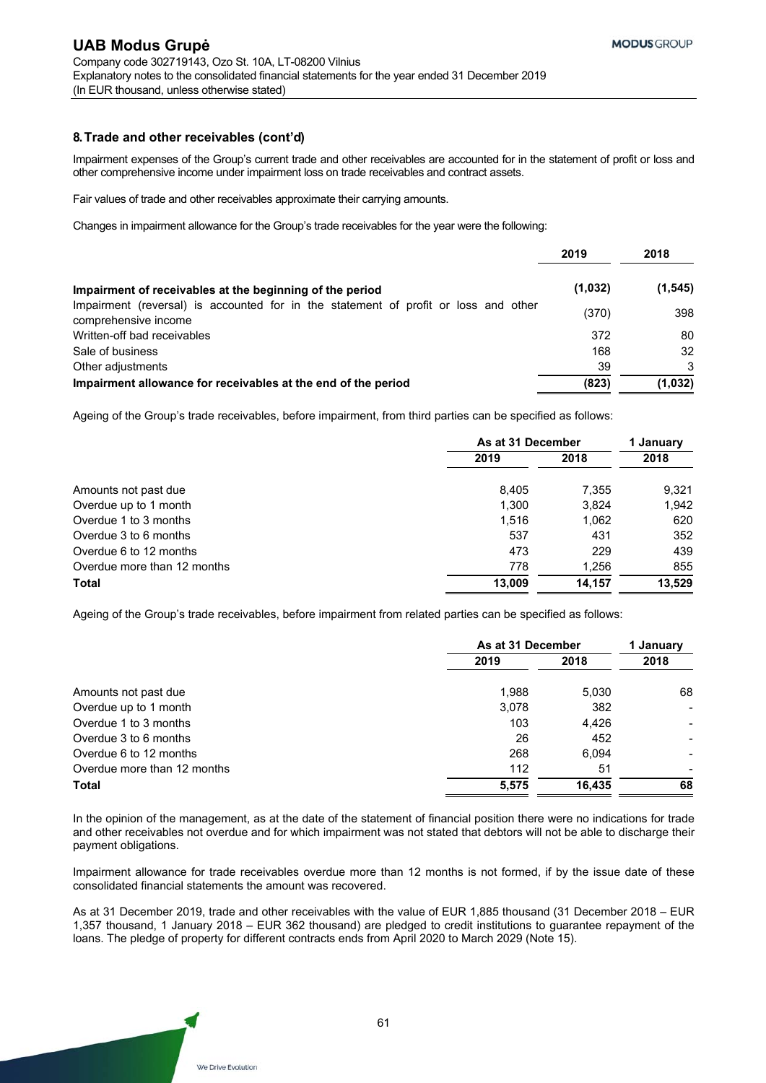## **8. Trade and other receivables (cont'd)**

Impairment expenses of the Group's current trade and other receivables are accounted for in the statement of profit or loss and other comprehensive income under impairment loss on trade receivables and contract assets.

Fair values of trade and other receivables approximate their carrying amounts.

Changes in impairment allowance for the Group's trade receivables for the year were the following:

|                                                                                                             | 2019    | 2018     |
|-------------------------------------------------------------------------------------------------------------|---------|----------|
| Impairment of receivables at the beginning of the period                                                    | (1,032) | (1, 545) |
| Impairment (reversal) is accounted for in the statement of profit or loss and other<br>comprehensive income | (370)   | 398      |
| Written-off bad receivables                                                                                 | 372     | 80       |
| Sale of business                                                                                            | 168     | 32       |
| Other adjustments                                                                                           | 39      | 3        |
| Impairment allowance for receivables at the end of the period                                               | (823)   | (1,032)  |

Ageing of the Group's trade receivables, before impairment, from third parties can be specified as follows:

|                             | As at 31 December |        | 1 January |  |
|-----------------------------|-------------------|--------|-----------|--|
|                             | 2019              | 2018   | 2018      |  |
| Amounts not past due        | 8,405             | 7,355  | 9,321     |  |
| Overdue up to 1 month       | 1,300             | 3.824  | 1.942     |  |
| Overdue 1 to 3 months       | 1,516             | 1,062  | 620       |  |
| Overdue 3 to 6 months       | 537               | 431    | 352       |  |
| Overdue 6 to 12 months      | 473               | 229    | 439       |  |
| Overdue more than 12 months | 778               | 1,256  | 855       |  |
| <b>Total</b>                | 13,009            | 14,157 | 13,529    |  |

Ageing of the Group's trade receivables, before impairment from related parties can be specified as follows:

|                             | As at 31 December |        | 1 January       |  |
|-----------------------------|-------------------|--------|-----------------|--|
|                             | 2019              | 2018   | 2018            |  |
| Amounts not past due        | 1,988             | 5,030  | 68              |  |
| Overdue up to 1 month       | 3,078             | 382    | $\qquad \qquad$ |  |
| Overdue 1 to 3 months       | 103               | 4,426  | $\qquad \qquad$ |  |
| Overdue 3 to 6 months       | 26                | 452    |                 |  |
| Overdue 6 to 12 months      | 268               | 6.094  |                 |  |
| Overdue more than 12 months | 112               | 51     |                 |  |
| <b>Total</b>                | 5,575             | 16.435 | 68              |  |

In the opinion of the management, as at the date of the statement of financial position there were no indications for trade and other receivables not overdue and for which impairment was not stated that debtors will not be able to discharge their payment obligations.

Impairment allowance for trade receivables overdue more than 12 months is not formed, if by the issue date of these consolidated financial statements the amount was recovered.

As at 31 December 2019, trade and other receivables with the value of EUR 1,885 thousand (31 December 2018 – EUR 1,357 thousand, 1 January 2018 – EUR 362 thousand) are pledged to credit institutions to guarantee repayment of the loans. The pledge of property for different contracts ends from April 2020 to March 2029 (Note 15).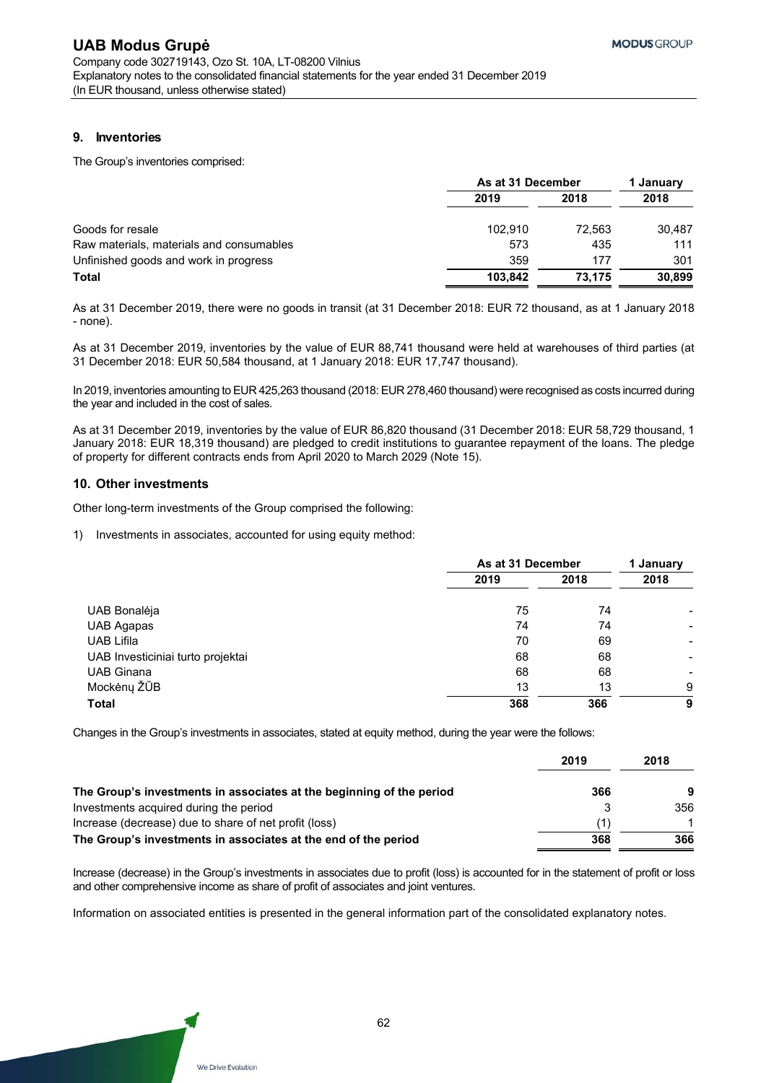## **9. Inventories**

The Group's inventories comprised:

|                                          | As at 31 December |        | 1 January |  |
|------------------------------------------|-------------------|--------|-----------|--|
|                                          | 2019              | 2018   | 2018      |  |
| Goods for resale                         | 102.910           | 72.563 | 30.487    |  |
| Raw materials, materials and consumables | 573               | 435    | 111       |  |
| Unfinished goods and work in progress    | 359               | 177    | 301       |  |
| Total                                    | 103.842           | 73.175 | 30,899    |  |

As at 31 December 2019, there were no goods in transit (at 31 December 2018: EUR 72 thousand, as at 1 January 2018 - none).

As at 31 December 2019, inventories by the value of EUR 88,741 thousand were held at warehouses of third parties (at 31 December 2018: EUR 50,584 thousand, at 1 January 2018: EUR 17,747 thousand).

In 2019, inventories amounting to EUR 425,263 thousand (2018: EUR 278,460 thousand) were recognised as costs incurred during the year and included in the cost of sales.

As at 31 December 2019, inventories by the value of EUR 86,820 thousand (31 December 2018: EUR 58,729 thousand, 1 January 2018: EUR 18,319 thousand) are pledged to credit institutions to guarantee repayment of the loans. The pledge of property for different contracts ends from April 2020 to March 2029 (Note 15).

## **10. Other investments**

Other long-term investments of the Group comprised the following:

1) Investments in associates, accounted for using equity method:

|                                   | As at 31 December |      | 1 January                    |  |
|-----------------------------------|-------------------|------|------------------------------|--|
|                                   | 2019              | 2018 | 2018                         |  |
| UAB Bonalėja                      | 75                | 74   |                              |  |
| <b>UAB Agapas</b>                 | 74                | 74   | $\qquad \qquad$              |  |
| <b>UAB Lifila</b>                 | 70                | 69   | $\qquad \qquad \blacksquare$ |  |
| UAB Investiciniai turto projektai | 68                | 68   | $\overline{\phantom{0}}$     |  |
| <b>UAB Ginana</b>                 | 68                | 68   |                              |  |
| Mockėnų ŽŪB                       | 13                | 13   | 9                            |  |
| <b>Total</b>                      | 368               | 366  | 9                            |  |

Changes in the Group's investments in associates, stated at equity method, during the year were the follows:

|                                                                      | 2019 | 2018 |
|----------------------------------------------------------------------|------|------|
| The Group's investments in associates at the beginning of the period | 366  | 9    |
| Investments acquired during the period                               |      | 356  |
| Increase (decrease) due to share of net profit (loss)                |      |      |
| The Group's investments in associates at the end of the period       | 368  | 366  |

Increase (decrease) in the Group's investments in associates due to profit (loss) is accounted for in the statement of profit or loss and other comprehensive income as share of profit of associates and joint ventures.

Information on associated entities is presented in the general information part of the consolidated explanatory notes.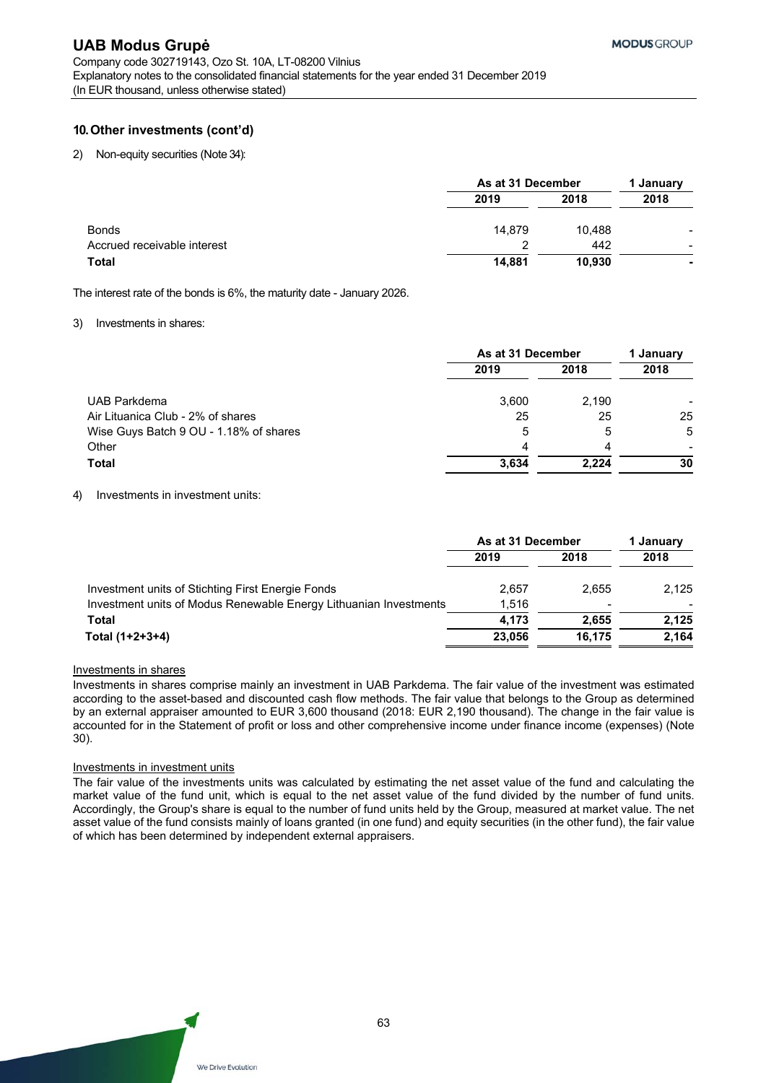# **10. Other investments (cont'd)**

2) Non-equity securities (Note 34):

|                             | As at 31 December |        | 1 January                |  |
|-----------------------------|-------------------|--------|--------------------------|--|
|                             | 2019              | 2018   | 2018                     |  |
| <b>Bonds</b>                | 14,879            | 10.488 | $\overline{\phantom{0}}$ |  |
| Accrued receivable interest | າ                 | 442    | $\blacksquare$           |  |
| <b>Total</b>                | 14,881            | 10.930 |                          |  |

The interest rate of the bonds is 6%, the maturity date - January 2026.

#### 3) Investments in shares:

|                                        | As at 31 December |       | 1 January       |  |
|----------------------------------------|-------------------|-------|-----------------|--|
|                                        | 2019              | 2018  | 2018            |  |
| UAB Parkdema                           | 3.600             | 2.190 | $\qquad \qquad$ |  |
| Air Lituanica Club - 2% of shares      | 25                | 25    | 25              |  |
| Wise Guys Batch 9 OU - 1.18% of shares | 5                 | 5     | 5               |  |
| Other                                  | 4                 | 4     |                 |  |
| <b>Total</b>                           | 3,634             | 2.224 | 30              |  |

## 4) Investments in investment units:

|                                                                   | As at 31 December |        | 1 January |  |
|-------------------------------------------------------------------|-------------------|--------|-----------|--|
|                                                                   | 2019              | 2018   | 2018      |  |
| Investment units of Stichting First Energie Fonds                 | 2.657             | 2.655  | 2,125     |  |
| Investment units of Modus Renewable Energy Lithuanian Investments | 1.516             | $\,$   |           |  |
| Total                                                             | 4.173             | 2.655  | 2.125     |  |
| Total (1+2+3+4)                                                   | 23.056            | 16.175 | 2,164     |  |

## Investments in shares

Investments in shares comprise mainly an investment in UAB Parkdema. The fair value of the investment was estimated according to the asset-based and discounted cash flow methods. The fair value that belongs to the Group as determined by an external appraiser amounted to EUR 3,600 thousand (2018: EUR 2,190 thousand). The change in the fair value is accounted for in the Statement of profit or loss and other comprehensive income under finance income (expenses) (Note 30).

#### Investments in investment units

The fair value of the investments units was calculated by estimating the net asset value of the fund and calculating the market value of the fund unit, which is equal to the net asset value of the fund divided by the number of fund units. Accordingly, the Group's share is equal to the number of fund units held by the Group, measured at market value. The net asset value of the fund consists mainly of loans granted (in one fund) and equity securities (in the other fund), the fair value of which has been determined by independent external appraisers.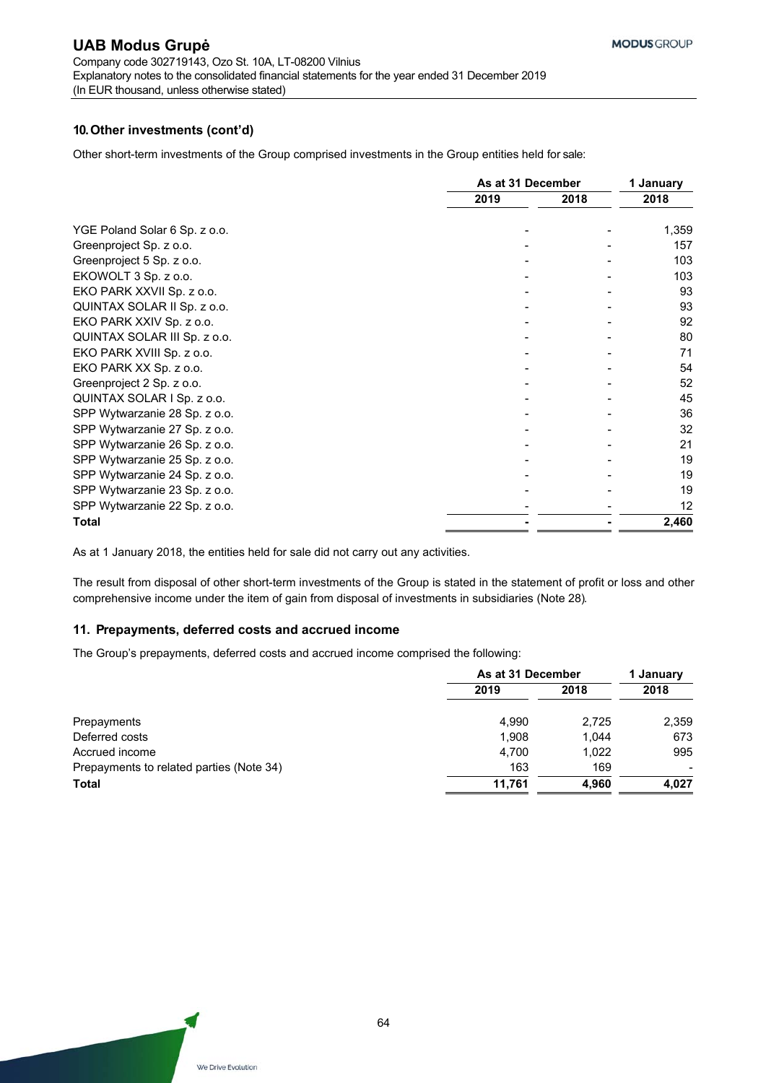# **10. Other investments (cont'd)**

Other short-term investments of the Group comprised investments in the Group entities held for sale:

|                               | As at 31 December |      | 1 January |  |
|-------------------------------|-------------------|------|-----------|--|
|                               | 2019              | 2018 | 2018      |  |
| YGE Poland Solar 6 Sp. z o.o. |                   |      | 1,359     |  |
| Greenproject Sp. z o.o.       |                   |      | 157       |  |
| Greenproject 5 Sp. z o.o.     |                   |      | 103       |  |
| EKOWOLT 3 Sp. z o.o.          |                   |      | 103       |  |
| EKO PARK XXVII Sp. z o.o.     |                   |      | 93        |  |
| QUINTAX SOLAR II Sp. z o.o.   |                   |      | 93        |  |
| EKO PARK XXIV Sp. z o.o.      |                   |      | 92        |  |
| QUINTAX SOLAR III Sp. z o.o.  |                   |      | 80        |  |
| EKO PARK XVIII Sp. z o.o.     |                   |      | 71        |  |
| EKO PARK XX Sp. z o.o.        |                   |      | 54        |  |
| Greenproject 2 Sp. z o.o.     |                   |      | 52        |  |
| QUINTAX SOLAR I Sp. z o.o.    |                   |      | 45        |  |
| SPP Wytwarzanie 28 Sp. z o.o. |                   |      | 36        |  |
| SPP Wytwarzanie 27 Sp. z o.o. |                   |      | 32        |  |
| SPP Wytwarzanie 26 Sp. z o.o. |                   |      | 21        |  |
| SPP Wytwarzanie 25 Sp. z o.o. |                   |      | 19        |  |
| SPP Wytwarzanie 24 Sp. z o.o. |                   |      | 19        |  |
| SPP Wytwarzanie 23 Sp. z o.o. |                   |      | 19        |  |
| SPP Wytwarzanie 22 Sp. z o.o. |                   |      | 12        |  |
| Total                         |                   |      | 2,460     |  |

As at 1 January 2018, the entities held for sale did not carry out any activities.

The result from disposal of other short-term investments of the Group is stated in the statement of profit or loss and other comprehensive income under the item of gain from disposal of investments in subsidiaries (Note 28).

# **11. Prepayments, deferred costs and accrued income**

The Group's prepayments, deferred costs and accrued income comprised the following:

|                                          | As at 31 December |       | 1 January      |  |
|------------------------------------------|-------------------|-------|----------------|--|
|                                          | 2019              | 2018  | 2018           |  |
| Prepayments                              | 4.990             | 2,725 | 2,359          |  |
| Deferred costs                           | 1.908             | 1.044 | 673            |  |
| Accrued income                           | 4.700             | 1,022 | 995            |  |
| Prepayments to related parties (Note 34) | 163               | 169   | $\blacksquare$ |  |
| <b>Total</b>                             | 11.761            | 4,960 | 4,027          |  |

64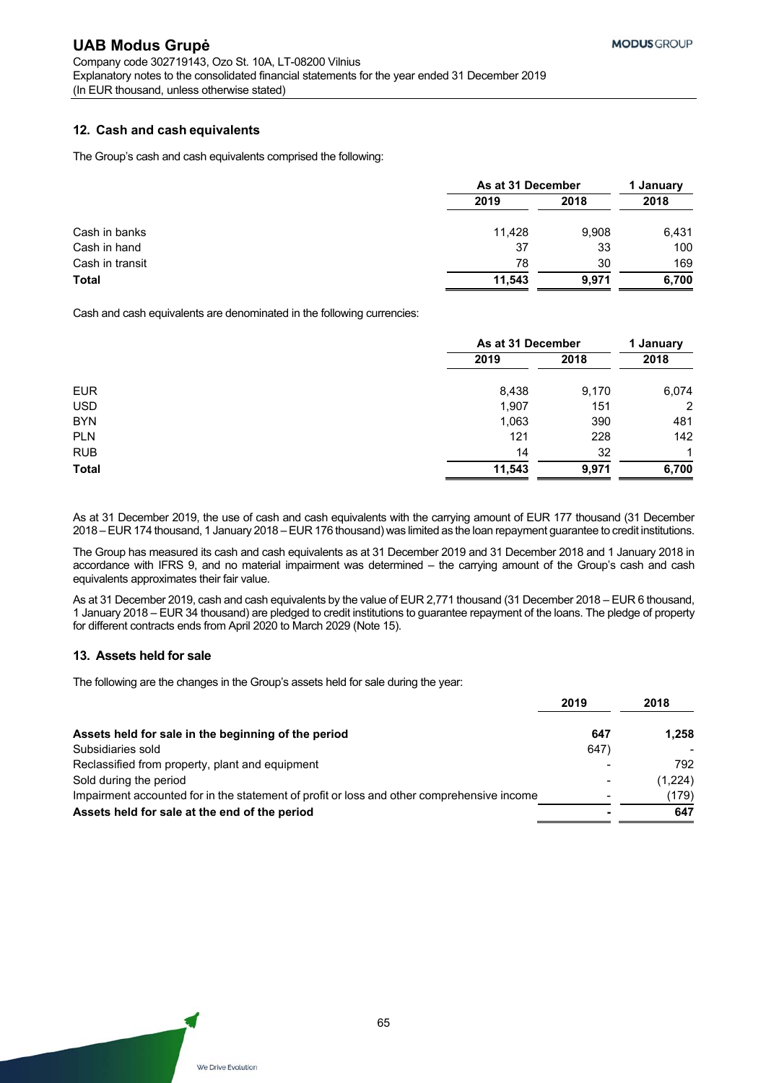# **12. Cash and cash equivalents**

The Group's cash and cash equivalents comprised the following:

|                 | As at 31 December |       | 1 January |  |
|-----------------|-------------------|-------|-----------|--|
|                 | 2019              | 2018  | 2018      |  |
| Cash in banks   | 11.428            | 9,908 | 6,431     |  |
| Cash in hand    | 37                | 33    | 100       |  |
| Cash in transit | 78                | 30    | 169       |  |
| <b>Total</b>    | 11.543            | 9,971 | 6,700     |  |

Cash and cash equivalents are denominated in the following currencies:

|              | As at 31 December |       | 1 January   |  |
|--------------|-------------------|-------|-------------|--|
|              | 2019              | 2018  | 2018        |  |
| <b>EUR</b>   | 8,438             | 9,170 | 6,074       |  |
| <b>USD</b>   | 1,907             | 151   | 2           |  |
| <b>BYN</b>   | 1,063             | 390   | 481         |  |
| <b>PLN</b>   | 121               | 228   | 142         |  |
| <b>RUB</b>   | 14                | 32    | $\mathbf 1$ |  |
| <b>Total</b> | 11,543            | 9,971 | 6,700       |  |

As at 31 December 2019, the use of cash and cash equivalents with the carrying amount of EUR 177 thousand (31 December 2018 – EUR 174 thousand, 1 January 2018 – EUR 176 thousand) was limited as the loan repayment guarantee to credit institutions.

The Group has measured its cash and cash equivalents as at 31 December 2019 and 31 December 2018 and 1 January 2018 in accordance with IFRS 9, and no material impairment was determined – the carrying amount of the Group's cash and cash equivalents approximates their fair value.

As at 31 December 2019, cash and cash equivalents by the value of EUR 2,771 thousand (31 December 2018 – EUR 6 thousand, 1 January 2018 – EUR 34 thousand) are pledged to credit institutions to guarantee repayment of the loans. The pledge of property for different contracts ends from April 2020 to March 2029 (Note 15).

# **13. Assets held for sale**

The following are the changes in the Group's assets held for sale during the year:

|                                                                                            | 2019 | 2018    |
|--------------------------------------------------------------------------------------------|------|---------|
| Assets held for sale in the beginning of the period                                        | 647  | 1.258   |
| Subsidiaries sold                                                                          | 647  |         |
| Reclassified from property, plant and equipment                                            |      | 792.    |
| Sold during the period                                                                     |      | (1,224) |
| Impairment accounted for in the statement of profit or loss and other comprehensive income |      | (179)   |
| Assets held for sale at the end of the period                                              |      | 647     |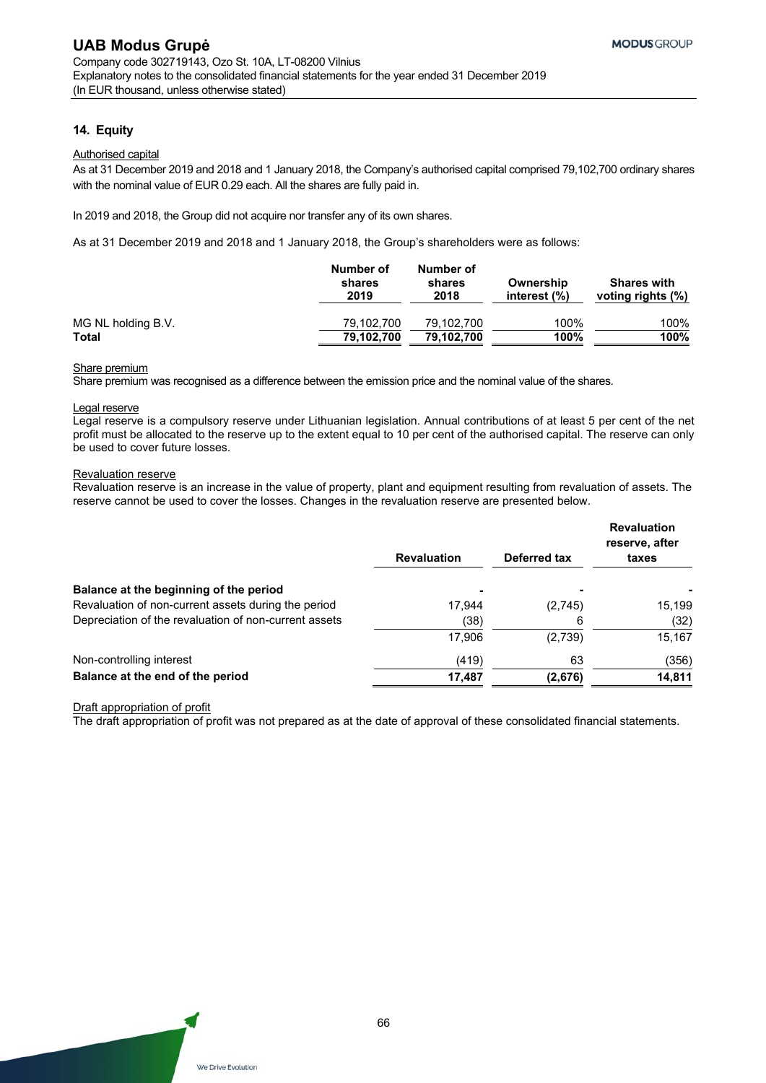# **14. Equity**

#### Authorised capital

As at 31 December 2019 and 2018 and 1 January 2018, the Company's authorised capital comprised 79,102,700 ordinary shares with the nominal value of EUR 0.29 each. All the shares are fully paid in.

In 2019 and 2018, the Group did not acquire nor transfer any of its own shares.

As at 31 December 2019 and 2018 and 1 January 2018, the Group's shareholders were as follows:

|                    | Number of<br>shares<br>2019 | Number of<br>shares<br>2018 | Ownership<br>interest (%) | <b>Shares with</b><br>voting rights (%) |
|--------------------|-----------------------------|-----------------------------|---------------------------|-----------------------------------------|
| MG NL holding B.V. | 79.102.700                  | 79.102.700                  | 100%                      | 100%                                    |
| <b>Total</b>       | 79,102,700                  | 79.102.700                  | 100%                      | 100%                                    |

#### Share premium

Share premium was recognised as a difference between the emission price and the nominal value of the shares.

#### Legal reserve

Legal reserve is a compulsory reserve under Lithuanian legislation. Annual contributions of at least 5 per cent of the net profit must be allocated to the reserve up to the extent equal to 10 per cent of the authorised capital. The reserve can only be used to cover future losses.

## Revaluation reserve

Revaluation reserve is an increase in the value of property, plant and equipment resulting from revaluation of assets. The reserve cannot be used to cover the losses. Changes in the revaluation reserve are presented below.

|                                                       |                    |              | <b>Revaluation</b><br>reserve, after |
|-------------------------------------------------------|--------------------|--------------|--------------------------------------|
|                                                       | <b>Revaluation</b> | Deferred tax | taxes                                |
| Balance at the beginning of the period                |                    |              |                                      |
| Revaluation of non-current assets during the period   | 17.944             | (2,745)      | 15,199                               |
| Depreciation of the revaluation of non-current assets | (38)               | 6            | (32)                                 |
|                                                       | 17,906             | (2,739)      | 15,167                               |
| Non-controlling interest                              | (419)              | 63           | (356)                                |
| Balance at the end of the period                      | 17,487             | (2,676)      | 14,811                               |

#### Draft appropriation of profit

The draft appropriation of profit was not prepared as at the date of approval of these consolidated financial statements.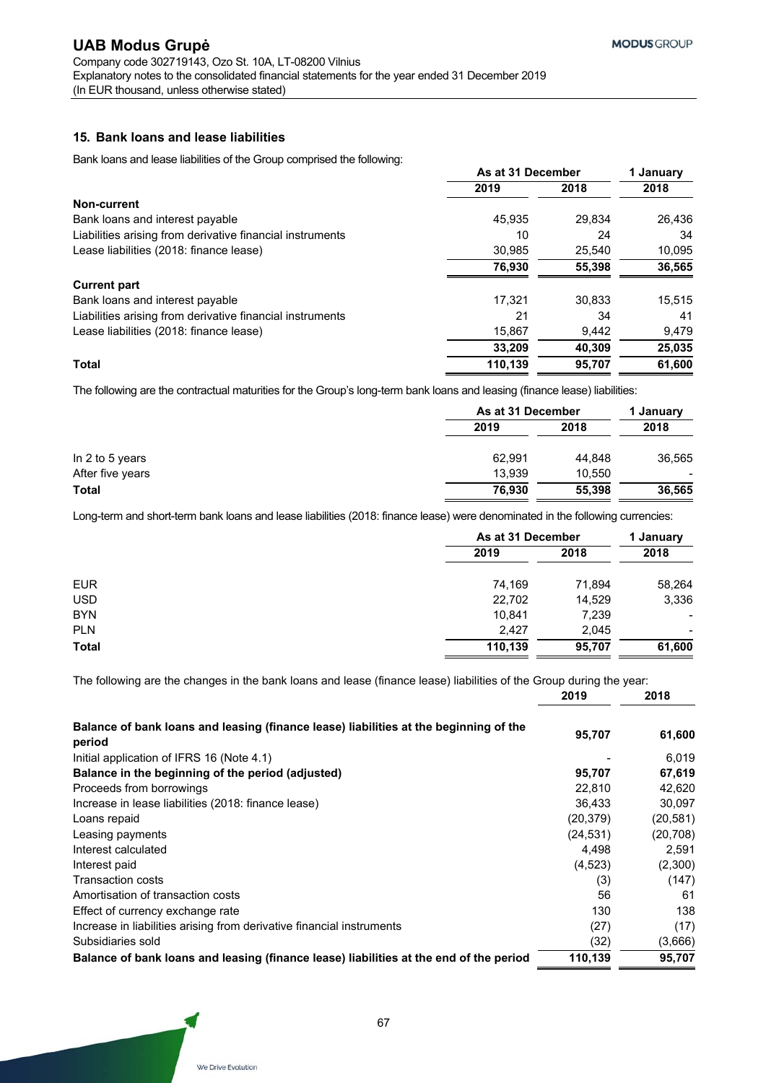# **15. Bank loans and lease liabilities**

Bank loans and lease liabilities of the Group comprised the following:

|                                                           | As at 31 December |        | 1 January |  |
|-----------------------------------------------------------|-------------------|--------|-----------|--|
|                                                           | 2019              | 2018   | 2018      |  |
| Non-current                                               |                   |        |           |  |
| Bank loans and interest payable                           | 45,935            | 29.834 | 26,436    |  |
| Liabilities arising from derivative financial instruments | 10                | 24     | 34        |  |
| Lease liabilities (2018: finance lease)                   | 30,985            | 25.540 | 10,095    |  |
|                                                           | 76.930            | 55,398 | 36,565    |  |
| <b>Current part</b>                                       |                   |        |           |  |
| Bank loans and interest payable                           | 17.321            | 30.833 | 15.515    |  |
| Liabilities arising from derivative financial instruments | 21                | 34     | 41        |  |
| Lease liabilities (2018: finance lease)                   | 15,867            | 9.442  | 9,479     |  |
|                                                           | 33,209            | 40.309 | 25,035    |  |
| <b>Total</b>                                              | 110,139           | 95.707 | 61,600    |  |

The following are the contractual maturities for the Group's long-term bank loans and leasing (finance lease) liabilities:

|                  |        | As at 31 December |        |
|------------------|--------|-------------------|--------|
|                  | 2019   | 2018<br>2018      |        |
| In 2 to 5 years  | 62.991 | 44.848            | 36,565 |
| After five years | 13.939 | 10.550            | -      |
| <b>Total</b>     | 76,930 | 55,398            | 36,565 |

Long-term and short-term bank loans and lease liabilities (2018: finance lease) were denominated in the following currencies:

|              |         | As at 31 December |                |
|--------------|---------|-------------------|----------------|
|              | 2019    | 2018              | 2018           |
| <b>EUR</b>   | 74,169  | 71,894            | 58,264         |
| <b>USD</b>   | 22,702  | 14,529            | 3,336          |
| <b>BYN</b>   | 10,841  | 7,239             | $\blacksquare$ |
| <b>PLN</b>   | 2.427   | 2,045             | $\,$           |
| <b>Total</b> | 110,139 | 95,707            | 61,600         |
|              |         |                   |                |

The following are the changes in the bank loans and lease (finance lease) liabilities of the Group during the year:

|                                                                                                 | 2019      | 2018     |
|-------------------------------------------------------------------------------------------------|-----------|----------|
| Balance of bank loans and leasing (finance lease) liabilities at the beginning of the<br>period | 95,707    | 61,600   |
| Initial application of IFRS 16 (Note 4.1)                                                       |           | 6,019    |
| Balance in the beginning of the period (adjusted)                                               | 95,707    | 67,619   |
| Proceeds from borrowings                                                                        | 22,810    | 42,620   |
| Increase in lease liabilities (2018: finance lease)                                             | 36.433    | 30,097   |
| Loans repaid                                                                                    | (20, 379) | (20,581) |
| Leasing payments                                                                                | (24, 531) | (20,708) |
| Interest calculated                                                                             | 4,498     | 2,591    |
| Interest paid                                                                                   | (4, 523)  | (2,300)  |
| <b>Transaction costs</b>                                                                        | (3)       | (147)    |
| Amortisation of transaction costs                                                               | 56        | 61       |
| Effect of currency exchange rate                                                                | 130       | 138      |
| Increase in liabilities arising from derivative financial instruments                           | (27)      | (17)     |
| Subsidiaries sold                                                                               | (32)      | (3,666)  |
| Balance of bank loans and leasing (finance lease) liabilities at the end of the period          | 110,139   | 95,707   |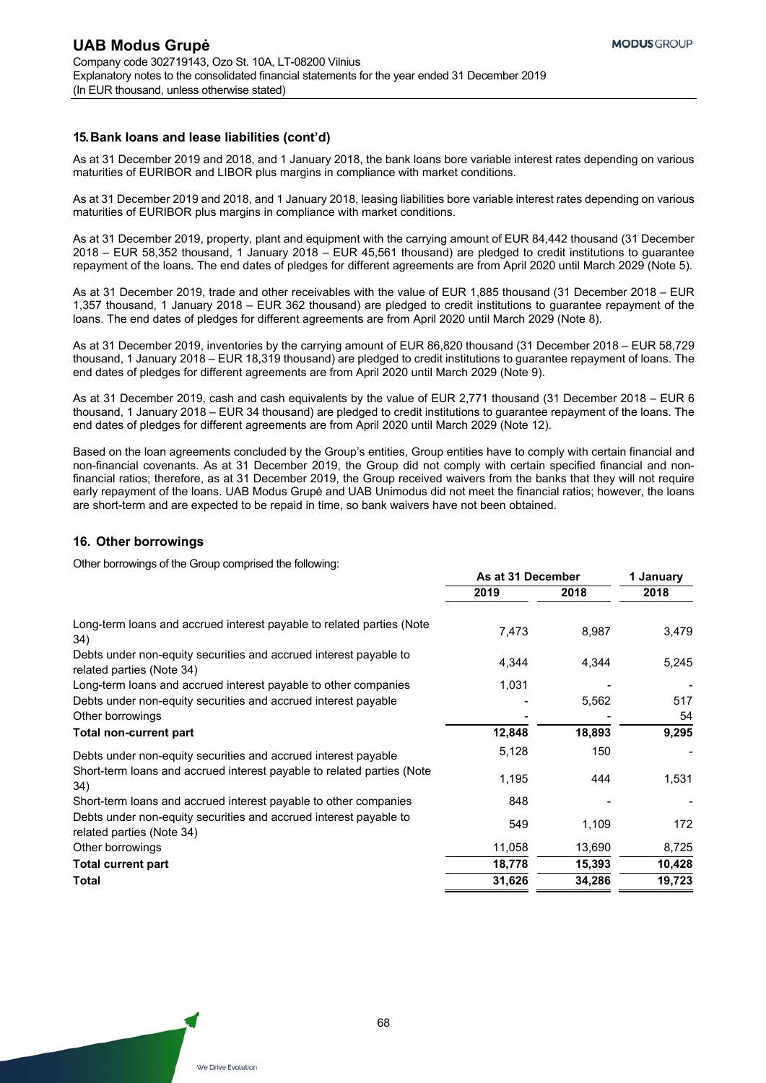**As at 31 December 1 January** 

## **15. Bank loans and lease liabilities (cont'd)**

As at 31 December 2019 and 2018, and 1 January 2018, the bank loans bore variable interest rates depending on various maturities of EURIBOR and LIBOR plus margins in compliance with market conditions.

As at 31 December 2019 and 2018, and 1 January 2018, leasing liabilities bore variable interest rates depending on various maturities of EURIBOR plus margins in compliance with market conditions.

As at 31 December 2019, property, plant and equipment with the carrying amount of EUR 84,442 thousand (31 December 2018 – EUR 58,352 thousand, 1 January 2018 – EUR 45,561 thousand) are pledged to credit institutions to guarantee repayment of the loans. The end dates of pledges for different agreements are from April 2020 until March 2029 (Note 5).

As at 31 December 2019, trade and other receivables with the value of EUR 1,885 thousand (31 December 2018 – EUR 1,357 thousand, 1 January 2018 – EUR 362 thousand) are pledged to credit institutions to guarantee repayment of the loans. The end dates of pledges for different agreements are from April 2020 until March 2029 (Note 8).

As at 31 December 2019, inventories by the carrying amount of EUR 86,820 thousand (31 December 2018 – EUR 58,729 thousand, 1 January 2018 – EUR 18,319 thousand) are pledged to credit institutions to guarantee repayment of loans. The end dates of pledges for different agreements are from April 2020 until March 2029 (Note 9).

As at 31 December 2019, cash and cash equivalents by the value of EUR 2,771 thousand (31 December 2018 – EUR 6 thousand, 1 January 2018 – EUR 34 thousand) are pledged to credit institutions to guarantee repayment of the loans. The end dates of pledges for different agreements are from April 2020 until March 2029 (Note 12).

Based on the loan agreements concluded by the Group's entities, Group entities have to comply with certain financial and non-financial covenants. As at 31 December 2019, the Group did not comply with certain specified financial and nonfinancial ratios; therefore, as at 31 December 2019, the Group received waivers from the banks that they will not require early repayment of the loans. UAB Modus Grupė and UAB Unimodus did not meet the financial ratios; however, the loans are short-term and are expected to be repaid in time, so bank waivers have not been obtained.

## **16. Other borrowings**

Other borrowings of the Group comprised the following:

|                                                                                                |        |        | . vu.wu., |  |
|------------------------------------------------------------------------------------------------|--------|--------|-----------|--|
|                                                                                                | 2019   | 2018   | 2018      |  |
| Long-term loans and accrued interest payable to related parties (Note<br>34)                   | 7,473  | 8,987  | 3,479     |  |
| Debts under non-equity securities and accrued interest payable to<br>related parties (Note 34) | 4,344  | 4,344  | 5,245     |  |
| Long-term loans and accrued interest payable to other companies                                | 1,031  |        |           |  |
| Debts under non-equity securities and accrued interest payable                                 |        | 5,562  | 517       |  |
| Other borrowings                                                                               |        |        | 54        |  |
| Total non-current part                                                                         | 12,848 | 18,893 | 9,295     |  |
| Debts under non-equity securities and accrued interest payable                                 | 5,128  | 150    |           |  |
| Short-term loans and accrued interest payable to related parties (Note<br>34)                  | 1,195  | 444    | 1,531     |  |
| Short-term loans and accrued interest payable to other companies                               | 848    |        |           |  |
| Debts under non-equity securities and accrued interest payable to<br>related parties (Note 34) | 549    | 1,109  | 172       |  |
| Other borrowings                                                                               | 11,058 | 13,690 | 8,725     |  |
| <b>Total current part</b>                                                                      | 18,778 | 15,393 | 10,428    |  |
| Total                                                                                          | 31,626 | 34,286 | 19,723    |  |
|                                                                                                |        |        |           |  |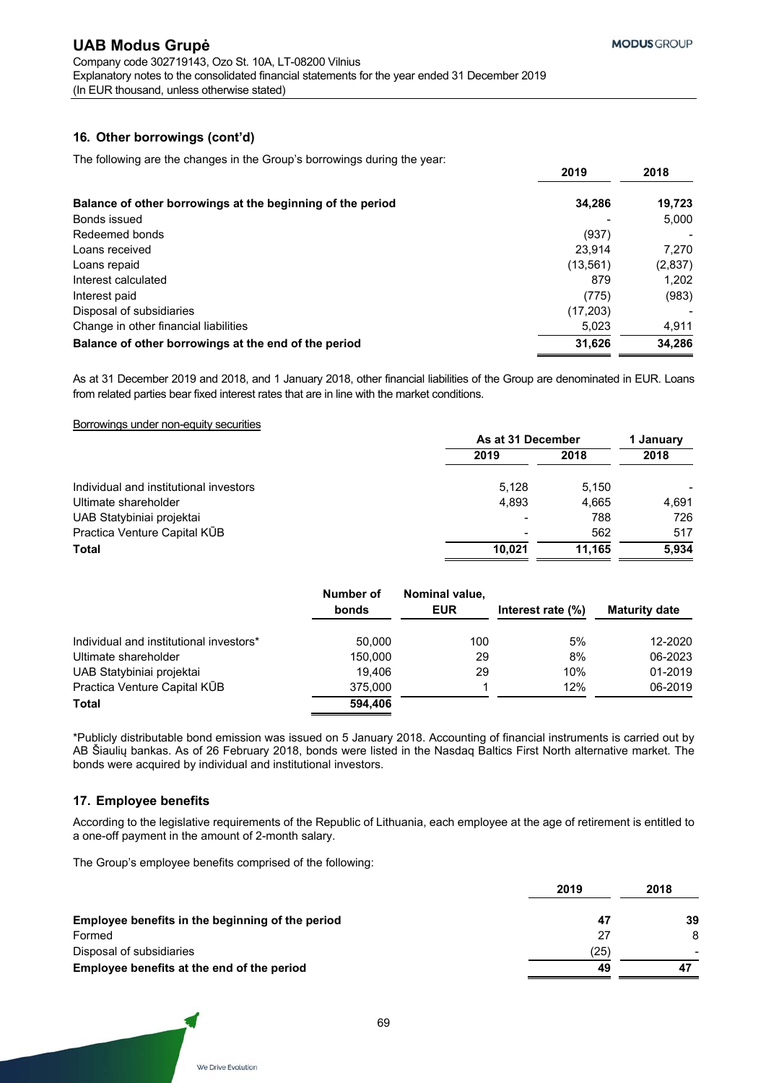# **16. Other borrowings (cont'd)**

The following are the changes in the Group's borrowings during the year:

|                                                            | 2019      | 2018    |
|------------------------------------------------------------|-----------|---------|
| Balance of other borrowings at the beginning of the period | 34,286    | 19,723  |
| Bonds issued                                               |           | 5,000   |
| Redeemed bonds                                             | (937)     |         |
| Loans received                                             | 23.914    | 7.270   |
| Loans repaid                                               | (13, 561) | (2,837) |
| Interest calculated                                        | 879       | 1,202   |
| Interest paid                                              | (775)     | (983)   |
| Disposal of subsidiaries                                   | (17, 203) |         |
| Change in other financial liabilities                      | 5,023     | 4,911   |
| Balance of other borrowings at the end of the period       | 31,626    | 34,286  |

As at 31 December 2019 and 2018, and 1 January 2018, other financial liabilities of the Group are denominated in EUR. Loans from related parties bear fixed interest rates that are in line with the market conditions.

## Borrowings under non-equity securities

|                                        | As at 31 December        |        | 1 January |  |
|----------------------------------------|--------------------------|--------|-----------|--|
|                                        | 2019                     | 2018   | 2018      |  |
| Individual and institutional investors | 5.128                    | 5.150  |           |  |
| Ultimate shareholder                   | 4,893                    | 4,665  | 4.691     |  |
| UAB Statybiniai projektai              | $\overline{\phantom{a}}$ | 788    | 726       |  |
| Practica Venture Capital KUB           | $\overline{\phantom{a}}$ | 562    | 517       |  |
| <b>Total</b>                           | 10.021                   | 11.165 | 5,934     |  |

|                                         | Number of<br>bonds | Nominal value,<br><b>EUR</b> | Interest rate (%) | <b>Maturity date</b> |
|-----------------------------------------|--------------------|------------------------------|-------------------|----------------------|
|                                         |                    |                              |                   |                      |
| Individual and institutional investors* | 50,000             | 100                          | 5%                | 12-2020              |
| Ultimate shareholder                    | 150,000            | 29                           | 8%                | 06-2023              |
| UAB Statybiniai projektai               | 19.406             | 29                           | 10%               | 01-2019              |
| Practica Venture Capital KUB            | 375,000            |                              | 12%               | 06-2019              |
| <b>Total</b>                            | 594.406            |                              |                   |                      |

\*Publicly distributable bond emission was issued on 5 January 2018. Accounting of financial instruments is carried out by AB Šiaulių bankas. As of 26 February 2018, bonds were listed in the Nasdaq Baltics First North alternative market. The bonds were acquired by individual and institutional investors.

# **17. Employee benefits**

According to the legislative requirements of the Republic of Lithuania, each employee at the age of retirement is entitled to a one-off payment in the amount of 2-month salary.

The Group's employee benefits comprised of the following:

|                                                  | 2019 | 2018 |
|--------------------------------------------------|------|------|
| Employee benefits in the beginning of the period | 47   | 39   |
| Formed                                           | 27   | 8    |
| Disposal of subsidiaries                         | (25) |      |
| Employee benefits at the end of the period       | 49   |      |

We Drive Evolution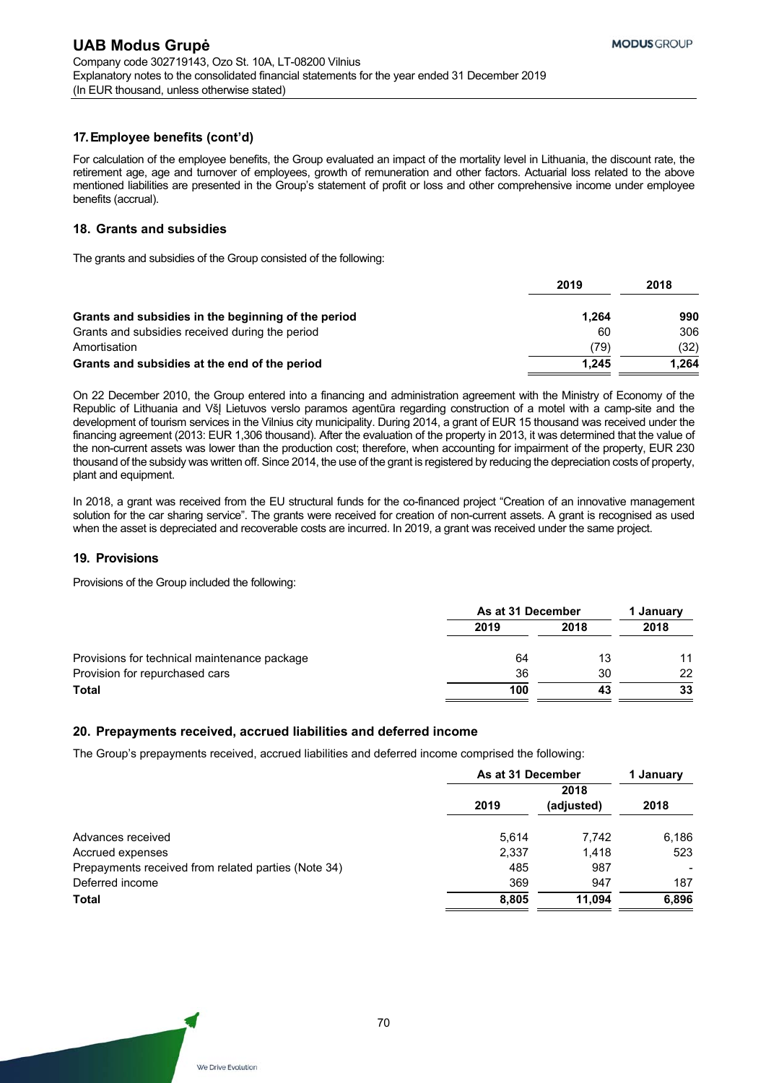# **17. Employee benefits (cont'd)**

For calculation of the employee benefits, the Group evaluated an impact of the mortality level in Lithuania, the discount rate, the retirement age, age and turnover of employees, growth of remuneration and other factors. Actuarial loss related to the above mentioned liabilities are presented in the Group's statement of profit or loss and other comprehensive income under employee benefits (accrual).

# **18. Grants and subsidies**

The grants and subsidies of the Group consisted of the following:

|                                                     | 2019  | 2018  |
|-----------------------------------------------------|-------|-------|
| Grants and subsidies in the beginning of the period | 1.264 | 990   |
| Grants and subsidies received during the period     | 60    | 306   |
| Amortisation                                        | (79)  | (32)  |
| Grants and subsidies at the end of the period       | 1.245 | 1.264 |

On 22 December 2010, the Group entered into a financing and administration agreement with the Ministry of Economy of the Republic of Lithuania and VšI Lietuvos verslo paramos agentūra regarding construction of a motel with a camp-site and the development of tourism services in the Vilnius city municipality. During 2014, a grant of EUR 15 thousand was received under the financing agreement (2013: EUR 1,306 thousand). After the evaluation of the property in 2013, it was determined that the value of the non-current assets was lower than the production cost; therefore, when accounting for impairment of the property, EUR 230 thousand of the subsidy was written off. Since 2014, the use of the grant is registered by reducing the depreciation costs of property, plant and equipment.

In 2018, a grant was received from the EU structural funds for the co-financed project "Creation of an innovative management solution for the car sharing service". The grants were received for creation of non-current assets. A grant is recognised as used when the asset is depreciated and recoverable costs are incurred. In 2019, a grant was received under the same project.

# **19. Provisions**

Provisions of the Group included the following:

|                                              | As at 31 December |      | 1 January |  |
|----------------------------------------------|-------------------|------|-----------|--|
|                                              | 2019              | 2018 | 2018      |  |
| Provisions for technical maintenance package | 64                | 13   | 11        |  |
| Provision for repurchased cars               | 36                | 30   | 22        |  |
| <b>Total</b>                                 | 100               | 43   | 33        |  |

# **20. Prepayments received, accrued liabilities and deferred income**

The Group's prepayments received, accrued liabilities and deferred income comprised the following:

|                                                     | As at 31 December |            | 1 January      |
|-----------------------------------------------------|-------------------|------------|----------------|
|                                                     | 2018              |            |                |
|                                                     | 2019              | (adjusted) | 2018           |
| Advances received                                   | 5.614             | 7.742      | 6,186          |
| Accrued expenses                                    | 2,337             | 1.418      | 523            |
| Prepayments received from related parties (Note 34) | 485               | 987        | $\blacksquare$ |
| Deferred income                                     | 369               | 947        | 187            |
| <b>Total</b>                                        | 8,805             | 11.094     | 6,896          |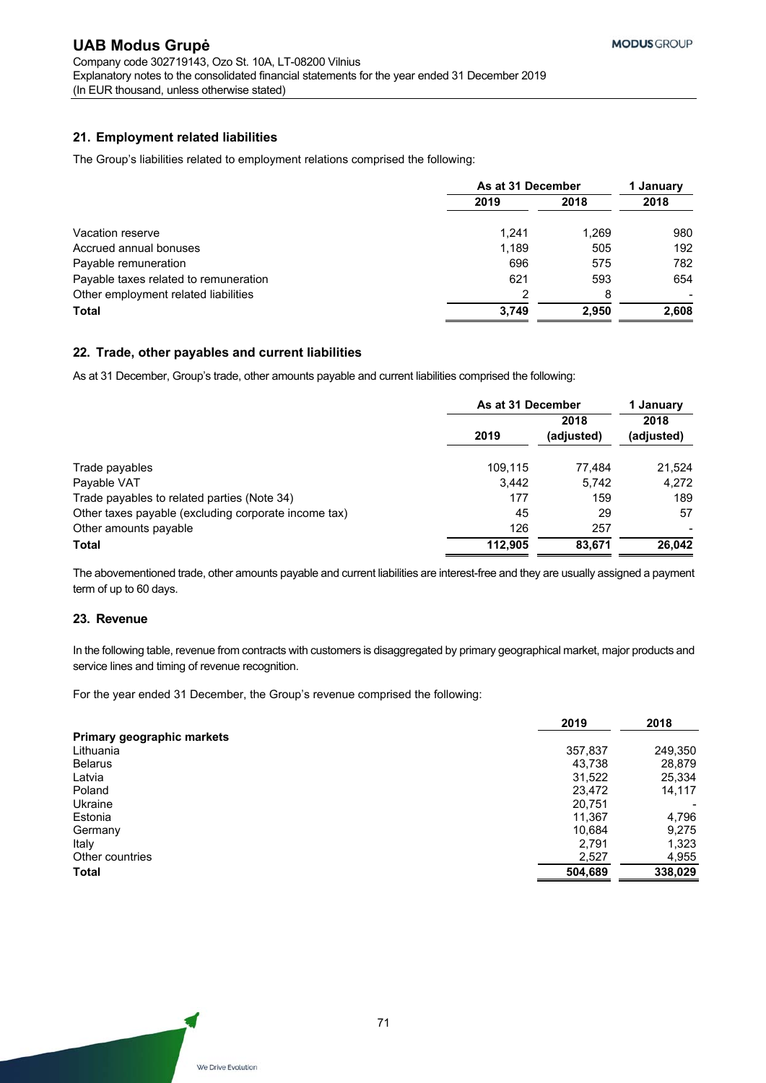# **21. Employment related liabilities**

The Group's liabilities related to employment relations comprised the following:

|                                       | As at 31 December |       | 1 January |
|---------------------------------------|-------------------|-------|-----------|
|                                       | 2019              | 2018  | 2018      |
| Vacation reserve                      | 1.241             | 1,269 | 980       |
| Accrued annual bonuses                | 1.189             | 505   | 192       |
| Payable remuneration                  | 696               | 575   | 782       |
| Payable taxes related to remuneration | 621               | 593   | 654       |
| Other employment related liabilities  | 2                 | 8     |           |
| <b>Total</b>                          | 3.749             | 2.950 | 2,608     |

# **22. Trade, other payables and current liabilities**

As at 31 December, Group's trade, other amounts payable and current liabilities comprised the following:

|                                                      | As at 31 December |            | 1 January      |
|------------------------------------------------------|-------------------|------------|----------------|
|                                                      |                   | 2018       | 2018           |
|                                                      | 2019              | (adjusted) | (adjusted)     |
| Trade payables                                       | 109.115           | 77.484     | 21,524         |
| Payable VAT                                          | 3.442             | 5.742      | 4.272          |
| Trade payables to related parties (Note 34)          | 177               | 159        | 189            |
| Other taxes payable (excluding corporate income tax) | 45                | 29         | 57             |
| Other amounts payable                                | 126               | 257        | $\blacksquare$ |
| <b>Total</b>                                         | 112.905           | 83,671     | 26,042         |

The abovementioned trade, other amounts payable and current liabilities are interest-free and they are usually assigned a payment term of up to 60 days.

# **23. Revenue**

In the following table, revenue from contracts with customers is disaggregated by primary geographical market, major products and service lines and timing of revenue recognition.

For the year ended 31 December, the Group's revenue comprised the following:

|                            | 2019    | 2018    |
|----------------------------|---------|---------|
| Primary geographic markets |         |         |
| Lithuania                  | 357,837 | 249,350 |
| <b>Belarus</b>             | 43.738  | 28,879  |
| Latvia                     | 31,522  | 25,334  |
| Poland                     | 23,472  | 14,117  |
| Ukraine                    | 20,751  |         |
| Estonia                    | 11,367  | 4,796   |
| Germany                    | 10,684  | 9,275   |
| Italy                      | 2,791   | 1,323   |
| Other countries            | 2,527   | 4,955   |
| <b>Total</b>               | 504,689 | 338,029 |

71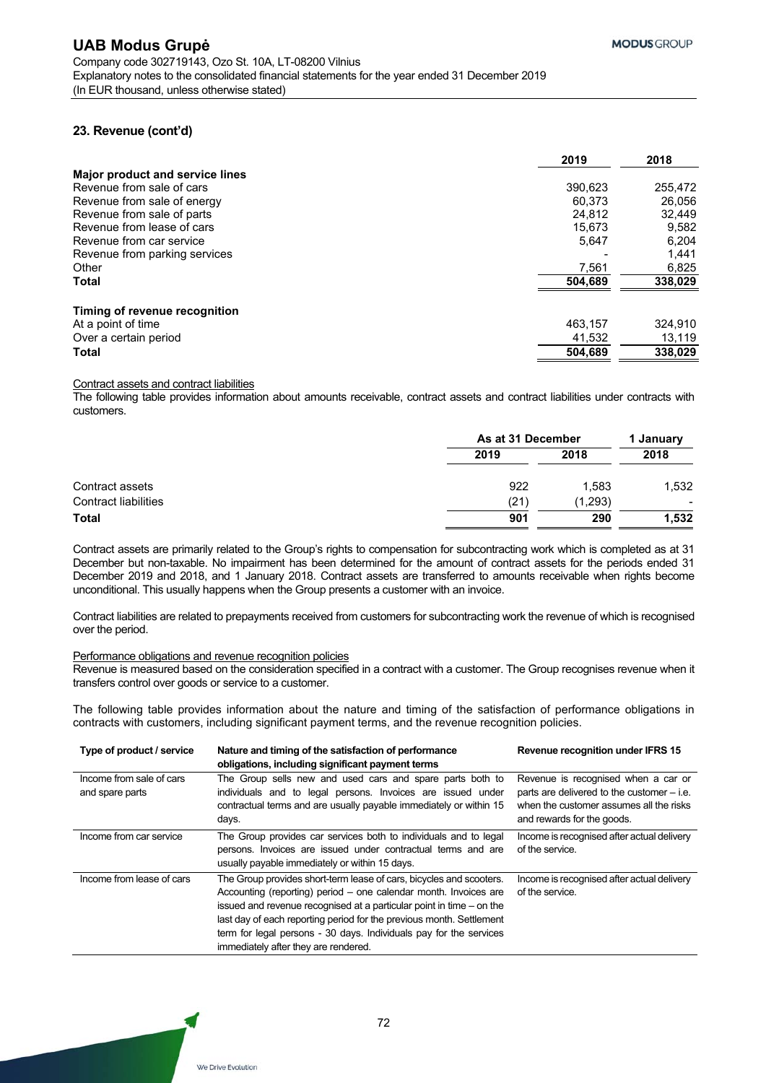## **23. Revenue (cont'd)**

|                                 | 2019    | 2018    |
|---------------------------------|---------|---------|
| Major product and service lines |         |         |
| Revenue from sale of cars       | 390.623 | 255,472 |
| Revenue from sale of energy     | 60.373  | 26.056  |
| Revenue from sale of parts      | 24.812  | 32.449  |
| Revenue from lease of cars      | 15.673  | 9,582   |
| Revenue from car service        | 5,647   | 6,204   |
| Revenue from parking services   |         | 1.441   |
| Other                           | 7,561   | 6,825   |
| Total                           | 504,689 | 338,029 |
| Timing of revenue recognition   |         |         |
| At a point of time              | 463.157 | 324,910 |
| Over a certain period           | 41,532  | 13.119  |
| <b>Total</b>                    | 504,689 | 338,029 |

# Contract assets and contract liabilities

The following table provides information about amounts receivable, contract assets and contract liabilities under contracts with customers.

|                             |      | As at 31 December |                |
|-----------------------------|------|-------------------|----------------|
|                             | 2019 | 2018              | 2018           |
| Contract assets             | 922  | 1,583             | 1,532          |
| <b>Contract liabilities</b> | (21  | (1,293)           | $\blacksquare$ |
| Total                       | 901  | 290               | 1,532          |

Contract assets are primarily related to the Group's rights to compensation for subcontracting work which is completed as at 31 December but non-taxable. No impairment has been determined for the amount of contract assets for the periods ended 31 December 2019 and 2018, and 1 January 2018. Contract assets are transferred to amounts receivable when rights become unconditional. This usually happens when the Group presents a customer with an invoice.

Contract liabilities are related to prepayments received from customers for subcontracting work the revenue of which is recognised over the period.

#### Performance obligations and revenue recognition policies

Revenue is measured based on the consideration specified in a contract with a customer. The Group recognises revenue when it transfers control over goods or service to a customer.

The following table provides information about the nature and timing of the satisfaction of performance obligations in contracts with customers, including significant payment terms, and the revenue recognition policies.

| Type of product / service                   | Nature and timing of the satisfaction of performance<br>obligations, including significant payment terms                                                                                                                                                                                                                                                                                                | Revenue recognition under IFRS 15                                                                                                                            |
|---------------------------------------------|---------------------------------------------------------------------------------------------------------------------------------------------------------------------------------------------------------------------------------------------------------------------------------------------------------------------------------------------------------------------------------------------------------|--------------------------------------------------------------------------------------------------------------------------------------------------------------|
| Income from sale of cars<br>and spare parts | The Group sells new and used cars and spare parts both to<br>individuals and to legal persons. Invoices are issued under<br>contractual terms and are usually payable immediately or within 15<br>days.                                                                                                                                                                                                 | Revenue is recognised when a car or<br>parts are delivered to the customer $-$ i.e.<br>when the customer assumes all the risks<br>and rewards for the goods. |
| Income from car service                     | The Group provides car services both to individuals and to legal<br>persons. Invoices are issued under contractual terms and are<br>usually payable immediately or within 15 days.                                                                                                                                                                                                                      | Income is recognised after actual delivery<br>of the service.                                                                                                |
| Income from lease of cars                   | The Group provides short-term lease of cars, bicycles and scooters.<br>Accounting (reporting) period – one calendar month. Invoices are<br>issued and revenue recognised at a particular point in time $-$ on the<br>last day of each reporting period for the previous month. Settlement<br>term for legal persons - 30 days. Individuals pay for the services<br>immediately after they are rendered. | Income is recognised after actual delivery<br>of the service.                                                                                                |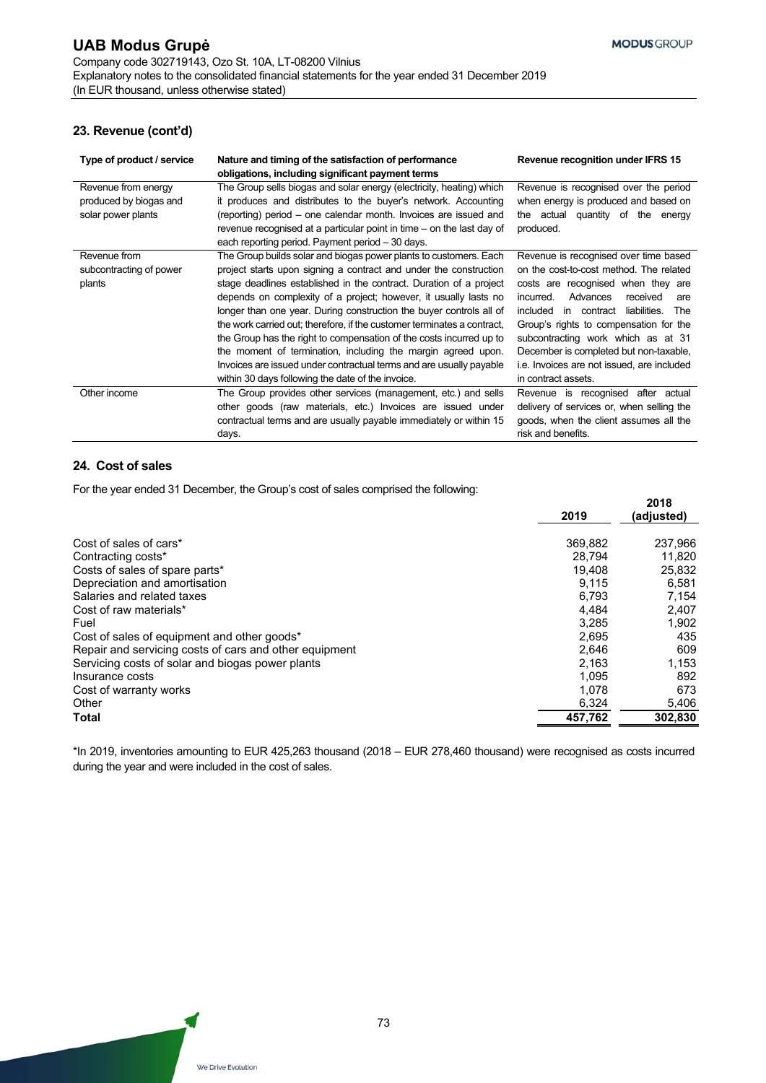# **23. Revenue (cont'd)**

| Type of product / service                                           | Nature and timing of the satisfaction of performance<br>obligations, including significant payment terms                                                                                                                                                                                                                                                                                                                                                                                                                                                                                                                                                                                              | Revenue recognition under IFRS 15                                                                                                                                                                                                                                                                                                                                                                                |
|---------------------------------------------------------------------|-------------------------------------------------------------------------------------------------------------------------------------------------------------------------------------------------------------------------------------------------------------------------------------------------------------------------------------------------------------------------------------------------------------------------------------------------------------------------------------------------------------------------------------------------------------------------------------------------------------------------------------------------------------------------------------------------------|------------------------------------------------------------------------------------------------------------------------------------------------------------------------------------------------------------------------------------------------------------------------------------------------------------------------------------------------------------------------------------------------------------------|
| Revenue from energy<br>produced by biogas and<br>solar power plants | The Group sells biogas and solar energy (electricity, heating) which<br>it produces and distributes to the buyer's network. Accounting<br>(reporting) period – one calendar month. Invoices are issued and<br>revenue recognised at a particular point in time – on the last day of<br>each reporting period. Payment period - 30 days.                                                                                                                                                                                                                                                                                                                                                               | Revenue is recognised over the period<br>when energy is produced and based on<br>the actual quantity of the energy<br>produced.                                                                                                                                                                                                                                                                                  |
| Revenue from<br>subcontracting of power<br>plants                   | The Group builds solar and biogas power plants to customers. Each<br>project starts upon signing a contract and under the construction<br>stage deadlines established in the contract. Duration of a project<br>depends on complexity of a project; however, it usually lasts no<br>longer than one year. During construction the buyer controls all of<br>the work carried out; therefore, if the customer terminates a contract,<br>the Group has the right to compensation of the costs incurred up to<br>the moment of termination, including the margin agreed upon.<br>Invoices are issued under contractual terms and are usually payable<br>within 30 days following the date of the invoice. | Revenue is recognised over time based<br>on the cost-to-cost method. The related<br>costs are recognised when they are<br>Advances<br>received<br>incurred.<br>are<br>in contract liabilities.<br>included<br>The<br>Group's rights to compensation for the<br>subcontracting work which as at 31<br>December is completed but non-taxable,<br>i.e. Invoices are not issued, are included<br>in contract assets. |
| Other income                                                        | The Group provides other services (management, etc.) and sells<br>other goods (raw materials, etc.) Invoices are issued under<br>contractual terms and are usually payable immediately or within 15<br>days.                                                                                                                                                                                                                                                                                                                                                                                                                                                                                          | Revenue is recognised after actual<br>delivery of services or, when selling the<br>goods, when the client assumes all the<br>risk and benefits.                                                                                                                                                                                                                                                                  |

# **24. Cost of sales**

For the year ended 31 December, the Group's cost of sales comprised the following:

|                                                        |         | 2018       |  |
|--------------------------------------------------------|---------|------------|--|
|                                                        | 2019    | (adjusted) |  |
| Cost of sales of cars*                                 | 369.882 | 237,966    |  |
| Contracting costs*                                     | 28.794  | 11.820     |  |
| Costs of sales of spare parts*                         | 19.408  | 25,832     |  |
| Depreciation and amortisation                          | 9.115   | 6,581      |  |
| Salaries and related taxes                             | 6.793   | 7,154      |  |
| Cost of raw materials*                                 | 4.484   | 2.407      |  |
| Fuel                                                   | 3.285   | 1,902      |  |
| Cost of sales of equipment and other goods*            | 2.695   | 435        |  |
| Repair and servicing costs of cars and other equipment | 2.646   | 609        |  |
| Servicing costs of solar and biogas power plants       | 2.163   | 1,153      |  |
| Insurance costs                                        | 1,095   | 892        |  |
| Cost of warranty works                                 | 1.078   | 673        |  |
| Other                                                  | 6,324   | 5,406      |  |
| Total                                                  | 457,762 | 302,830    |  |

\*In 2019, inventories amounting to EUR 425,263 thousand (2018 – EUR 278,460 thousand) were recognised as costs incurred during the year and were included in the cost of sales.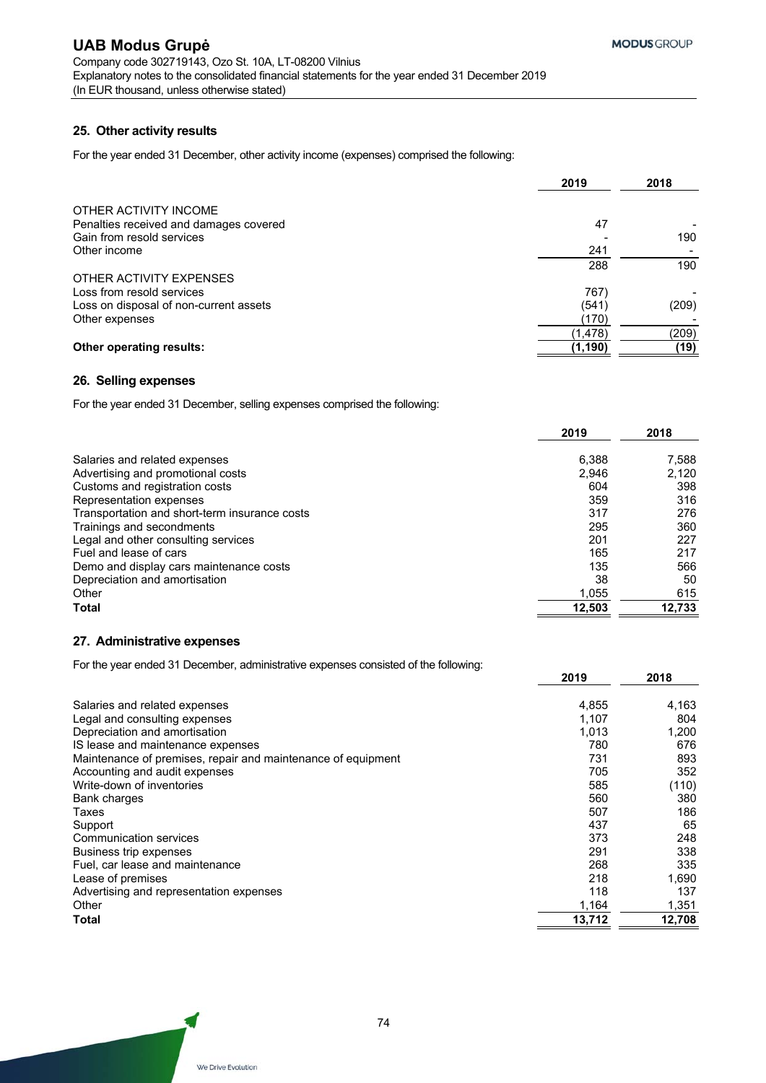# **25. Other activity results**

For the year ended 31 December, other activity income (expenses) comprised the following:

|                                        | 2019    | 2018  |
|----------------------------------------|---------|-------|
| OTHER ACTIVITY INCOME                  |         |       |
| Penalties received and damages covered | 47      |       |
| Gain from resold services              |         | 190   |
| Other income                           | 241     |       |
|                                        | 288     | 190   |
| OTHER ACTIVITY EXPENSES                |         |       |
| Loss from resold services              | 767)    |       |
| Loss on disposal of non-current assets | (541)   | (209) |
| Other expenses                         | (170)   |       |
|                                        | (1,478) | (209) |
| <b>Other operating results:</b>        | (1,190) | (19)  |

# **26. Selling expenses**

For the year ended 31 December, selling expenses comprised the following:

|                                               | 2019   | 2018   |
|-----------------------------------------------|--------|--------|
| Salaries and related expenses                 | 6,388  | 7,588  |
| Advertising and promotional costs             | 2,946  | 2,120  |
| Customs and registration costs                | 604    | 398    |
| Representation expenses                       | 359    | 316    |
| Transportation and short-term insurance costs | 317    | 276    |
| Trainings and secondments                     | 295    | 360    |
| Legal and other consulting services           | 201    | 227    |
| Fuel and lease of cars                        | 165    | 217    |
| Demo and display cars maintenance costs       | 135    | 566    |
| Depreciation and amortisation                 | 38     | 50     |
| Other                                         | 1,055  | 615    |
| <b>Total</b>                                  | 12,503 | 12,733 |

# **27. Administrative expenses**

For the year ended 31 December, administrative expenses consisted of the following:

|                                                              | 2019   | 2018   |
|--------------------------------------------------------------|--------|--------|
| Salaries and related expenses                                | 4,855  | 4,163  |
| Legal and consulting expenses                                | 1.107  | 804    |
| Depreciation and amortisation                                | 1.013  | 1,200  |
| IS lease and maintenance expenses                            | 780    | 676    |
| Maintenance of premises, repair and maintenance of equipment | 731    | 893    |
| Accounting and audit expenses                                | 705    | 352    |
| Write-down of inventories                                    | 585    | (110)  |
| Bank charges                                                 | 560    | 380    |
| Taxes                                                        | 507    | 186    |
| Support                                                      | 437    | 65     |
| Communication services                                       | 373    | 248    |
| Business trip expenses                                       | 291    | 338    |
| Fuel, car lease and maintenance                              | 268    | 335    |
| Lease of premises                                            | 218    | 1,690  |
| Advertising and representation expenses                      | 118    | 137    |
| Other                                                        | 1,164  | 1,351  |
| Total                                                        | 13,712 | 12,708 |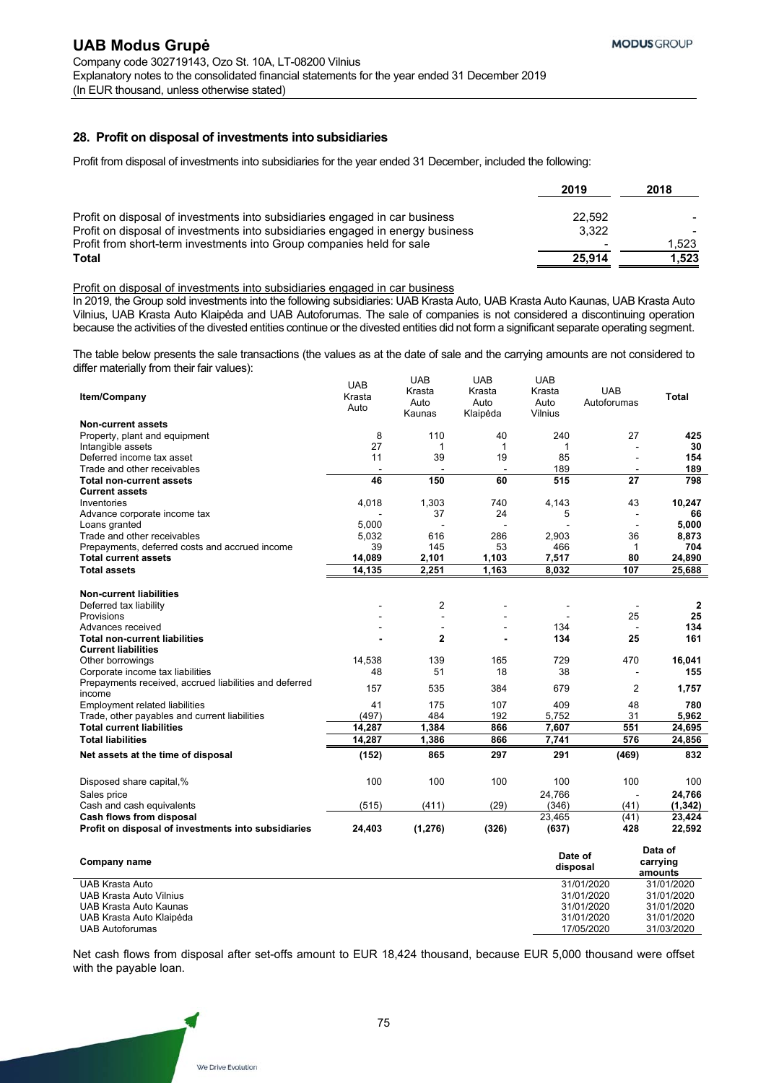### **28. Profit on disposal of investments into subsidiaries**

Profit from disposal of investments into subsidiaries for the year ended 31 December, included the following:

|                                                                                | 2019   | 2018  |
|--------------------------------------------------------------------------------|--------|-------|
| Profit on disposal of investments into subsidiaries engaged in car business    | 22.592 |       |
| Profit on disposal of investments into subsidiaries engaged in energy business | 3.322  |       |
| Profit from short-term investments into Group companies held for sale          |        | 1,523 |
| <b>Total</b>                                                                   | 25.914 | 1.523 |

Profit on disposal of investments into subsidiaries engaged in car business

In 2019, the Group sold investments into the following subsidiaries: UAB Krasta Auto, UAB Krasta Auto Kaunas, UAB Krasta Auto Vilnius, UAB Krasta Auto Klaipėda and UAB Autoforumas. The sale of companies is not considered a discontinuing operation because the activities of the divested entities continue or the divested entities did not form a significant separate operating segment.

The table below presents the sale transactions (the values as at the date of sale and the carrying amounts are not considered to differ materially from their fair values):

|                                                          |            |                |              | Date of        |                | Data of       |
|----------------------------------------------------------|------------|----------------|--------------|----------------|----------------|---------------|
| Profit on disposal of investments into subsidiaries      | 24,403     | (1, 276)       | (326)        | (637)          | 428            | 22,592        |
| Cash flows from disposal                                 |            |                |              | 23,465         | (41)           | 23,424        |
| Cash and cash equivalents                                | (515)      | (411)          | (29)         | (346)          | (41)           | (1, 342)      |
| Sales price                                              |            |                |              | 24.766         |                | 24,766        |
| Disposed share capital,%                                 | 100        | 100            | 100          | 100            | 100            | 100           |
| Net assets at the time of disposal                       | (152)      | 865            | 297          | 291            | (469)          | 832           |
| <b>Total liabilities</b>                                 | 14,287     | 1,386          | 866          | 7,741          | 576            | 24,856        |
| <b>Total current liabilities</b>                         | 14,287     | 1,384          | 866          | 7,607          | 551            | 24,695        |
| Trade, other payables and current liabilities            | (497)      | 484            | 192          | 5,752          | 31             | 5,962         |
| <b>Employment related liabilities</b>                    | 41         | 175            | 107          | 409            | 48             | 780           |
| income                                                   | 157        | 535            | 384          | 679            | 2              | 1,757         |
| Prepayments received, accrued liabilities and deferred   |            |                |              |                |                |               |
| Other borrowings<br>Corporate income tax liabilities     | 48         | 51             | 18           | 38             | $\overline{a}$ | 16,041<br>155 |
| <b>Current liabilities</b>                               | 14,538     | 139            | 165          | 729            | 470            |               |
| <b>Total non-current liabilities</b>                     |            | $\overline{2}$ |              | 134            | 25             | 161           |
| Advances received                                        |            |                |              | 134            |                | 134           |
| <b>Provisions</b>                                        |            | ä,             |              |                | 25             | 25            |
| Deferred tax liability                                   |            | $\overline{2}$ |              |                |                | $\mathbf{2}$  |
| <b>Non-current liabilities</b>                           |            |                |              |                |                |               |
| <b>Total assets</b>                                      | 14,135     | 2,251          | 1.163        | 8,032          | 107            | 25,688        |
| <b>Total current assets</b>                              | 14,089     | 2,101          | 1,103        | 7,517          | 80             | 24,890        |
| Prepayments, deferred costs and accrued income           | 39         | 145            | 53           | 466            | 1              | 704           |
| Trade and other receivables                              | 5,032      | 616            | 286          | 2,903          | 36             | 8,873         |
| Loans granted                                            | 5,000      | $\overline{a}$ |              |                | $\blacksquare$ | 5.000         |
| Advance corporate income tax                             |            | 37             | 24           | 5              |                | 66            |
| Inventories                                              | 4,018      | 1,303          | 740          | 4,143          | 43             | 10,247        |
| <b>Current assets</b>                                    |            |                |              |                |                |               |
| <b>Total non-current assets</b>                          | 46         | 150            | 60           | 189<br>515     | 27             | 189<br>798    |
| Deferred income tax asset<br>Trade and other receivables | 11         | 39             | 19           | 85             |                | 154           |
| Intangible assets                                        | 27         | 1              | $\mathbf{1}$ | 1              |                | 30            |
| Property, plant and equipment                            | 8          | 110            | 40           | 240            | 27             | 425           |
| <b>Non-current assets</b>                                |            |                |              |                |                |               |
|                                                          | Auto       | Kaunas         | Klaipėda     | <b>Vilnius</b> |                |               |
| Item/Company                                             | Krasta     | Auto           | Auto         | Auto           | Autoforumas    | <b>Total</b>  |
|                                                          | <b>UAB</b> | Krasta         | Krasta       | Krasta         | <b>UAB</b>     |               |
|                                                          |            | <b>UAB</b>     | <b>UAB</b>   | <b>UAB</b>     |                |               |

| Company name             | Date of<br>disposal | υαια νι<br>carrying<br>amounts |
|--------------------------|---------------------|--------------------------------|
| UAB Krasta Auto          | 31/01/2020          | 31/01/2020                     |
| UAB Krasta Auto Vilnius  | 31/01/2020          | 31/01/2020                     |
| UAB Krasta Auto Kaunas   | 31/01/2020          | 31/01/2020                     |
| UAB Krasta Auto Klaipėda | 31/01/2020          | 31/01/2020                     |
| <b>UAB Autoforumas</b>   | 17/05/2020          | 31/03/2020                     |
|                          |                     |                                |

Net cash flows from disposal after set-offs amount to EUR 18,424 thousand, because EUR 5,000 thousand were offset with the payable loan.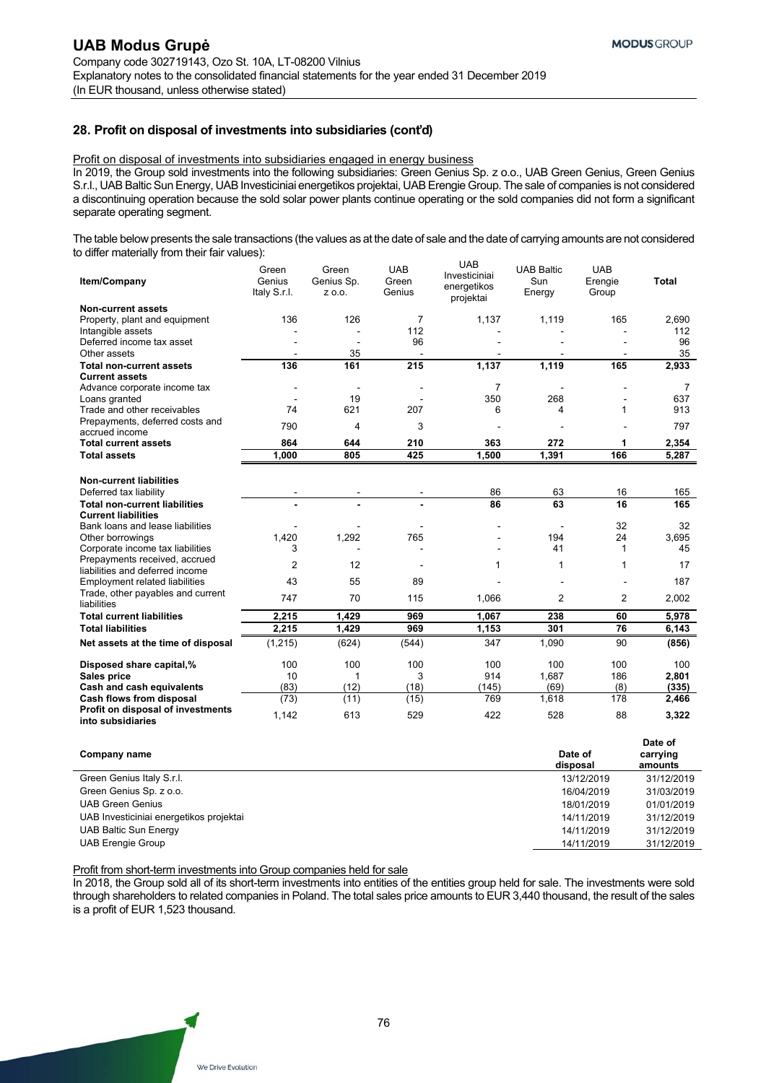# **28. Profit on disposal of investments into subsidiaries (cont'd)**

Profit on disposal of investments into subsidiaries engaged in energy business

In 2019, the Group sold investments into the following subsidiaries: Green Genius Sp. z o.o., UAB Green Genius, Green Genius S.r.l., UAB Baltic Sun Energy, UAB Investiciniai energetikos projektai, UAB Erengie Group. The sale of companies is not considered a discontinuing operation because the sold solar power plants continue operating or the sold companies did not form a significant separate operating segment.

The table below presents the sale transactions (the values as at the date of sale and the date of carrying amounts are not considered to differ materially from their fair values):

| Item/Company                                                      | Green<br>Genius<br>Italy S.r.I. | Green<br>Genius Sp.<br>Z 0.0. | <b>UAB</b><br>Green<br>Genius | <b>UAB</b><br>Investiciniai<br>energetikos<br>projektai | <b>UAB Baltic</b><br>Sun<br>Energy | <b>UAB</b><br>Erengie<br>Group | <b>Total</b> |
|-------------------------------------------------------------------|---------------------------------|-------------------------------|-------------------------------|---------------------------------------------------------|------------------------------------|--------------------------------|--------------|
| Non-current assets                                                |                                 |                               |                               |                                                         |                                    |                                |              |
| Property, plant and equipment                                     | 136                             | 126                           | $\overline{7}$                | 1,137                                                   | 1,119                              | 165                            | 2,690        |
| Intangible assets                                                 |                                 |                               | 112                           |                                                         |                                    |                                | 112          |
| Deferred income tax asset                                         |                                 |                               | 96                            |                                                         |                                    |                                | 96           |
| Other assets                                                      |                                 | 35                            |                               |                                                         |                                    |                                | 35           |
| <b>Total non-current assets</b>                                   | 136                             | 161                           | 215                           | 1,137                                                   | 1,119                              | 165                            | 2,933        |
| <b>Current assets</b>                                             |                                 |                               |                               |                                                         |                                    |                                |              |
| Advance corporate income tax                                      |                                 |                               |                               | 7                                                       |                                    |                                | 7            |
| Loans granted                                                     |                                 | 19                            |                               | 350                                                     | 268                                |                                | 637          |
| Trade and other receivables                                       | 74                              | 621                           | 207                           | 6                                                       | 4                                  | 1                              | 913          |
| Prepayments, deferred costs and                                   | 790                             | 4                             | 3                             |                                                         |                                    |                                | 797          |
| accrued income                                                    |                                 |                               |                               |                                                         |                                    |                                |              |
| <b>Total current assets</b>                                       | 864                             | 644                           | 210                           | 363                                                     | 272                                |                                | 2,354        |
| <b>Total assets</b>                                               | 1.000                           | 805                           | 425                           | 1.500                                                   | 1,391                              | 166                            | 5,287        |
| <b>Non-current liabilities</b>                                    |                                 |                               |                               |                                                         |                                    |                                |              |
| Deferred tax liability                                            |                                 |                               |                               | 86                                                      | 63                                 | 16                             | 165          |
| <b>Total non-current liabilities</b>                              |                                 |                               |                               | 86                                                      | 63                                 | 16                             | 165          |
| <b>Current liabilities</b>                                        |                                 |                               |                               |                                                         |                                    | 32                             |              |
| Bank loans and lease liabilities                                  |                                 |                               | 765                           |                                                         | 194                                | 24                             | 32<br>3.695  |
| Other borrowings                                                  | 1,420                           | 1,292                         |                               |                                                         | 41                                 |                                |              |
| Corporate income tax liabilities<br>Prepayments received, accrued | 3                               |                               |                               |                                                         |                                    | 1                              | 45           |
| liabilities and deferred income                                   | $\overline{2}$                  | 12                            |                               | 1                                                       | 1                                  | 1                              | 17           |
| <b>Employment related liabilities</b>                             | 43                              | 55                            | 89                            |                                                         |                                    |                                | 187          |
| Trade, other payables and current                                 | 747                             | 70                            | 115                           | 1,066                                                   | 2                                  | 2                              | 2,002        |
| liabilities                                                       |                                 |                               |                               |                                                         |                                    |                                |              |
| <b>Total current liabilities</b>                                  | 2,215                           | 1,429                         | 969                           | 1,067                                                   | 238                                | 60                             | 5,978        |
| <b>Total liabilities</b>                                          | 2,215                           | 1,429                         | 969                           | 1.153                                                   | 301                                | 76                             | 6,143        |
| Net assets at the time of disposal                                | (1, 215)                        | (624)                         | (544)                         | 347                                                     | 1,090                              | 90                             | (856)        |
| Disposed share capital,%                                          | 100                             | 100                           | 100                           | 100                                                     | 100                                | 100                            | 100          |
| Sales price                                                       | 10                              | 1                             | 3                             | 914                                                     | 1,687                              | 186                            | 2,801        |
| Cash and cash equivalents                                         | (83)                            | (12)                          | (18)                          | (145)                                                   | (69)                               | (8)                            | (335)        |
| Cash flows from disposal                                          | (73)                            | (11)                          | (15)                          | 769                                                     | 1,618                              | 178                            | 2,466        |
| Profit on disposal of investments<br>into subsidiaries            | 1,142                           | 613                           | 529                           | 422                                                     | 528                                | 88                             | 3,322        |

| Company name                            | Date of<br>disposal | Date of<br>carrying<br>amounts |
|-----------------------------------------|---------------------|--------------------------------|
| Green Genius Italy S.r.l.               | 13/12/2019          | 31/12/2019                     |
| Green Genius Sp. z o.o.                 | 16/04/2019          | 31/03/2019                     |
| <b>UAB Green Genius</b>                 | 18/01/2019          | 01/01/2019                     |
| UAB Investiciniai energetikos projektai | 14/11/2019          | 31/12/2019                     |
| <b>UAB Baltic Sun Energy</b>            | 14/11/2019          | 31/12/2019                     |
| <b>UAB Erengie Group</b>                | 14/11/2019          | 31/12/2019                     |

Profit from short-term investments into Group companies held for sale

In 2018, the Group sold all of its short-term investments into entities of the entities group held for sale. The investments were sold through shareholders to related companies in Poland. The total sales price amounts to EUR 3,440 thousand, the result of the sales is a profit of EUR 1,523 thousand.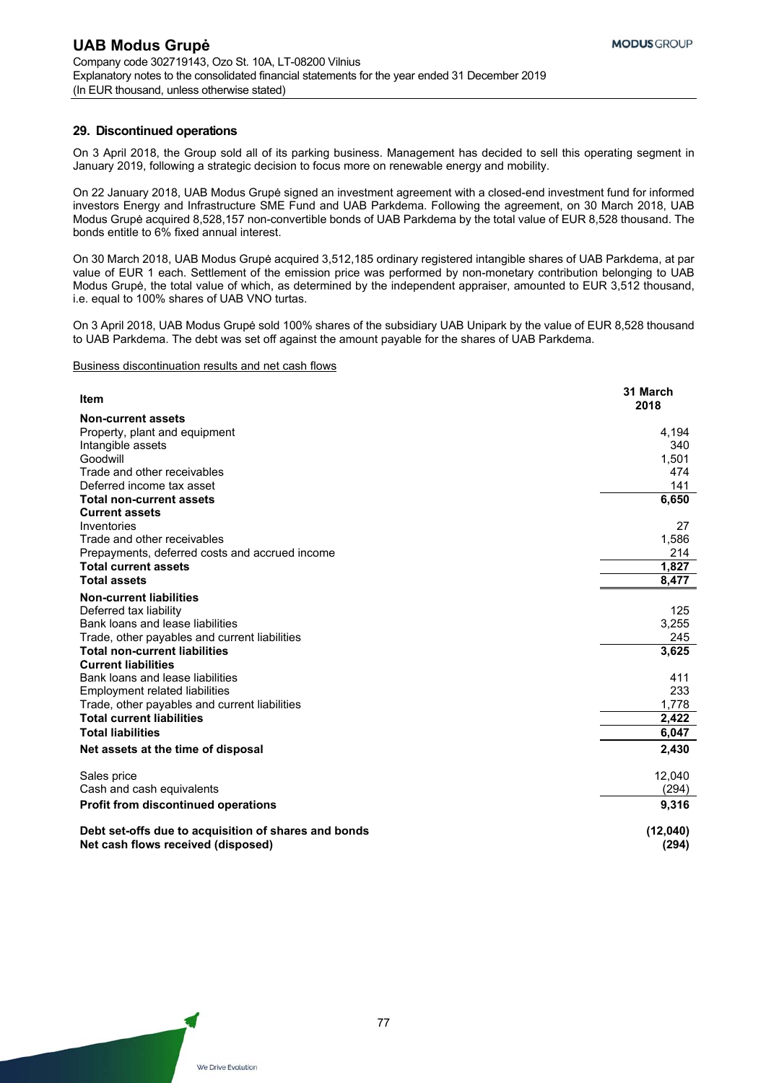## **29. Discontinued operations**

On 3 April 2018, the Group sold all of its parking business. Management has decided to sell this operating segment in January 2019, following a strategic decision to focus more on renewable energy and mobility.

On 22 January 2018, UAB Modus Grupė signed an investment agreement with a closed-end investment fund for informed investors Energy and Infrastructure SME Fund and UAB Parkdema. Following the agreement, on 30 March 2018, UAB Modus Grupė acquired 8,528,157 non-convertible bonds of UAB Parkdema by the total value of EUR 8,528 thousand. The bonds entitle to 6% fixed annual interest.

On 30 March 2018, UAB Modus Grupė acquired 3,512,185 ordinary registered intangible shares of UAB Parkdema, at par value of EUR 1 each. Settlement of the emission price was performed by non-monetary contribution belonging to UAB Modus Grupė, the total value of which, as determined by the independent appraiser, amounted to EUR 3,512 thousand, i.e. equal to 100% shares of UAB VNO turtas.

On 3 April 2018, UAB Modus Grupė sold 100% shares of the subsidiary UAB Unipark by the value of EUR 8,528 thousand to UAB Parkdema. The debt was set off against the amount payable for the shares of UAB Parkdema.

Business discontinuation results and net cash flows

| Item                                                 | 31 March<br>2018 |
|------------------------------------------------------|------------------|
| Non-current assets                                   |                  |
| Property, plant and equipment                        | 4,194            |
| Intangible assets                                    | 340              |
| Goodwill                                             | 1,501            |
| Trade and other receivables                          | 474              |
| Deferred income tax asset                            | 141              |
| <b>Total non-current assets</b>                      | 6,650            |
| <b>Current assets</b>                                |                  |
| Inventories                                          | 27               |
| Trade and other receivables                          | 1,586            |
| Prepayments, deferred costs and accrued income       | 214              |
| <b>Total current assets</b>                          | 1,827            |
| <b>Total assets</b>                                  | 8,477            |
| <b>Non-current liabilities</b>                       |                  |
| Deferred tax liability                               | 125              |
| Bank loans and lease liabilities                     | 3,255            |
| Trade, other payables and current liabilities        | 245              |
| <b>Total non-current liabilities</b>                 | 3,625            |
| <b>Current liabilities</b>                           |                  |
| Bank loans and lease liabilities                     | 411              |
| <b>Employment related liabilities</b>                | 233              |
| Trade, other payables and current liabilities        | 1,778            |
| <b>Total current liabilities</b>                     | 2,422            |
| <b>Total liabilities</b>                             | 6,047            |
| Net assets at the time of disposal                   | 2,430            |
| Sales price                                          | 12,040           |
| Cash and cash equivalents                            | (294)            |
| <b>Profit from discontinued operations</b>           | 9,316            |
| Debt set-offs due to acquisition of shares and bonds | (12,040)         |
| Net cash flows received (disposed)                   | (294)            |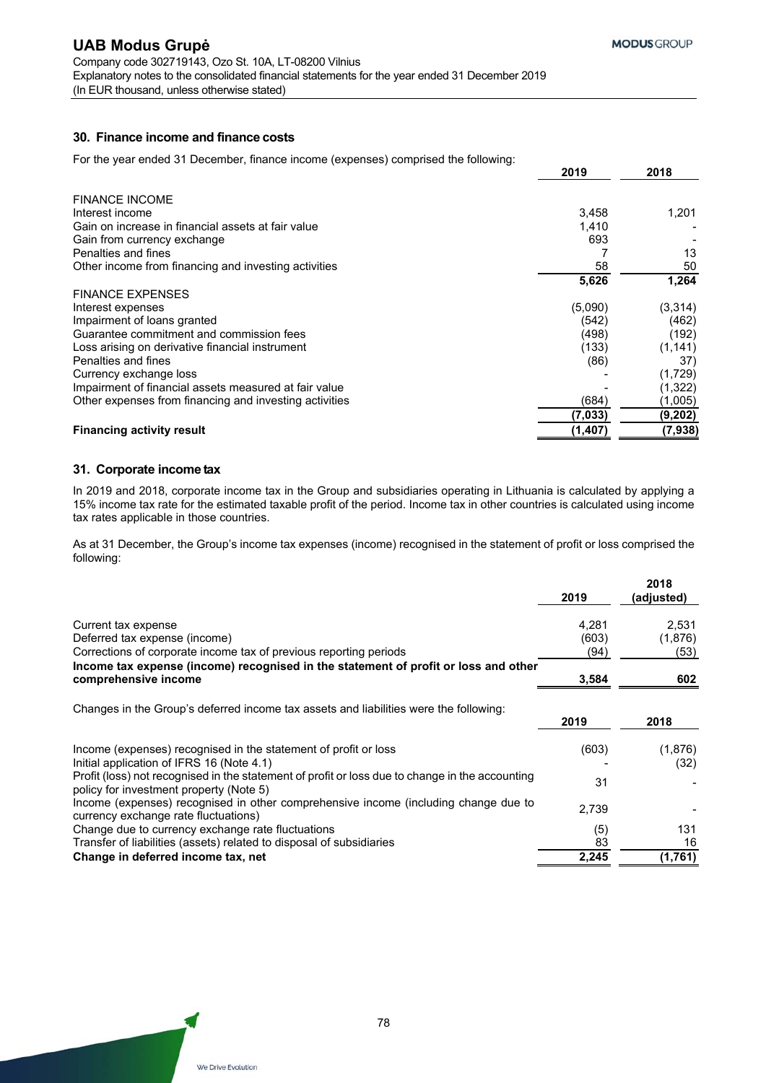## **30. Finance income and finance costs**

For the year ended 31 December, finance income (expenses) comprised the following:

|                                                        | 2019     | 2018     |
|--------------------------------------------------------|----------|----------|
| <b>FINANCE INCOME</b>                                  |          |          |
| Interest income                                        | 3,458    | 1,201    |
| Gain on increase in financial assets at fair value     | 1,410    |          |
| Gain from currency exchange                            | 693      |          |
| Penalties and fines                                    |          | 13       |
| Other income from financing and investing activities   | 58       | 50       |
|                                                        | 5,626    | 1,264    |
| <b>FINANCE EXPENSES</b>                                |          |          |
| Interest expenses                                      | (5,090)  | (3,314)  |
| Impairment of loans granted                            | (542)    | (462)    |
| Guarantee commitment and commission fees               | (498)    | (192)    |
| Loss arising on derivative financial instrument        | (133)    | (1, 141) |
| Penalties and fines                                    | (86)     | 37)      |
| Currency exchange loss                                 |          | (1,729)  |
| Impairment of financial assets measured at fair value  |          | (1,322)  |
| Other expenses from financing and investing activities | (684)    | (1,005)  |
|                                                        | (7,033)  | (9, 202) |
| <b>Financing activity result</b>                       | (1, 407) | (7, 938) |

### **31. Corporate income tax**

In 2019 and 2018, corporate income tax in the Group and subsidiaries operating in Lithuania is calculated by applying a 15% income tax rate for the estimated taxable profit of the period. Income tax in other countries is calculated using income tax rates applicable in those countries.

As at 31 December, the Group's income tax expenses (income) recognised in the statement of profit or loss comprised the following:

|                                                                                                                                            | 2019  | 2018<br>(adjusted) |
|--------------------------------------------------------------------------------------------------------------------------------------------|-------|--------------------|
| Current tax expense                                                                                                                        | 4,281 | 2,531              |
| Deferred tax expense (income)                                                                                                              | (603) | (1,876)            |
| Corrections of corporate income tax of previous reporting periods                                                                          | (94)  | (53)               |
| Income tax expense (income) recognised in the statement of profit or loss and other<br>comprehensive income                                | 3,584 | 602                |
| Changes in the Group's deferred income tax assets and liabilities were the following:                                                      | 2019  | 2018               |
| Income (expenses) recognised in the statement of profit or loss<br>Initial application of IFRS 16 (Note 4.1)                               | (603) | (1,876)<br>(32)    |
| Profit (loss) not recognised in the statement of profit or loss due to change in the accounting<br>policy for investment property (Note 5) | 31    |                    |
| Income (expenses) recognised in other comprehensive income (including change due to<br>currency exchange rate fluctuations)                | 2,739 |                    |
| Change due to currency exchange rate fluctuations                                                                                          | (5)   | 131                |
| Transfer of liabilities (assets) related to disposal of subsidiaries                                                                       | 83    | 16                 |
| Change in deferred income tax, net                                                                                                         | 2,245 | (1,761)            |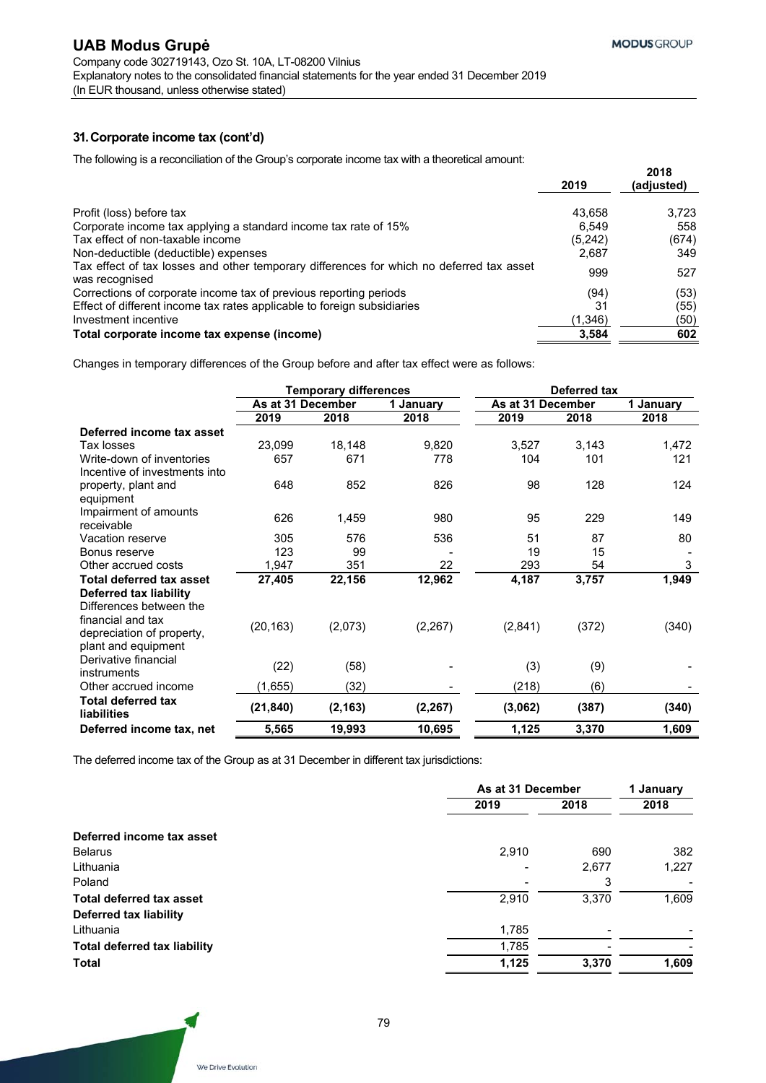# **31. Corporate income tax (cont'd)**

The following is a reconciliation of the Group's corporate income tax with a theoretical amount:

|                                                                                                            | 2019    | 2018<br>(adjusted) |
|------------------------------------------------------------------------------------------------------------|---------|--------------------|
| Profit (loss) before tax                                                                                   | 43.658  | 3.723              |
| Corporate income tax applying a standard income tax rate of 15%                                            | 6.549   | 558                |
| Tax effect of non-taxable income                                                                           | (5,242) | (674)              |
| Non-deductible (deductible) expenses                                                                       | 2,687   | 349                |
| Tax effect of tax losses and other temporary differences for which no deferred tax asset<br>was recognised | 999     | 527                |
| Corrections of corporate income tax of previous reporting periods                                          | (94)    | (53)               |
| Effect of different income tax rates applicable to foreign subsidiaries                                    | 31      | (55)               |
| Investment incentive                                                                                       | (1,346) | (50)               |
| Total corporate income tax expense (income)                                                                | 3,584   | 602                |

Changes in temporary differences of the Group before and after tax effect were as follows:

|                                                 |                   | <b>Temporary differences</b> |           |                   | Deferred tax |           |
|-------------------------------------------------|-------------------|------------------------------|-----------|-------------------|--------------|-----------|
|                                                 | As at 31 December |                              | 1 January | As at 31 December |              | 1 January |
|                                                 | 2019              | 2018                         | 2018      | 2019              | 2018         | 2018      |
| Deferred income tax asset                       |                   |                              |           |                   |              |           |
| Tax losses                                      | 23,099            | 18,148                       | 9,820     | 3,527             | 3,143        | 1,472     |
| Write-down of inventories                       | 657               | 671                          | 778       | 104               | 101          | 121       |
| Incentive of investments into                   |                   |                              |           |                   |              |           |
| property, plant and                             | 648               | 852                          | 826       | 98                | 128          | 124       |
| equipment                                       |                   |                              |           |                   |              |           |
| Impairment of amounts                           | 626               | 1,459                        | 980       | 95                | 229          | 149       |
| receivable                                      |                   |                              |           |                   |              |           |
| Vacation reserve                                | 305               | 576                          | 536       | 51                | 87           | 80        |
| Bonus reserve                                   | 123               | 99                           |           | 19                | 15           |           |
| Other accrued costs                             | 1,947             | 351                          | 22        | 293               | 54           | 3         |
| <b>Total deferred tax asset</b>                 | 27,405            | 22,156                       | 12,962    | 4,187             | 3,757        | 1,949     |
| Deferred tax liability                          |                   |                              |           |                   |              |           |
| Differences between the                         |                   |                              |           |                   |              |           |
| financial and tax                               | (20, 163)         | (2,073)                      | (2,267)   | (2,841)           | (372)        | (340)     |
| depreciation of property,                       |                   |                              |           |                   |              |           |
| plant and equipment                             |                   |                              |           |                   |              |           |
| Derivative financial<br>instruments             | (22)              | (58)                         |           | (3)               | (9)          |           |
| Other accrued income                            | (1,655)           | (32)                         |           | (218)             |              |           |
|                                                 |                   |                              |           |                   | (6)          |           |
| <b>Total deferred tax</b><br><b>liabilities</b> | (21, 840)         | (2, 163)                     | (2, 267)  | (3,062)           | (387)        | (340)     |
| Deferred income tax, net                        | 5,565             | 19,993                       | 10,695    | 1,125             | 3,370        | 1,609     |

The deferred income tax of the Group as at 31 December in different tax jurisdictions:

|                                     | As at 31 December |       | 1 January |  |
|-------------------------------------|-------------------|-------|-----------|--|
|                                     | 2019              | 2018  | 2018      |  |
| Deferred income tax asset           |                   |       |           |  |
| <b>Belarus</b>                      | 2,910             | 690   | 382       |  |
| Lithuania                           |                   | 2,677 | 1,227     |  |
| Poland                              |                   | 3     |           |  |
| <b>Total deferred tax asset</b>     | 2,910             | 3,370 | 1,609     |  |
| Deferred tax liability              |                   |       |           |  |
| Lithuania                           | 1,785             |       |           |  |
| <b>Total deferred tax liability</b> | 1,785             |       |           |  |
| Total                               | 1,125             | 3,370 | 1,609     |  |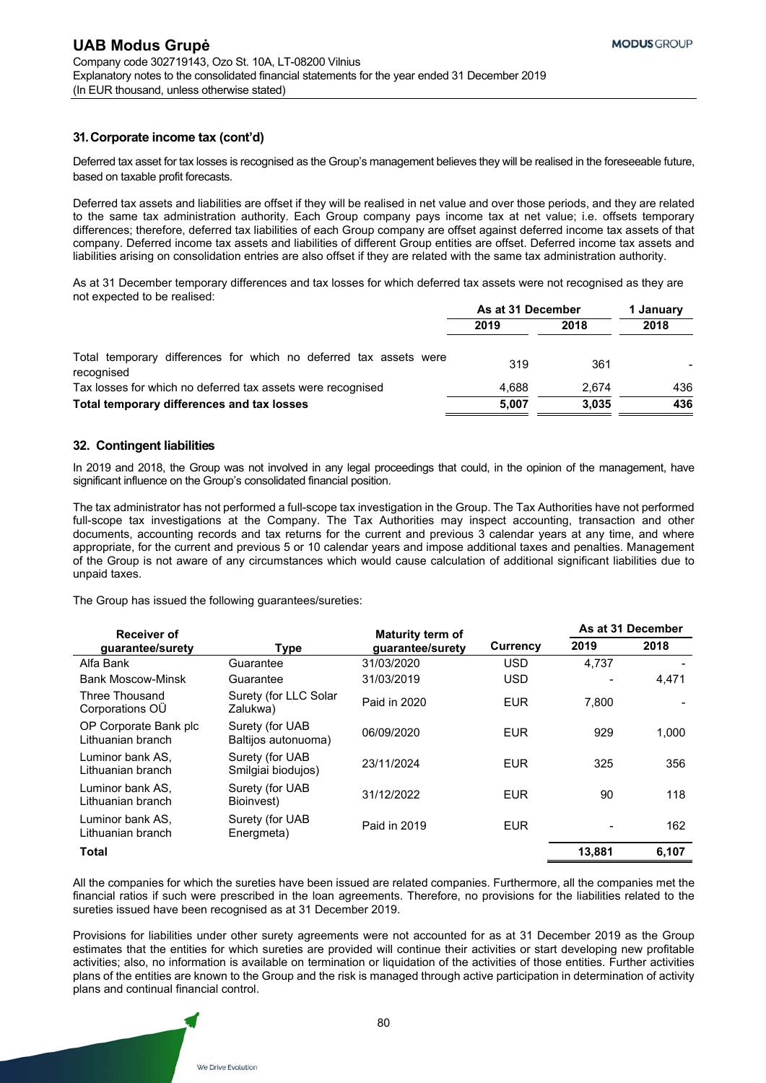## **31. Corporate income tax (cont'd)**

Deferred tax asset for tax losses is recognised as the Group's management believes they will be realised in the foreseeable future, based on taxable profit forecasts.

Deferred tax assets and liabilities are offset if they will be realised in net value and over those periods, and they are related to the same tax administration authority. Each Group company pays income tax at net value; i.e. offsets temporary differences; therefore, deferred tax liabilities of each Group company are offset against deferred income tax assets of that company. Deferred income tax assets and liabilities of different Group entities are offset. Deferred income tax assets and liabilities arising on consolidation entries are also offset if they are related with the same tax administration authority.

As at 31 December temporary differences and tax losses for which deferred tax assets were not recognised as they are not expected to be realised:

|                                                                                 | As at 31 December |       | 1 January |  |
|---------------------------------------------------------------------------------|-------------------|-------|-----------|--|
|                                                                                 | 2019              | 2018  | 2018      |  |
| Total temporary differences for which no deferred tax assets were<br>recognised | 319               | 361   |           |  |
| Tax losses for which no deferred tax assets were recognised                     | 4.688             | 2.674 | 436       |  |
| Total temporary differences and tax losses                                      | 5,007             | 3,035 | 436       |  |

# **32. Contingent liabilities**

In 2019 and 2018, the Group was not involved in any legal proceedings that could, in the opinion of the management, have significant influence on the Group's consolidated financial position.

The tax administrator has not performed a full-scope tax investigation in the Group. The Tax Authorities have not performed full-scope tax investigations at the Company. The Tax Authorities may inspect accounting, transaction and other documents, accounting records and tax returns for the current and previous 3 calendar years at any time, and where appropriate, for the current and previous 5 or 10 calendar years and impose additional taxes and penalties. Management of the Group is not aware of any circumstances which would cause calculation of additional significant liabilities due to unpaid taxes.

The Group has issued the following guarantees/sureties:

| Receiver of                                |                                        | <b>Maturity term of</b> |            |        | As at 31 December |
|--------------------------------------------|----------------------------------------|-------------------------|------------|--------|-------------------|
| quarantee/surety                           | Type                                   | quarantee/surety        | Currency   | 2019   | 2018              |
| Alfa Bank                                  | Guarantee                              | 31/03/2020              | <b>USD</b> | 4.737  |                   |
| <b>Bank Moscow-Minsk</b>                   | Guarantee                              | 31/03/2019              | <b>USD</b> |        | 4,471             |
| Three Thousand<br>Corporations OU          | Surety (for LLC Solar<br>Zalukwa)      | Paid in 2020            | <b>EUR</b> | 7.800  |                   |
| OP Corporate Bank plc<br>Lithuanian branch | Surety (for UAB<br>Baltijos autonuoma) | 06/09/2020              | <b>EUR</b> | 929    | 1.000             |
| Luminor bank AS.<br>Lithuanian branch      | Surety (for UAB<br>Smilgiai biodujos)  | 23/11/2024              | <b>EUR</b> | 325    | 356               |
| Luminor bank AS.<br>Lithuanian branch      | Surety (for UAB<br>Bioinvest)          | 31/12/2022              | <b>EUR</b> | 90     | 118               |
| Luminor bank AS.<br>Lithuanian branch      | Surety (for UAB<br>Energmeta)          | Paid in 2019            | <b>EUR</b> |        | 162               |
| <b>Total</b>                               |                                        |                         |            | 13.881 | 6,107             |

All the companies for which the sureties have been issued are related companies. Furthermore, all the companies met the financial ratios if such were prescribed in the loan agreements. Therefore, no provisions for the liabilities related to the sureties issued have been recognised as at 31 December 2019.

Provisions for liabilities under other surety agreements were not accounted for as at 31 December 2019 as the Group estimates that the entities for which sureties are provided will continue their activities or start developing new profitable activities; also, no information is available on termination or liquidation of the activities of those entities. Further activities plans of the entities are known to the Group and the risk is managed through active participation in determination of activity plans and continual financial control.

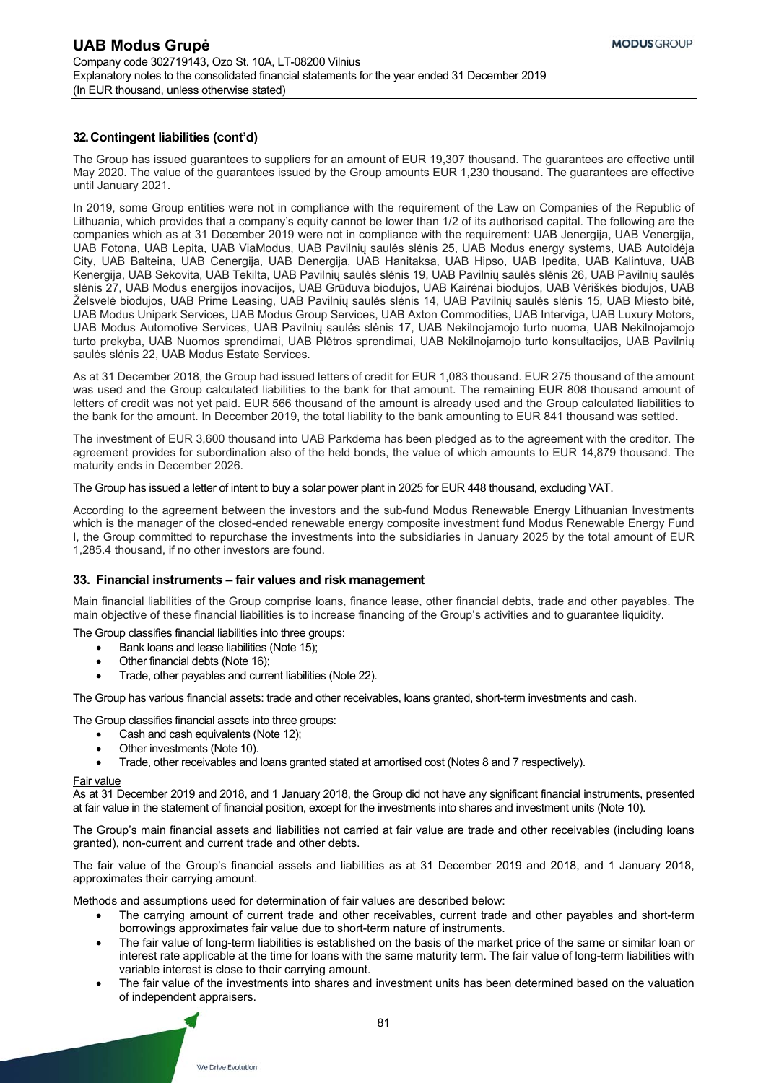## **32. Contingent liabilities (cont'd)**

The Group has issued guarantees to suppliers for an amount of EUR 19,307 thousand. The guarantees are effective until May 2020. The value of the guarantees issued by the Group amounts EUR 1,230 thousand. The guarantees are effective until January 2021.

In 2019, some Group entities were not in compliance with the requirement of the Law on Companies of the Republic of Lithuania, which provides that a company's equity cannot be lower than 1/2 of its authorised capital. The following are the companies which as at 31 December 2019 were not in compliance with the requirement: UAB Jenergija, UAB Venergija, UAB Fotona, UAB Lepita, UAB ViaModus, UAB Pavilnių saulės slėnis 25, UAB Modus energy systems, UAB Autoidėja City, UAB Balteina, UAB Cenergija, UAB Denergija, UAB Hanitaksa, UAB Hipso, UAB Ipedita, UAB Kalintuva, UAB Kenergija, UAB Sekovita, UAB Tekilta, UAB Pavilnių saulės slėnis 19, UAB Pavilnių saulės slėnis 26, UAB Pavilnių saulės slėnis 27, UAB Modus energijos inovacijos, UAB Grūduva biodujos, UAB Kairėnai biodujos, UAB Vėriškės biodujos, UAB Želsvelė biodujos, UAB Prime Leasing, UAB Pavilnių saulės slėnis 14, UAB Pavilnių saulės slėnis 15, UAB Miesto bitė, UAB Modus Unipark Services, UAB Modus Group Services, UAB Axton Commodities, UAB Interviga, UAB Luxury Motors, UAB Modus Automotive Services, UAB Pavilnių saulės slėnis 17, UAB Nekilnojamojo turto nuoma, UAB Nekilnojamojo turto prekyba, UAB Nuomos sprendimai, UAB Plėtros sprendimai, UAB Nekilnojamojo turto konsultacijos, UAB Pavilnių saulės slėnis 22, UAB Modus Estate Services.

As at 31 December 2018, the Group had issued letters of credit for EUR 1,083 thousand. EUR 275 thousand of the amount was used and the Group calculated liabilities to the bank for that amount. The remaining EUR 808 thousand amount of letters of credit was not yet paid. EUR 566 thousand of the amount is already used and the Group calculated liabilities to the bank for the amount. In December 2019, the total liability to the bank amounting to EUR 841 thousand was settled.

The investment of EUR 3,600 thousand into UAB Parkdema has been pledged as to the agreement with the creditor. The agreement provides for subordination also of the held bonds, the value of which amounts to EUR 14,879 thousand. The maturity ends in December 2026.

The Group has issued a letter of intent to buy a solar power plant in 2025 for EUR 448 thousand, excluding VAT.

According to the agreement between the investors and the sub-fund Modus Renewable Energy Lithuanian Investments which is the manager of the closed-ended renewable energy composite investment fund Modus Renewable Energy Fund I, the Group committed to repurchase the investments into the subsidiaries in January 2025 by the total amount of EUR 1,285.4 thousand, if no other investors are found.

### **33. Financial instruments – fair values and risk management**

Main financial liabilities of the Group comprise loans, finance lease, other financial debts, trade and other payables. The main objective of these financial liabilities is to increase financing of the Group's activities and to guarantee liquidity.

The Group classifies financial liabilities into three groups:

- Bank loans and lease liabilities (Note 15);
- Other financial debts (Note 16);
- Trade, other payables and current liabilities (Note 22).

The Group has various financial assets: trade and other receivables, loans granted, short-term investments and cash.

The Group classifies financial assets into three groups:

- Cash and cash equivalents (Note 12);
- Other investments (Note 10).
- Trade, other receivables and loans granted stated at amortised cost (Notes 8 and 7 respectively).

#### Fair value

As at 31 December 2019 and 2018, and 1 January 2018, the Group did not have any significant financial instruments, presented at fair value in the statement of financial position, except for the investments into shares and investment units (Note 10).

The Group's main financial assets and liabilities not carried at fair value are trade and other receivables (including loans granted), non-current and current trade and other debts.

The fair value of the Group's financial assets and liabilities as at 31 December 2019 and 2018, and 1 January 2018, approximates their carrying amount.

Methods and assumptions used for determination of fair values are described below:

- The carrying amount of current trade and other receivables, current trade and other payables and short-term borrowings approximates fair value due to short-term nature of instruments.
- The fair value of long-term liabilities is established on the basis of the market price of the same or similar loan or interest rate applicable at the time for loans with the same maturity term. The fair value of long-term liabilities with variable interest is close to their carrying amount.
- The fair value of the investments into shares and investment units has been determined based on the valuation of independent appraisers.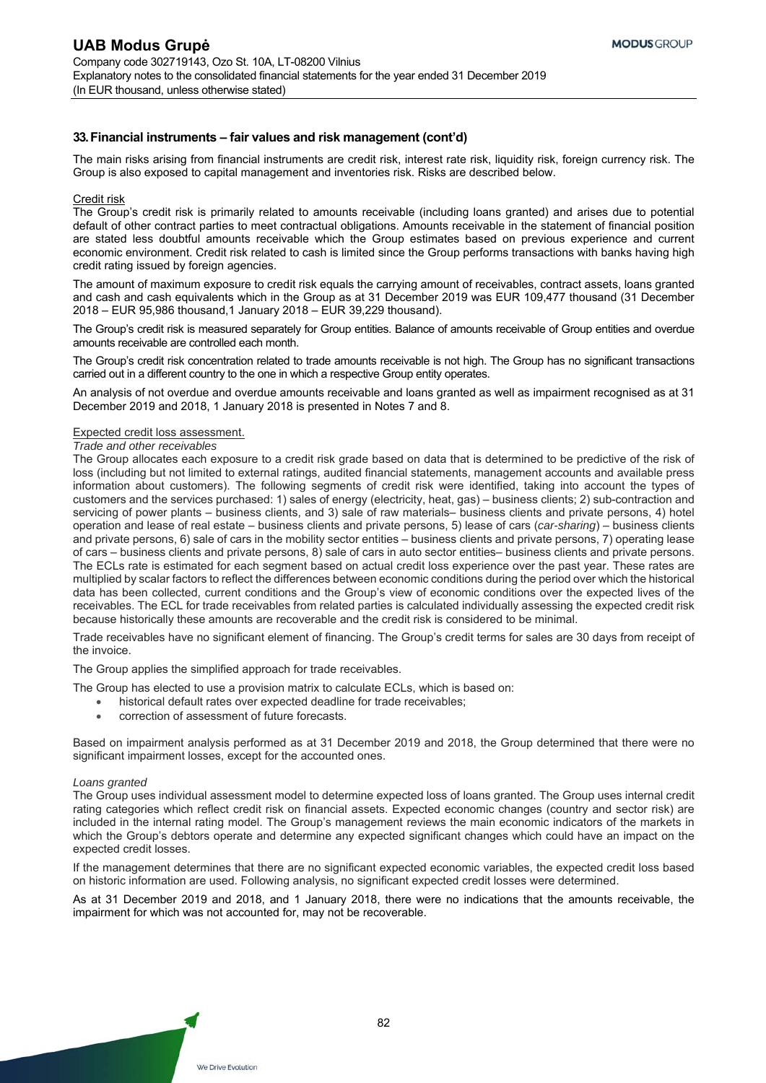### **33. Financial instruments – fair values and risk management (cont'd)**

The main risks arising from financial instruments are credit risk, interest rate risk, liquidity risk, foreign currency risk. The Group is also exposed to capital management and inventories risk. Risks are described below.

### Credit risk

The Group's credit risk is primarily related to amounts receivable (including loans granted) and arises due to potential default of other contract parties to meet contractual obligations. Amounts receivable in the statement of financial position are stated less doubtful amounts receivable which the Group estimates based on previous experience and current economic environment. Credit risk related to cash is limited since the Group performs transactions with banks having high credit rating issued by foreign agencies.

The amount of maximum exposure to credit risk equals the carrying amount of receivables, contract assets, loans granted and cash and cash equivalents which in the Group as at 31 December 2019 was EUR 109,477 thousand (31 December 2018 – EUR 95,986 thousand,1 January 2018 – EUR 39,229 thousand).

The Group's credit risk is measured separately for Group entities. Balance of amounts receivable of Group entities and overdue amounts receivable are controlled each month.

The Group's credit risk concentration related to trade amounts receivable is not high. The Group has no significant transactions carried out in a different country to the one in which a respective Group entity operates.

An analysis of not overdue and overdue amounts receivable and loans granted as well as impairment recognised as at 31 December 2019 and 2018, 1 January 2018 is presented in Notes 7 and 8.

### Expected credit loss assessment.

#### *Trade and other receivables*

The Group allocates each exposure to a credit risk grade based on data that is determined to be predictive of the risk of loss (including but not limited to external ratings, audited financial statements, management accounts and available press information about customers). The following segments of credit risk were identified, taking into account the types of customers and the services purchased: 1) sales of energy (electricity, heat, gas) – business clients; 2) sub-contraction and servicing of power plants – business clients, and 3) sale of raw materials– business clients and private persons, 4) hotel operation and lease of real estate – business clients and private persons, 5) lease of cars (*car-sharing*) – business clients and private persons, 6) sale of cars in the mobility sector entities – business clients and private persons, 7) operating lease of cars – business clients and private persons, 8) sale of cars in auto sector entities– business clients and private persons. The ECLs rate is estimated for each segment based on actual credit loss experience over the past year. These rates are multiplied by scalar factors to reflect the differences between economic conditions during the period over which the historical data has been collected, current conditions and the Group's view of economic conditions over the expected lives of the receivables. The ECL for trade receivables from related parties is calculated individually assessing the expected credit risk because historically these amounts are recoverable and the credit risk is considered to be minimal.

Trade receivables have no significant element of financing. The Group's credit terms for sales are 30 days from receipt of the invoice.

The Group applies the simplified approach for trade receivables.

The Group has elected to use a provision matrix to calculate ECLs, which is based on:

- historical default rates over expected deadline for trade receivables;
- correction of assessment of future forecasts.

Based on impairment analysis performed as at 31 December 2019 and 2018, the Group determined that there were no significant impairment losses, except for the accounted ones.

#### *Loans granted*

The Group uses individual assessment model to determine expected loss of loans granted. The Group uses internal credit rating categories which reflect credit risk on financial assets. Expected economic changes (country and sector risk) are included in the internal rating model. The Group's management reviews the main economic indicators of the markets in which the Group's debtors operate and determine any expected significant changes which could have an impact on the expected credit losses.

If the management determines that there are no significant expected economic variables, the expected credit loss based on historic information are used. Following analysis, no significant expected credit losses were determined.

As at 31 December 2019 and 2018, and 1 January 2018, there were no indications that the amounts receivable, the impairment for which was not accounted for, may not be recoverable.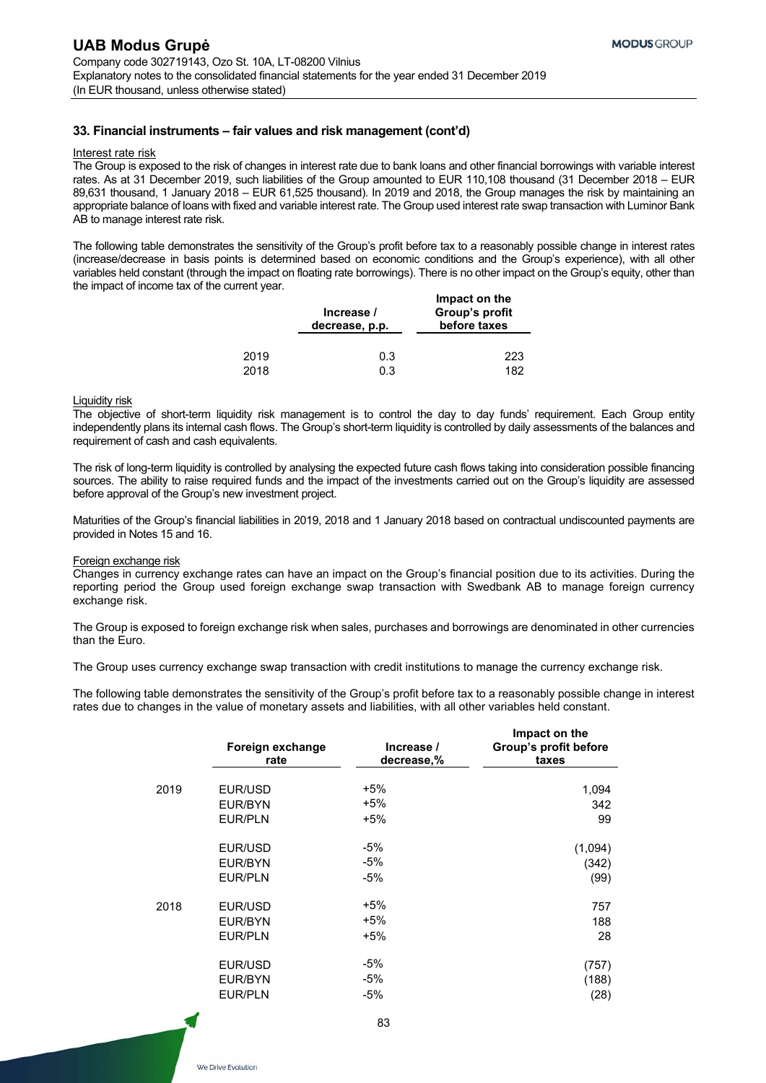## **33. Financial instruments – fair values and risk management (cont'd)**

#### Interest rate risk

The Group is exposed to the risk of changes in interest rate due to bank loans and other financial borrowings with variable interest rates. As at 31 December 2019, such liabilities of the Group amounted to EUR 110,108 thousand (31 December 2018 – EUR 89,631 thousand, 1 January 2018 – EUR 61,525 thousand). In 2019 and 2018, the Group manages the risk by maintaining an appropriate balance of loans with fixed and variable interest rate. The Group used interest rate swap transaction with Luminor Bank AB to manage interest rate risk.

The following table demonstrates the sensitivity of the Group's profit before tax to a reasonably possible change in interest rates (increase/decrease in basis points is determined based on economic conditions and the Group's experience), with all other variables held constant (through the impact on floating rate borrowings). There is no other impact on the Group's equity, other than the impact of income tax of the current year.

|      | Increase /<br>decrease, p.p. | Impact on the<br>Group's profit<br>before taxes |  |
|------|------------------------------|-------------------------------------------------|--|
| 2019 | 0.3                          | 223                                             |  |
| 2018 | 0.3                          | 182                                             |  |

#### Liquidity risk

The objective of short-term liquidity risk management is to control the day to day funds' requirement. Each Group entity independently plans its internal cash flows. The Group's short-term liquidity is controlled by daily assessments of the balances and requirement of cash and cash equivalents.

The risk of long-term liquidity is controlled by analysing the expected future cash flows taking into consideration possible financing sources. The ability to raise required funds and the impact of the investments carried out on the Group's liquidity are assessed before approval of the Group's new investment project.

Maturities of the Group's financial liabilities in 2019, 2018 and 1 January 2018 based on contractual undiscounted payments are provided in Notes 15 and 16.

#### Foreign exchange risk

Changes in currency exchange rates can have an impact on the Group's financial position due to its activities. During the reporting period the Group used foreign exchange swap transaction with Swedbank AB to manage foreign currency exchange risk.

The Group is exposed to foreign exchange risk when sales, purchases and borrowings are denominated in other currencies than the Euro.

The Group uses currency exchange swap transaction with credit institutions to manage the currency exchange risk.

The following table demonstrates the sensitivity of the Group's profit before tax to a reasonably possible change in interest rates due to changes in the value of monetary assets and liabilities, with all other variables held constant.

|      | Foreign exchange<br>rate | Increase /<br>decrease,% | Impact on the<br>Group's profit before<br>taxes |
|------|--------------------------|--------------------------|-------------------------------------------------|
|      |                          |                          |                                                 |
| 2019 | EUR/USD                  | +5%                      | 1,094                                           |
|      | EUR/BYN                  | +5%                      | 342                                             |
|      | EUR/PLN                  | +5%                      | 99                                              |
|      | EUR/USD                  | -5%                      | (1,094)                                         |
|      | EUR/BYN                  | -5%                      | (342)                                           |
|      | <b>EUR/PLN</b>           | -5%                      | (99)                                            |
| 2018 | EUR/USD                  | +5%                      | 757                                             |
|      | EUR/BYN                  | $+5%$                    | 188                                             |
|      | EUR/PLN                  | $+5%$                    | 28                                              |
|      | EUR/USD                  | -5%                      | (757)                                           |
|      | EUR/BYN                  | -5%                      | (188)                                           |
|      | EUR/PLN                  | -5%                      | (28)                                            |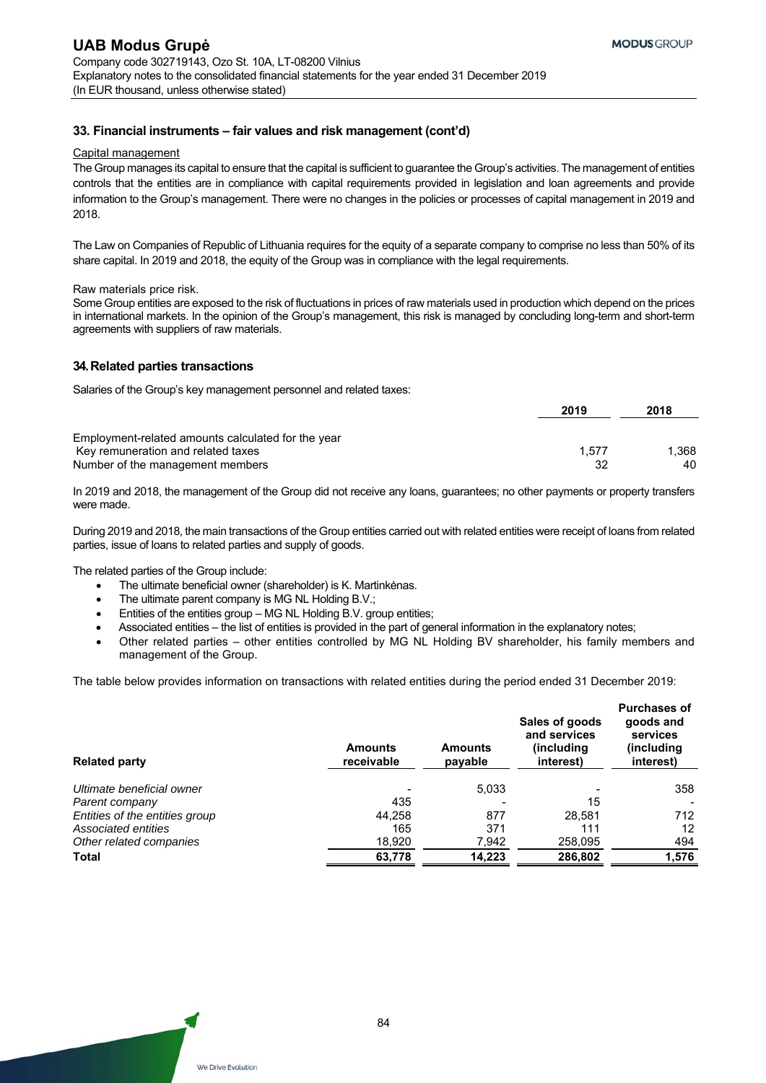## **33. Financial instruments – fair values and risk management (cont'd)**

### Capital management

The Group manages its capital to ensure that the capital is sufficient to guarantee the Group's activities. The management of entities controls that the entities are in compliance with capital requirements provided in legislation and loan agreements and provide information to the Group's management. There were no changes in the policies or processes of capital management in 2019 and 2018.

The Law on Companies of Republic of Lithuania requires for the equity of a separate company to comprise no less than 50% of its share capital. In 2019 and 2018, the equity of the Group was in compliance with the legal requirements.

Raw materials price risk.

Some Group entities are exposed to the risk of fluctuations in prices of raw materials used in production which depend on the prices in international markets. In the opinion of the Group's management, this risk is managed by concluding long-term and short-term agreements with suppliers of raw materials.

## **34. Related parties transactions**

Salaries of the Group's key management personnel and related taxes:

|                                                    | 2019  | 2018  |
|----------------------------------------------------|-------|-------|
| Employment-related amounts calculated for the year |       |       |
| Key remuneration and related taxes                 | 1.577 | 1.368 |
| Number of the management members                   |       | 40    |

In 2019 and 2018, the management of the Group did not receive any loans, guarantees; no other payments or property transfers were made.

During 2019 and 2018, the main transactions of the Group entities carried out with related entities were receipt of loans from related parties, issue of loans to related parties and supply of goods.

The related parties of the Group include:

- The ultimate beneficial owner (shareholder) is K. Martinkėnas.
- The ultimate parent company is MG NL Holding B.V.;
- Entities of the entities group MG NL Holding B.V. group entities:
- Associated entities the list of entities is provided in the part of general information in the explanatory notes;
- Other related parties other entities controlled by MG NL Holding BV shareholder, his family members and management of the Group.

The table below provides information on transactions with related entities during the period ended 31 December 2019:

| <b>Related party</b>           | <b>Amounts</b><br>receivable | <b>Amounts</b><br>payable | Sales of goods<br>and services<br>(including)<br>interest) | <b>Purchases of</b><br>goods and<br>services<br>(including)<br>interest) |
|--------------------------------|------------------------------|---------------------------|------------------------------------------------------------|--------------------------------------------------------------------------|
| Ultimate beneficial owner      |                              | 5,033                     |                                                            | 358                                                                      |
| Parent company                 | 435                          |                           | 15                                                         |                                                                          |
| Entities of the entities group | 44.258                       | 877                       | 28.581                                                     | 712                                                                      |
| Associated entities            | 165                          | 371                       | 111                                                        | 12                                                                       |
| Other related companies        | 18.920                       | 7,942                     | 258,095                                                    | 494                                                                      |
| Total                          | 63,778                       | 14,223                    | 286,802                                                    | 1,576                                                                    |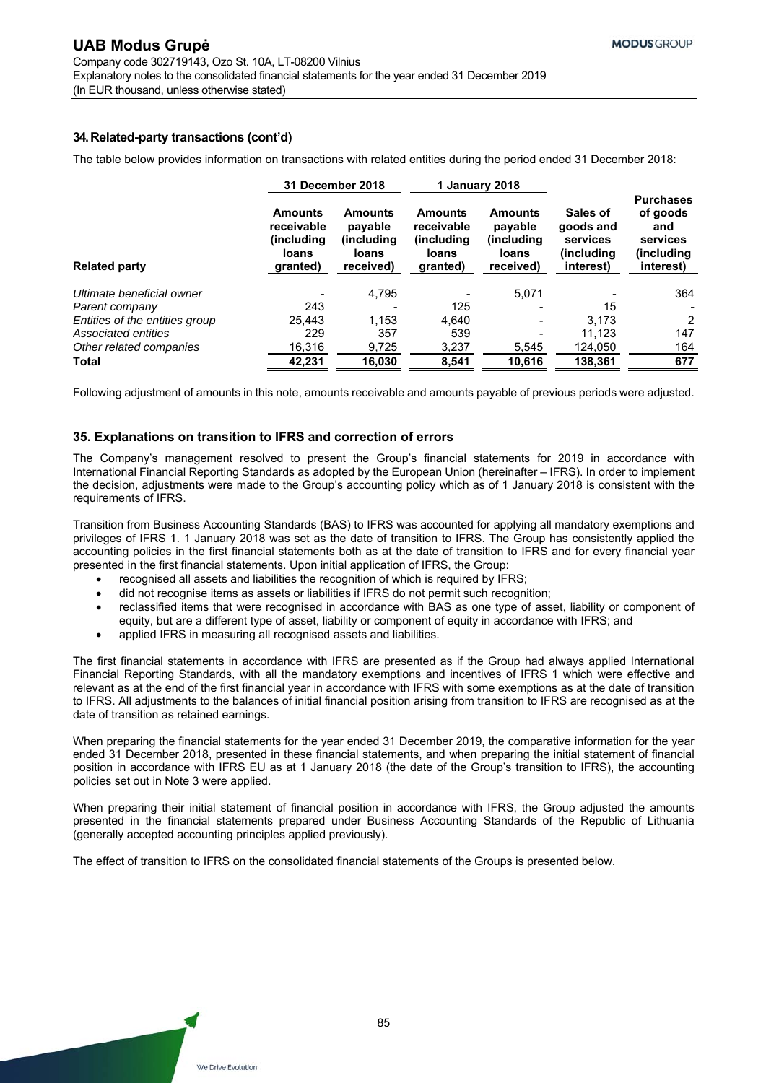## **34. Related-party transactions (cont'd)**

The table below provides information on transactions with related entities during the period ended 31 December 2018:

|                                |                                                                  | 31 December 2018                                        |                                                           | <b>1 January 2018</b>                                          |                                                              |                                                                             |
|--------------------------------|------------------------------------------------------------------|---------------------------------------------------------|-----------------------------------------------------------|----------------------------------------------------------------|--------------------------------------------------------------|-----------------------------------------------------------------------------|
| <b>Related party</b>           | Amounts<br>receivable<br>(including)<br><b>loans</b><br>granted) | Amounts<br>payable<br>(including)<br>loans<br>received) | Amounts<br>receivable<br>(including)<br>loans<br>granted) | Amounts<br>payable<br>(including)<br><b>loans</b><br>received) | Sales of<br>goods and<br>services<br>(including<br>interest) | <b>Purchases</b><br>of goods<br>and<br>services<br>(including)<br>interest) |
| Ultimate beneficial owner      |                                                                  | 4,795                                                   |                                                           | 5.071                                                          |                                                              | 364                                                                         |
| Parent company                 | 243                                                              |                                                         | 125                                                       |                                                                | 15                                                           |                                                                             |
| Entities of the entities group | 25.443                                                           | 1,153                                                   | 4,640                                                     |                                                                | 3.173                                                        | 2                                                                           |
| Associated entities            | 229                                                              | 357                                                     | 539                                                       |                                                                | 11.123                                                       | 147                                                                         |
| Other related companies        | 16,316                                                           | 9,725                                                   | 3,237                                                     | 5,545                                                          | 124,050                                                      | 164                                                                         |
| <b>Total</b>                   | 42,231                                                           | 16,030                                                  | 8,541                                                     | 10,616                                                         | 138,361                                                      | 677                                                                         |

Following adjustment of amounts in this note, amounts receivable and amounts payable of previous periods were adjusted.

## **35. Explanations on transition to IFRS and correction of errors**

The Company's management resolved to present the Group's financial statements for 2019 in accordance with International Financial Reporting Standards as adopted by the European Union (hereinafter – IFRS). In order to implement the decision, adjustments were made to the Group's accounting policy which as of 1 January 2018 is consistent with the requirements of IFRS.

Transition from Business Accounting Standards (BAS) to IFRS was accounted for applying all mandatory exemptions and privileges of IFRS 1. 1 January 2018 was set as the date of transition to IFRS. The Group has consistently applied the accounting policies in the first financial statements both as at the date of transition to IFRS and for every financial year presented in the first financial statements. Upon initial application of IFRS, the Group:

- recognised all assets and liabilities the recognition of which is required by IFRS;
- did not recognise items as assets or liabilities if IFRS do not permit such recognition;
- reclassified items that were recognised in accordance with BAS as one type of asset, liability or component of equity, but are a different type of asset, liability or component of equity in accordance with IFRS; and
- applied IFRS in measuring all recognised assets and liabilities.

The first financial statements in accordance with IFRS are presented as if the Group had always applied International Financial Reporting Standards, with all the mandatory exemptions and incentives of IFRS 1 which were effective and relevant as at the end of the first financial year in accordance with IFRS with some exemptions as at the date of transition to IFRS. All adjustments to the balances of initial financial position arising from transition to IFRS are recognised as at the date of transition as retained earnings.

When preparing the financial statements for the year ended 31 December 2019, the comparative information for the year ended 31 December 2018, presented in these financial statements, and when preparing the initial statement of financial position in accordance with IFRS EU as at 1 January 2018 (the date of the Group's transition to IFRS), the accounting policies set out in Note 3 were applied.

When preparing their initial statement of financial position in accordance with IFRS, the Group adjusted the amounts presented in the financial statements prepared under Business Accounting Standards of the Republic of Lithuania (generally accepted accounting principles applied previously).

The effect of transition to IFRS on the consolidated financial statements of the Groups is presented below.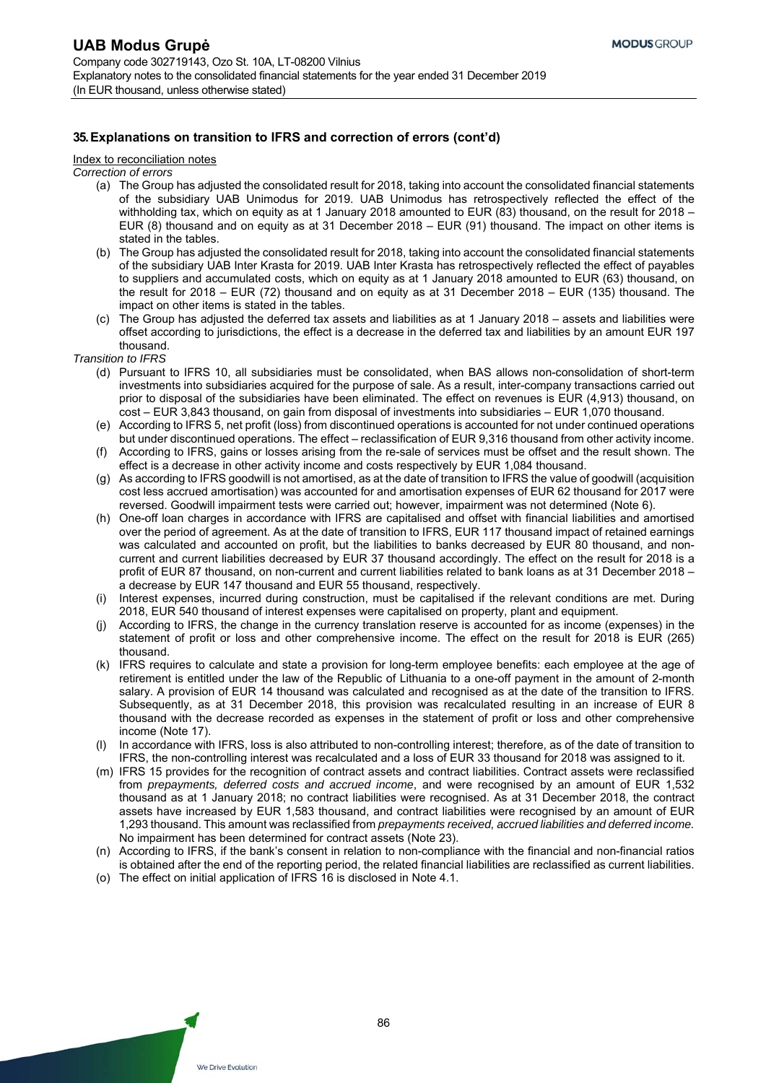#### Index to reconciliation notes

*Correction of errors* 

- (a) The Group has adjusted the consolidated result for 2018, taking into account the consolidated financial statements of the subsidiary UAB Unimodus for 2019. UAB Unimodus has retrospectively reflected the effect of the withholding tax, which on equity as at 1 January 2018 amounted to EUR (83) thousand, on the result for 2018 – EUR (8) thousand and on equity as at 31 December 2018 – EUR (91) thousand. The impact on other items is stated in the tables.
- The Group has adjusted the consolidated result for 2018, taking into account the consolidated financial statements of the subsidiary UAB Inter Krasta for 2019. UAB Inter Krasta has retrospectively reflected the effect of payables to suppliers and accumulated costs, which on equity as at 1 January 2018 amounted to EUR (63) thousand, on the result for 2018 – EUR (72) thousand and on equity as at 31 December 2018 – EUR (135) thousand. The impact on other items is stated in the tables.
- (c) The Group has adjusted the deferred tax assets and liabilities as at 1 January 2018 assets and liabilities were offset according to jurisdictions, the effect is a decrease in the deferred tax and liabilities by an amount EUR 197 thousand.

### *Transition to IFRS*

- (d) Pursuant to IFRS 10, all subsidiaries must be consolidated, when BAS allows non-consolidation of short-term investments into subsidiaries acquired for the purpose of sale. As a result, inter-company transactions carried out prior to disposal of the subsidiaries have been eliminated. The effect on revenues is EUR (4,913) thousand, on cost – EUR 3,843 thousand, on gain from disposal of investments into subsidiaries – EUR 1,070 thousand.
- (e) According to IFRS 5, net profit (loss) from discontinued operations is accounted for not under continued operations but under discontinued operations. The effect – reclassification of EUR 9,316 thousand from other activity income.
- (f) According to IFRS, gains or losses arising from the re-sale of services must be offset and the result shown. The effect is a decrease in other activity income and costs respectively by EUR 1,084 thousand.
- (g) As according to IFRS goodwill is not amortised, as at the date of transition to IFRS the value of goodwill (acquisition cost less accrued amortisation) was accounted for and amortisation expenses of EUR 62 thousand for 2017 were reversed. Goodwill impairment tests were carried out; however, impairment was not determined (Note 6).
- (h) One-off loan charges in accordance with IFRS are capitalised and offset with financial liabilities and amortised over the period of agreement. As at the date of transition to IFRS, EUR 117 thousand impact of retained earnings was calculated and accounted on profit, but the liabilities to banks decreased by EUR 80 thousand, and noncurrent and current liabilities decreased by EUR 37 thousand accordingly. The effect on the result for 2018 is a profit of EUR 87 thousand, on non-current and current liabilities related to bank loans as at 31 December 2018 – a decrease by EUR 147 thousand and EUR 55 thousand, respectively.
- (i) Interest expenses, incurred during construction, must be capitalised if the relevant conditions are met. During 2018, EUR 540 thousand of interest expenses were capitalised on property, plant and equipment.
- (j) According to IFRS, the change in the currency translation reserve is accounted for as income (expenses) in the statement of profit or loss and other comprehensive income. The effect on the result for 2018 is EUR (265) thousand.
- (k) IFRS requires to calculate and state a provision for long-term employee benefits: each employee at the age of retirement is entitled under the law of the Republic of Lithuania to a one-off payment in the amount of 2-month salary. A provision of EUR 14 thousand was calculated and recognised as at the date of the transition to IFRS. Subsequently, as at 31 December 2018, this provision was recalculated resulting in an increase of EUR 8 thousand with the decrease recorded as expenses in the statement of profit or loss and other comprehensive income (Note 17).
- (l) In accordance with IFRS, loss is also attributed to non-controlling interest; therefore, as of the date of transition to IFRS, the non-controlling interest was recalculated and a loss of EUR 33 thousand for 2018 was assigned to it.
- (m) IFRS 15 provides for the recognition of contract assets and contract liabilities. Contract assets were reclassified from *prepayments, deferred costs and accrued income*, and were recognised by an amount of EUR 1,532 thousand as at 1 January 2018; no contract liabilities were recognised. As at 31 December 2018, the contract assets have increased by EUR 1,583 thousand, and contract liabilities were recognised by an amount of EUR 1,293 thousand. This amount was reclassified from *prepayments received, accrued liabilities and deferred income.* No impairment has been determined for contract assets (Note 23).
- (n) According to IFRS, if the bank's consent in relation to non-compliance with the financial and non-financial ratios is obtained after the end of the reporting period, the related financial liabilities are reclassified as current liabilities.
- (o) The effect on initial application of IFRS 16 is disclosed in Note 4.1.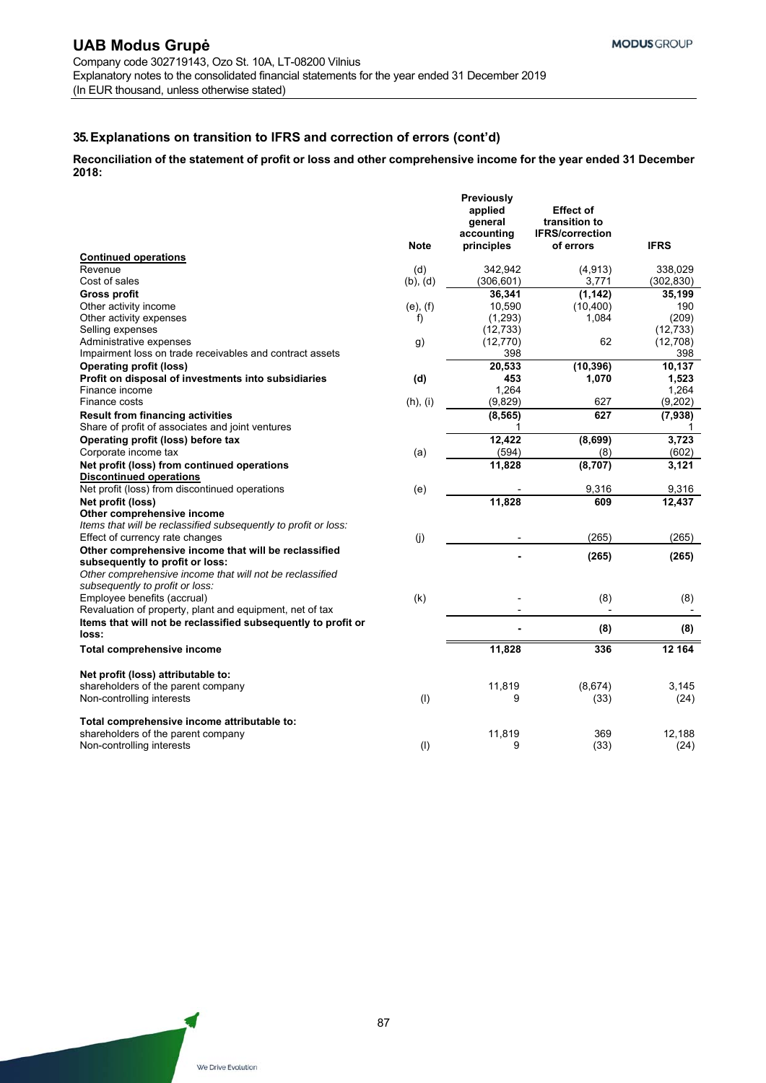## **Reconciliation of the statement of profit or loss and other comprehensive income for the year ended 31 December 2018:**

|                                                                 |               | <b>Previously</b><br>applied<br>general<br>accounting | <b>Effect of</b><br>transition to<br><b>IFRS/correction</b> |             |
|-----------------------------------------------------------------|---------------|-------------------------------------------------------|-------------------------------------------------------------|-------------|
| <b>Continued operations</b>                                     | <b>Note</b>   | principles                                            | of errors                                                   | <b>IFRS</b> |
| Revenue                                                         | (d)           | 342,942                                               | (4, 913)                                                    | 338,029     |
| Cost of sales                                                   | $(b)$ , $(d)$ | (306, 601)                                            | 3,771                                                       | (302, 830)  |
| <b>Gross profit</b>                                             |               | 36,341                                                | (1, 142)                                                    | 35,199      |
| Other activity income                                           | $(e)$ , $(f)$ | 10,590                                                | (10, 400)                                                   | 190         |
| Other activity expenses                                         | f)            | (1,293)                                               | 1,084                                                       | (209)       |
| Selling expenses                                                |               | (12, 733)                                             |                                                             | (12, 733)   |
| Administrative expenses                                         | g)            | (12, 770)                                             | 62                                                          | (12,708)    |
| Impairment loss on trade receivables and contract assets        |               | 398                                                   |                                                             | 398         |
| <b>Operating profit (loss)</b>                                  |               | 20,533                                                | (10, 396)                                                   | 10,137      |
| Profit on disposal of investments into subsidiaries             | (d)           | 453                                                   | 1,070                                                       | 1,523       |
| Finance income                                                  |               | 1.264                                                 |                                                             | 1,264       |
| Finance costs                                                   | $(h)$ , $(i)$ | (9,829)                                               | 627                                                         | (9,202)     |
| <b>Result from financing activities</b>                         |               | (8, 565)                                              | 627                                                         | (7,938)     |
| Share of profit of associates and joint ventures                |               |                                                       |                                                             |             |
| Operating profit (loss) before tax                              |               | 12,422                                                | (8,699)                                                     | 3,723       |
| Corporate income tax                                            | (a)           | (594)                                                 | (8)                                                         | (602)       |
| Net profit (loss) from continued operations                     |               | 11,828                                                | (8,707)                                                     | 3,121       |
| <b>Discontinued operations</b>                                  |               |                                                       |                                                             |             |
| Net profit (loss) from discontinued operations                  | (e)           |                                                       | 9,316                                                       | 9,316       |
| Net profit (loss)                                               |               | 11,828                                                | 609                                                         | 12,437      |
| Other comprehensive income                                      |               |                                                       |                                                             |             |
| Items that will be reclassified subsequently to profit or loss: |               |                                                       |                                                             |             |
| Effect of currency rate changes                                 | (j)           |                                                       | (265)                                                       | (265)       |
| Other comprehensive income that will be reclassified            |               |                                                       |                                                             |             |
| subsequently to profit or loss:                                 |               |                                                       | (265)                                                       | (265)       |
| Other comprehensive income that will not be reclassified        |               |                                                       |                                                             |             |
| subsequently to profit or loss:                                 |               |                                                       |                                                             |             |
| Employee benefits (accrual)                                     | (k)           |                                                       | (8)                                                         | (8)         |
| Revaluation of property, plant and equipment, net of tax        |               |                                                       |                                                             |             |
| Items that will not be reclassified subsequently to profit or   |               |                                                       | (8)                                                         | (8)         |
| loss:                                                           |               |                                                       |                                                             |             |
| <b>Total comprehensive income</b>                               |               | 11,828                                                | 336                                                         | 12 164      |
| Net profit (loss) attributable to:                              |               |                                                       |                                                             |             |
| shareholders of the parent company                              |               | 11,819                                                | (8,674)                                                     | 3.145       |
| Non-controlling interests                                       | (1)           | 9                                                     | (33)                                                        | (24)        |
| Total comprehensive income attributable to:                     |               |                                                       |                                                             |             |
| shareholders of the parent company                              |               | 11,819                                                | 369                                                         | 12,188      |
| Non-controlling interests                                       | (1)           | 9                                                     | (33)                                                        | (24)        |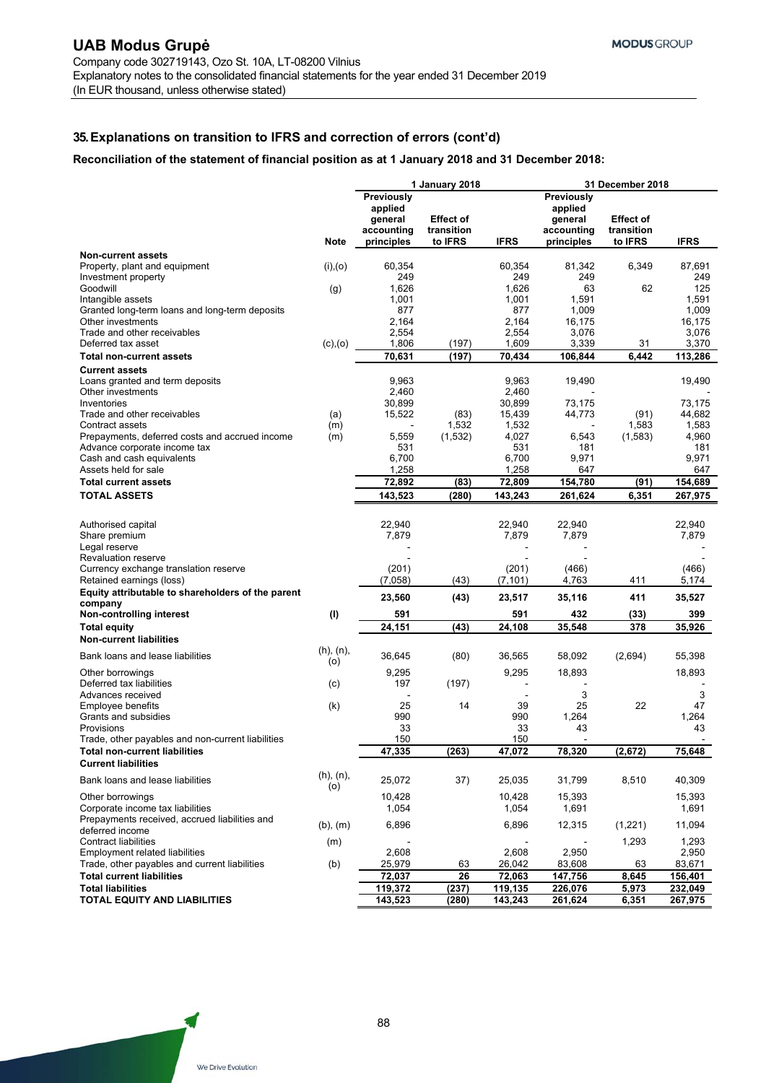## **Reconciliation of the statement of financial position as at 1 January 2018 and 31 December 2018:**

|                                                   |             | 1 January 2018<br>31 December 2018                           |                                           |             |                                                                     |                                           |                |
|---------------------------------------------------|-------------|--------------------------------------------------------------|-------------------------------------------|-------------|---------------------------------------------------------------------|-------------------------------------------|----------------|
|                                                   | <b>Note</b> | Previously<br>applied<br>general<br>accounting<br>principles | <b>Effect of</b><br>transition<br>to IFRS | <b>IFRS</b> | <b>Previously</b><br>applied<br>general<br>accounting<br>principles | <b>Effect of</b><br>transition<br>to IFRS | <b>IFRS</b>    |
| <b>Non-current assets</b>                         |             |                                                              |                                           |             |                                                                     |                                           |                |
| Property, plant and equipment                     | (i), (o)    | 60,354                                                       |                                           | 60,354      | 81,342                                                              | 6,349                                     | 87,691         |
| Investment property                               |             | 249                                                          |                                           | 249         | 249                                                                 |                                           | 249            |
| Goodwill                                          | (g)         | 1,626                                                        |                                           | 1,626       | 63                                                                  | 62                                        | 125            |
| Intangible assets                                 |             | 1,001                                                        |                                           | 1,001       | 1,591                                                               |                                           | 1,591          |
| Granted long-term loans and long-term deposits    |             | 877                                                          |                                           | 877         | 1,009                                                               |                                           | 1,009          |
| Other investments                                 |             | 2,164                                                        |                                           | 2,164       | 16,175                                                              |                                           | 16,175         |
| Trade and other receivables                       |             | 2,554                                                        |                                           | 2,554       | 3,076                                                               |                                           | 3,076          |
| Deferred tax asset                                | (c), (o)    | 1,806                                                        | (197)                                     | 1,609       | 3,339                                                               | 31                                        | 3,370          |
| <b>Total non-current assets</b>                   |             | 70,631                                                       | (197)                                     | 70,434      | 106,844                                                             | 6,442                                     | 113,286        |
| <b>Current assets</b>                             |             |                                                              |                                           |             |                                                                     |                                           |                |
| Loans granted and term deposits                   |             | 9,963                                                        |                                           | 9,963       | 19,490                                                              |                                           | 19,490         |
| Other investments                                 |             | 2,460                                                        |                                           | 2,460       |                                                                     |                                           |                |
| Inventories                                       |             | 30,899                                                       |                                           | 30,899      | 73,175                                                              |                                           | 73,175         |
| Trade and other receivables                       | (a)         | 15,522                                                       | (83)                                      | 15,439      | 44,773                                                              | (91)                                      | 44,682         |
| Contract assets                                   | (m)         |                                                              | 1,532                                     | 1,532       |                                                                     | 1,583                                     | 1,583          |
| Prepayments, deferred costs and accrued income    | (m)         | 5,559                                                        | (1,532)                                   | 4,027       | 6,543                                                               | (1,583)                                   | 4,960          |
| Advance corporate income tax                      |             | 531                                                          |                                           | 531         | 181                                                                 |                                           | 181            |
| Cash and cash equivalents                         |             | 6,700                                                        |                                           | 6,700       | 9,971                                                               |                                           | 9,971          |
| Assets held for sale                              |             | 1,258                                                        |                                           | 1,258       | 647                                                                 |                                           | 647            |
| <b>Total current assets</b>                       |             | 72,892                                                       | (83)                                      | 72,809      | 154,780                                                             | (91)                                      | 154,689        |
| <b>TOTAL ASSETS</b>                               |             | 143,523                                                      | (280)                                     | 143,243     | 261,624                                                             | 6,351                                     | 267,975        |
|                                                   |             |                                                              |                                           |             |                                                                     |                                           |                |
| Authorised capital                                |             | 22,940                                                       |                                           | 22,940      | 22,940                                                              |                                           | 22.940         |
| Share premium                                     |             | 7,879                                                        |                                           | 7,879       | 7,879                                                               |                                           | 7,879          |
| Legal reserve                                     |             |                                                              |                                           |             |                                                                     |                                           |                |
| <b>Revaluation reserve</b>                        |             |                                                              |                                           |             |                                                                     |                                           |                |
| Currency exchange translation reserve             |             | (201)                                                        |                                           | (201)       | (466)                                                               |                                           | (466)          |
| Retained earnings (loss)                          |             | (7,058)                                                      | (43)                                      | (7, 101)    | 4,763                                                               | 411                                       | 5,174          |
| Equity attributable to shareholders of the parent |             |                                                              |                                           |             |                                                                     |                                           |                |
| company                                           |             | 23,560                                                       | (43)                                      | 23,517      | 35,116                                                              | 411                                       | 35,527         |
| Non-controlling interest                          | (1)         | 591                                                          |                                           | 591         | 432                                                                 | (33)                                      | 399            |
| <b>Total equity</b>                               |             | 24,151                                                       | (43)                                      | 24,108      | 35,548                                                              | 378                                       | 35,926         |
| <b>Non-current liabilities</b>                    |             |                                                              |                                           |             |                                                                     |                                           |                |
| Bank loans and lease liabilities                  | (h), (n),   | 36,645                                                       | (80)                                      | 36,565      | 58,092                                                              | (2,694)                                   | 55,398         |
|                                                   | (o)         |                                                              |                                           |             |                                                                     |                                           |                |
| Other borrowings                                  |             | 9,295                                                        |                                           | 9,295       | 18,893                                                              |                                           | 18,893         |
| Deferred tax liabilities                          | (c)         | 197                                                          | (197)                                     |             |                                                                     |                                           |                |
| Advances received                                 |             |                                                              |                                           |             | 3                                                                   |                                           | 3              |
| Employee benefits                                 | (k)         | 25                                                           | 14                                        | 39          | 25                                                                  | 22                                        | 47             |
| Grants and subsidies                              |             | 990                                                          |                                           | 990         | 1,264                                                               |                                           | 1,264          |
| Provisions                                        |             | 33                                                           |                                           | 33          | 43                                                                  |                                           | 43             |
| Trade, other payables and non-current liabilities |             | 150                                                          |                                           | 150         |                                                                     |                                           | $\blacksquare$ |
| <b>Total non-current liabilities</b>              |             | 47,335                                                       | (263)                                     | 47,072      | 78.320                                                              | (2,672)                                   | 75,648         |
| <b>Current liabilities</b>                        |             |                                                              |                                           |             |                                                                     |                                           |                |
| Bank loans and lease liabilities                  | (h), (n),   | 25,072                                                       | 37)                                       | 25,035      | 31,799                                                              | 8,510                                     | 40,309         |
|                                                   | (o)         |                                                              |                                           |             |                                                                     |                                           |                |
| Other borrowings                                  |             | 10,428                                                       |                                           | 10,428      | 15,393                                                              |                                           | 15,393         |
| Corporate income tax liabilities                  |             | 1,054                                                        |                                           | 1,054       | 1,691                                                               |                                           | 1,691          |
| Prepayments received, accrued liabilities and     | (b), (m)    | 6,896                                                        |                                           | 6,896       | 12,315                                                              | (1,221)                                   | 11,094         |
| deferred income                                   |             |                                                              |                                           |             |                                                                     |                                           |                |
| <b>Contract liabilities</b>                       | (m)         |                                                              |                                           |             |                                                                     | 1,293                                     | 1,293          |
| <b>Employment related liabilities</b>             |             | 2,608                                                        |                                           | 2,608       | 2,950                                                               |                                           | 2,950          |
| Trade, other payables and current liabilities     | (b)         | 25,979                                                       | 63                                        | 26,042      | 83,608                                                              | 63                                        | 83,671         |
| <b>Total current liabilities</b>                  |             | 72,037                                                       | 26                                        | 72,063      | 147,756                                                             | 8,645                                     | 156,401        |
| <b>Total liabilities</b>                          |             | 119,372                                                      | (237)                                     | 119,135     | 226,076                                                             | 5,973                                     | 232,049        |
| <b>TOTAL EQUITY AND LIABILITIES</b>               |             | 143,523                                                      | (280)                                     | 143,243     | 261,624                                                             | 6,351                                     | 267,975        |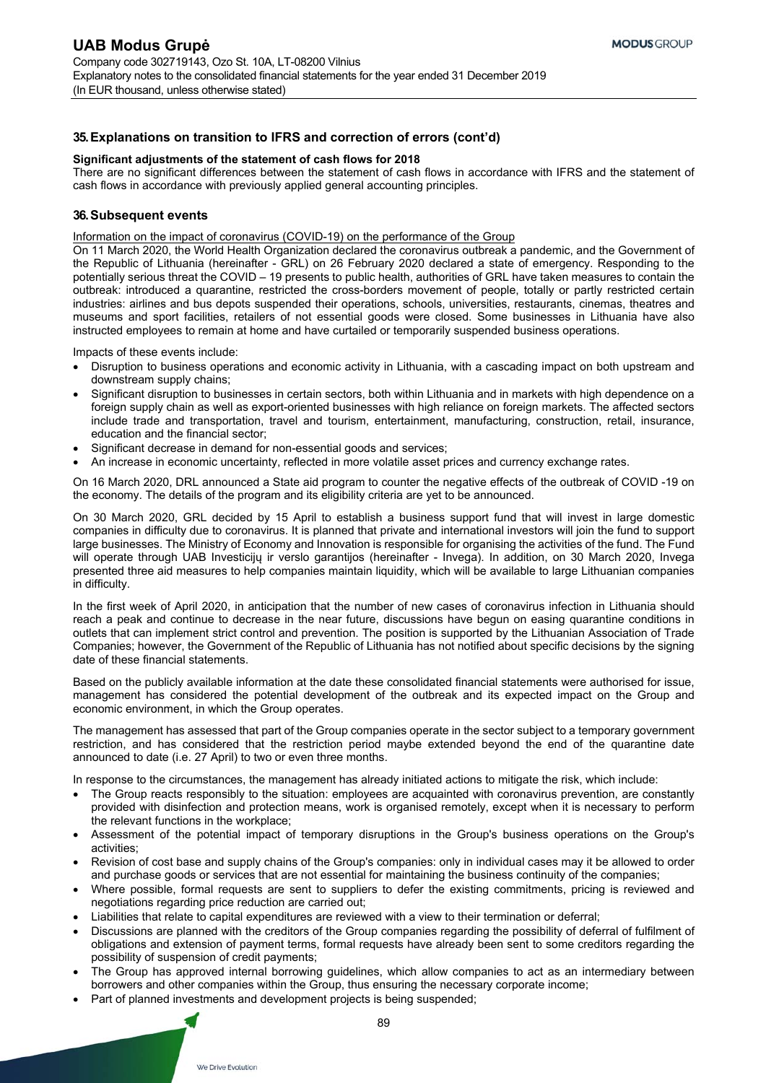#### **Significant adjustments of the statement of cash flows for 2018**

There are no significant differences between the statement of cash flows in accordance with IFRS and the statement of cash flows in accordance with previously applied general accounting principles.

#### **36. Subsequent events**

Information on the impact of coronavirus (COVID-19) on the performance of the Group

On 11 March 2020, the World Health Organization declared the coronavirus outbreak a pandemic, and the Government of the Republic of Lithuania (hereinafter - GRL) on 26 February 2020 declared a state of emergency. Responding to the potentially serious threat the COVID – 19 presents to public health, authorities of GRL have taken measures to contain the outbreak: introduced a quarantine, restricted the cross-borders movement of people, totally or partly restricted certain industries: airlines and bus depots suspended their operations, schools, universities, restaurants, cinemas, theatres and museums and sport facilities, retailers of not essential goods were closed. Some businesses in Lithuania have also instructed employees to remain at home and have curtailed or temporarily suspended business operations.

Impacts of these events include:

- Disruption to business operations and economic activity in Lithuania, with a cascading impact on both upstream and downstream supply chains;
- Significant disruption to businesses in certain sectors, both within Lithuania and in markets with high dependence on a foreign supply chain as well as export-oriented businesses with high reliance on foreign markets. The affected sectors include trade and transportation, travel and tourism, entertainment, manufacturing, construction, retail, insurance, education and the financial sector;
- Significant decrease in demand for non-essential goods and services;
- An increase in economic uncertainty, reflected in more volatile asset prices and currency exchange rates.

On 16 March 2020, DRL announced a State aid program to counter the negative effects of the outbreak of COVID -19 on the economy. The details of the program and its eligibility criteria are yet to be announced.

On 30 March 2020, GRL decided by 15 April to establish a business support fund that will invest in large domestic companies in difficulty due to coronavirus. It is planned that private and international investors will join the fund to support large businesses. The Ministry of Economy and Innovation is responsible for organising the activities of the fund. The Fund will operate through UAB Investicijų ir verslo garantijos (hereinafter - Invega). In addition, on 30 March 2020, Invega presented three aid measures to help companies maintain liquidity, which will be available to large Lithuanian companies in difficulty.

In the first week of April 2020, in anticipation that the number of new cases of coronavirus infection in Lithuania should reach a peak and continue to decrease in the near future, discussions have begun on easing quarantine conditions in outlets that can implement strict control and prevention. The position is supported by the Lithuanian Association of Trade Companies; however, the Government of the Republic of Lithuania has not notified about specific decisions by the signing date of these financial statements.

Based on the publicly available information at the date these consolidated financial statements were authorised for issue, management has considered the potential development of the outbreak and its expected impact on the Group and economic environment, in which the Group operates.

The management has assessed that part of the Group companies operate in the sector subject to a temporary government restriction, and has considered that the restriction period maybe extended beyond the end of the quarantine date announced to date (i.e. 27 April) to two or even three months.

In response to the circumstances, the management has already initiated actions to mitigate the risk, which include:

- The Group reacts responsibly to the situation: employees are acquainted with coronavirus prevention, are constantly provided with disinfection and protection means, work is organised remotely, except when it is necessary to perform the relevant functions in the workplace;
- Assessment of the potential impact of temporary disruptions in the Group's business operations on the Group's activities;
- Revision of cost base and supply chains of the Group's companies: only in individual cases may it be allowed to order and purchase goods or services that are not essential for maintaining the business continuity of the companies;
- Where possible, formal requests are sent to suppliers to defer the existing commitments, pricing is reviewed and negotiations regarding price reduction are carried out;
- Liabilities that relate to capital expenditures are reviewed with a view to their termination or deferral;
- Discussions are planned with the creditors of the Group companies regarding the possibility of deferral of fulfilment of obligations and extension of payment terms, formal requests have already been sent to some creditors regarding the possibility of suspension of credit payments;
- The Group has approved internal borrowing guidelines, which allow companies to act as an intermediary between borrowers and other companies within the Group, thus ensuring the necessary corporate income;
- Part of planned investments and development projects is being suspended;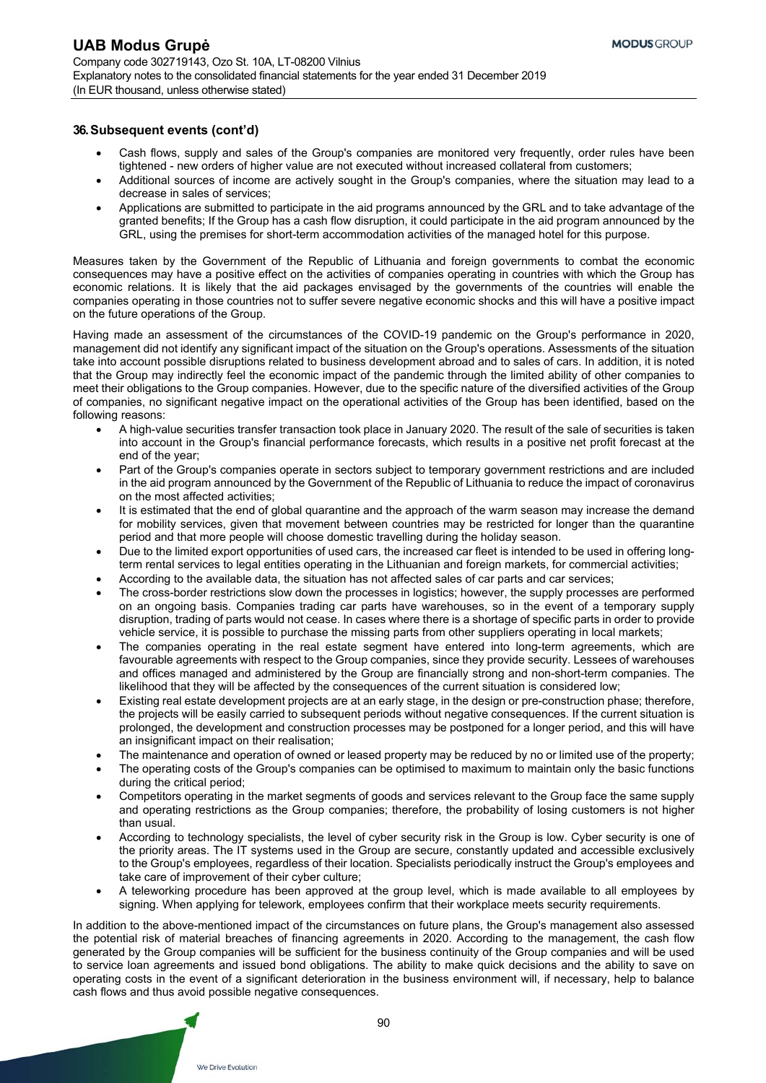### **36. Subsequent events (cont'd)**

- Cash flows, supply and sales of the Group's companies are monitored very frequently, order rules have been tightened - new orders of higher value are not executed without increased collateral from customers;
- Additional sources of income are actively sought in the Group's companies, where the situation may lead to a decrease in sales of services;
- Applications are submitted to participate in the aid programs announced by the GRL and to take advantage of the granted benefits; If the Group has a cash flow disruption, it could participate in the aid program announced by the GRL, using the premises for short-term accommodation activities of the managed hotel for this purpose.

Measures taken by the Government of the Republic of Lithuania and foreign governments to combat the economic consequences may have a positive effect on the activities of companies operating in countries with which the Group has economic relations. It is likely that the aid packages envisaged by the governments of the countries will enable the companies operating in those countries not to suffer severe negative economic shocks and this will have a positive impact on the future operations of the Group.

Having made an assessment of the circumstances of the COVID-19 pandemic on the Group's performance in 2020, management did not identify any significant impact of the situation on the Group's operations. Assessments of the situation take into account possible disruptions related to business development abroad and to sales of cars. In addition, it is noted that the Group may indirectly feel the economic impact of the pandemic through the limited ability of other companies to meet their obligations to the Group companies. However, due to the specific nature of the diversified activities of the Group of companies, no significant negative impact on the operational activities of the Group has been identified, based on the following reasons:

- A high-value securities transfer transaction took place in January 2020. The result of the sale of securities is taken into account in the Group's financial performance forecasts, which results in a positive net profit forecast at the end of the year;
- Part of the Group's companies operate in sectors subject to temporary government restrictions and are included in the aid program announced by the Government of the Republic of Lithuania to reduce the impact of coronavirus on the most affected activities;
- It is estimated that the end of global quarantine and the approach of the warm season may increase the demand for mobility services, given that movement between countries may be restricted for longer than the quarantine period and that more people will choose domestic travelling during the holiday season.
- Due to the limited export opportunities of used cars, the increased car fleet is intended to be used in offering longterm rental services to legal entities operating in the Lithuanian and foreign markets, for commercial activities;
- According to the available data, the situation has not affected sales of car parts and car services;
- The cross-border restrictions slow down the processes in logistics; however, the supply processes are performed on an ongoing basis. Companies trading car parts have warehouses, so in the event of a temporary supply disruption, trading of parts would not cease. In cases where there is a shortage of specific parts in order to provide vehicle service, it is possible to purchase the missing parts from other suppliers operating in local markets;
- The companies operating in the real estate segment have entered into long-term agreements, which are favourable agreements with respect to the Group companies, since they provide security. Lessees of warehouses and offices managed and administered by the Group are financially strong and non-short-term companies. The likelihood that they will be affected by the consequences of the current situation is considered low;
- Existing real estate development projects are at an early stage, in the design or pre-construction phase; therefore, the projects will be easily carried to subsequent periods without negative consequences. If the current situation is prolonged, the development and construction processes may be postponed for a longer period, and this will have an insignificant impact on their realisation;
- The maintenance and operation of owned or leased property may be reduced by no or limited use of the property;
- The operating costs of the Group's companies can be optimised to maximum to maintain only the basic functions during the critical period;
- Competitors operating in the market segments of goods and services relevant to the Group face the same supply and operating restrictions as the Group companies; therefore, the probability of losing customers is not higher than usual.
- According to technology specialists, the level of cyber security risk in the Group is low. Cyber security is one of the priority areas. The IT systems used in the Group are secure, constantly updated and accessible exclusively to the Group's employees, regardless of their location. Specialists periodically instruct the Group's employees and take care of improvement of their cyber culture;
- A teleworking procedure has been approved at the group level, which is made available to all employees by signing. When applying for telework, employees confirm that their workplace meets security requirements.

In addition to the above-mentioned impact of the circumstances on future plans, the Group's management also assessed the potential risk of material breaches of financing agreements in 2020. According to the management, the cash flow generated by the Group companies will be sufficient for the business continuity of the Group companies and will be used to service loan agreements and issued bond obligations. The ability to make quick decisions and the ability to save on operating costs in the event of a significant deterioration in the business environment will, if necessary, help to balance cash flows and thus avoid possible negative consequences.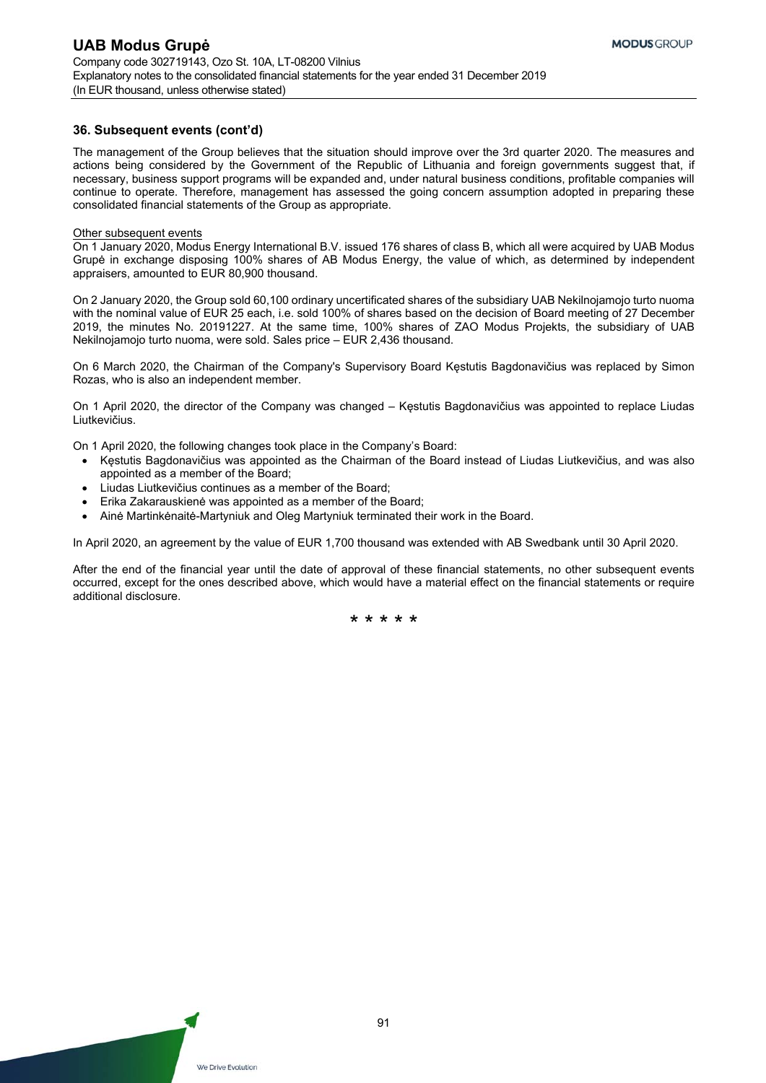## **36. Subsequent events (cont'd)**

The management of the Group believes that the situation should improve over the 3rd quarter 2020. The measures and actions being considered by the Government of the Republic of Lithuania and foreign governments suggest that, if necessary, business support programs will be expanded and, under natural business conditions, profitable companies will continue to operate. Therefore, management has assessed the going concern assumption adopted in preparing these consolidated financial statements of the Group as appropriate.

#### Other subsequent events

On 1 January 2020, Modus Energy International B.V. issued 176 shares of class B, which all were acquired by UAB Modus Grupė in exchange disposing 100% shares of AB Modus Energy, the value of which, as determined by independent appraisers, amounted to EUR 80,900 thousand.

On 2 January 2020, the Group sold 60,100 ordinary uncertificated shares of the subsidiary UAB Nekilnojamojo turto nuoma with the nominal value of EUR 25 each, i.e. sold 100% of shares based on the decision of Board meeting of 27 December 2019, the minutes No. 20191227. At the same time, 100% shares of ZAO Modus Projekts, the subsidiary of UAB Nekilnojamojo turto nuoma, were sold. Sales price – EUR 2,436 thousand.

On 6 March 2020, the Chairman of the Company's Supervisory Board Kęstutis Bagdonavičius was replaced by Simon Rozas, who is also an independent member.

On 1 April 2020, the director of the Company was changed – Kęstutis Bagdonavičius was appointed to replace Liudas Liutkevičius.

On 1 April 2020, the following changes took place in the Company's Board:

- Kestutis Bagdonavičius was appointed as the Chairman of the Board instead of Liudas Liutkevičius, and was also appointed as a member of the Board;
- Liudas Liutkevičius continues as a member of the Board;
- Erika Zakarauskienė was appointed as a member of the Board;
- Ainė Martinkėnaitė-Martyniuk and Oleg Martyniuk terminated their work in the Board.

In April 2020, an agreement by the value of EUR 1,700 thousand was extended with AB Swedbank until 30 April 2020.

After the end of the financial year until the date of approval of these financial statements, no other subsequent events occurred, except for the ones described above, which would have a material effect on the financial statements or require additional disclosure.

\* \* \* \* \*